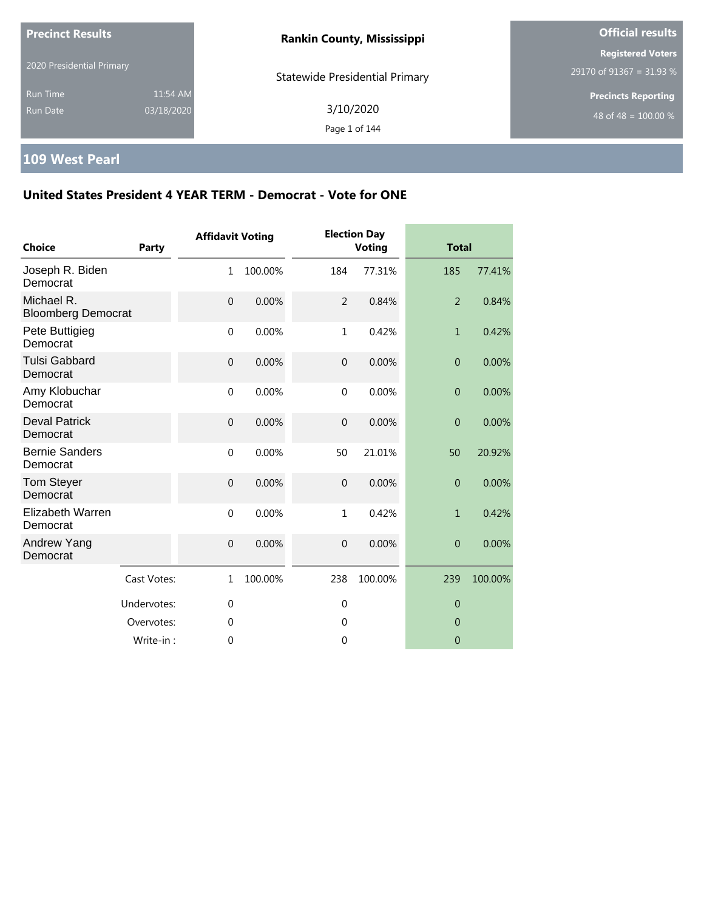| <b>Precinct Results</b>            |                        | <b>Rankin County, Mississippi</b>     | <b>Official results</b>                              |  |
|------------------------------------|------------------------|---------------------------------------|------------------------------------------------------|--|
| 2020 Presidential Primary          |                        | <b>Statewide Presidential Primary</b> | <b>Registered Voters</b><br>29170 of 91367 = 31.93 % |  |
| <b>Run Time</b><br><b>Run Date</b> | 11:54 AM<br>03/18/2020 | 3/10/2020<br>Page 1 of 144            | <b>Precincts Reporting</b><br>48 of 48 = $100.00\%$  |  |

# **109 West Pearl**

| <b>Choice</b>                           | Party       | <b>Affidavit Voting</b> |         |                | <b>Election Day</b><br><b>Voting</b> | <b>Total</b>   |         |
|-----------------------------------------|-------------|-------------------------|---------|----------------|--------------------------------------|----------------|---------|
| Joseph R. Biden<br>Democrat             |             | $\mathbf{1}$            | 100.00% | 184            | 77.31%                               | 185            | 77.41%  |
| Michael R.<br><b>Bloomberg Democrat</b> |             | $\mathbf 0$             | 0.00%   | $\overline{2}$ | 0.84%                                | $\overline{2}$ | 0.84%   |
| Pete Buttigieg<br>Democrat              |             | $\mathbf 0$             | 0.00%   | $\mathbf{1}$   | 0.42%                                | $\mathbf{1}$   | 0.42%   |
| <b>Tulsi Gabbard</b><br>Democrat        |             | $\overline{0}$          | 0.00%   | $\overline{0}$ | 0.00%                                | $\overline{0}$ | 0.00%   |
| Amy Klobuchar<br>Democrat               |             | $\mathbf 0$             | 0.00%   | $\mathbf{0}$   | 0.00%                                | $\overline{0}$ | 0.00%   |
| <b>Deval Patrick</b><br>Democrat        |             | $\mathbf 0$             | 0.00%   | $\mathbf 0$    | 0.00%                                | $\overline{0}$ | 0.00%   |
| <b>Bernie Sanders</b><br>Democrat       |             | $\mathbf 0$             | 0.00%   | 50             | 21.01%                               | 50             | 20.92%  |
| Tom Steyer<br>Democrat                  |             | $\mathbf{0}$            | 0.00%   | $\overline{0}$ | 0.00%                                | $\overline{0}$ | 0.00%   |
| Elizabeth Warren<br>Democrat            |             | $\mathbf{0}$            | 0.00%   | $\mathbf{1}$   | 0.42%                                | $\mathbf{1}$   | 0.42%   |
| Andrew Yang<br>Democrat                 |             | $\mathbf{0}$            | 0.00%   | $\overline{0}$ | 0.00%                                | $\overline{0}$ | 0.00%   |
|                                         | Cast Votes: | $\mathbf{1}$            | 100.00% | 238            | 100.00%                              | 239            | 100.00% |
|                                         | Undervotes: | $\mathbf{0}$            |         | $\mathbf 0$    |                                      | $\overline{0}$ |         |
|                                         | Overvotes:  | 0                       |         | 0              |                                      | $\overline{0}$ |         |
|                                         | Write-in:   | 0                       |         | $\mathbf{0}$   |                                      | $\overline{0}$ |         |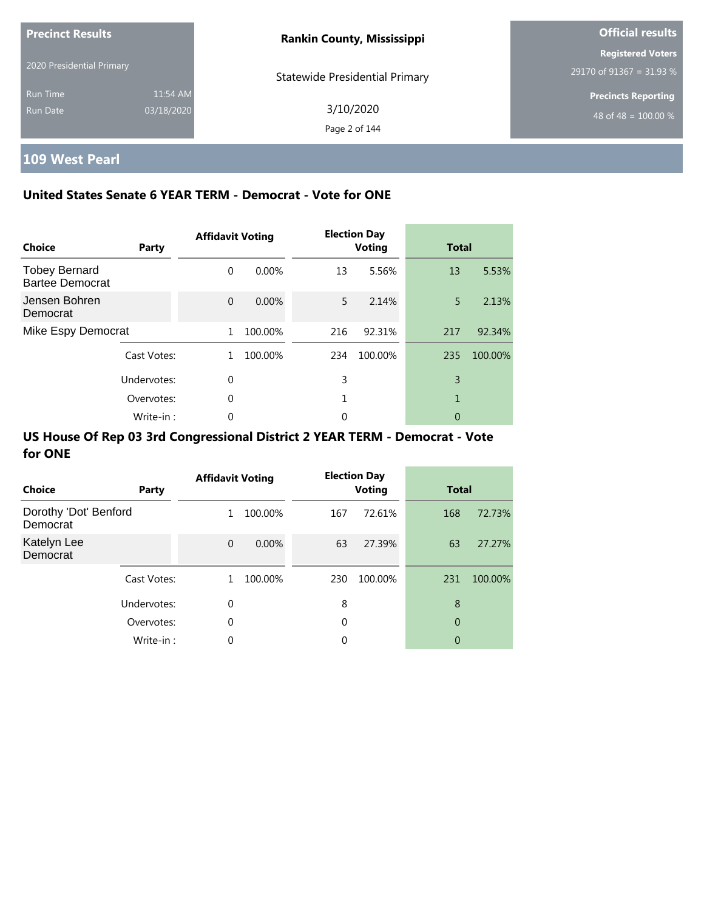| <b>Precinct Results</b>     |                        | <b>Rankin County, Mississippi</b>     | <b>Official results</b>                              |  |
|-----------------------------|------------------------|---------------------------------------|------------------------------------------------------|--|
| 2020 Presidential Primary   |                        | <b>Statewide Presidential Primary</b> | <b>Registered Voters</b><br>29170 of 91367 = 31.93 % |  |
| <b>Run Time</b><br>Run Date | 11:54 AM<br>03/18/2020 | 3/10/2020<br>Page 2 of 144            | <b>Precincts Reporting</b><br>48 of 48 = $100.00\%$  |  |

i.

## **109 West Pearl**

### **United States Senate 6 YEAR TERM - Democrat - Vote for ONE**

| <b>Choice</b>                                  | Party       | <b>Affidavit Voting</b> |          |     | <b>Election Day</b><br><b>Voting</b> | <b>Total</b> |         |
|------------------------------------------------|-------------|-------------------------|----------|-----|--------------------------------------|--------------|---------|
| <b>Tobey Bernard</b><br><b>Bartee Democrat</b> |             | $\Omega$                | $0.00\%$ | 13  | 5.56%                                | 13           | 5.53%   |
| Jensen Bohren<br>Democrat                      |             | $\Omega$                | 0.00%    | 5   | 2.14%                                | 5            | 2.13%   |
| Mike Espy Democrat                             |             | 1                       | 100.00%  | 216 | 92.31%                               | 217          | 92.34%  |
|                                                | Cast Votes: | 1.                      | 100.00%  | 234 | 100.00%                              | 235          | 100.00% |
|                                                | Undervotes: | $\Omega$                |          | 3   |                                      | 3            |         |
|                                                | Overvotes:  | $\Omega$                |          | 1   |                                      | 1            |         |
|                                                | Write-in:   | 0                       |          | 0   |                                      | 0            |         |

| Choice                            | Party       | <b>Affidavit Voting</b> |          |     | <b>Election Day</b><br><b>Voting</b> | <b>Total</b> |         |
|-----------------------------------|-------------|-------------------------|----------|-----|--------------------------------------|--------------|---------|
| Dorothy 'Dot' Benford<br>Democrat |             | 1                       | 100.00%  | 167 | 72.61%                               | 168          | 72.73%  |
| Katelyn Lee<br>Democrat           |             | $\Omega$                | $0.00\%$ | 63  | 27.39%                               | 63           | 27.27%  |
|                                   | Cast Votes: | 1                       | 100.00%  | 230 | 100.00%                              | 231          | 100.00% |
|                                   | Undervotes: | 0                       |          | 8   |                                      | 8            |         |
|                                   | Overvotes:  | 0                       |          | 0   |                                      | 0            |         |
|                                   | Write-in:   | 0                       |          | 0   |                                      | 0            |         |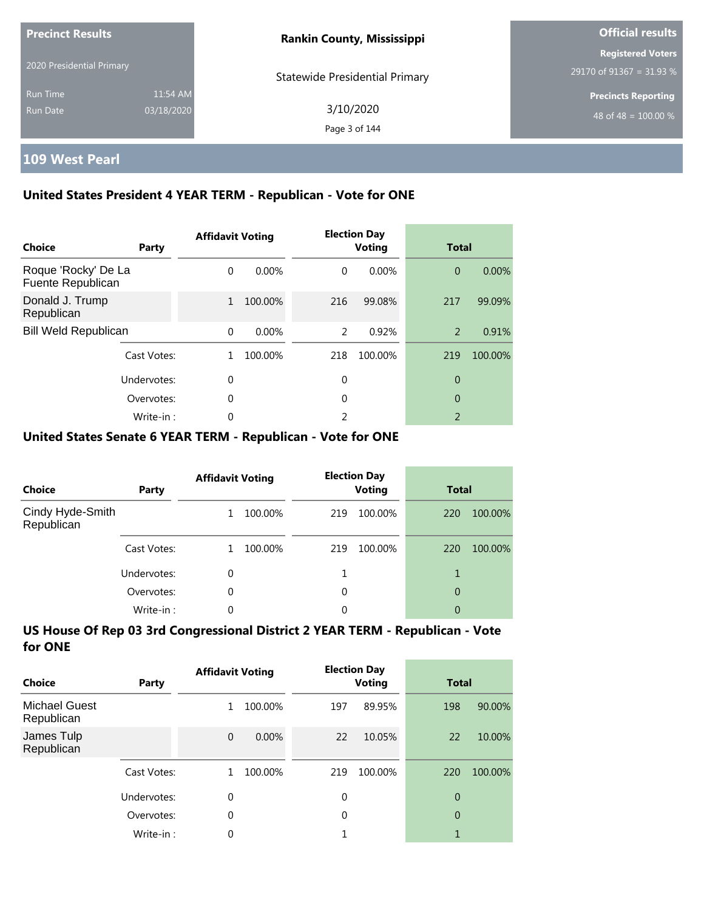| <b>Precinct Results</b>            |                        | <b>Rankin County, Mississippi</b>     | <b>Official results</b>                              |  |
|------------------------------------|------------------------|---------------------------------------|------------------------------------------------------|--|
| 2020 Presidential Primary          |                        | <b>Statewide Presidential Primary</b> | <b>Registered Voters</b><br>29170 of 91367 = 31.93 % |  |
| <b>Run Time</b><br><b>Run Date</b> | 11:54 AM<br>03/18/2020 | 3/10/2020<br>Page 3 of 144            | <b>Precincts Reporting</b><br>48 of 48 = $100.00\%$  |  |

### **109 West Pearl**

### **United States President 4 YEAR TERM - Republican - Vote for ONE**

| Choice                                   | Party       | <b>Affidavit Voting</b> |         |          | <b>Election Day</b><br><b>Voting</b> | <b>Total</b>             |         |
|------------------------------------------|-------------|-------------------------|---------|----------|--------------------------------------|--------------------------|---------|
| Roque 'Rocky' De La<br>Fuente Republican |             | $\Omega$                | 0.00%   | $\Omega$ | $0.00\%$                             | $\overline{0}$           | 0.00%   |
| Donald J. Trump<br>Republican            |             | $\mathbf{1}$            | 100.00% | 216      | 99.08%                               | 217                      | 99.09%  |
| <b>Bill Weld Republican</b>              |             | $\Omega$                | 0.00%   | 2        | 0.92%                                | 2                        | 0.91%   |
|                                          | Cast Votes: |                         | 100.00% | 218      | 100.00%                              | 219                      | 100.00% |
|                                          | Undervotes: | 0                       |         | 0        |                                      | 0                        |         |
|                                          | Overvotes:  | 0                       |         | 0        |                                      | 0                        |         |
|                                          | Write-in:   | 0                       |         | 2        |                                      | $\overline{\phantom{0}}$ |         |

#### **United States Senate 6 YEAR TERM - Republican - Vote for ONE**

| <b>Choice</b>                  | Party       | <b>Affidavit Voting</b> |         |     | <b>Election Day</b><br><b>Voting</b> | <b>Total</b> |         |
|--------------------------------|-------------|-------------------------|---------|-----|--------------------------------------|--------------|---------|
| Cindy Hyde-Smith<br>Republican |             |                         | 100.00% | 219 | 100.00%                              | 220          | 100.00% |
|                                | Cast Votes: |                         | 100.00% | 219 | 100.00%                              | 220          | 100.00% |
|                                | Undervotes: | 0                       |         |     |                                      |              |         |
|                                | Overvotes:  | $\Omega$                |         | 0   |                                      | 0            |         |
|                                | Write-in:   | 0                       |         | 0   |                                      | 0            |         |

| Choice                             | Party       | <b>Affidavit Voting</b> |         |     | <b>Election Day</b><br><b>Voting</b> | <b>Total</b>   |         |
|------------------------------------|-------------|-------------------------|---------|-----|--------------------------------------|----------------|---------|
| <b>Michael Guest</b><br>Republican |             | 1                       | 100.00% | 197 | 89.95%                               | 198            | 90.00%  |
| James Tulp<br>Republican           |             | $\overline{0}$          | 0.00%   | 22  | 10.05%                               | 22             | 10.00%  |
|                                    | Cast Votes: |                         | 100.00% | 219 | 100.00%                              | 220            | 100.00% |
|                                    | Undervotes: | 0                       |         | 0   |                                      | $\overline{0}$ |         |
|                                    | Overvotes:  | $\theta$                |         | 0   |                                      | $\overline{0}$ |         |
|                                    | Write-in:   | 0                       |         |     |                                      |                |         |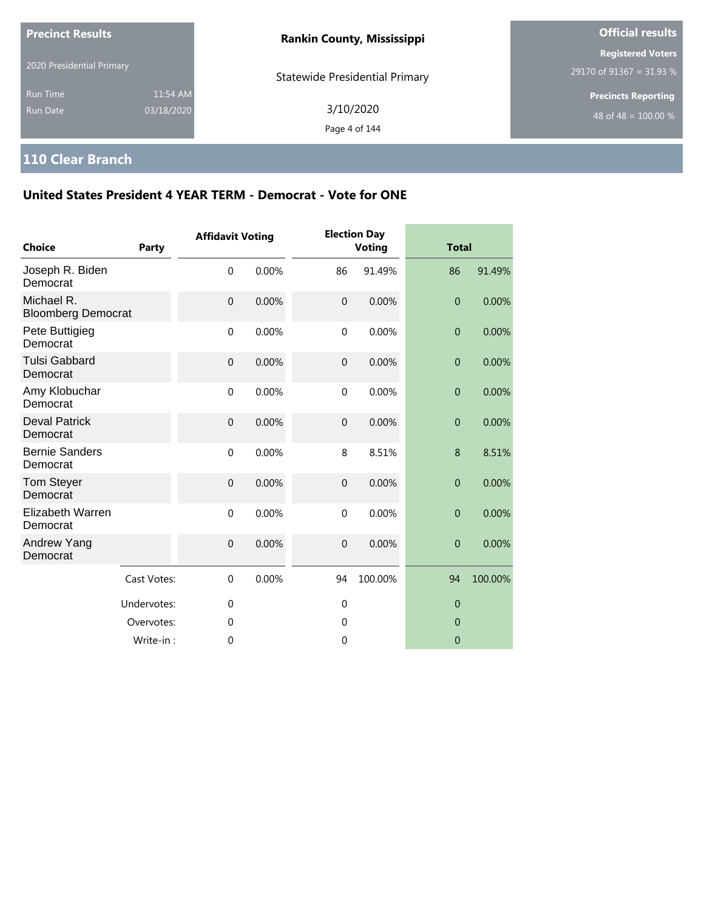| <b>Precinct Results</b>     |                        | <b>Rankin County, Mississippi</b>     | <b>Official results</b>                                        |  |
|-----------------------------|------------------------|---------------------------------------|----------------------------------------------------------------|--|
| 2020 Presidential Primary   |                        | <b>Statewide Presidential Primary</b> | <b>Registered Voters</b><br>29170 of 91367 = 31.93 %           |  |
| <b>Run Time</b><br>Run Date | 11:54 AM<br>03/18/2020 | 3/10/2020<br>Page 4 of 144            | <b>Precincts Reporting</b><br>48 of 48 = $\overline{100.00\%}$ |  |

# **110 Clear Branch**

| Choice                                  | Party       | <b>Affidavit Voting</b> |       |                | <b>Election Day</b><br><b>Voting</b> | <b>Total</b>   |         |
|-----------------------------------------|-------------|-------------------------|-------|----------------|--------------------------------------|----------------|---------|
| Joseph R. Biden<br>Democrat             |             | $\mathbf 0$             | 0.00% | 86             | 91.49%                               | 86             | 91.49%  |
| Michael R.<br><b>Bloomberg Democrat</b> |             | $\mathbf 0$             | 0.00% | $\mathbf{0}$   | 0.00%                                | $\overline{0}$ | 0.00%   |
| Pete Buttigieg<br>Democrat              |             | $\mathbf 0$             | 0.00% | $\mathbf 0$    | 0.00%                                | $\mathbf 0$    | 0.00%   |
| <b>Tulsi Gabbard</b><br>Democrat        |             | $\mathbf 0$             | 0.00% | $\mathbf 0$    | 0.00%                                | $\mathbf 0$    | 0.00%   |
| Amy Klobuchar<br>Democrat               |             | $\mathbf{0}$            | 0.00% | $\mathbf{0}$   | 0.00%                                | $\overline{0}$ | 0.00%   |
| <b>Deval Patrick</b><br>Democrat        |             | $\mathbf 0$             | 0.00% | $\mathbf{0}$   | 0.00%                                | $\overline{0}$ | 0.00%   |
| <b>Bernie Sanders</b><br>Democrat       |             | $\mathbf 0$             | 0.00% | 8              | 8.51%                                | 8              | 8.51%   |
| Tom Steyer<br>Democrat                  |             | $\mathbf 0$             | 0.00% | $\mathbf{0}$   | 0.00%                                | $\overline{0}$ | 0.00%   |
| <b>Elizabeth Warren</b><br>Democrat     |             | $\mathbf 0$             | 0.00% | $\mathbf 0$    | 0.00%                                | $\overline{0}$ | 0.00%   |
| Andrew Yang<br>Democrat                 |             | $\mathbf 0$             | 0.00% | $\mathbf{0}$   | 0.00%                                | $\overline{0}$ | 0.00%   |
|                                         | Cast Votes: | $\mathbf 0$             | 0.00% | 94             | 100.00%                              | 94             | 100.00% |
|                                         | Undervotes: | $\mathbf 0$             |       | $\overline{0}$ |                                      | $\overline{0}$ |         |
|                                         | Overvotes:  | $\mathbf 0$             |       | $\mathbf 0$    |                                      | $\overline{0}$ |         |
|                                         | Write-in:   | $\mathbf 0$             |       | 0              |                                      | $\overline{0}$ |         |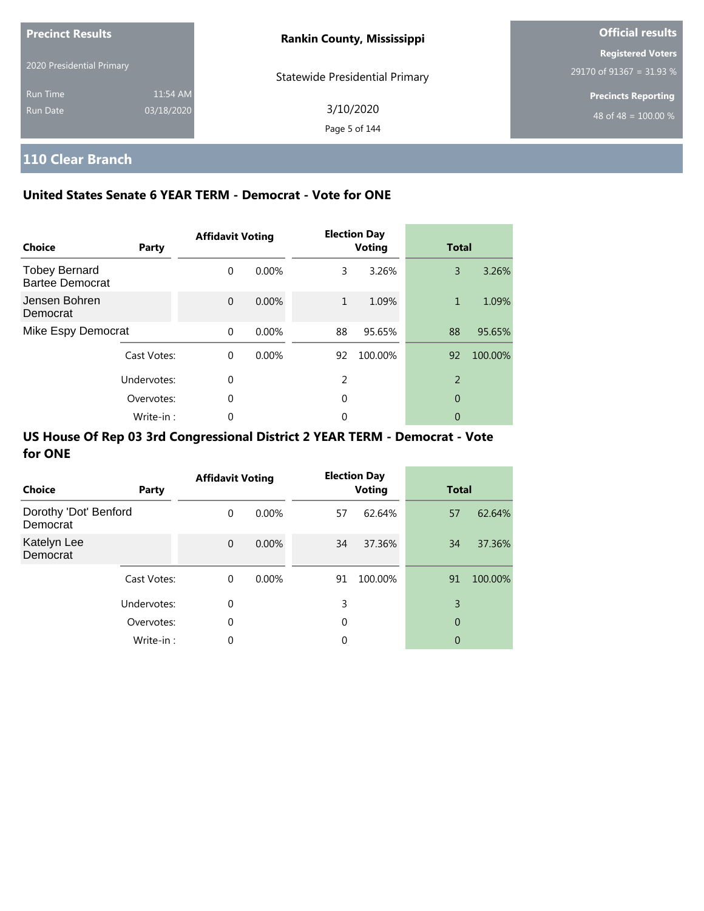| <b>Precinct Results</b>     |                        | <b>Rankin County, Mississippi</b>     | <b>Official results</b>                                        |  |
|-----------------------------|------------------------|---------------------------------------|----------------------------------------------------------------|--|
| 2020 Presidential Primary   |                        | <b>Statewide Presidential Primary</b> | <b>Registered Voters</b><br>29170 of 91367 = 31.93 %           |  |
| <b>Run Time</b><br>Run Date | 11:54 AM<br>03/18/2020 | 3/10/2020<br>Page 5 of 144            | <b>Precincts Reporting</b><br>48 of 48 = $\overline{100.00\%}$ |  |

# **110 Clear Branch**

### **United States Senate 6 YEAR TERM - Democrat - Vote for ONE**

| <b>Choice</b>                                  | Party       | <b>Affidavit Voting</b> |          |    | <b>Election Day</b><br><b>Voting</b> | <b>Total</b>   |         |
|------------------------------------------------|-------------|-------------------------|----------|----|--------------------------------------|----------------|---------|
| <b>Tobey Bernard</b><br><b>Bartee Democrat</b> |             | $\Omega$                | $0.00\%$ | 3  | 3.26%                                | 3              | 3.26%   |
| Jensen Bohren<br>Democrat                      |             | $\Omega$                | $0.00\%$ | 1  | 1.09%                                | $\mathbf{1}$   | 1.09%   |
| Mike Espy Democrat                             |             | $\Omega$                | 0.00%    | 88 | 95.65%                               | 88             | 95.65%  |
|                                                | Cast Votes: | $\Omega$                | $0.00\%$ | 92 | 100.00%                              | 92             | 100.00% |
|                                                | Undervotes: | $\Omega$                |          | 2  |                                      | $\overline{2}$ |         |
|                                                | Overvotes:  | $\Omega$                |          | 0  |                                      | 0              |         |
|                                                | Write-in:   |                         |          | 0  |                                      | 0              |         |

| <b>Choice</b>                     | Party       | <b>Affidavit Voting</b> |          |    | <b>Election Day</b><br><b>Voting</b> | <b>Total</b> |         |
|-----------------------------------|-------------|-------------------------|----------|----|--------------------------------------|--------------|---------|
| Dorothy 'Dot' Benford<br>Democrat |             | $\Omega$                | $0.00\%$ | 57 | 62.64%                               | 57           | 62.64%  |
| Katelyn Lee<br>Democrat           |             | $\mathbf{0}$            | $0.00\%$ | 34 | 37.36%                               | 34           | 37.36%  |
|                                   | Cast Votes: | $\Omega$                | $0.00\%$ | 91 | 100.00%                              | 91           | 100.00% |
|                                   | Undervotes: | 0                       |          | 3  |                                      | 3            |         |
|                                   | Overvotes:  | $\mathbf 0$             |          | 0  |                                      | 0            |         |
|                                   | Write-in:   | $\mathbf 0$             |          | 0  |                                      | 0            |         |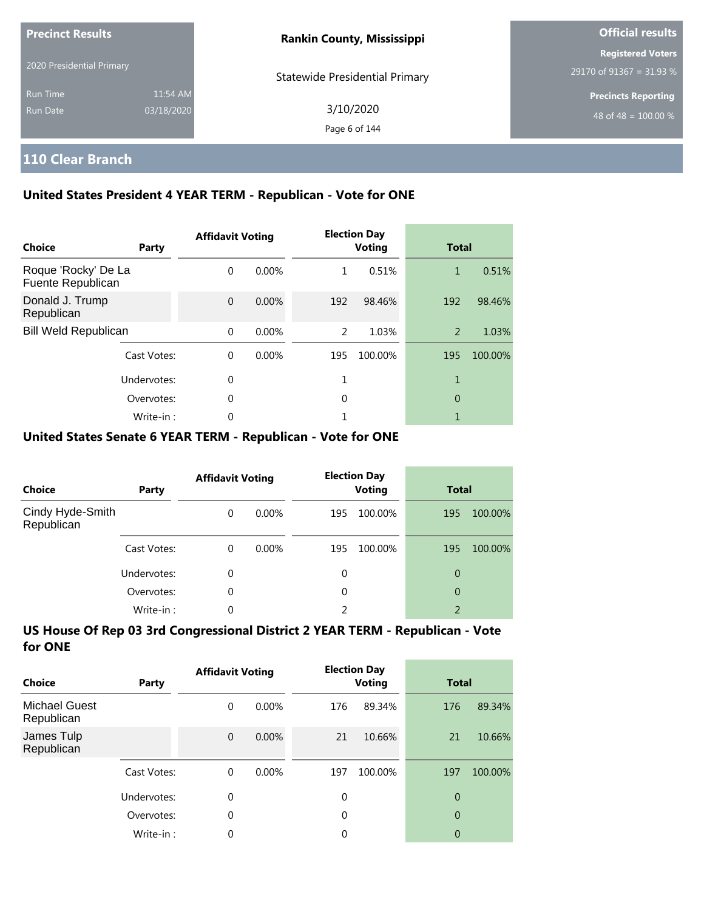| <b>Precinct Results</b>     |                        | <b>Rankin County, Mississippi</b>     | <b>Official results</b>                                        |
|-----------------------------|------------------------|---------------------------------------|----------------------------------------------------------------|
| 2020 Presidential Primary   |                        | <b>Statewide Presidential Primary</b> | <b>Registered Voters</b><br>29170 of 91367 = 31.93 %           |
| <b>Run Time</b><br>Run Date | 11:54 AM<br>03/18/2020 | 3/10/2020<br>Page 6 of 144            | <b>Precincts Reporting</b><br>48 of 48 = $\overline{100.00\%}$ |

### **110 Clear Branch**

### **United States President 4 YEAR TERM - Republican - Vote for ONE**

| <b>Choice</b>                            | Party       | <b>Affidavit Voting</b> |          |     | <b>Election Day</b><br><b>Voting</b> | <b>Total</b> |         |
|------------------------------------------|-------------|-------------------------|----------|-----|--------------------------------------|--------------|---------|
| Roque 'Rocky' De La<br>Fuente Republican |             | $\Omega$                | $0.00\%$ | 1   | 0.51%                                | 1            | 0.51%   |
| Donald J. Trump<br>Republican            |             | $\Omega$                | $0.00\%$ | 192 | 98.46%                               | 192          | 98.46%  |
| <b>Bill Weld Republican</b>              |             | $\Omega$                | $0.00\%$ | 2   | 1.03%                                | 2            | 1.03%   |
|                                          | Cast Votes: | $\Omega$                | $0.00\%$ | 195 | 100.00%                              | 195          | 100.00% |
|                                          | Undervotes: | $\Omega$                |          |     |                                      | 1            |         |
|                                          | Overvotes:  | $\Omega$                |          | 0   |                                      | 0            |         |
|                                          | Write-in:   | 0                       |          |     |                                      |              |         |

#### **United States Senate 6 YEAR TERM - Republican - Vote for ONE**

| <b>Choice</b>                  | Party       | <b>Affidavit Voting</b> |          | <b>Election Day</b><br><b>Voting</b> |         | <b>Total</b>   |         |
|--------------------------------|-------------|-------------------------|----------|--------------------------------------|---------|----------------|---------|
| Cindy Hyde-Smith<br>Republican |             | $\Omega$                | $0.00\%$ | 195                                  | 100.00% | 195            | 100.00% |
|                                | Cast Votes: | $\Omega$                | $0.00\%$ | 195                                  | 100.00% | 195            | 100.00% |
|                                | Undervotes: | 0                       |          | 0                                    |         | 0              |         |
|                                | Overvotes:  | $\Omega$                |          | 0                                    |         | 0              |         |
|                                | Write-in:   | 0                       |          | 2                                    |         | $\overline{2}$ |         |

| Choice                             | Party       | <b>Affidavit Voting</b> |          |          | <b>Election Day</b><br><b>Voting</b> | <b>Total</b>   |         |
|------------------------------------|-------------|-------------------------|----------|----------|--------------------------------------|----------------|---------|
| <b>Michael Guest</b><br>Republican |             | 0                       | $0.00\%$ | 176      | 89.34%                               | 176            | 89.34%  |
| James Tulp<br>Republican           |             | $\overline{0}$          | $0.00\%$ | 21       | 10.66%                               | 21             | 10.66%  |
|                                    | Cast Votes: | $\Omega$                | $0.00\%$ | 197      | 100.00%                              | 197            | 100.00% |
|                                    | Undervotes: | 0                       |          | $\Omega$ |                                      | $\overline{0}$ |         |
|                                    | Overvotes:  | 0                       |          | $\Omega$ |                                      | $\overline{0}$ |         |
|                                    | Write-in:   | 0                       |          | 0        |                                      | 0              |         |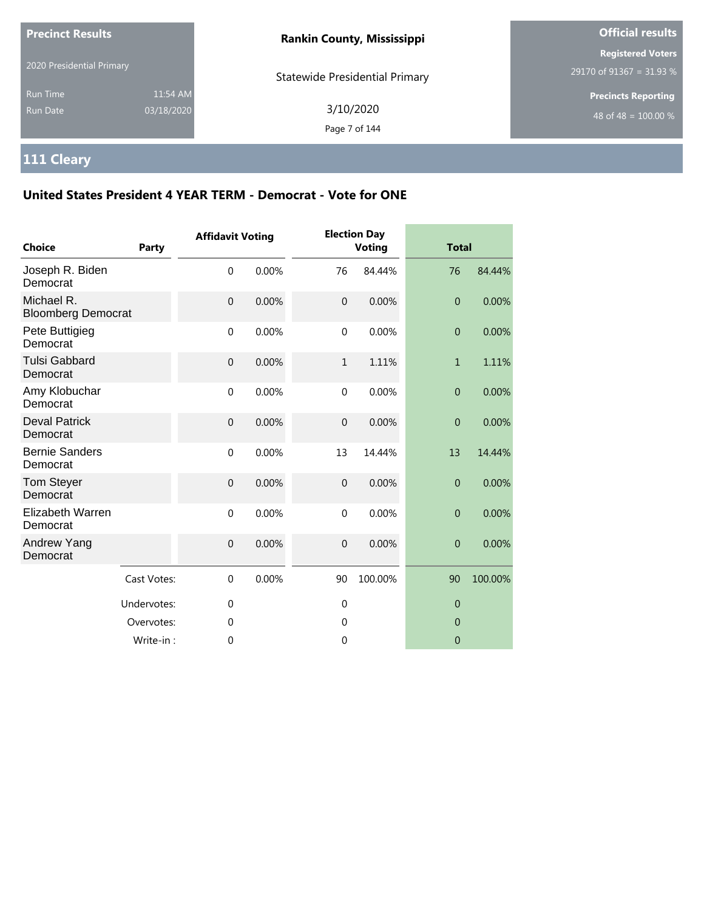| <b>Precinct Results</b>            |                        | <b>Rankin County, Mississippi</b>     | <b>Official results</b>                              |
|------------------------------------|------------------------|---------------------------------------|------------------------------------------------------|
| 2020 Presidential Primary          |                        | <b>Statewide Presidential Primary</b> | <b>Registered Voters</b><br>29170 of 91367 = 31.93 % |
| <b>Run Time</b><br><b>Run Date</b> | 11:54 AM<br>03/18/2020 | 3/10/2020<br>Page 7 of 144            | <b>Precincts Reporting</b><br>48 of 48 = $100.00\%$  |

# **111 Cleary**

| <b>Choice</b>                           | <b>Party</b> | <b>Affidavit Voting</b> |       |                | <b>Election Day</b><br><b>Voting</b> | <b>Total</b>     |         |
|-----------------------------------------|--------------|-------------------------|-------|----------------|--------------------------------------|------------------|---------|
| Joseph R. Biden<br>Democrat             |              | $\mathbf 0$             | 0.00% | 76             | 84.44%                               | 76               | 84.44%  |
| Michael R.<br><b>Bloomberg Democrat</b> |              | $\mathbf 0$             | 0.00% | $\overline{0}$ | 0.00%                                | $\overline{0}$   | 0.00%   |
| Pete Buttigieg<br>Democrat              |              | $\mathbf 0$             | 0.00% | $\mathbf 0$    | 0.00%                                | $\overline{0}$   | 0.00%   |
| <b>Tulsi Gabbard</b><br>Democrat        |              | $\mathbf{0}$            | 0.00% | $\mathbf{1}$   | 1.11%                                | $\mathbf{1}$     | 1.11%   |
| Amy Klobuchar<br>Democrat               |              | $\mathbf{0}$            | 0.00% | $\mathbf{0}$   | 0.00%                                | $\overline{0}$   | 0.00%   |
| <b>Deval Patrick</b><br>Democrat        |              | $\mathbf 0$             | 0.00% | $\mathbf 0$    | 0.00%                                | $\overline{0}$   | 0.00%   |
| <b>Bernie Sanders</b><br>Democrat       |              | $\mathbf 0$             | 0.00% | 13             | 14.44%                               | 13               | 14.44%  |
| <b>Tom Steyer</b><br>Democrat           |              | $\mathbf{0}$            | 0.00% | $\overline{0}$ | 0.00%                                | $\mathbf{0}$     | 0.00%   |
| Elizabeth Warren<br>Democrat            |              | $\mathbf 0$             | 0.00% | $\mathbf 0$    | 0.00%                                | $\boldsymbol{0}$ | 0.00%   |
| Andrew Yang<br>Democrat                 |              | $\mathbf{0}$            | 0.00% | $\overline{0}$ | 0.00%                                | $\mathbf{0}$     | 0.00%   |
|                                         | Cast Votes:  | $\Omega$                | 0.00% | 90             | 100.00%                              | 90               | 100.00% |
|                                         | Undervotes:  | 0                       |       | $\mathbf 0$    |                                      | $\overline{0}$   |         |
|                                         | Overvotes:   | $\mathbf 0$             |       | 0              |                                      | $\theta$         |         |
|                                         | Write-in:    | 0                       |       | $\mathbf 0$    |                                      | $\overline{0}$   |         |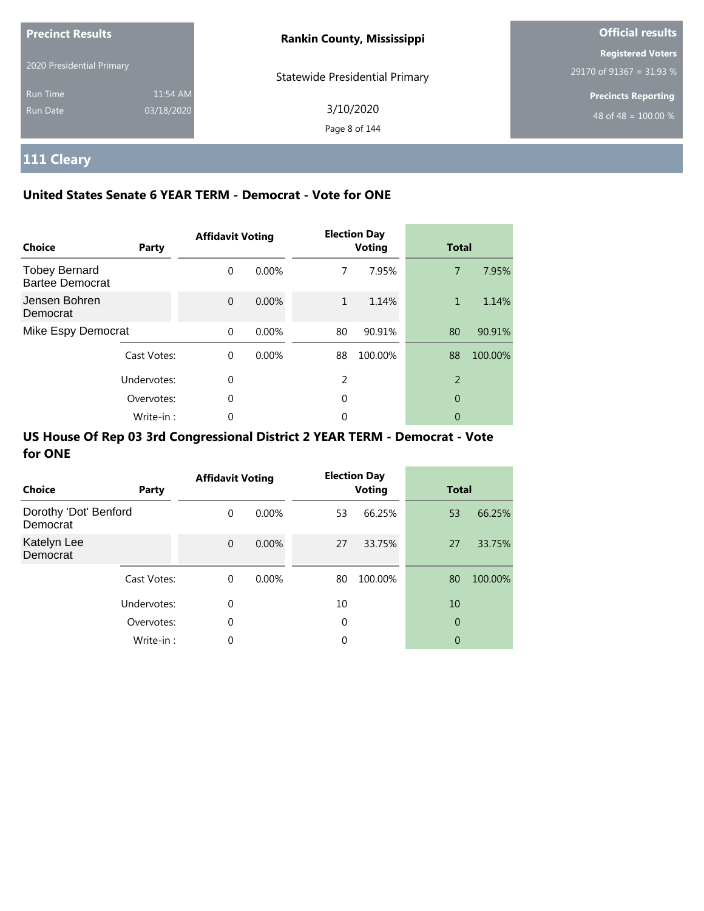| <b>Precinct Results</b>   |            | <b>Rankin County, Mississippi</b> | <b>Official results</b>                              |
|---------------------------|------------|-----------------------------------|------------------------------------------------------|
| 2020 Presidential Primary |            |                                   | <b>Registered Voters</b><br>29170 of 91367 = 31.93 % |
| <b>Run Time</b>           | 11:54 AM   | Statewide Presidential Primary    | <b>Precincts Reporting</b>                           |
| Run Date                  | 03/18/2020 | 3/10/2020<br>Page 8 of 144        | 48 of 48 = $100.00\%$                                |

# **111 Cleary**

### **United States Senate 6 YEAR TERM - Democrat - Vote for ONE**

| <b>Choice</b>                                  | Party       | <b>Affidavit Voting</b> |          |    | <b>Election Day</b><br><b>Voting</b> | <b>Total</b>   |         |
|------------------------------------------------|-------------|-------------------------|----------|----|--------------------------------------|----------------|---------|
| <b>Tobey Bernard</b><br><b>Bartee Democrat</b> |             | $\Omega$                | $0.00\%$ | 7  | 7.95%                                | $\overline{7}$ | 7.95%   |
| Jensen Bohren<br>Democrat                      |             | $\Omega$                | $0.00\%$ | 1  | 1.14%                                | 1              | 1.14%   |
| Mike Espy Democrat                             |             | $\Omega$                | 0.00%    | 80 | 90.91%                               | 80             | 90.91%  |
|                                                | Cast Votes: | $\Omega$                | $0.00\%$ | 88 | 100.00%                              | 88             | 100.00% |
|                                                | Undervotes: | $\Omega$                |          | 2  |                                      | $\overline{2}$ |         |
|                                                | Overvotes:  | $\Omega$                |          | 0  |                                      | 0              |         |
|                                                | Write-in:   | 0                       |          | 0  |                                      | 0              |         |

| <b>Choice</b>                     | Party       | <b>Affidavit Voting</b> |          |    | <b>Election Day</b><br><b>Voting</b> | <b>Total</b> |         |
|-----------------------------------|-------------|-------------------------|----------|----|--------------------------------------|--------------|---------|
| Dorothy 'Dot' Benford<br>Democrat |             | $\Omega$                | $0.00\%$ | 53 | 66.25%                               | 53           | 66.25%  |
| Katelyn Lee<br>Democrat           |             | $\mathbf 0$             | $0.00\%$ | 27 | 33.75%                               | 27           | 33.75%  |
|                                   | Cast Votes: | $\Omega$                | $0.00\%$ | 80 | 100.00%                              | 80           | 100.00% |
|                                   | Undervotes: | 0                       |          | 10 |                                      | 10           |         |
|                                   | Overvotes:  | $\mathbf 0$             |          | 0  |                                      | 0            |         |
|                                   | Write-in:   | $\mathbf 0$             |          | 0  |                                      | 0            |         |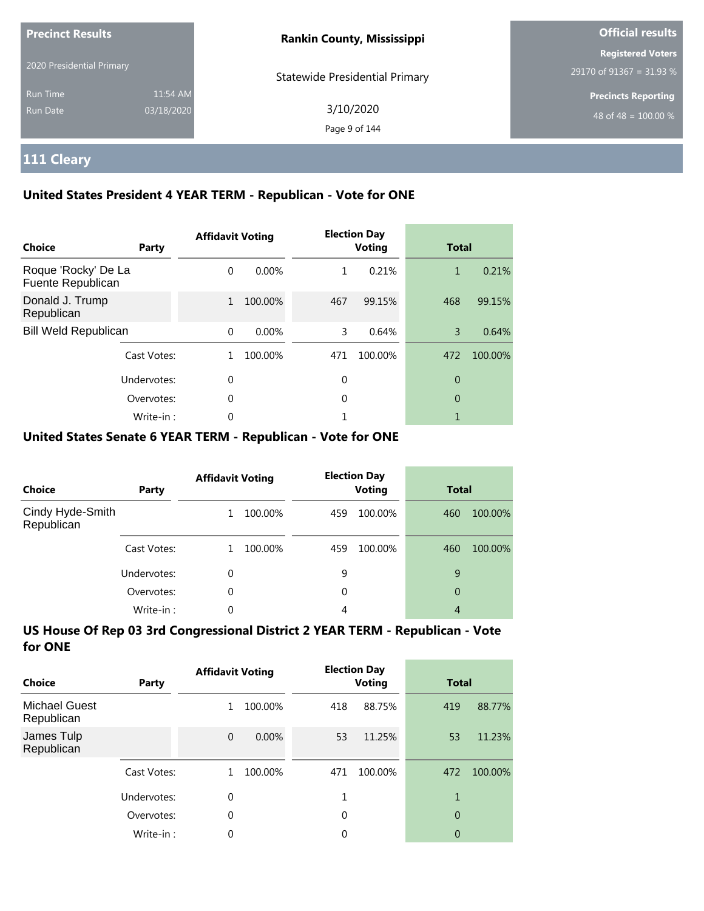| <b>Precinct Results</b>     |                        | <b>Rankin County, Mississippi</b>     | <b>Official results</b>                              |  |
|-----------------------------|------------------------|---------------------------------------|------------------------------------------------------|--|
| 2020 Presidential Primary   |                        | <b>Statewide Presidential Primary</b> | <b>Registered Voters</b><br>29170 of 91367 = 31.93 % |  |
| <b>Run Time</b><br>Run Date | 11:54 AM<br>03/18/2020 | 3/10/2020<br>Page 9 of 144            | <b>Precincts Reporting</b><br>48 of 48 = $100.00\%$  |  |

# **111 Cleary**

### **United States President 4 YEAR TERM - Republican - Vote for ONE**

| <b>Choice</b>                            | Party       | <b>Affidavit Voting</b> |          |     | <b>Election Day</b><br><b>Voting</b> | <b>Total</b> |         |
|------------------------------------------|-------------|-------------------------|----------|-----|--------------------------------------|--------------|---------|
| Roque 'Rocky' De La<br>Fuente Republican |             | $\Omega$                | $0.00\%$ | 1.  | 0.21%                                | 1            | 0.21%   |
| Donald J. Trump<br>Republican            |             | $\mathbf{1}$            | 100.00%  | 467 | 99.15%                               | 468          | 99.15%  |
| <b>Bill Weld Republican</b>              |             | $\Omega$                | 0.00%    | 3   | 0.64%                                | 3            | 0.64%   |
|                                          | Cast Votes: |                         | 100.00%  | 471 | 100.00%                              | 472          | 100.00% |
| Undervotes:                              |             | $\Omega$                |          | 0   |                                      | 0            |         |
|                                          | Overvotes:  | $\Omega$                |          | 0   |                                      | 0            |         |
|                                          | Write-in:   | 0                       |          |     |                                      |              |         |

#### **United States Senate 6 YEAR TERM - Republican - Vote for ONE**

| <b>Choice</b>                  | Party       | <b>Affidavit Voting</b> |         |     | <b>Election Day</b><br><b>Voting</b> |     | <b>Total</b> |  |
|--------------------------------|-------------|-------------------------|---------|-----|--------------------------------------|-----|--------------|--|
| Cindy Hyde-Smith<br>Republican |             |                         | 100.00% | 459 | 100.00%                              | 460 | 100.00%      |  |
|                                | Cast Votes: |                         | 100.00% | 459 | 100.00%                              | 460 | 100.00%      |  |
|                                | Undervotes: | 0                       |         | 9   |                                      | 9   |              |  |
|                                | Overvotes:  | 0                       |         | 0   |                                      | 0   |              |  |
|                                | Write-in:   | 0                       |         | 4   |                                      | 4   |              |  |

| Choice                             | Party       | <b>Affidavit Voting</b> |          | <b>Election Day</b><br><b>Voting</b> |         | <b>Total</b>   |         |
|------------------------------------|-------------|-------------------------|----------|--------------------------------------|---------|----------------|---------|
| <b>Michael Guest</b><br>Republican |             | 1                       | 100.00%  | 418                                  | 88.75%  | 419            | 88.77%  |
| James Tulp<br>Republican           |             | $\overline{0}$          | $0.00\%$ | 53                                   | 11.25%  | 53             | 11.23%  |
|                                    | Cast Votes: |                         | 100.00%  | 471                                  | 100.00% | 472            | 100.00% |
|                                    | Undervotes: | 0                       |          |                                      |         |                |         |
|                                    | Overvotes:  | 0                       |          | $\Omega$                             |         | $\overline{0}$ |         |
|                                    | Write-in:   | 0                       |          | 0                                    |         | 0              |         |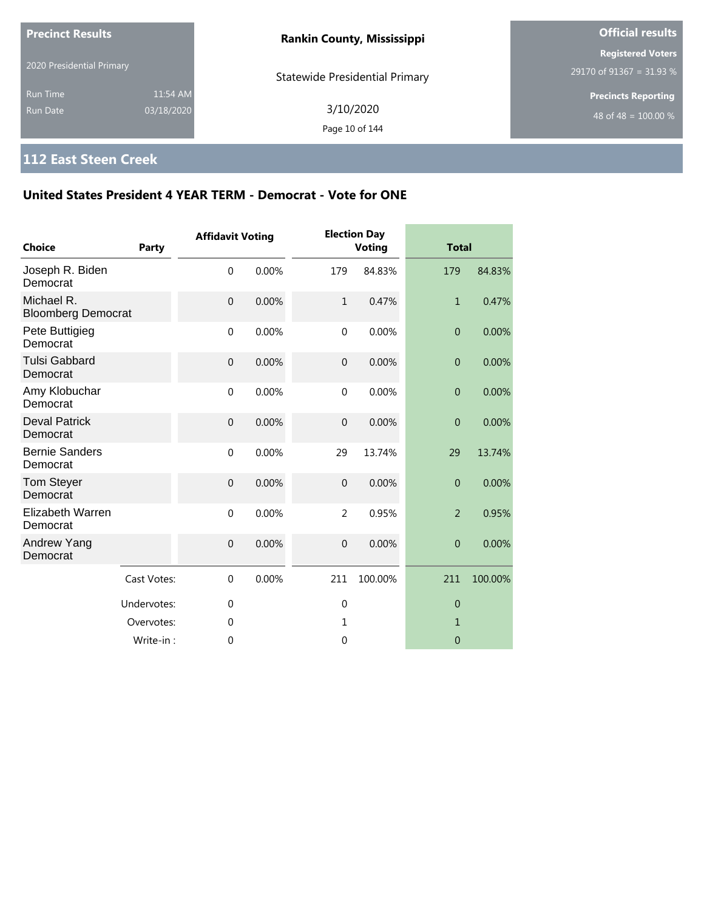| <b>Precinct Results</b><br>2020 Presidential Primary |                        | <b>Rankin County, Mississippi</b>     | <b>Official results</b>                              |  |
|------------------------------------------------------|------------------------|---------------------------------------|------------------------------------------------------|--|
|                                                      |                        | <b>Statewide Presidential Primary</b> | <b>Registered Voters</b><br>29170 of 91367 = 31.93 % |  |
| <b>Run Time</b><br>Run Date                          | 11:54 AM<br>03/18/2020 | 3/10/2020<br>Page 10 of 144           | <b>Precincts Reporting</b><br>48 of 48 = $100.00\%$  |  |

## **112 East Steen Creek**

| Choice                                  | Party       | <b>Affidavit Voting</b> |       |                | <b>Election Day</b><br>Voting | <b>Total</b>   |         |
|-----------------------------------------|-------------|-------------------------|-------|----------------|-------------------------------|----------------|---------|
| Joseph R. Biden<br>Democrat             |             | $\mathbf 0$             | 0.00% | 179            | 84.83%                        | 179            | 84.83%  |
| Michael R.<br><b>Bloomberg Democrat</b> |             | $\mathbf 0$             | 0.00% | $\mathbf{1}$   | 0.47%                         | $\mathbf{1}$   | 0.47%   |
| Pete Buttigieg<br>Democrat              |             | $\mathbf 0$             | 0.00% | $\mathbf 0$    | 0.00%                         | $\overline{0}$ | 0.00%   |
| <b>Tulsi Gabbard</b><br>Democrat        |             | $\overline{0}$          | 0.00% | $\overline{0}$ | 0.00%                         | $\overline{0}$ | 0.00%   |
| Amy Klobuchar<br>Democrat               |             | $\mathbf{0}$            | 0.00% | $\mathbf 0$    | 0.00%                         | $\overline{0}$ | 0.00%   |
| <b>Deval Patrick</b><br>Democrat        |             | $\boldsymbol{0}$        | 0.00% | $\mathbf 0$    | 0.00%                         | $\overline{0}$ | 0.00%   |
| <b>Bernie Sanders</b><br>Democrat       |             | $\mathbf 0$             | 0.00% | 29             | 13.74%                        | 29             | 13.74%  |
| <b>Tom Steyer</b><br>Democrat           |             | $\overline{0}$          | 0.00% | $\overline{0}$ | 0.00%                         | $\overline{0}$ | 0.00%   |
| <b>Elizabeth Warren</b><br>Democrat     |             | $\mathbf 0$             | 0.00% | $\overline{2}$ | 0.95%                         | $\overline{2}$ | 0.95%   |
| Andrew Yang<br>Democrat                 |             | $\mathbf{0}$            | 0.00% | $\mathbf 0$    | 0.00%                         | $\overline{0}$ | 0.00%   |
|                                         | Cast Votes: | $\mathbf{0}$            | 0.00% | 211            | 100.00%                       | 211            | 100.00% |
|                                         | Undervotes: | $\mathbf{0}$            |       | $\mathbf{0}$   |                               | $\theta$       |         |
|                                         | Overvotes:  | $\mathbf 0$             |       | 1              |                               | 1              |         |
|                                         | Write-in:   | $\theta$                |       | $\mathbf{0}$   |                               | $\Omega$       |         |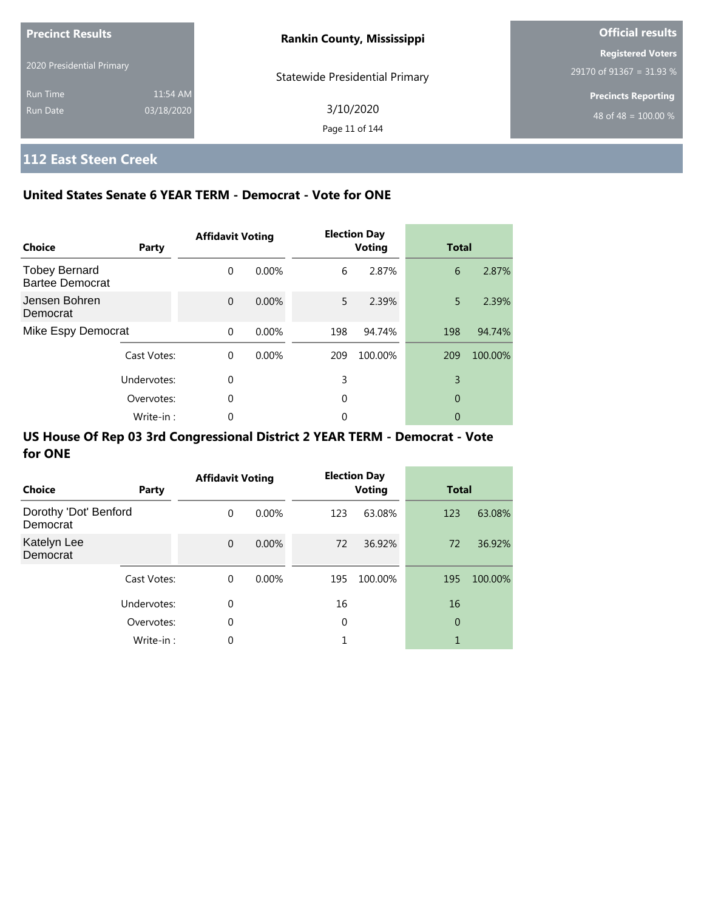| <b>Precinct Results</b>   |            | <b>Rankin County, Mississippi</b> | <b>Official results</b>    |  |
|---------------------------|------------|-----------------------------------|----------------------------|--|
|                           |            |                                   | <b>Registered Voters</b>   |  |
| 2020 Presidential Primary |            | Statewide Presidential Primary    | 29170 of 91367 = 31.93 %   |  |
| <b>Run Time</b>           | 11:54 AM   |                                   | <b>Precincts Reporting</b> |  |
| Run Date                  | 03/18/2020 | 3/10/2020                         | 48 of 48 = $100.00\%$      |  |
|                           |            | Page 11 of 144                    |                            |  |

# **112 East Steen Creek**

### **United States Senate 6 YEAR TERM - Democrat - Vote for ONE**

| <b>Choice</b>                                  | Party       | <b>Affidavit Voting</b> |       |     | <b>Election Day</b><br><b>Voting</b> | <b>Total</b> |         |
|------------------------------------------------|-------------|-------------------------|-------|-----|--------------------------------------|--------------|---------|
| <b>Tobey Bernard</b><br><b>Bartee Democrat</b> |             | $\Omega$                | 0.00% | 6   | 2.87%                                | 6            | 2.87%   |
| Jensen Bohren<br>Democrat                      |             | $\Omega$                | 0.00% | 5.  | 2.39%                                | 5            | 2.39%   |
| Mike Espy Democrat                             |             | $\Omega$                | 0.00% | 198 | 94.74%                               | 198          | 94.74%  |
|                                                | Cast Votes: | $\Omega$                | 0.00% | 209 | 100.00%                              | 209          | 100.00% |
|                                                | Undervotes: | $\Omega$                |       | 3   |                                      | 3            |         |
| Overvotes:                                     |             | 0                       |       | 0   |                                      | 0            |         |
|                                                | Write-in:   | 0                       |       | 0   |                                      | 0            |         |

| Choice                            | Party       | <b>Affidavit Voting</b> |          |     | <b>Election Day</b><br><b>Voting</b> | <b>Total</b> |         |
|-----------------------------------|-------------|-------------------------|----------|-----|--------------------------------------|--------------|---------|
| Dorothy 'Dot' Benford<br>Democrat |             | $\Omega$                | $0.00\%$ | 123 | 63.08%                               | 123          | 63.08%  |
| Katelyn Lee<br>Democrat           |             | $\mathbf{0}$            | $0.00\%$ | 72  | 36.92%                               | 72           | 36.92%  |
|                                   | Cast Votes: | $\Omega$                | $0.00\%$ | 195 | 100.00%                              | 195          | 100.00% |
|                                   | Undervotes: | 0                       |          | 16  |                                      | 16           |         |
|                                   | Overvotes:  | $\mathbf 0$             |          | 0   |                                      | 0            |         |
|                                   | Write-in:   | $\mathbf 0$             |          |     |                                      | 1            |         |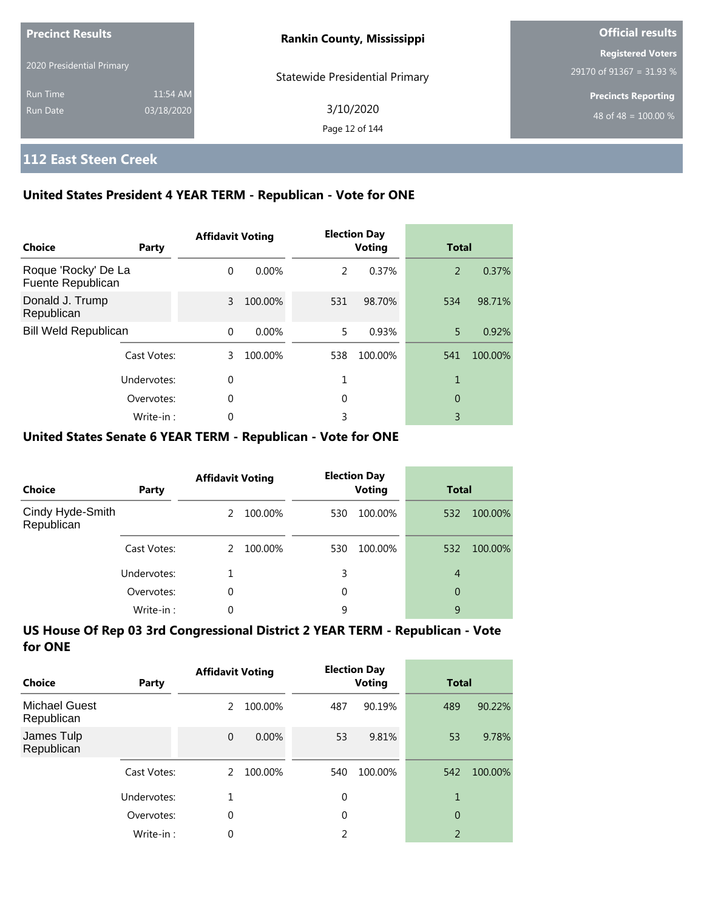| <b>Precinct Results</b><br>2020 Presidential Primary |            | <b>Rankin County, Mississippi</b>     | <b>Official results</b>                              |  |  |
|------------------------------------------------------|------------|---------------------------------------|------------------------------------------------------|--|--|
|                                                      |            |                                       | <b>Registered Voters</b><br>29170 of 91367 = 31.93 % |  |  |
| <b>Run Time</b>                                      | 11:54 AM   | <b>Statewide Presidential Primary</b> | <b>Precincts Reporting</b>                           |  |  |
| <b>Run Date</b>                                      | 03/18/2020 | 3/10/2020<br>Page 12 of 144           | 48 of 48 = $100.00\%$                                |  |  |

### **112 East Steen Creek**

### **United States President 4 YEAR TERM - Republican - Vote for ONE**

| Choice                                   | Party       | <b>Affidavit Voting</b> |          |               | <b>Election Day</b><br><b>Voting</b> | <b>Total</b> |         |
|------------------------------------------|-------------|-------------------------|----------|---------------|--------------------------------------|--------------|---------|
| Roque 'Rocky' De La<br>Fuente Republican |             | $\Omega$                | $0.00\%$ | $\mathcal{P}$ | 0.37%                                | 2            | 0.37%   |
| Donald J. Trump<br>Republican            |             | 3                       | 100.00%  | 531           | 98.70%                               | 534          | 98.71%  |
| <b>Bill Weld Republican</b>              |             | $\Omega$                | $0.00\%$ | 5.            | 0.93%                                | 5            | 0.92%   |
|                                          | Cast Votes: | 3                       | 100.00%  | 538           | 100.00%                              | 541          | 100.00% |
|                                          | Undervotes: | $\Omega$                |          |               |                                      | 1            |         |
|                                          | Overvotes:  | $\mathbf 0$             |          | 0             |                                      | 0            |         |
|                                          | Write-in:   | 0                       |          | 3             |                                      | 3            |         |

#### **United States Senate 6 YEAR TERM - Republican - Vote for ONE**

| Choice                         | Party       | <b>Affidavit Voting</b> |         |     | <b>Election Day</b><br><b>Voting</b> |                | <b>Total</b> |  |
|--------------------------------|-------------|-------------------------|---------|-----|--------------------------------------|----------------|--------------|--|
| Cindy Hyde-Smith<br>Republican |             | $\mathcal{P}$           | 100.00% | 530 | 100.00%                              | 532            | 100.00%      |  |
|                                | Cast Votes: | $\mathcal{L}$           | 100.00% | 530 | 100.00%                              | 532            | 100.00%      |  |
|                                | Undervotes: |                         |         | 3   |                                      | $\overline{4}$ |              |  |
|                                | Overvotes:  | 0                       |         | 0   |                                      | 0              |              |  |
|                                | Write-in:   | 0                       |         | 9   |                                      | 9              |              |  |

| Choice                             | Party       | <b>Affidavit Voting</b> |         | <b>Election Day</b><br>Voting |         | <b>Total</b>   |         |
|------------------------------------|-------------|-------------------------|---------|-------------------------------|---------|----------------|---------|
| <b>Michael Guest</b><br>Republican |             | 2                       | 100.00% | 487                           | 90.19%  | 489            | 90.22%  |
| James Tulp<br>Republican           |             | $\mathbf{0}$            | 0.00%   | 53                            | 9.81%   | 53             | 9.78%   |
|                                    | Cast Votes: | $\mathcal{L}$           | 100.00% | 540                           | 100.00% | 542            | 100.00% |
|                                    | Undervotes: | 1                       |         | $\mathbf 0$                   |         | 1              |         |
|                                    | Overvotes:  | 0                       |         | $\Omega$                      |         | $\overline{0}$ |         |
|                                    | Write-in:   | 0                       |         | 2                             |         | $\overline{2}$ |         |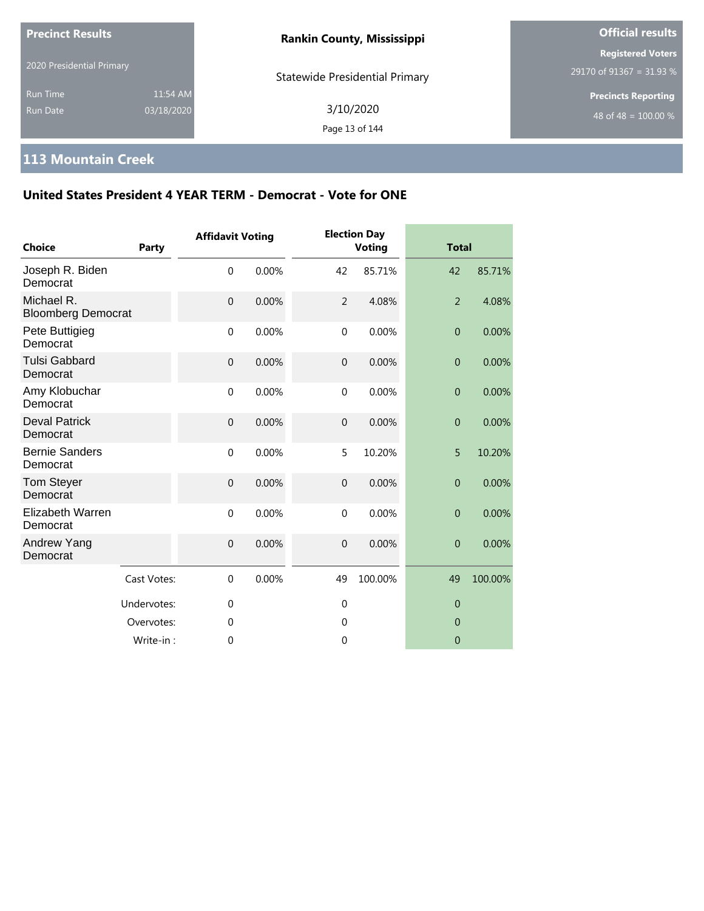| <b>Precinct Results</b>     |                        | <b>Rankin County, Mississippi</b>     | <b>Official results</b>                              |  |
|-----------------------------|------------------------|---------------------------------------|------------------------------------------------------|--|
| 2020 Presidential Primary   |                        | <b>Statewide Presidential Primary</b> | <b>Registered Voters</b><br>29170 of 91367 = 31.93 % |  |
| <b>Run Time</b><br>Run Date | 11:54 AM<br>03/18/2020 | 3/10/2020<br>Page 13 of 144           | <b>Precincts Reporting</b><br>48 of 48 = $100.00\%$  |  |

## **113 Mountain Creek**

| Choice                                  | Party       | <b>Affidavit Voting</b> |       |                | <b>Election Day</b><br><b>Voting</b> | <b>Total</b>     |         |
|-----------------------------------------|-------------|-------------------------|-------|----------------|--------------------------------------|------------------|---------|
| Joseph R. Biden<br>Democrat             |             | $\mathbf 0$             | 0.00% | 42             | 85.71%                               | 42               | 85.71%  |
| Michael R.<br><b>Bloomberg Democrat</b> |             | $\mathbf 0$             | 0.00% | $\overline{2}$ | 4.08%                                | $\overline{2}$   | 4.08%   |
| Pete Buttigieg<br>Democrat              |             | $\mathbf 0$             | 0.00% | $\mathbf 0$    | 0.00%                                | $\mathbf{0}$     | 0.00%   |
| <b>Tulsi Gabbard</b><br>Democrat        |             | $\overline{0}$          | 0.00% | $\mathbf{0}$   | 0.00%                                | $\boldsymbol{0}$ | 0.00%   |
| Amy Klobuchar<br>Democrat               |             | $\mathbf 0$             | 0.00% | $\mathbf{0}$   | 0.00%                                | $\overline{0}$   | 0.00%   |
| <b>Deval Patrick</b><br>Democrat        |             | $\boldsymbol{0}$        | 0.00% | $\mathbf 0$    | 0.00%                                | $\boldsymbol{0}$ | 0.00%   |
| <b>Bernie Sanders</b><br>Democrat       |             | $\mathbf 0$             | 0.00% | 5              | 10.20%                               | 5                | 10.20%  |
| <b>Tom Steyer</b><br>Democrat           |             | $\mathbf 0$             | 0.00% | $\overline{0}$ | 0.00%                                | $\boldsymbol{0}$ | 0.00%   |
| <b>Elizabeth Warren</b><br>Democrat     |             | $\mathbf 0$             | 0.00% | $\mathbf 0$    | 0.00%                                | $\overline{0}$   | 0.00%   |
| Andrew Yang<br>Democrat                 |             | $\mathbf 0$             | 0.00% | $\mathbf 0$    | 0.00%                                | $\overline{0}$   | 0.00%   |
|                                         | Cast Votes: | $\mathbf 0$             | 0.00% | 49             | 100.00%                              | 49               | 100.00% |
|                                         | Undervotes: | $\mathbf{0}$            |       | $\mathbf{0}$   |                                      | $\overline{0}$   |         |
|                                         | Overvotes:  | $\mathbf{0}$            |       | $\mathbf 0$    |                                      | $\overline{0}$   |         |
|                                         | Write-in:   | $\theta$                |       | $\mathbf{0}$   |                                      | $\overline{0}$   |         |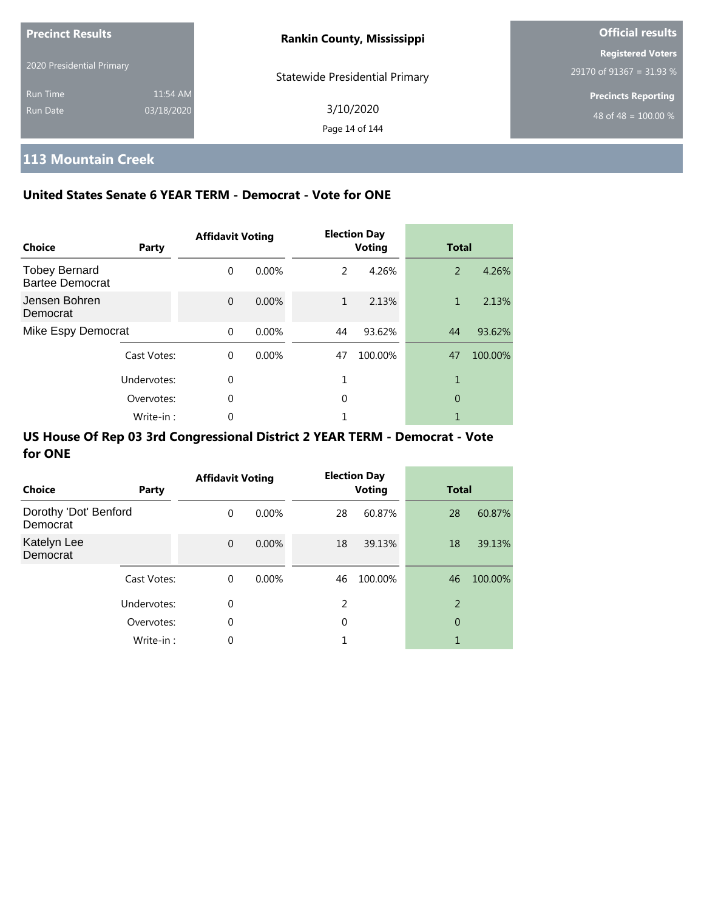| <b>Precinct Results</b>     |                        | <b>Rankin County, Mississippi</b>     | <b>Official results</b>                                |
|-----------------------------|------------------------|---------------------------------------|--------------------------------------------------------|
| 2020 Presidential Primary   |                        | <b>Statewide Presidential Primary</b> | <b>Registered Voters</b><br>29170 of 91367 = 31.93 %   |
| <b>Run Time</b><br>Run Date | 11:54 AM<br>03/18/2020 | 3/10/2020<br>Page 14 of 144           | <b>Precincts Reporting</b><br>$148$ of 48 = 100.00 % , |

## **113 Mountain Creek**

### **United States Senate 6 YEAR TERM - Democrat - Vote for ONE**

| Choice                                         | Party       | <b>Affidavit Voting</b> |          |              | <b>Election Day</b><br><b>Voting</b> | <b>Total</b> |         |
|------------------------------------------------|-------------|-------------------------|----------|--------------|--------------------------------------|--------------|---------|
| <b>Tobey Bernard</b><br><b>Bartee Democrat</b> |             | $\Omega$                | $0.00\%$ | 2            | 4.26%                                | 2            | 4.26%   |
| Jensen Bohren<br>Democrat                      |             | $\Omega$                | 0.00%    | $\mathbf{1}$ | 2.13%                                | 1            | 2.13%   |
| Mike Espy Democrat                             |             | $\Omega$                | 0.00%    | 44           | 93.62%                               | 44           | 93.62%  |
|                                                | Cast Votes: | $\Omega$                | 0.00%    | 47           | 100.00%                              | 47           | 100.00% |
|                                                | Undervotes: | $\Omega$                |          |              |                                      | 1            |         |
|                                                | Overvotes:  | $\Omega$                |          | 0            |                                      | 0            |         |
|                                                | Write-in:   | 0                       |          |              |                                      |              |         |

| <b>Choice</b>                     | Party       | <b>Affidavit Voting</b> |          |               | <b>Election Day</b><br><b>Voting</b> | <b>Total</b>   |         |
|-----------------------------------|-------------|-------------------------|----------|---------------|--------------------------------------|----------------|---------|
| Dorothy 'Dot' Benford<br>Democrat |             | 0                       | $0.00\%$ | 28            | 60.87%                               | 28             | 60.87%  |
| Katelyn Lee<br>Democrat           |             | $\mathbf{0}$            | 0.00%    | 18            | 39.13%                               | 18             | 39.13%  |
|                                   | Cast Votes: | 0                       | $0.00\%$ | 46            | 100.00%                              | 46             | 100.00% |
|                                   | Undervotes: | 0                       |          | $\mathcal{P}$ |                                      | $\overline{2}$ |         |
|                                   | Overvotes:  | 0                       |          | 0             |                                      | 0              |         |
|                                   | Write-in:   | $\Omega$                |          |               |                                      | 1              |         |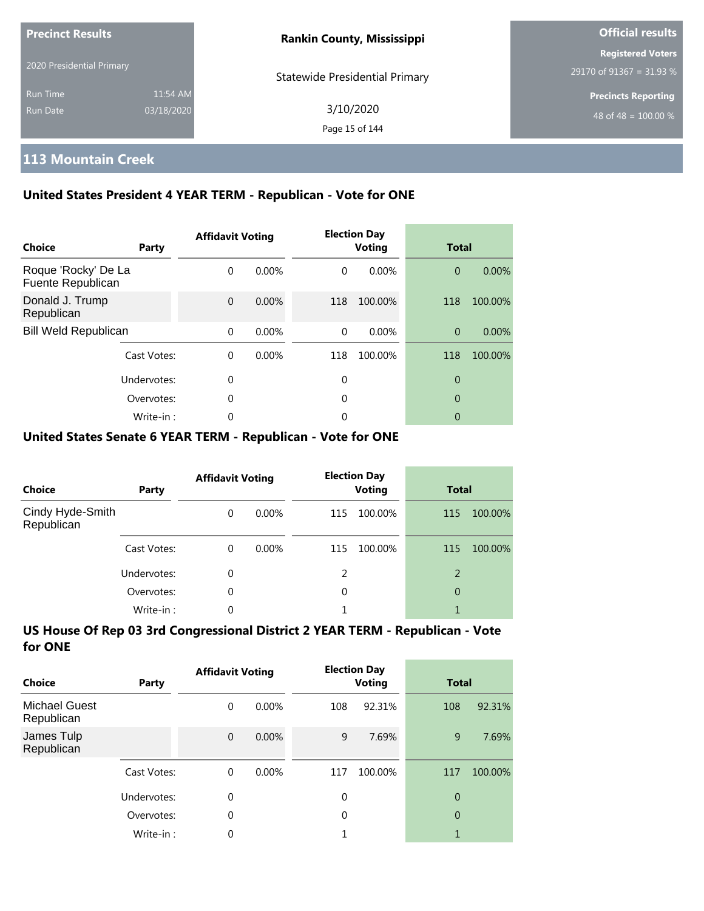| <b>Precinct Results</b>   |            | <b>Rankin County, Mississippi</b>     | <b>Official results</b>                              |
|---------------------------|------------|---------------------------------------|------------------------------------------------------|
| 2020 Presidential Primary |            | <b>Statewide Presidential Primary</b> | <b>Registered Voters</b><br>29170 of 91367 = 31.93 % |
| <b>Run Time</b>           | 11:54 AM   |                                       | <b>Precincts Reporting</b>                           |
| Run Date                  | 03/18/2020 | 3/10/2020<br>Page 15 of 144           | 48 of 48 = $100.00\%$                                |

## **113 Mountain Creek**

### **United States President 4 YEAR TERM - Republican - Vote for ONE**

| <b>Choice</b>                            | Party       | <b>Affidavit Voting</b> |          |          | <b>Election Day</b><br><b>Voting</b> | <b>Total</b>   |          |
|------------------------------------------|-------------|-------------------------|----------|----------|--------------------------------------|----------------|----------|
| Roque 'Rocky' De La<br>Fuente Republican |             | $\Omega$                | $0.00\%$ | $\Omega$ | 0.00%                                | $\overline{0}$ | 0.00%    |
| Donald J. Trump<br>Republican            |             | $\Omega$                | 0.00%    | 118      | 100.00%                              | 118            | 100.00%  |
| <b>Bill Weld Republican</b>              |             | $\Omega$                | 0.00%    | $\Omega$ | $0.00\%$                             | $\Omega$       | $0.00\%$ |
|                                          | Cast Votes: | $\Omega$                | 0.00%    | 118      | 100.00%                              | 118            | 100.00%  |
|                                          | Undervotes: | 0                       |          | 0        |                                      | 0              |          |
|                                          | Overvotes:  | 0                       |          | 0        |                                      | 0              |          |
|                                          | Write-in:   | 0                       |          | 0        |                                      | 0              |          |

### **United States Senate 6 YEAR TERM - Republican - Vote for ONE**

| <b>Choice</b>                  | Party       | <b>Affidavit Voting</b> |       |               | <b>Election Day</b><br><b>Voting</b> | <b>Total</b>   |         |
|--------------------------------|-------------|-------------------------|-------|---------------|--------------------------------------|----------------|---------|
| Cindy Hyde-Smith<br>Republican |             | $\Omega$                | 0.00% | 115           | 100.00%                              | 115            | 100.00% |
|                                | Cast Votes: | $\Omega$                | 0.00% | 115           | 100.00%                              | 115            | 100.00% |
|                                | Undervotes: | $\Omega$                |       | $\mathcal{P}$ |                                      | 2              |         |
|                                | Overvotes:  | $\Omega$                |       | 0             |                                      | $\overline{0}$ |         |
|                                | Write-in:   | $\Omega$                |       |               |                                      |                |         |

| Choice                             | Party       | <b>Affidavit Voting</b> |          |          | <b>Election Day</b><br><b>Voting</b> | <b>Total</b>   |         |
|------------------------------------|-------------|-------------------------|----------|----------|--------------------------------------|----------------|---------|
| <b>Michael Guest</b><br>Republican |             | 0                       | $0.00\%$ | 108      | 92.31%                               | 108            | 92.31%  |
| James Tulp<br>Republican           |             | $\overline{0}$          | $0.00\%$ | 9        | 7.69%                                | 9              | 7.69%   |
|                                    | Cast Votes: | $\Omega$                | $0.00\%$ | 117      | 100.00%                              | 117            | 100.00% |
|                                    | Undervotes: | 0                       |          | 0        |                                      | $\overline{0}$ |         |
|                                    | Overvotes:  | 0                       |          | $\Omega$ |                                      | 0              |         |
|                                    | Write-in:   | 0                       |          |          |                                      | 1              |         |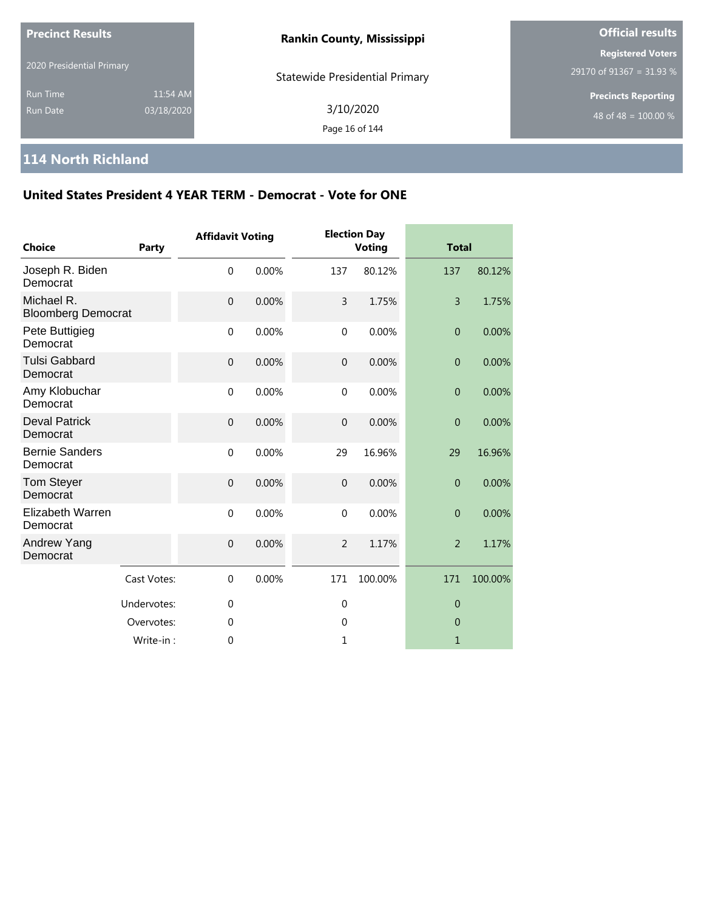| <b>Precinct Results</b>            |                        | <b>Rankin County, Mississippi</b>     | <b>Official results</b>                              |  |
|------------------------------------|------------------------|---------------------------------------|------------------------------------------------------|--|
| 2020 Presidential Primary          |                        | <b>Statewide Presidential Primary</b> | <b>Registered Voters</b><br>29170 of 91367 = 31.93 % |  |
| <b>Run Time</b><br><b>Run Date</b> | 11:54 AM<br>03/18/2020 | 3/10/2020<br>Page 16 of 144           | <b>Precincts Reporting</b><br>48 of 48 = $100.00\%$  |  |

### **114 North Richland**

| <b>Choice</b>                           | Party       | <b>Affidavit Voting</b> |       |                | <b>Election Day</b><br><b>Voting</b> | <b>Total</b>     |         |
|-----------------------------------------|-------------|-------------------------|-------|----------------|--------------------------------------|------------------|---------|
| Joseph R. Biden<br>Democrat             |             | $\mathbf 0$             | 0.00% | 137            | 80.12%                               | 137              | 80.12%  |
| Michael R.<br><b>Bloomberg Democrat</b> |             | $\mathbf 0$             | 0.00% | 3              | 1.75%                                | 3                | 1.75%   |
| Pete Buttigieg<br>Democrat              |             | $\mathbf 0$             | 0.00% | $\mathbf 0$    | 0.00%                                | $\overline{0}$   | 0.00%   |
| <b>Tulsi Gabbard</b><br>Democrat        |             | $\mathbf 0$             | 0.00% | $\overline{0}$ | 0.00%                                | $\overline{0}$   | 0.00%   |
| Amy Klobuchar<br>Democrat               |             | $\mathbf 0$             | 0.00% | $\mathbf{0}$   | 0.00%                                | $\boldsymbol{0}$ | 0.00%   |
| <b>Deval Patrick</b><br>Democrat        |             | $\mathbf 0$             | 0.00% | $\mathbf{0}$   | 0.00%                                | $\overline{0}$   | 0.00%   |
| <b>Bernie Sanders</b><br>Democrat       |             | $\mathbf 0$             | 0.00% | 29             | 16.96%                               | 29               | 16.96%  |
| <b>Tom Steyer</b><br>Democrat           |             | $\mathbf 0$             | 0.00% | $\theta$       | 0.00%                                | $\mathbf{0}$     | 0.00%   |
| <b>Elizabeth Warren</b><br>Democrat     |             | $\mathbf 0$             | 0.00% | $\mathbf 0$    | 0.00%                                | $\overline{0}$   | 0.00%   |
| Andrew Yang<br>Democrat                 |             | $\boldsymbol{0}$        | 0.00% | $\overline{2}$ | 1.17%                                | $\overline{2}$   | 1.17%   |
|                                         | Cast Votes: | $\mathbf 0$             | 0.00% | 171            | 100.00%                              | 171              | 100.00% |
|                                         | Undervotes: | $\mathbf 0$             |       | $\mathbf 0$    |                                      | $\theta$         |         |
|                                         | Overvotes:  | 0                       |       | 0              |                                      | $\theta$         |         |
|                                         | Write-in:   | $\mathbf 0$             |       | 1              |                                      | $\mathbf{1}$     |         |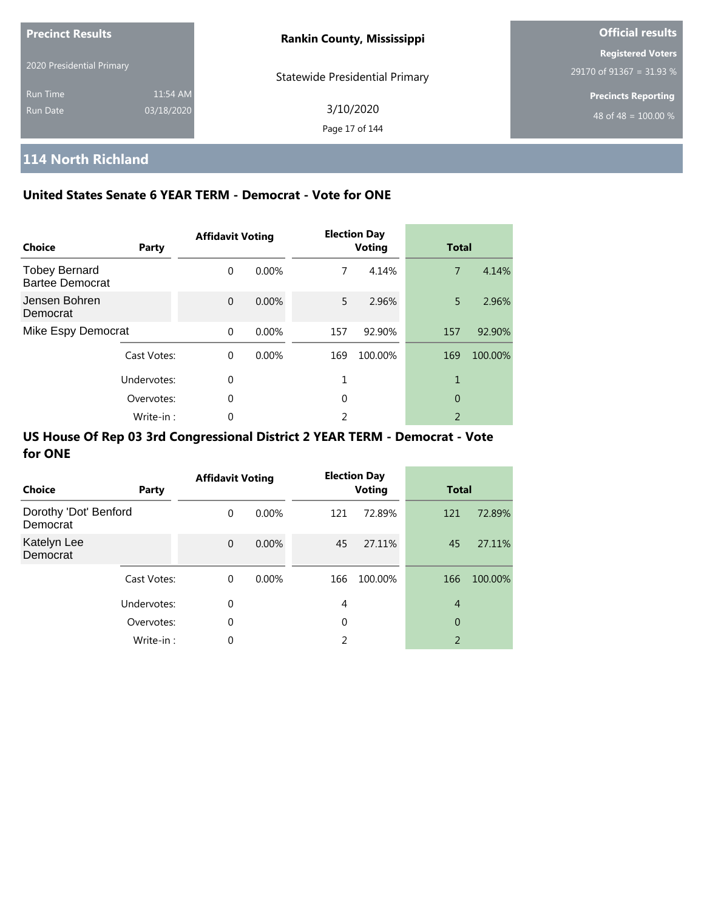| <b>Precinct Results</b>     |                        | <b>Rankin County, Mississippi</b>     | <b>Official results</b>                              |
|-----------------------------|------------------------|---------------------------------------|------------------------------------------------------|
| 2020 Presidential Primary   |                        | <b>Statewide Presidential Primary</b> | <b>Registered Voters</b><br>29170 of 91367 = 31.93 % |
| <b>Run Time</b><br>Run Date | 11:54 AM<br>03/18/2020 | 3/10/2020<br>Page 17 of 144           | <b>Precincts Reporting</b><br>48 of 48 = $100.00\%$  |

# **114 North Richland**

### **United States Senate 6 YEAR TERM - Democrat - Vote for ONE**

| <b>Choice</b>                                  | Party       | <b>Affidavit Voting</b> |          |     | <b>Election Day</b><br><b>Voting</b> | <b>Total</b>             |         |
|------------------------------------------------|-------------|-------------------------|----------|-----|--------------------------------------|--------------------------|---------|
| <b>Tobey Bernard</b><br><b>Bartee Democrat</b> |             | $\Omega$                | $0.00\%$ | 7   | 4.14%                                | $\overline{7}$           | 4.14%   |
| Jensen Bohren<br>Democrat                      |             | $\Omega$                | 0.00%    | 5   | 2.96%                                | 5.                       | 2.96%   |
| Mike Espy Democrat                             |             | $\Omega$                | 0.00%    | 157 | 92.90%                               | 157                      | 92.90%  |
|                                                | Cast Votes: | $\Omega$                | 0.00%    | 169 | 100.00%                              | 169                      | 100.00% |
|                                                | Undervotes: | 0                       |          |     |                                      | 1                        |         |
|                                                | Overvotes:  | $\Omega$                |          | 0   |                                      | 0                        |         |
|                                                | Write-in:   | 0                       |          | 2   |                                      | $\overline{\phantom{a}}$ |         |

| <b>Choice</b>                     | Party       | <b>Affidavit Voting</b> |          |     | <b>Election Day</b><br><b>Voting</b> | <b>Total</b>   |         |
|-----------------------------------|-------------|-------------------------|----------|-----|--------------------------------------|----------------|---------|
| Dorothy 'Dot' Benford<br>Democrat |             | 0                       | $0.00\%$ | 121 | 72.89%                               | 121            | 72.89%  |
| Katelyn Lee<br>Democrat           |             | $\mathbf{0}$            | $0.00\%$ | 45  | 27.11%                               | 45             | 27.11%  |
|                                   | Cast Votes: | 0                       | $0.00\%$ | 166 | 100.00%                              | 166            | 100.00% |
|                                   | Undervotes: | 0                       |          | 4   |                                      | $\overline{4}$ |         |
|                                   | Overvotes:  | 0                       |          | 0   |                                      | 0              |         |
|                                   | Write-in:   | 0                       |          | 2   |                                      | 2              |         |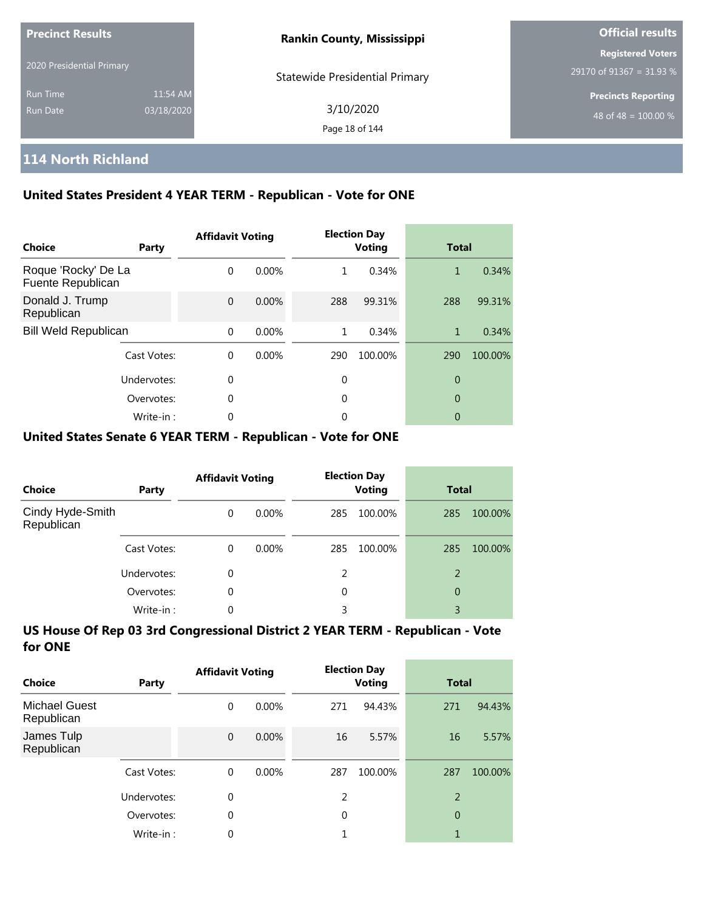| <b>Precinct Results</b><br>2020 Presidential Primary |            | <b>Rankin County, Mississippi</b>     | <b>Official results</b>    |
|------------------------------------------------------|------------|---------------------------------------|----------------------------|
|                                                      |            |                                       | <b>Registered Voters</b>   |
|                                                      |            | <b>Statewide Presidential Primary</b> | 29170 of 91367 = 31.93 %   |
| <b>Run Time</b>                                      | 11:54 AM   |                                       | <b>Precincts Reporting</b> |
| Run Date                                             | 03/18/2020 | 3/10/2020                             | 48 of 48 = $100.00\%$      |
|                                                      |            | Page 18 of 144                        |                            |

# **114 North Richland**

### **United States President 4 YEAR TERM - Republican - Vote for ONE**

| Choice                                   | Party       | <b>Affidavit Voting</b> |          |     | <b>Election Day</b><br><b>Voting</b> | <b>Total</b> |         |
|------------------------------------------|-------------|-------------------------|----------|-----|--------------------------------------|--------------|---------|
| Roque 'Rocky' De La<br>Fuente Republican |             | $\Omega$                | 0.00%    | 1   | 0.34%                                | 1            | 0.34%   |
| Donald J. Trump<br>Republican            |             | $\Omega$                | 0.00%    | 288 | 99.31%                               | 288          | 99.31%  |
| <b>Bill Weld Republican</b>              |             | $\Omega$                | 0.00%    | 1   | 0.34%                                | 1            | 0.34%   |
|                                          | Cast Votes: | $\Omega$                | $0.00\%$ | 290 | 100.00%                              | 290          | 100.00% |
|                                          | Undervotes: | 0                       |          | 0   |                                      | 0            |         |
|                                          | Overvotes:  | $\mathbf 0$             |          | 0   |                                      | 0            |         |
|                                          | Write-in:   | 0                       |          | 0   |                                      | 0            |         |

#### **United States Senate 6 YEAR TERM - Republican - Vote for ONE**

| <b>Choice</b>                  | Party       | <b>Affidavit Voting</b> |          |     | <b>Election Day</b><br><b>Voting</b> | <b>Total</b> |         |
|--------------------------------|-------------|-------------------------|----------|-----|--------------------------------------|--------------|---------|
| Cindy Hyde-Smith<br>Republican |             | $\Omega$                | 0.00%    | 285 | 100.00%                              | 285          | 100.00% |
|                                | Cast Votes: | $\Omega$                | $0.00\%$ | 285 | 100.00%                              | 285          | 100.00% |
|                                | Undervotes: | 0                       |          | 2   |                                      | 2            |         |
|                                | Overvotes:  | $\Omega$                |          | 0   |                                      | 0            |         |
|                                | Write-in:   | 0                       |          | 3   |                                      | 3            |         |

| Choice                             | Party       | <b>Affidavit Voting</b> |          |          | <b>Election Day</b><br><b>Voting</b> | <b>Total</b> |         |
|------------------------------------|-------------|-------------------------|----------|----------|--------------------------------------|--------------|---------|
| <b>Michael Guest</b><br>Republican |             | 0                       | $0.00\%$ | 271      | 94.43%                               | 271          | 94.43%  |
| James Tulp<br>Republican           |             | $\Omega$                | 0.00%    | 16       | 5.57%                                | 16           | 5.57%   |
|                                    | Cast Votes: | $\Omega$                | $0.00\%$ | 287      | 100.00%                              | 287          | 100.00% |
|                                    | Undervotes: | 0                       |          | 2        |                                      | 2            |         |
|                                    | Overvotes:  | $\theta$                |          | $\Omega$ |                                      | 0            |         |
|                                    | Write-in:   | 0                       |          |          |                                      | 1            |         |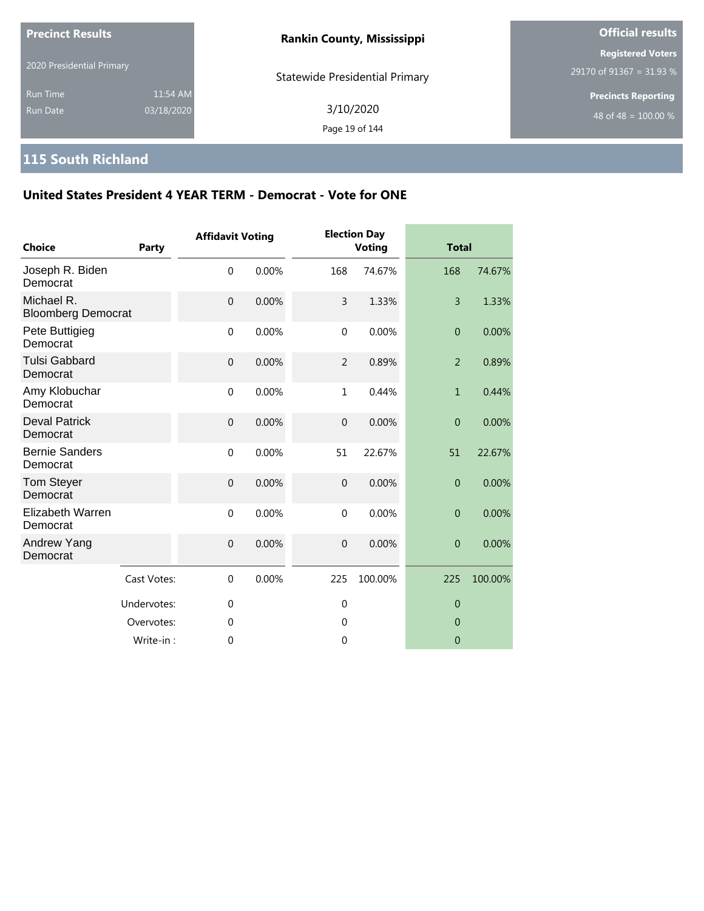| <b>Precinct Results</b>            |                        | <b>Rankin County, Mississippi</b>     | <b>Official results</b>                              |
|------------------------------------|------------------------|---------------------------------------|------------------------------------------------------|
| 2020 Presidential Primary          |                        | <b>Statewide Presidential Primary</b> | <b>Registered Voters</b><br>29170 of 91367 = 31.93 % |
| <b>Run Time</b><br><b>Run Date</b> | 11:54 AM<br>03/18/2020 | 3/10/2020<br>Page 19 of 144           | <b>Precincts Reporting</b><br>48 of 48 = $100.00\%$  |

# **115 South Richland**

| <b>Choice</b>                           | <b>Party</b> | <b>Affidavit Voting</b> |       |                  | <b>Election Day</b><br><b>Voting</b> | <b>Total</b>   |         |
|-----------------------------------------|--------------|-------------------------|-------|------------------|--------------------------------------|----------------|---------|
| Joseph R. Biden<br>Democrat             |              | $\mathbf 0$             | 0.00% | 168              | 74.67%                               | 168            | 74.67%  |
| Michael R.<br><b>Bloomberg Democrat</b> |              | $\overline{0}$          | 0.00% | 3                | 1.33%                                | $\overline{3}$ | 1.33%   |
| Pete Buttigieg<br>Democrat              |              | $\mathbf 0$             | 0.00% | $\mathbf 0$      | 0.00%                                | $\overline{0}$ | 0.00%   |
| <b>Tulsi Gabbard</b><br>Democrat        |              | $\mathbf{0}$            | 0.00% | $\overline{2}$   | 0.89%                                | $\overline{2}$ | 0.89%   |
| Amy Klobuchar<br>Democrat               |              | $\mathbf{0}$            | 0.00% | 1                | 0.44%                                | $\mathbf{1}$   | 0.44%   |
| <b>Deval Patrick</b><br>Democrat        |              | $\mathbf 0$             | 0.00% | $\mathbf 0$      | 0.00%                                | $\overline{0}$ | 0.00%   |
| <b>Bernie Sanders</b><br>Democrat       |              | $\mathbf 0$             | 0.00% | 51               | 22.67%                               | 51             | 22.67%  |
| <b>Tom Steyer</b><br>Democrat           |              | $\overline{0}$          | 0.00% | $\boldsymbol{0}$ | 0.00%                                | $\overline{0}$ | 0.00%   |
| Elizabeth Warren<br>Democrat            |              | $\mathbf 0$             | 0.00% | $\mathbf 0$      | 0.00%                                | $\overline{0}$ | 0.00%   |
| Andrew Yang<br>Democrat                 |              | $\mathbf{0}$            | 0.00% | $\overline{0}$   | 0.00%                                | $\overline{0}$ | 0.00%   |
|                                         | Cast Votes:  | $\Omega$                | 0.00% | 225              | 100.00%                              | 225            | 100.00% |
|                                         | Undervotes:  | $\mathbf 0$             |       | $\mathbf 0$      |                                      | $\overline{0}$ |         |
|                                         | Overvotes:   | $\Omega$                |       | $\Omega$         |                                      | $\Omega$       |         |
|                                         | Write-in:    | 0                       |       | $\mathbf 0$      |                                      | $\overline{0}$ |         |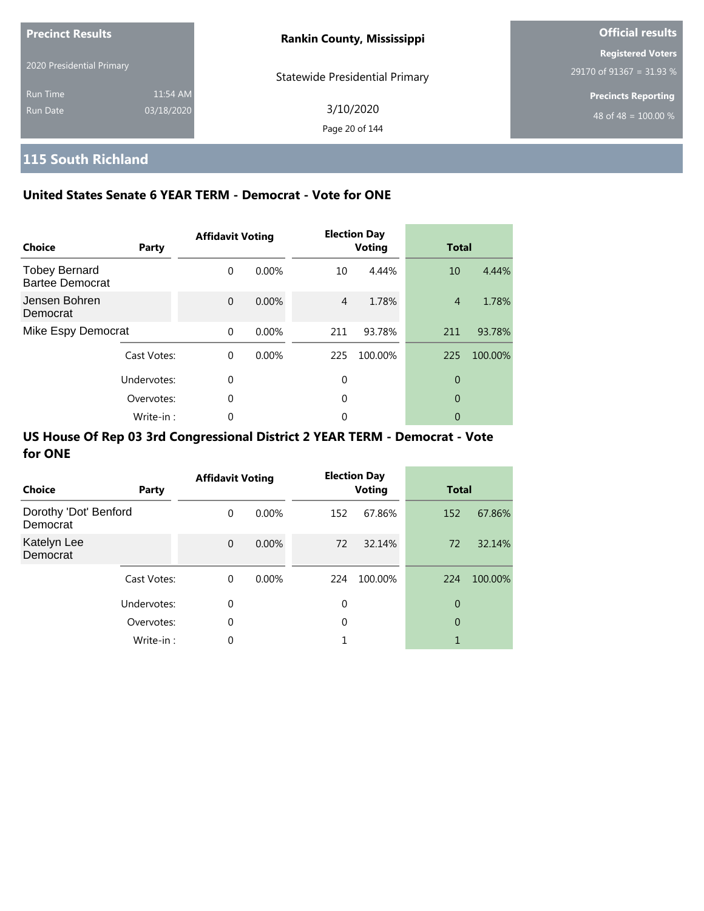| <b>Precinct Results</b>     |                        | <b>Rankin County, Mississippi</b>     | <b>Official results</b>                              |
|-----------------------------|------------------------|---------------------------------------|------------------------------------------------------|
| 2020 Presidential Primary   |                        | <b>Statewide Presidential Primary</b> | <b>Registered Voters</b><br>29170 of 91367 = 31.93 % |
| <b>Run Time</b><br>Run Date | 11:54 AM<br>03/18/2020 | 3/10/2020<br>Page 20 of 144           | <b>Precincts Reporting</b><br>48 of 48 = $100.00\%$  |

# **115 South Richland**

### **United States Senate 6 YEAR TERM - Democrat - Vote for ONE**

| Choice                                         | Party       | <b>Affidavit Voting</b> |          |                | <b>Election Day</b><br><b>Voting</b> | <b>Total</b>   |         |
|------------------------------------------------|-------------|-------------------------|----------|----------------|--------------------------------------|----------------|---------|
| <b>Tobey Bernard</b><br><b>Bartee Democrat</b> |             | $\Omega$                | $0.00\%$ | 10             | 4.44%                                | 10             | 4.44%   |
| Jensen Bohren<br>Democrat                      |             | $\Omega$                | 0.00%    | $\overline{4}$ | 1.78%                                | $\overline{4}$ | 1.78%   |
| Mike Espy Democrat                             |             | $\Omega$                | 0.00%    | 211            | 93.78%                               | 211            | 93.78%  |
|                                                | Cast Votes: | $\Omega$                | $0.00\%$ | 225            | 100.00%                              | 225            | 100.00% |
|                                                | Undervotes: | $\Omega$                |          | 0              |                                      | 0              |         |
|                                                | Overvotes:  | $\mathbf 0$             |          | 0              |                                      | 0              |         |
|                                                | Write-in:   | 0                       |          | 0              |                                      | 0              |         |

| <b>Choice</b>                     | Party       | <b>Affidavit Voting</b> |          |             | <b>Election Day</b><br><b>Voting</b> | <b>Total</b> |         |
|-----------------------------------|-------------|-------------------------|----------|-------------|--------------------------------------|--------------|---------|
| Dorothy 'Dot' Benford<br>Democrat |             | 0                       | $0.00\%$ | 152         | 67.86%                               | 152          | 67.86%  |
| Katelyn Lee<br>Democrat           |             | $\mathbf{0}$            | $0.00\%$ | 72          | 32.14%                               | 72           | 32.14%  |
|                                   | Cast Votes: | 0                       | $0.00\%$ | 224         | 100.00%                              | 224          | 100.00% |
|                                   | Undervotes: | 0                       |          | $\mathbf 0$ |                                      | 0            |         |
|                                   | Overvotes:  | 0                       |          | 0           |                                      | 0            |         |
|                                   | Write-in:   | 0                       |          |             |                                      | 1            |         |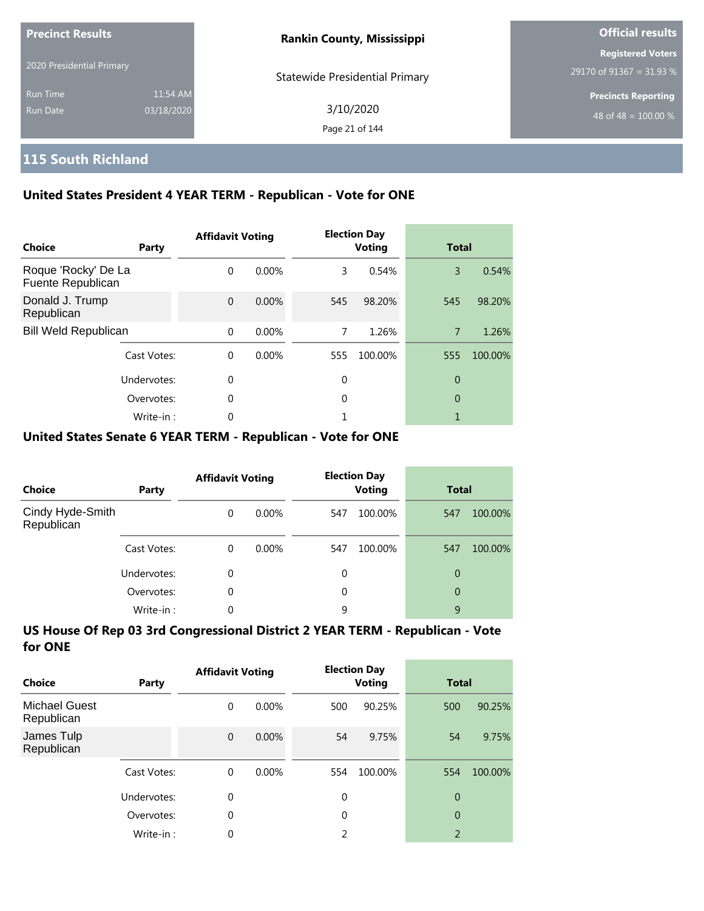| <b>Precinct Results</b><br>2020 Presidential Primary |            | <b>Rankin County, Mississippi</b>     | <b>Official results</b>    |
|------------------------------------------------------|------------|---------------------------------------|----------------------------|
|                                                      |            |                                       | <b>Registered Voters</b>   |
|                                                      |            | <b>Statewide Presidential Primary</b> | 29170 of 91367 = 31.93 %   |
| <b>Run Time</b>                                      | 11:54 AM   |                                       | <b>Precincts Reporting</b> |
| Run Date                                             | 03/18/2020 | 3/10/2020                             | 48 of 48 = $100.00\%$      |
|                                                      |            | Page 21 of 144                        |                            |

# **115 South Richland**

### **United States President 4 YEAR TERM - Republican - Vote for ONE**

| Choice                                   | Party       | <b>Affidavit Voting</b> |          |     | <b>Election Day</b><br><b>Voting</b> | <b>Total</b>   |         |
|------------------------------------------|-------------|-------------------------|----------|-----|--------------------------------------|----------------|---------|
| Roque 'Rocky' De La<br>Fuente Republican |             | $\Omega$                | 0.00%    | 3   | 0.54%                                | 3              | 0.54%   |
| Donald J. Trump<br>Republican            |             | $\Omega$                | 0.00%    | 545 | 98.20%                               | 545            | 98.20%  |
| <b>Bill Weld Republican</b>              |             | $\Omega$                | 0.00%    | 7   | 1.26%                                | $\overline{7}$ | 1.26%   |
|                                          | Cast Votes: | $\Omega$                | $0.00\%$ | 555 | 100.00%                              | 555            | 100.00% |
|                                          | Undervotes: | 0                       |          | 0   |                                      | 0              |         |
|                                          | Overvotes:  | $\Omega$                |          | 0   |                                      | 0              |         |
|                                          | Write-in:   | 0                       |          |     |                                      |                |         |

#### **United States Senate 6 YEAR TERM - Republican - Vote for ONE**

| <b>Choice</b>                  | Party       | <b>Affidavit Voting</b> |          | <b>Election Day</b><br><b>Voting</b> |         | <b>Total</b> |         |
|--------------------------------|-------------|-------------------------|----------|--------------------------------------|---------|--------------|---------|
| Cindy Hyde-Smith<br>Republican |             | $\Omega$                | $0.00\%$ | 547                                  | 100.00% | 547          | 100.00% |
|                                | Cast Votes: | $\Omega$                | $0.00\%$ | 547                                  | 100.00% | 547          | 100.00% |
|                                | Undervotes: | $\Omega$                |          | 0                                    |         | 0            |         |
|                                | Overvotes:  | $\Omega$                |          | 0                                    |         | 0            |         |
|                                | Write-in:   | 0                       |          | 9                                    |         | 9            |         |

| Choice                             | Party       | <b>Affidavit Voting</b> |          |             | <b>Election Day</b><br>Voting |                | <b>Total</b> |  |
|------------------------------------|-------------|-------------------------|----------|-------------|-------------------------------|----------------|--------------|--|
| <b>Michael Guest</b><br>Republican |             | 0                       | $0.00\%$ | 500         | 90.25%                        | 500            | 90.25%       |  |
| James Tulp<br>Republican           |             | $\mathbf{0}$            | 0.00%    | 54          | 9.75%                         | 54             | 9.75%        |  |
|                                    | Cast Votes: | $\Omega$                | $0.00\%$ | 554         | 100.00%                       | 554            | 100.00%      |  |
|                                    | Undervotes: | $\mathbf 0$             |          | $\mathbf 0$ |                               | $\overline{0}$ |              |  |
|                                    | Overvotes:  | $\Omega$                |          | $\Omega$    |                               | $\overline{0}$ |              |  |
|                                    | Write-in:   | 0                       |          | 2           |                               | $\overline{2}$ |              |  |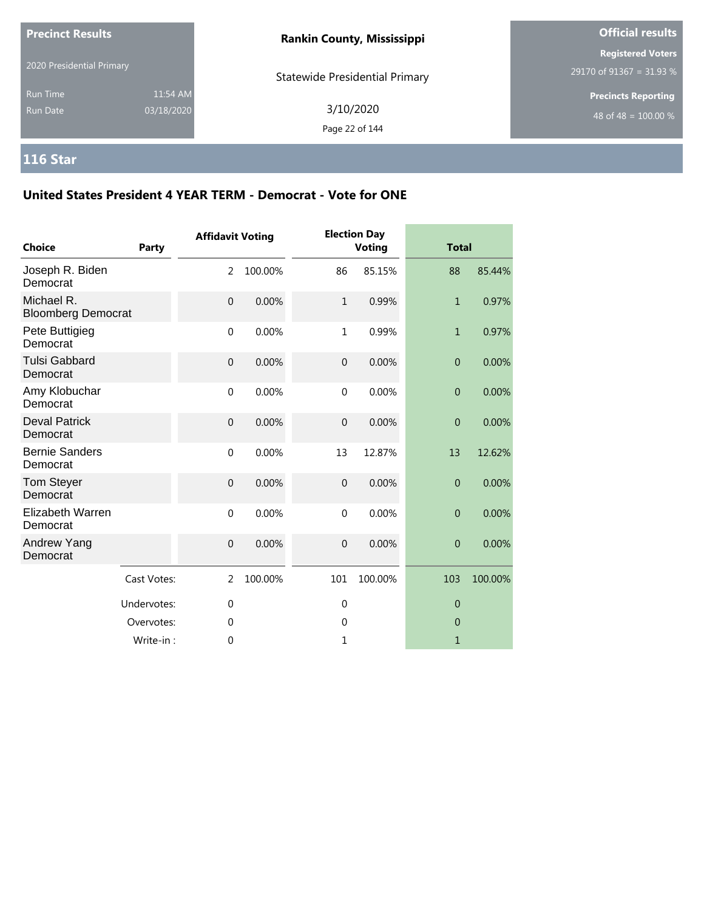| <b>Precinct Results</b><br>2020 Presidential Primary |                        | <b>Rankin County, Mississippi</b>     | <b>Official results</b>                                |  |  |
|------------------------------------------------------|------------------------|---------------------------------------|--------------------------------------------------------|--|--|
|                                                      |                        | <b>Statewide Presidential Primary</b> | <b>Registered Voters</b><br>$29170$ of 91367 = 31.93 % |  |  |
| <b>Run Time</b><br><b>Run Date</b>                   | 11:54 AM<br>03/18/2020 | 3/10/2020<br>Page 22 of 144           | <b>Precincts Reporting</b><br>48 of 48 = $100.00\%$    |  |  |

# **116 Star**

| <b>Choice</b>                           | Party       | <b>Affidavit Voting</b> |         |                | <b>Election Day</b><br><b>Voting</b> |                | <b>Total</b> |  |
|-----------------------------------------|-------------|-------------------------|---------|----------------|--------------------------------------|----------------|--------------|--|
| Joseph R. Biden<br>Democrat             |             | $\overline{2}$          | 100.00% | 86             | 85.15%                               | 88             | 85.44%       |  |
| Michael R.<br><b>Bloomberg Democrat</b> |             | $\mathbf{0}$            | 0.00%   | $1\,$          | 0.99%                                | $\mathbf{1}$   | 0.97%        |  |
| Pete Buttigieg<br>Democrat              |             | $\mathbf 0$             | 0.00%   | $\mathbf{1}$   | 0.99%                                | $\mathbf{1}$   | 0.97%        |  |
| <b>Tulsi Gabbard</b><br>Democrat        |             | $\overline{0}$          | 0.00%   | $\overline{0}$ | 0.00%                                | $\overline{0}$ | 0.00%        |  |
| Amy Klobuchar<br>Democrat               |             | $\mathbf 0$             | 0.00%   | $\mathbf{0}$   | 0.00%                                | $\overline{0}$ | 0.00%        |  |
| <b>Deval Patrick</b><br>Democrat        |             | $\mathbf{0}$            | 0.00%   | $\mathbf 0$    | 0.00%                                | $\overline{0}$ | 0.00%        |  |
| <b>Bernie Sanders</b><br>Democrat       |             | $\mathbf 0$             | 0.00%   | 13             | 12.87%                               | 13             | 12.62%       |  |
| Tom Steyer<br>Democrat                  |             | $\overline{0}$          | 0.00%   | $\overline{0}$ | 0.00%                                | $\overline{0}$ | 0.00%        |  |
| Elizabeth Warren<br>Democrat            |             | $\Omega$                | 0.00%   | $\mathbf 0$    | 0.00%                                | $\mathbf{0}$   | 0.00%        |  |
| Andrew Yang<br>Democrat                 |             | $\mathbf 0$             | 0.00%   | $\mathbf 0$    | 0.00%                                | $\overline{0}$ | 0.00%        |  |
|                                         | Cast Votes: | 2                       | 100.00% | 101            | 100.00%                              | 103            | 100.00%      |  |
|                                         | Undervotes: | $\mathbf 0$             |         | $\mathbf 0$    |                                      | $\theta$       |              |  |
|                                         | Overvotes:  | 0                       |         | $\mathbf 0$    |                                      | $\overline{0}$ |              |  |
|                                         | Write-in:   | $\theta$                |         | 1              |                                      | $\mathbf{1}$   |              |  |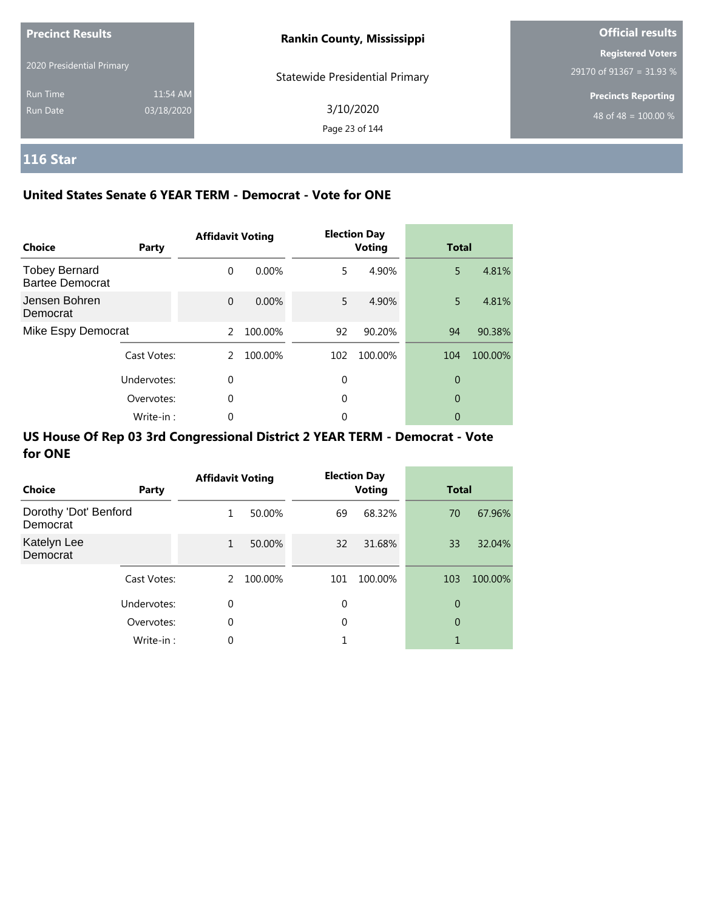| <b>Precinct Results</b>   |            | <b>Rankin County, Mississippi</b>     | <b>Official results</b>    |  |
|---------------------------|------------|---------------------------------------|----------------------------|--|
|                           |            |                                       | <b>Registered Voters</b>   |  |
| 2020 Presidential Primary |            | <b>Statewide Presidential Primary</b> | 29170 of 91367 = 31.93 %   |  |
| <b>Run Time</b>           | 11:54 AM   |                                       | <b>Precincts Reporting</b> |  |
| Run Date                  | 03/18/2020 | 3/10/2020                             | 48 of 48 = $100.00\%$      |  |
|                           |            | Page 23 of 144                        |                            |  |

# **116 Star**

### **United States Senate 6 YEAR TERM - Democrat - Vote for ONE**

| <b>Choice</b>                                  | Party       | <b>Affidavit Voting</b> |          |     | <b>Election Day</b><br><b>Voting</b> | <b>Total</b> |         |
|------------------------------------------------|-------------|-------------------------|----------|-----|--------------------------------------|--------------|---------|
| <b>Tobey Bernard</b><br><b>Bartee Democrat</b> |             | $\Omega$                | $0.00\%$ | 5   | 4.90%                                | 5            | 4.81%   |
| Jensen Bohren<br>Democrat                      |             | $\Omega$                | $0.00\%$ | 5   | 4.90%                                | 5            | 4.81%   |
| Mike Espy Democrat                             |             | $\mathcal{L}$           | 100.00%  | 92  | 90.20%                               | 94           | 90.38%  |
|                                                | Cast Votes: | 2                       | 100.00%  | 102 | 100.00%                              | 104          | 100.00% |
|                                                | Undervotes: | $\Omega$                |          | 0   |                                      | 0            |         |
|                                                | Overvotes:  | $\Omega$                |          | 0   |                                      | 0            |         |
|                                                | Write-in:   | 0                       |          | 0   |                                      | 0            |         |

| Choice                            | Party       | <b>Affidavit Voting</b> |         |     | <b>Election Day</b><br><b>Voting</b> | <b>Total</b> |         |
|-----------------------------------|-------------|-------------------------|---------|-----|--------------------------------------|--------------|---------|
| Dorothy 'Dot' Benford<br>Democrat |             | 1                       | 50.00%  | 69  | 68.32%                               | 70           | 67.96%  |
| Katelyn Lee<br>Democrat           |             | $\mathbf{1}$            | 50.00%  | 32  | 31.68%                               | 33           | 32.04%  |
|                                   | Cast Votes: | 2                       | 100.00% | 101 | 100.00%                              | 103          | 100.00% |
|                                   | Undervotes: | $\mathbf 0$             |         | 0   |                                      | 0            |         |
|                                   | Overvotes:  | $\mathbf 0$             |         | 0   |                                      | 0            |         |
|                                   | Write-in:   | 0                       |         |     |                                      | 1            |         |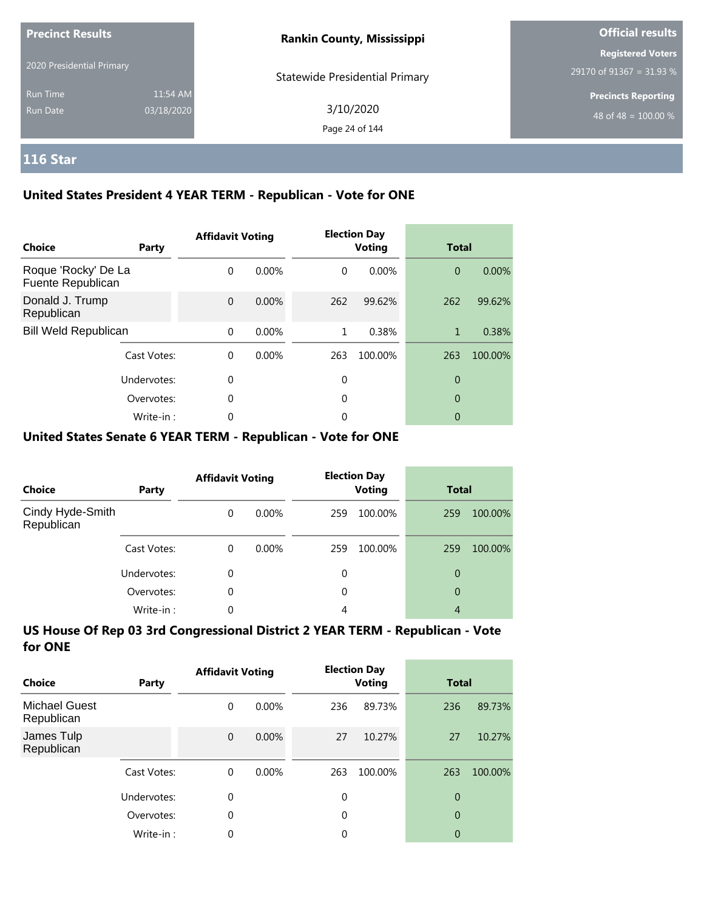| <b>Precinct Results</b>   |            | <b>Rankin County, Mississippi</b>     | <b>Official results</b>    |  |  |
|---------------------------|------------|---------------------------------------|----------------------------|--|--|
| 2020 Presidential Primary |            |                                       | <b>Registered Voters</b>   |  |  |
|                           |            | <b>Statewide Presidential Primary</b> | 29170 of 91367 = 31.93 %   |  |  |
| <b>Run Time</b>           | 11:54 AM   |                                       | <b>Precincts Reporting</b> |  |  |
| Run Date                  | 03/18/2020 | 3/10/2020                             | 48 of 48 = $100.00\%$      |  |  |
|                           |            | Page 24 of 144                        |                            |  |  |

# **116 Star**

### **United States President 4 YEAR TERM - Republican - Vote for ONE**

| <b>Choice</b>                            | Party       | <b>Affidavit Voting</b> |          |          | <b>Election Day</b><br><b>Voting</b> | <b>Total</b>   |         |
|------------------------------------------|-------------|-------------------------|----------|----------|--------------------------------------|----------------|---------|
| Roque 'Rocky' De La<br>Fuente Republican |             | $\Omega$                | $0.00\%$ | $\Omega$ | 0.00%                                | $\overline{0}$ | 0.00%   |
| Donald J. Trump<br>Republican            |             | $\Omega$                | $0.00\%$ | 262      | 99.62%                               | 262            | 99.62%  |
| <b>Bill Weld Republican</b>              |             | $\Omega$                | $0.00\%$ | 1        | 0.38%                                | 1              | 0.38%   |
|                                          | Cast Votes: | $\Omega$                | $0.00\%$ | 263      | 100.00%                              | 263            | 100.00% |
|                                          | Undervotes: | $\Omega$                |          | 0        |                                      | 0              |         |
|                                          | Overvotes:  | $\Omega$                |          | 0        |                                      | 0              |         |
|                                          | Write-in:   | 0                       |          | 0        |                                      | 0              |         |

#### **United States Senate 6 YEAR TERM - Republican - Vote for ONE**

| <b>Choice</b>                  | Party       | <b>Affidavit Voting</b> |          | <b>Election Day</b><br><b>Voting</b> |         | <b>Total</b> |         |
|--------------------------------|-------------|-------------------------|----------|--------------------------------------|---------|--------------|---------|
| Cindy Hyde-Smith<br>Republican |             | $\Omega$                | $0.00\%$ | 259                                  | 100.00% | 259          | 100.00% |
|                                | Cast Votes: | $\Omega$                | $0.00\%$ | 259                                  | 100.00% | 259          | 100.00% |
|                                | Undervotes: | 0                       |          | 0                                    |         | 0            |         |
|                                | Overvotes:  | $\Omega$                |          | 0                                    |         | 0            |         |
|                                | Write-in:   | 0                       |          | 4                                    |         | 4            |         |

| Choice                             | Party       | <b>Affidavit Voting</b> |          | <b>Election Day</b><br><b>Voting</b> |         | <b>Total</b>   |         |
|------------------------------------|-------------|-------------------------|----------|--------------------------------------|---------|----------------|---------|
| <b>Michael Guest</b><br>Republican |             | 0                       | $0.00\%$ | 236                                  | 89.73%  | 236            | 89.73%  |
| James Tulp<br>Republican           |             | $\overline{0}$          | $0.00\%$ | 27                                   | 10.27%  | 27             | 10.27%  |
|                                    | Cast Votes: | $\Omega$                | $0.00\%$ | 263                                  | 100.00% | 263            | 100.00% |
|                                    | Undervotes: | 0                       |          | $\Omega$                             |         | $\overline{0}$ |         |
|                                    | Overvotes:  | 0                       |          | $\Omega$                             |         | $\overline{0}$ |         |
|                                    | Write-in:   | 0                       |          | 0                                    |         | 0              |         |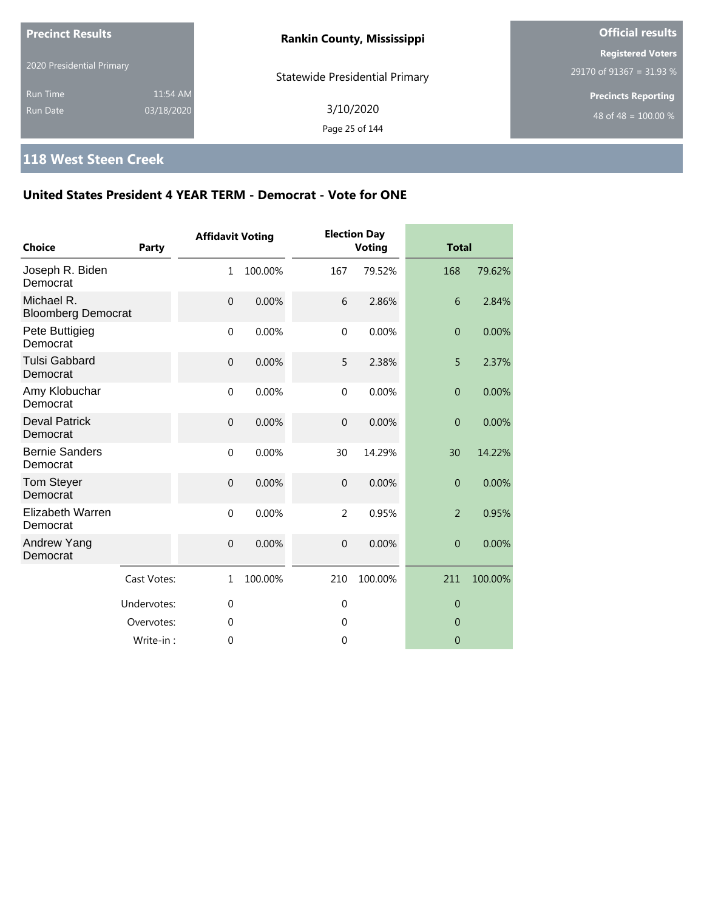| <b>Precinct Results</b>     |                        | <b>Rankin County, Mississippi</b>     | <b>Official results</b>                                        |
|-----------------------------|------------------------|---------------------------------------|----------------------------------------------------------------|
| 2020 Presidential Primary   |                        | <b>Statewide Presidential Primary</b> | <b>Registered Voters</b><br>$29170$ of 91367 = 31.93 %         |
| Run Time<br><b>Run Date</b> | 11:54 AM<br>03/18/2020 | 3/10/2020<br>Page 25 of 144           | <b>Precincts Reporting</b><br>48 of 48 = $\overline{100.00\%}$ |

# **118 West Steen Creek**

| <b>Choice</b>                           | Party       | <b>Affidavit Voting</b> |         |                | <b>Election Day</b><br><b>Voting</b> | <b>Total</b>   |         |
|-----------------------------------------|-------------|-------------------------|---------|----------------|--------------------------------------|----------------|---------|
| Joseph R. Biden<br>Democrat             |             | 1                       | 100.00% | 167            | 79.52%                               | 168            | 79.62%  |
| Michael R.<br><b>Bloomberg Democrat</b> |             | $\overline{0}$          | 0.00%   | 6              | 2.86%                                | 6              | 2.84%   |
| Pete Buttigieg<br>Democrat              |             | $\mathbf 0$             | 0.00%   | $\mathbf 0$    | 0.00%                                | $\overline{0}$ | 0.00%   |
| <b>Tulsi Gabbard</b><br>Democrat        |             | $\overline{0}$          | 0.00%   | 5              | 2.38%                                | 5              | 2.37%   |
| Amy Klobuchar<br>Democrat               |             | $\mathbf 0$             | 0.00%   | $\mathbf{0}$   | 0.00%                                | $\overline{0}$ | 0.00%   |
| <b>Deval Patrick</b><br>Democrat        |             | $\mathbf 0$             | 0.00%   | $\overline{0}$ | 0.00%                                | $\overline{0}$ | 0.00%   |
| <b>Bernie Sanders</b><br>Democrat       |             | $\mathbf 0$             | 0.00%   | 30             | 14.29%                               | 30             | 14.22%  |
| <b>Tom Steyer</b><br>Democrat           |             | $\mathbf 0$             | 0.00%   | $\overline{0}$ | 0.00%                                | $\overline{0}$ | 0.00%   |
| <b>Elizabeth Warren</b><br>Democrat     |             | $\mathbf 0$             | 0.00%   | $\overline{2}$ | 0.95%                                | $\overline{2}$ | 0.95%   |
| Andrew Yang<br>Democrat                 |             | $\mathbf 0$             | 0.00%   | $\overline{0}$ | 0.00%                                | $\overline{0}$ | 0.00%   |
|                                         | Cast Votes: | $\mathbf{1}$            | 100.00% | 210            | 100.00%                              | 211            | 100.00% |
|                                         | Undervotes: | $\mathbf{0}$            |         | $\overline{0}$ |                                      | $\overline{0}$ |         |
|                                         | Overvotes:  | $\mathbf{0}$            |         | $\mathbf 0$    |                                      | $\overline{0}$ |         |
|                                         | Write-in:   | $\theta$                |         | 0              |                                      | $\overline{0}$ |         |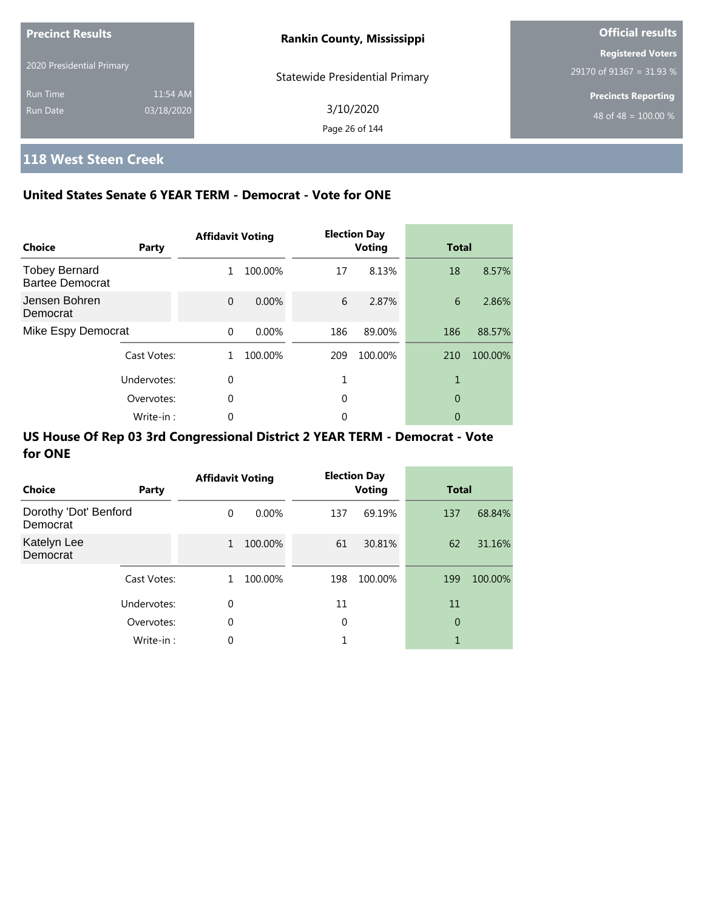| <b>Precinct Results</b>   |            | <b>Rankin County, Mississippi</b>     | <b>Official results</b>          |
|---------------------------|------------|---------------------------------------|----------------------------------|
|                           |            |                                       | <b>Registered Voters</b>         |
| 2020 Presidential Primary |            | <b>Statewide Presidential Primary</b> | 29170 of 91367 = 31.93 %         |
| <b>Run Time</b>           | 11:54 AM   |                                       | <b>Precincts Reporting</b>       |
| Run Date                  | 03/18/2020 | 3/10/2020                             | 48 of 48 = $\overline{100.00\%}$ |
|                           |            | Page 26 of 144                        |                                  |

# **118 West Steen Creek**

### **United States Senate 6 YEAR TERM - Democrat - Vote for ONE**

| <b>Choice</b>                                  | Party       | <b>Affidavit Voting</b> |          |     | <b>Election Day</b><br><b>Voting</b> | <b>Total</b> |         |
|------------------------------------------------|-------------|-------------------------|----------|-----|--------------------------------------|--------------|---------|
| <b>Tobey Bernard</b><br><b>Bartee Democrat</b> |             | 1                       | 100.00%  | 17  | 8.13%                                | 18           | 8.57%   |
| Jensen Bohren<br>Democrat                      |             | $\Omega$                | $0.00\%$ | 6   | 2.87%                                | 6            | 2.86%   |
| Mike Espy Democrat                             |             | $\Omega$                | $0.00\%$ | 186 | 89.00%                               | 186          | 88.57%  |
|                                                | Cast Votes: | 1                       | 100.00%  | 209 | 100.00%                              | 210          | 100.00% |
|                                                | Undervotes: | $\Omega$                |          |     |                                      | 1            |         |
|                                                | Overvotes:  | $\Omega$                |          | 0   |                                      | 0            |         |
|                                                | Write-in:   | 0                       |          | 0   |                                      | 0            |         |

| Choice                            | Party       | <b>Affidavit Voting</b> |          |     | <b>Election Day</b><br><b>Voting</b> | <b>Total</b> |         |
|-----------------------------------|-------------|-------------------------|----------|-----|--------------------------------------|--------------|---------|
| Dorothy 'Dot' Benford<br>Democrat |             | $\Omega$                | $0.00\%$ | 137 | 69.19%                               | 137          | 68.84%  |
| Katelyn Lee<br>Democrat           |             | $\mathbf{1}$            | 100.00%  | 61  | 30.81%                               | 62           | 31.16%  |
|                                   | Cast Votes: | 1                       | 100.00%  | 198 | 100.00%                              | 199          | 100.00% |
|                                   | Undervotes: | 0                       |          | 11  |                                      | 11           |         |
|                                   | Overvotes:  | 0                       |          | 0   |                                      | 0            |         |
|                                   | Write-in:   | 0                       |          |     |                                      | 1            |         |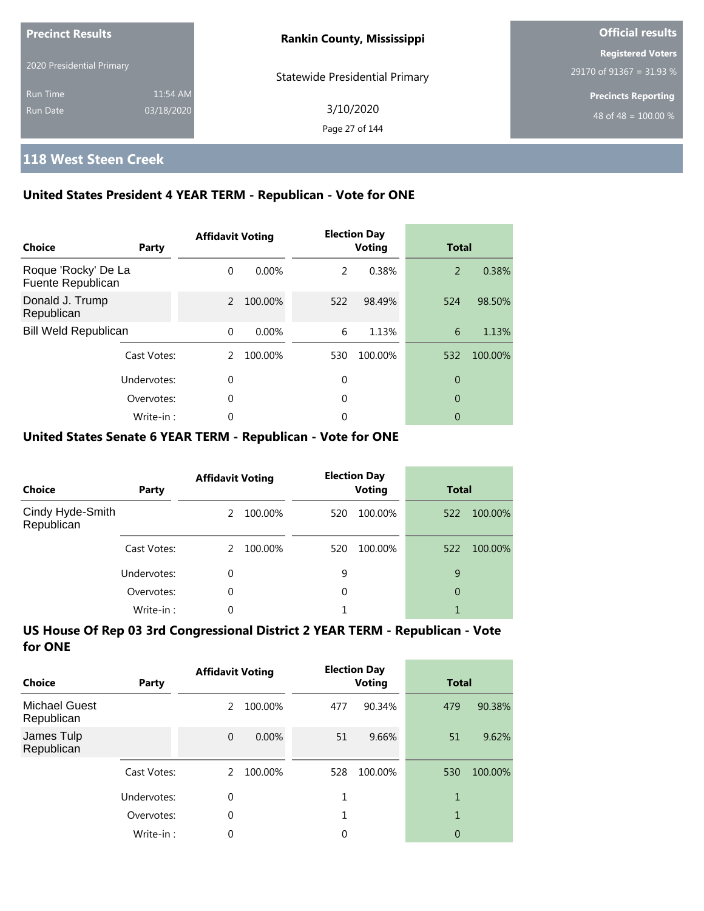| <b>Precinct Results</b>   |            | <b>Rankin County, Mississippi</b>     | <b>Official results</b>                              |
|---------------------------|------------|---------------------------------------|------------------------------------------------------|
| 2020 Presidential Primary |            | <b>Statewide Presidential Primary</b> | <b>Registered Voters</b><br>29170 of 91367 = 31.93 % |
| <b>Run Time</b>           | 11:54 AM   |                                       | <b>Precincts Reporting</b>                           |
| Run Date                  | 03/18/2020 | 3/10/2020<br>Page 27 of 144           | 48 of 48 = $\overline{100.00\%}$                     |

## **118 West Steen Creek**

### **United States President 4 YEAR TERM - Republican - Vote for ONE**

| Choice                                   | Party       | <b>Affidavit Voting</b> |          |     | <b>Election Day</b><br><b>Voting</b> | <b>Total</b> |         |
|------------------------------------------|-------------|-------------------------|----------|-----|--------------------------------------|--------------|---------|
| Roque 'Rocky' De La<br>Fuente Republican |             | $\Omega$                | $0.00\%$ | 2   | 0.38%                                | 2            | 0.38%   |
| Donald J. Trump<br>Republican            |             | $\mathcal{P}$           | 100.00%  | 522 | 98.49%                               | 524          | 98.50%  |
| <b>Bill Weld Republican</b>              |             | $\Omega$                | $0.00\%$ | 6   | 1.13%                                | 6            | 1.13%   |
|                                          | Cast Votes: | 2                       | 100.00%  | 530 | 100.00%                              | 532          | 100.00% |
|                                          | Undervotes: | $\Omega$                |          | 0   |                                      | 0            |         |
|                                          | Overvotes:  | $\mathbf 0$             |          | 0   |                                      | 0            |         |
|                                          | Write-in:   | 0                       |          | 0   |                                      | 0            |         |

#### **United States Senate 6 YEAR TERM - Republican - Vote for ONE**

| <b>Choice</b>                  | Party       | <b>Affidavit Voting</b> |         |     | <b>Election Day</b><br><b>Voting</b> | <b>Total</b> |         |
|--------------------------------|-------------|-------------------------|---------|-----|--------------------------------------|--------------|---------|
| Cindy Hyde-Smith<br>Republican |             | 2                       | 100.00% | 520 | 100.00%                              | 522          | 100.00% |
|                                | Cast Votes: | $\mathcal{P}$           | 100.00% | 520 | 100.00%                              | 522          | 100.00% |
|                                | Undervotes: | 0                       |         | 9   |                                      | 9            |         |
|                                | Overvotes:  | $\Omega$                |         | 0   |                                      | 0            |         |
|                                | Write-in:   | 0                       |         |     |                                      |              |         |

| Choice                             | Party       | <b>Affidavit Voting</b> |         |     | <b>Election Day</b><br>Voting | <b>Total</b> |         |
|------------------------------------|-------------|-------------------------|---------|-----|-------------------------------|--------------|---------|
| <b>Michael Guest</b><br>Republican |             | 2                       | 100.00% | 477 | 90.34%                        | 479          | 90.38%  |
| James Tulp<br>Republican           |             | $\mathbf 0$             | 0.00%   | 51  | 9.66%                         | 51           | 9.62%   |
|                                    | Cast Votes: | $\mathcal{L}$           | 100.00% | 528 | 100.00%                       | 530          | 100.00% |
|                                    | Undervotes: | 0                       |         | 1   |                               | 1            |         |
|                                    | Overvotes:  | $\theta$                |         | 1   |                               | 1            |         |
|                                    | Write-in:   | 0                       |         | 0   |                               | 0            |         |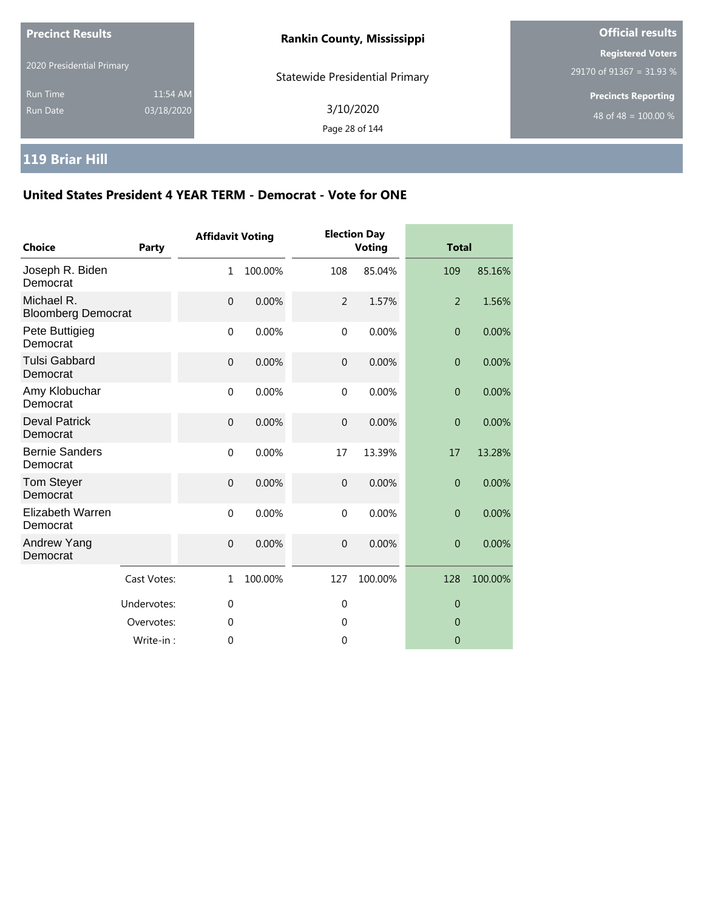| <b>Precinct Results</b>     |                        | <b>Rankin County, Mississippi</b>     | <b>Official results</b>                                        |  |
|-----------------------------|------------------------|---------------------------------------|----------------------------------------------------------------|--|
| 2020 Presidential Primary   |                        | <b>Statewide Presidential Primary</b> | <b>Registered Voters</b><br>29170 of 91367 = 31.93 %           |  |
| <b>Run Time</b><br>Run Date | 11:54 AM<br>03/18/2020 | 3/10/2020<br>Page 28 of 144           | <b>Precincts Reporting</b><br>48 of 48 = $\overline{100.00\%}$ |  |

# **119 Briar Hill**

| <b>Choice</b>                           | Party       | <b>Affidavit Voting</b> |         |                  | <b>Election Day</b><br><b>Voting</b> | <b>Total</b>   |         |
|-----------------------------------------|-------------|-------------------------|---------|------------------|--------------------------------------|----------------|---------|
| Joseph R. Biden<br>Democrat             |             | $\mathbf{1}$            | 100.00% | 108              | 85.04%                               | 109            | 85.16%  |
| Michael R.<br><b>Bloomberg Democrat</b> |             | $\mathbf 0$             | 0.00%   | $\overline{2}$   | 1.57%                                | $\overline{2}$ | 1.56%   |
| Pete Buttigieg<br>Democrat              |             | $\mathbf 0$             | 0.00%   | $\mathbf 0$      | 0.00%                                | $\theta$       | 0.00%   |
| <b>Tulsi Gabbard</b><br>Democrat        |             | $\mathbf 0$             | 0.00%   | $\boldsymbol{0}$ | 0.00%                                | $\theta$       | 0.00%   |
| Amy Klobuchar<br>Democrat               |             | $\mathbf{0}$            | 0.00%   | $\mathbf{0}$     | 0.00%                                | $\theta$       | 0.00%   |
| <b>Deval Patrick</b><br>Democrat        |             | $\boldsymbol{0}$        | 0.00%   | $\boldsymbol{0}$ | 0.00%                                | $\theta$       | 0.00%   |
| <b>Bernie Sanders</b><br>Democrat       |             | $\mathbf 0$             | 0.00%   | 17               | 13.39%                               | 17             | 13.28%  |
| Tom Steyer<br>Democrat                  |             | $\mathbf 0$             | 0.00%   | $\mathbf{0}$     | 0.00%                                | $\overline{0}$ | 0.00%   |
| Elizabeth Warren<br>Democrat            |             | $\Omega$                | 0.00%   | $\mathbf 0$      | 0.00%                                | $\overline{0}$ | 0.00%   |
| Andrew Yang<br>Democrat                 |             | $\mathbf 0$             | 0.00%   | $\mathbf 0$      | 0.00%                                | $\overline{0}$ | 0.00%   |
|                                         | Cast Votes: | $\mathbf{1}$            | 100.00% | 127              | 100.00%                              | 128            | 100.00% |
|                                         | Undervotes: | $\mathbf{0}$            |         | $\mathbf 0$      |                                      | $\theta$       |         |
|                                         | Overvotes:  | 0                       |         | 0                |                                      | $\mathbf 0$    |         |
|                                         | Write-in:   | 0                       |         | 0                |                                      | $\overline{0}$ |         |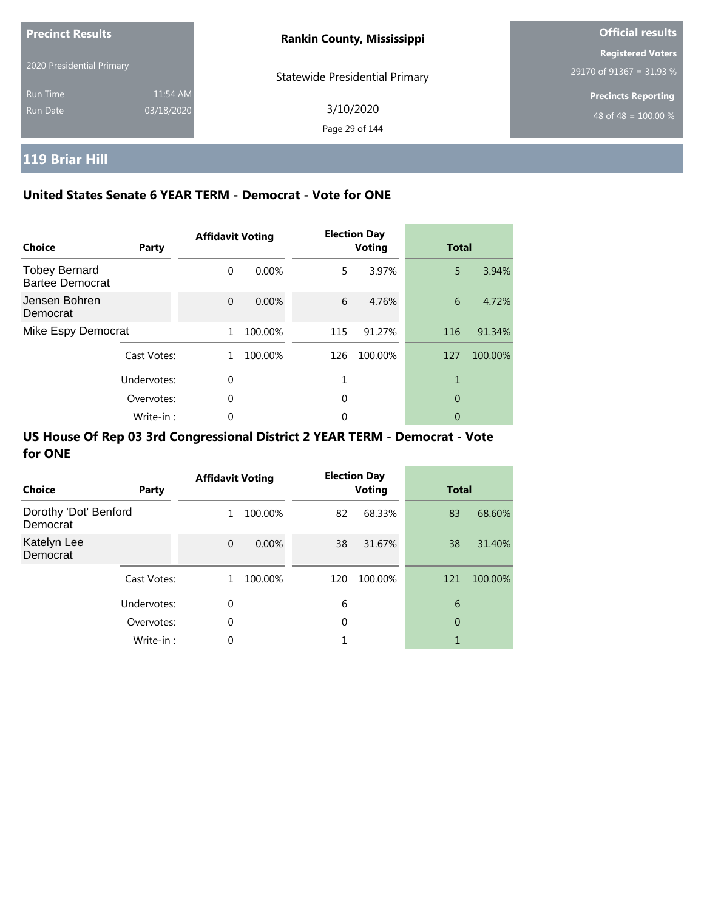| <b>Precinct Results</b>     |                        | <b>Rankin County, Mississippi</b>     | <b>Official results</b>                              |
|-----------------------------|------------------------|---------------------------------------|------------------------------------------------------|
| 2020 Presidential Primary   |                        | <b>Statewide Presidential Primary</b> | <b>Registered Voters</b><br>29170 of 91367 = 31.93 % |
| <b>Run Time</b><br>Run Date | 11:54 AM<br>03/18/2020 | 3/10/2020<br>Page 29 of 144           | <b>Precincts Reporting</b><br>48 of 48 = $100.00\%$  |

# **119 Briar Hill**

### **United States Senate 6 YEAR TERM - Democrat - Vote for ONE**

| <b>Choice</b>                                  | Party       | <b>Affidavit Voting</b> |          |     | <b>Election Day</b><br><b>Voting</b> | <b>Total</b> |         |
|------------------------------------------------|-------------|-------------------------|----------|-----|--------------------------------------|--------------|---------|
| <b>Tobey Bernard</b><br><b>Bartee Democrat</b> |             | $\Omega$                | $0.00\%$ | 5   | 3.97%                                | 5            | 3.94%   |
| Jensen Bohren<br>Democrat                      |             | $\Omega$                | $0.00\%$ | 6   | 4.76%                                | 6            | 4.72%   |
| Mike Espy Democrat                             |             | 1                       | 100.00%  | 115 | 91.27%                               | 116          | 91.34%  |
|                                                | Cast Votes: | 1.                      | 100.00%  | 126 | 100.00%                              | 127          | 100.00% |
|                                                | Undervotes: | $\Omega$                |          |     |                                      |              |         |
|                                                | Overvotes:  | $\Omega$                |          | 0   |                                      | 0            |         |
|                                                | Write-in:   | 0                       |          | 0   |                                      | 0            |         |

| Choice                            | Party       | <b>Affidavit Voting</b> |          |     | <b>Election Day</b><br><b>Voting</b> | <b>Total</b> |         |
|-----------------------------------|-------------|-------------------------|----------|-----|--------------------------------------|--------------|---------|
| Dorothy 'Dot' Benford<br>Democrat |             | 1                       | 100.00%  | 82  | 68.33%                               | 83           | 68.60%  |
| Katelyn Lee<br>Democrat           |             | $\Omega$                | $0.00\%$ | 38  | 31.67%                               | 38           | 31.40%  |
|                                   | Cast Votes: | 1                       | 100.00%  | 120 | 100.00%                              | 121          | 100.00% |
|                                   | Undervotes: | $\mathbf 0$             |          | 6   |                                      | 6            |         |
|                                   | Overvotes:  | $\mathbf 0$             |          | 0   |                                      | 0            |         |
|                                   | Write-in:   | 0                       |          |     |                                      | 1            |         |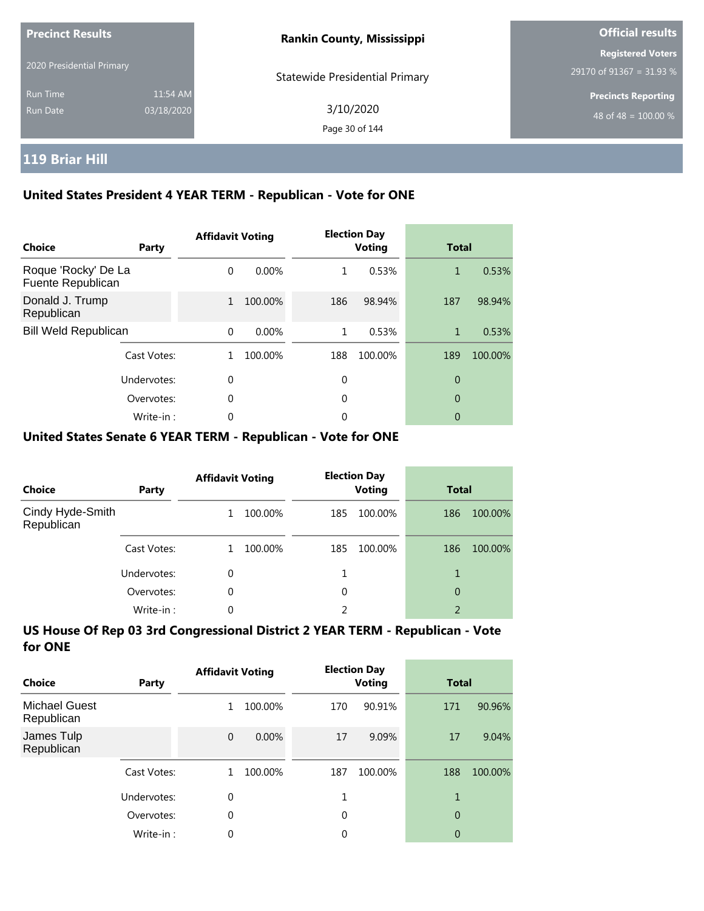| <b>Precinct Results</b>     |                        | <b>Rankin County, Mississippi</b> | <b>Official results</b>                                |
|-----------------------------|------------------------|-----------------------------------|--------------------------------------------------------|
| 2020 Presidential Primary   |                        | Statewide Presidential Primary    | <b>Registered Voters</b><br>29170 of 91367 = 31.93 $%$ |
| <b>Run Time</b><br>Run Date | 11:54 AM<br>03/18/2020 | 3/10/2020<br>Page 30 of 144       | <b>Precincts Reporting</b><br>48 of 48 = $100.00\%$    |

# **119 Briar Hill**

### **United States President 4 YEAR TERM - Republican - Vote for ONE**

| <b>Choice</b>                            | Party       | <b>Affidavit Voting</b> |          |     | <b>Election Day</b><br><b>Voting</b> | <b>Total</b> |         |
|------------------------------------------|-------------|-------------------------|----------|-----|--------------------------------------|--------------|---------|
| Roque 'Rocky' De La<br>Fuente Republican |             | $\Omega$                | $0.00\%$ | 1   | 0.53%                                | 1            | 0.53%   |
| Donald J. Trump<br>Republican            |             | $\mathbf{1}$            | 100.00%  | 186 | 98.94%                               | 187          | 98.94%  |
| <b>Bill Weld Republican</b>              |             | $\Omega$                | 0.00%    | 1   | 0.53%                                | 1            | 0.53%   |
|                                          | Cast Votes: |                         | 100.00%  | 188 | 100.00%                              | 189          | 100.00% |
|                                          | Undervotes: | $\Omega$                |          | 0   |                                      | 0            |         |
|                                          | Overvotes:  | $\Omega$                |          | 0   |                                      | 0            |         |
|                                          | Write-in:   | 0                       |          | 0   |                                      | 0            |         |

#### **United States Senate 6 YEAR TERM - Republican - Vote for ONE**

| <b>Choice</b>                  | Party       | <b>Affidavit Voting</b> |         | <b>Election Day</b><br><b>Voting</b> |         | <b>Total</b>   |         |
|--------------------------------|-------------|-------------------------|---------|--------------------------------------|---------|----------------|---------|
| Cindy Hyde-Smith<br>Republican |             |                         | 100.00% | 185                                  | 100.00% | 186            | 100.00% |
|                                | Cast Votes: |                         | 100.00% | 185                                  | 100.00% | 186            | 100.00% |
|                                | Undervotes: | 0                       |         |                                      |         |                |         |
|                                | Overvotes:  | $\Omega$                |         | 0                                    |         | 0              |         |
|                                | Write-in:   | 0                       |         | 2                                    |         | $\overline{2}$ |         |

| Choice                             | <b>Party</b> | <b>Affidavit Voting</b> |          |     | <b>Election Day</b><br><b>Voting</b> | <b>Total</b>   |         |
|------------------------------------|--------------|-------------------------|----------|-----|--------------------------------------|----------------|---------|
| <b>Michael Guest</b><br>Republican |              | 1                       | 100.00%  | 170 | 90.91%                               | 171            | 90.96%  |
| James Tulp<br>Republican           |              | $\overline{0}$          | $0.00\%$ | 17  | 9.09%                                | 17             | 9.04%   |
|                                    | Cast Votes:  |                         | 100.00%  | 187 | 100.00%                              | 188            | 100.00% |
|                                    | Undervotes:  | 0                       |          |     |                                      |                |         |
|                                    | Overvotes:   | 0                       |          | 0   |                                      | $\overline{0}$ |         |
|                                    | Write-in:    | 0                       |          | 0   |                                      | 0              |         |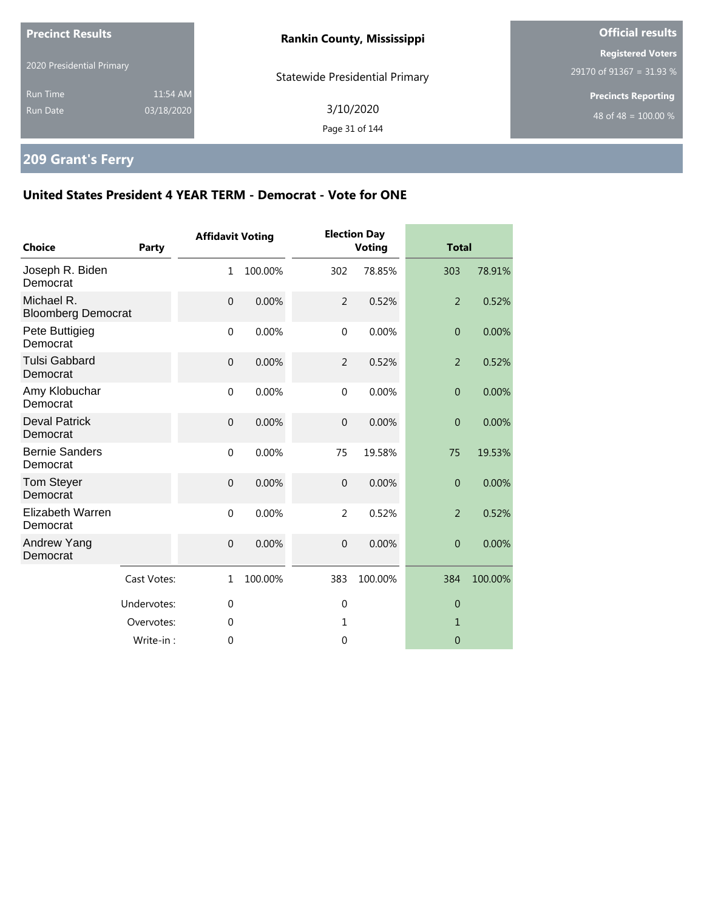| <b>Precinct Results</b>            |                        | <b>Rankin County, Mississippi</b>     | <b>Official results</b>                              |  |
|------------------------------------|------------------------|---------------------------------------|------------------------------------------------------|--|
| 2020 Presidential Primary          |                        | <b>Statewide Presidential Primary</b> | <b>Registered Voters</b><br>29170 of 91367 = 31.93 % |  |
| <b>Run Time</b><br><b>Run Date</b> | 11:54 AM<br>03/18/2020 | 3/10/2020<br>Page 31 of 144           | <b>Precincts Reporting</b><br>48 of 48 = $100.00\%$  |  |
|                                    |                        |                                       |                                                      |  |

# **209 Grant's Ferry**

| <b>Choice</b>                           | <b>Party</b> | <b>Affidavit Voting</b> |         |                | <b>Election Day</b><br><b>Voting</b> | <b>Total</b>   |         |
|-----------------------------------------|--------------|-------------------------|---------|----------------|--------------------------------------|----------------|---------|
| Joseph R. Biden<br>Democrat             |              | $\mathbf{1}$            | 100.00% | 302            | 78.85%                               | 303            | 78.91%  |
| Michael R.<br><b>Bloomberg Democrat</b> |              | $\mathbf{0}$            | 0.00%   | 2              | 0.52%                                | $\overline{2}$ | 0.52%   |
| Pete Buttigieg<br>Democrat              |              | $\mathbf 0$             | 0.00%   | $\mathbf 0$    | 0.00%                                | $\overline{0}$ | 0.00%   |
| <b>Tulsi Gabbard</b><br>Democrat        |              | $\mathbf{0}$            | 0.00%   | $\overline{2}$ | 0.52%                                | $\overline{2}$ | 0.52%   |
| Amy Klobuchar<br>Democrat               |              | $\mathbf{0}$            | 0.00%   | $\mathbf{0}$   | 0.00%                                | $\overline{0}$ | 0.00%   |
| <b>Deval Patrick</b><br>Democrat        |              | $\mathbf{0}$            | 0.00%   | $\mathbf 0$    | 0.00%                                | $\overline{0}$ | 0.00%   |
| <b>Bernie Sanders</b><br>Democrat       |              | $\mathbf 0$             | 0.00%   | 75             | 19.58%                               | 75             | 19.53%  |
| <b>Tom Steyer</b><br>Democrat           |              | $\overline{0}$          | 0.00%   | $\overline{0}$ | 0.00%                                | $\mathbf{0}$   | 0.00%   |
| Elizabeth Warren<br>Democrat            |              | $\mathbf 0$             | 0.00%   | $\overline{2}$ | 0.52%                                | $\overline{2}$ | 0.52%   |
| Andrew Yang<br>Democrat                 |              | $\boldsymbol{0}$        | 0.00%   | $\mathbf 0$    | 0.00%                                | $\mathbf{0}$   | 0.00%   |
|                                         | Cast Votes:  | $\mathbf{1}$            | 100.00% | 383            | 100.00%                              | 384            | 100.00% |
|                                         | Undervotes:  | $\mathbf 0$             |         | $\mathbf 0$    |                                      | $\theta$       |         |
|                                         | Overvotes:   | 0                       |         | 1              |                                      | 1              |         |
|                                         | Write-in:    | 0                       |         | $\mathbf{0}$   |                                      | $\overline{0}$ |         |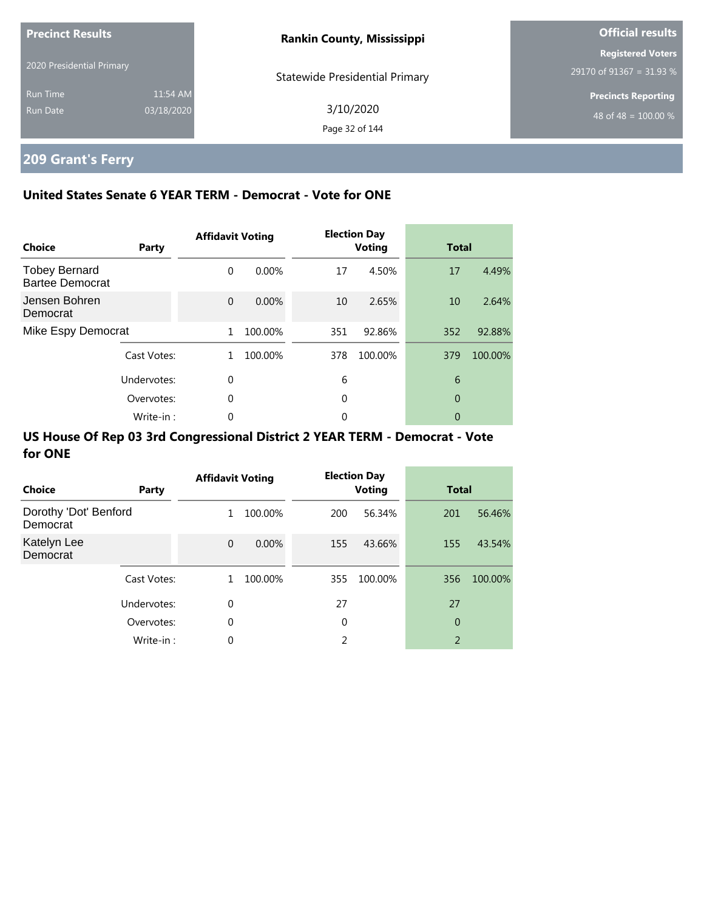| <b>Precinct Results</b>     |                        | <b>Rankin County, Mississippi</b>     | <b>Official results</b>                              |
|-----------------------------|------------------------|---------------------------------------|------------------------------------------------------|
| 2020 Presidential Primary   |                        | <b>Statewide Presidential Primary</b> | <b>Registered Voters</b><br>29170 of 91367 = 31.93 % |
| <b>Run Time</b><br>Run Date | 11:54 AM<br>03/18/2020 | 3/10/2020<br>Page 32 of 144           | <b>Precincts Reporting</b><br>48 of 48 = $100.00\%$  |

# **209 Grant's Ferry**

### **United States Senate 6 YEAR TERM - Democrat - Vote for ONE**

| Choice                                         | Party       | <b>Affidavit Voting</b> |          |     | <b>Election Day</b><br><b>Voting</b> | <b>Total</b> |         |
|------------------------------------------------|-------------|-------------------------|----------|-----|--------------------------------------|--------------|---------|
| <b>Tobey Bernard</b><br><b>Bartee Democrat</b> |             | $\Omega$                | $0.00\%$ | 17  | 4.50%                                | 17           | 4.49%   |
| Jensen Bohren<br>Democrat                      |             | $\Omega$                | 0.00%    | 10  | 2.65%                                | 10           | 2.64%   |
| Mike Espy Democrat                             |             | 1                       | 100.00%  | 351 | 92.86%                               | 352          | 92.88%  |
|                                                | Cast Votes: | 1.                      | 100.00%  | 378 | 100.00%                              | 379          | 100.00% |
|                                                | Undervotes: | $\Omega$                |          | 6   |                                      | 6            |         |
|                                                | Overvotes:  | $\Omega$                |          | 0   |                                      | $\theta$     |         |
|                                                | Write-in:   | 0                       |          | 0   |                                      | 0            |         |

| <b>Choice</b>                     | Party       | <b>Affidavit Voting</b> |          |     | <b>Election Day</b><br><b>Voting</b> | <b>Total</b> |         |
|-----------------------------------|-------------|-------------------------|----------|-----|--------------------------------------|--------------|---------|
| Dorothy 'Dot' Benford<br>Democrat |             | 1                       | 100.00%  | 200 | 56.34%                               | 201          | 56.46%  |
| Katelyn Lee<br>Democrat           |             | $\Omega$                | $0.00\%$ | 155 | 43.66%                               | 155          | 43.54%  |
|                                   | Cast Votes: | 1.                      | 100.00%  | 355 | 100.00%                              | 356          | 100.00% |
|                                   | Undervotes: | 0                       |          | 27  |                                      | 27           |         |
|                                   | Overvotes:  | 0                       |          | 0   |                                      | 0            |         |
|                                   | Write-in:   | 0                       |          | 2   |                                      | 2            |         |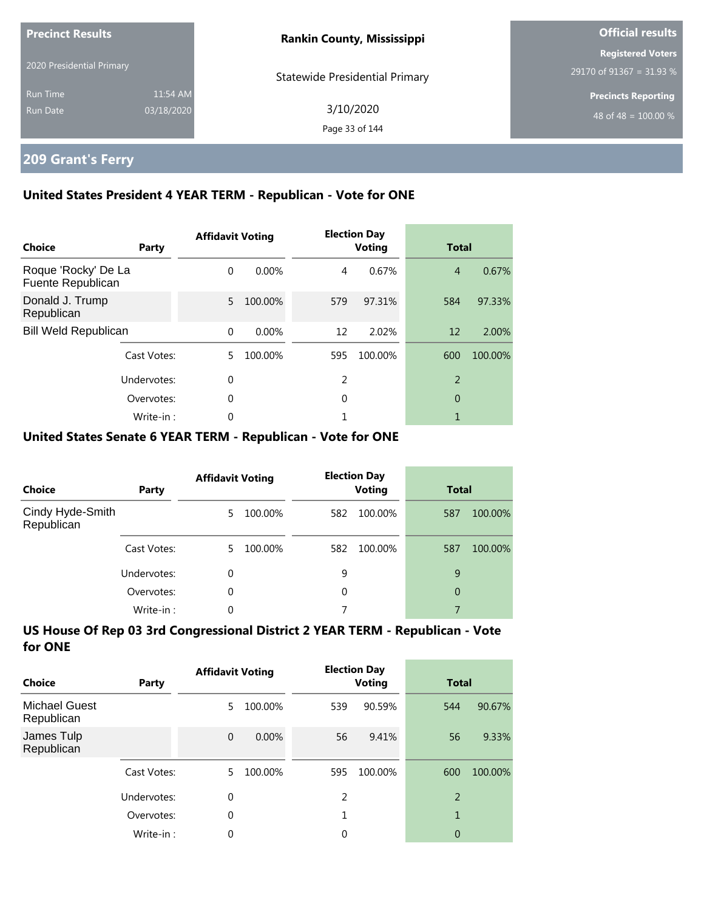| <b>Precinct Results</b><br>2020 Presidential Primary |            | <b>Rankin County, Mississippi</b>     | <b>Official results</b>    |
|------------------------------------------------------|------------|---------------------------------------|----------------------------|
|                                                      |            |                                       | <b>Registered Voters</b>   |
|                                                      |            | <b>Statewide Presidential Primary</b> | 29170 of 91367 = 31.93 %   |
| <b>Run Time</b>                                      | 11:54 AM   |                                       | <b>Precincts Reporting</b> |
| Run Date                                             | 03/18/2020 | 3/10/2020                             | 48 of 48 = $100.00\%$      |
|                                                      |            | Page 33 of 144                        |                            |

## **209 Grant's Ferry**

### **United States President 4 YEAR TERM - Republican - Vote for ONE**

| Choice                                   | Party       | <b>Affidavit Voting</b> |          |     | <b>Election Day</b><br><b>Voting</b> | <b>Total</b>   |         |
|------------------------------------------|-------------|-------------------------|----------|-----|--------------------------------------|----------------|---------|
| Roque 'Rocky' De La<br>Fuente Republican |             | $\Omega$                | $0.00\%$ | 4   | 0.67%                                | $\overline{4}$ | 0.67%   |
| Donald J. Trump<br>Republican            |             | 5                       | 100.00%  | 579 | 97.31%                               | 584            | 97.33%  |
| <b>Bill Weld Republican</b>              |             | $\Omega$                | 0.00%    | 12  | 2.02%                                | 12             | 2.00%   |
|                                          | Cast Votes: | 5.                      | 100.00%  | 595 | 100.00%                              | 600            | 100.00% |
|                                          | Undervotes: | 0                       |          | 2   |                                      | $\overline{2}$ |         |
|                                          | Overvotes:  | $\Omega$                |          | 0   |                                      | 0              |         |
|                                          | Write-in:   | 0                       |          |     |                                      |                |         |

### **United States Senate 6 YEAR TERM - Republican - Vote for ONE**

| <b>Choice</b>                  | Party       | <b>Affidavit Voting</b> |         | <b>Election Day</b><br><b>Voting</b> |         | <b>Total</b>   |         |
|--------------------------------|-------------|-------------------------|---------|--------------------------------------|---------|----------------|---------|
| Cindy Hyde-Smith<br>Republican |             | 5.                      | 100.00% | 582                                  | 100.00% | 587            | 100.00% |
|                                | Cast Votes: | 5.                      | 100.00% | 582                                  | 100.00% | 587            | 100.00% |
|                                | Undervotes: | $\Omega$                |         | 9                                    |         | 9              |         |
|                                | Overvotes:  | $\Omega$                |         | 0                                    |         | $\overline{0}$ |         |
|                                | Write-in:   | 0                       |         |                                      |         |                |         |

| Choice                             | Party       | <b>Affidavit Voting</b> |         | <b>Election Day</b><br><b>Voting</b> |         | <b>Total</b>   |         |
|------------------------------------|-------------|-------------------------|---------|--------------------------------------|---------|----------------|---------|
| <b>Michael Guest</b><br>Republican |             | 5                       | 100.00% | 539                                  | 90.59%  | 544            | 90.67%  |
| James Tulp<br>Republican           |             | $\Omega$                | 0.00%   | 56                                   | 9.41%   | 56             | 9.33%   |
|                                    | Cast Votes: | 5                       | 100.00% | 595                                  | 100.00% | 600            | 100.00% |
|                                    | Undervotes: | 0                       |         | 2                                    |         | $\overline{2}$ |         |
|                                    | Overvotes:  | $\theta$                |         | 1                                    |         | $\overline{1}$ |         |
|                                    | Write-in:   | 0                       |         | 0                                    |         | 0              |         |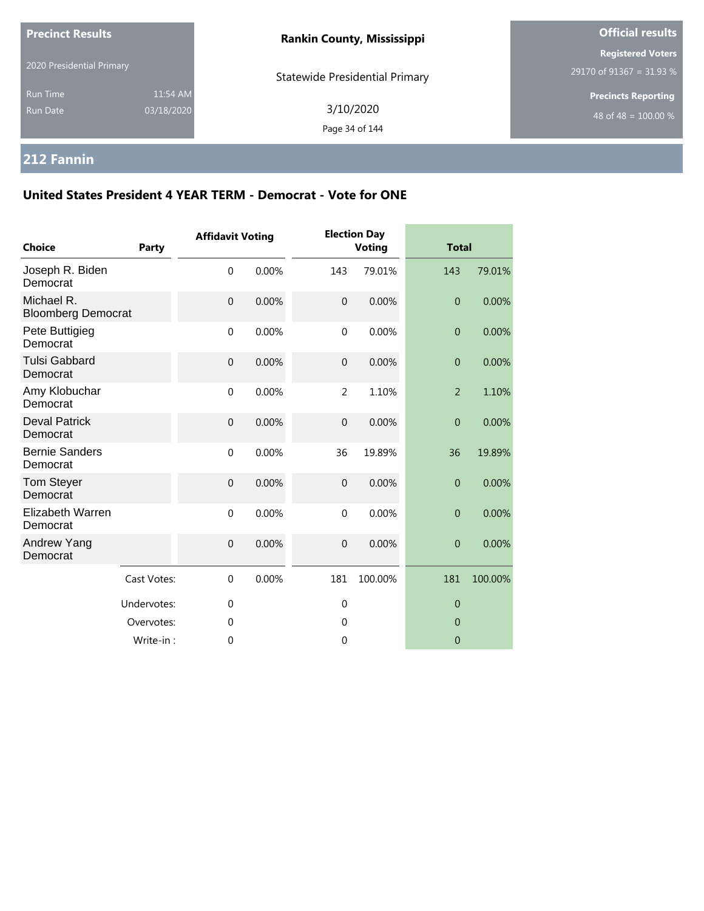| <b>Precinct Results</b><br>2020 Presidential Primary |                        | <b>Rankin County, Mississippi</b>     | <b>Official results</b>                              |  |  |
|------------------------------------------------------|------------------------|---------------------------------------|------------------------------------------------------|--|--|
|                                                      |                        | <b>Statewide Presidential Primary</b> | <b>Registered Voters</b><br>29170 of 91367 = 31.93 % |  |  |
| <b>Run Time</b><br><b>Run Date</b>                   | 11:54 AM<br>03/18/2020 | 3/10/2020<br>Page 34 of 144           | <b>Precincts Reporting</b><br>48 of 48 = $100.00\%$  |  |  |

# **212 Fannin**

| <b>Choice</b>                           | <b>Party</b> | <b>Affidavit Voting</b> |       |                | <b>Election Day</b><br><b>Voting</b> |                | <b>Total</b> |  |
|-----------------------------------------|--------------|-------------------------|-------|----------------|--------------------------------------|----------------|--------------|--|
| Joseph R. Biden<br>Democrat             |              | $\mathbf 0$             | 0.00% | 143            | 79.01%                               | 143            | 79.01%       |  |
| Michael R.<br><b>Bloomberg Democrat</b> |              | $\mathbf 0$             | 0.00% | $\mathbf{0}$   | 0.00%                                | $\overline{0}$ | 0.00%        |  |
| Pete Buttigieg<br>Democrat              |              | $\mathbf 0$             | 0.00% | $\mathbf 0$    | 0.00%                                | $\overline{0}$ | 0.00%        |  |
| <b>Tulsi Gabbard</b><br>Democrat        |              | $\mathbf 0$             | 0.00% | $\overline{0}$ | 0.00%                                | $\overline{0}$ | 0.00%        |  |
| Amy Klobuchar<br>Democrat               |              | $\mathbf{0}$            | 0.00% | 2              | 1.10%                                | $\overline{2}$ | 1.10%        |  |
| <b>Deval Patrick</b><br>Democrat        |              | $\mathbf 0$             | 0.00% | $\mathbf 0$    | 0.00%                                | $\overline{0}$ | 0.00%        |  |
| <b>Bernie Sanders</b><br>Democrat       |              | $\mathbf 0$             | 0.00% | 36             | 19.89%                               | 36             | 19.89%       |  |
| <b>Tom Steyer</b><br>Democrat           |              | $\pmb{0}$               | 0.00% | $\overline{0}$ | 0.00%                                | $\overline{0}$ | 0.00%        |  |
| <b>Elizabeth Warren</b><br>Democrat     |              | $\mathbf 0$             | 0.00% | $\mathbf 0$    | 0.00%                                | $\theta$       | 0.00%        |  |
| Andrew Yang<br>Democrat                 |              | $\mathbf 0$             | 0.00% | $\overline{0}$ | 0.00%                                | $\overline{0}$ | 0.00%        |  |
|                                         | Cast Votes:  | $\mathbf 0$             | 0.00% | 181            | 100.00%                              | 181            | 100.00%      |  |
|                                         | Undervotes:  | 0                       |       | $\mathbf 0$    |                                      | $\theta$       |              |  |
|                                         | Overvotes:   | $\mathbf 0$             |       | $\mathbf 0$    |                                      | $\mathbf{0}$   |              |  |
|                                         | Write-in:    | 0                       |       | $\overline{0}$ |                                      | $\overline{0}$ |              |  |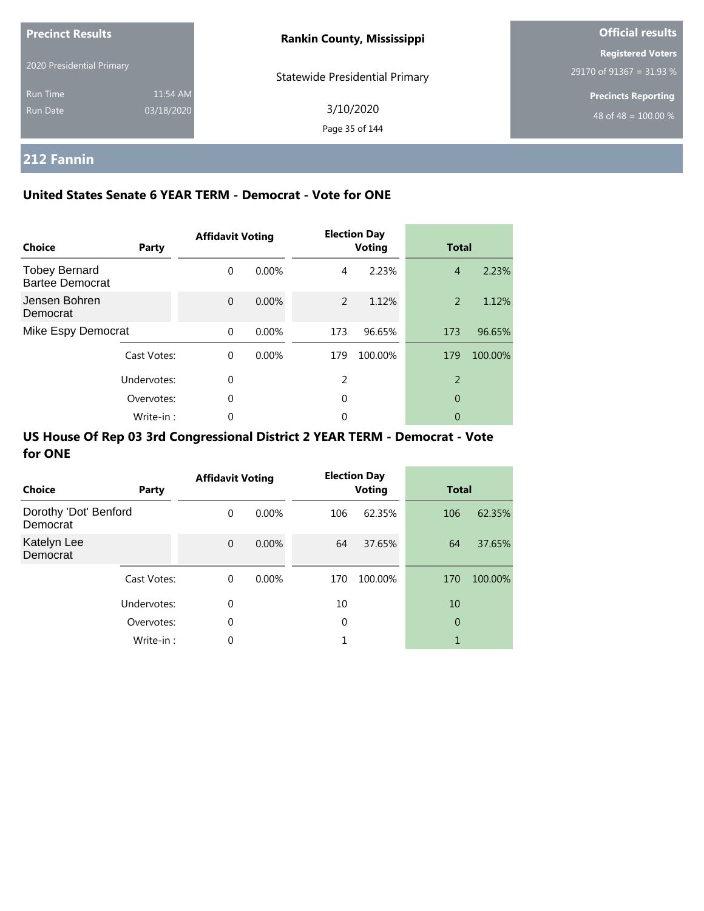| <b>Precinct Results</b>   |            | <b>Rankin County, Mississippi</b>     | <b>Official results</b>                              |  |  |
|---------------------------|------------|---------------------------------------|------------------------------------------------------|--|--|
| 2020 Presidential Primary |            |                                       | <b>Registered Voters</b><br>29170 of 91367 = 31.93 % |  |  |
| <b>Run Time</b>           | 11:54 AM   | <b>Statewide Presidential Primary</b> | <b>Precincts Reporting</b>                           |  |  |
| Run Date                  | 03/18/2020 | 3/10/2020                             | 48 of 48 = $100.00\%$                                |  |  |
|                           |            | Page 35 of 144                        |                                                      |  |  |

## **212 Fannin**

### **United States Senate 6 YEAR TERM - Democrat - Vote for ONE**

| Choice                                         | Party       | <b>Affidavit Voting</b> |          |               | <b>Election Day</b><br><b>Voting</b> | <b>Total</b>   |         |
|------------------------------------------------|-------------|-------------------------|----------|---------------|--------------------------------------|----------------|---------|
| <b>Tobey Bernard</b><br><b>Bartee Democrat</b> |             | $\Omega$                | $0.00\%$ | 4             | 2.23%                                | $\overline{4}$ | 2.23%   |
| Jensen Bohren<br>Democrat                      |             | $\Omega$                | $0.00\%$ | $\mathcal{P}$ | 1.12%                                | 2              | 1.12%   |
| Mike Espy Democrat                             |             | $\Omega$                | 0.00%    | 173           | 96.65%                               | 173            | 96.65%  |
|                                                | Cast Votes: | $\Omega$                | $0.00\%$ | 179           | 100.00%                              | 179            | 100.00% |
|                                                | Undervotes: | $\Omega$                |          | 2             |                                      | $\overline{2}$ |         |
|                                                | Overvotes:  | $\Omega$                |          | 0             |                                      | 0              |         |
|                                                | Write-in:   | 0                       |          | 0             |                                      | 0              |         |

| Choice                            | Party       | <b>Affidavit Voting</b> |          |     | <b>Election Day</b><br><b>Voting</b> |                | <b>Total</b> |  |
|-----------------------------------|-------------|-------------------------|----------|-----|--------------------------------------|----------------|--------------|--|
| Dorothy 'Dot' Benford<br>Democrat |             | $\Omega$                | $0.00\%$ | 106 | 62.35%                               | 106            | 62.35%       |  |
| Katelyn Lee<br>Democrat           |             | $\mathbf{0}$            | 0.00%    | 64  | 37.65%                               | 64             | 37.65%       |  |
|                                   | Cast Votes: | $\Omega$                | $0.00\%$ | 170 | 100.00%                              | 170            | 100.00%      |  |
|                                   | Undervotes: | 0                       |          | 10  |                                      | 10             |              |  |
|                                   | Overvotes:  | 0                       |          | 0   |                                      | $\overline{0}$ |              |  |
|                                   | Write-in:   | 0                       |          |     |                                      | 1              |              |  |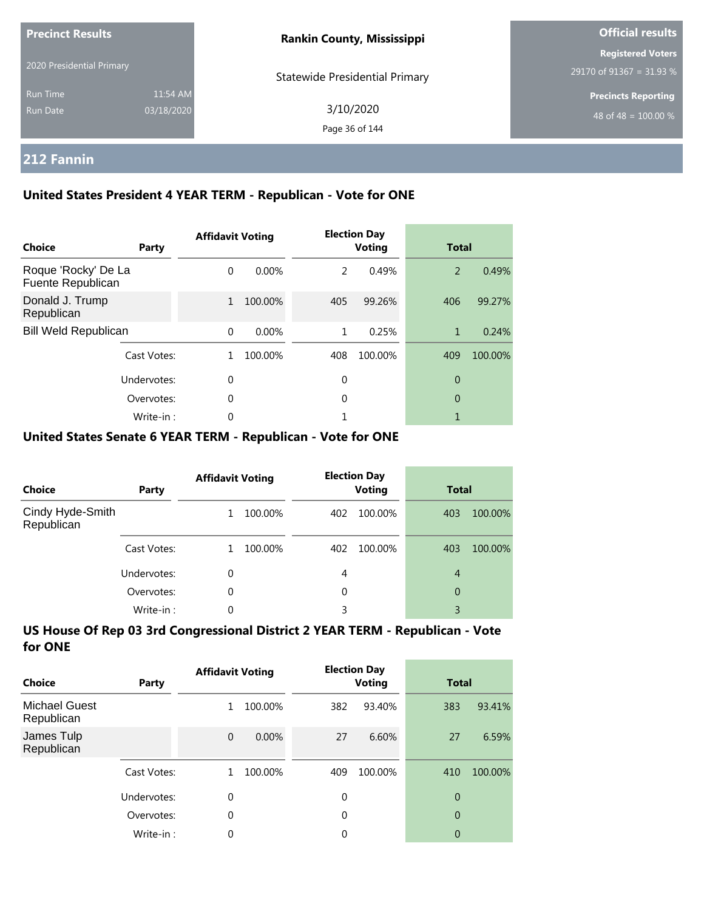| <b>Precinct Results</b><br>2020 Presidential Primary |                        | <b>Rankin County, Mississippi</b>     | <b>Official results</b>                              |  |  |
|------------------------------------------------------|------------------------|---------------------------------------|------------------------------------------------------|--|--|
|                                                      |                        | <b>Statewide Presidential Primary</b> | <b>Registered Voters</b><br>29170 of 91367 = 31.93 % |  |  |
| <b>Run Time</b><br>Run Date                          | 11:54 AM<br>03/18/2020 | 3/10/2020<br>Page 36 of 144           | <b>Precincts Reporting</b><br>48 of 48 = $100.00\%$  |  |  |

### **212 Fannin**

### **United States President 4 YEAR TERM - Republican - Vote for ONE**

| <b>Choice</b>                            | Party       | <b>Affidavit Voting</b> |          |     | <b>Election Day</b><br><b>Voting</b> | <b>Total</b> |         |
|------------------------------------------|-------------|-------------------------|----------|-----|--------------------------------------|--------------|---------|
| Roque 'Rocky' De La<br>Fuente Republican |             | $\Omega$                | $0.00\%$ | 2   | 0.49%                                | 2            | 0.49%   |
| Donald J. Trump<br>Republican            |             | $\mathbf{1}$            | 100.00%  | 405 | 99.26%                               | 406          | 99.27%  |
| <b>Bill Weld Republican</b>              |             | $\Omega$                | 0.00%    | 1   | 0.25%                                | 1            | 0.24%   |
|                                          | Cast Votes: |                         | 100.00%  | 408 | 100.00%                              | 409          | 100.00% |
|                                          | Undervotes: | $\Omega$                |          | 0   |                                      | 0            |         |
|                                          | Overvotes:  | $\Omega$                |          | 0   |                                      | 0            |         |
|                                          | Write-in:   | 0                       |          |     |                                      |              |         |

#### **United States Senate 6 YEAR TERM - Republican - Vote for ONE**

| <b>Choice</b>                  | Party       | <b>Affidavit Voting</b> |         | <b>Election Day</b><br><b>Voting</b> |         | <b>Total</b>   |         |
|--------------------------------|-------------|-------------------------|---------|--------------------------------------|---------|----------------|---------|
| Cindy Hyde-Smith<br>Republican |             |                         | 100.00% | 402                                  | 100.00% | 403            | 100.00% |
|                                | Cast Votes: |                         | 100.00% | 402                                  | 100.00% | 403            | 100.00% |
|                                | Undervotes: | 0                       |         | 4                                    |         | $\overline{4}$ |         |
|                                | Overvotes:  | 0                       |         | 0                                    |         | 0              |         |
|                                | Write-in:   | 0                       |         | 3                                    |         | 3              |         |

| Choice                             | Party       | <b>Affidavit Voting</b> |         | <b>Election Day</b><br><b>Voting</b> |         | <b>Total</b>   |         |
|------------------------------------|-------------|-------------------------|---------|--------------------------------------|---------|----------------|---------|
| <b>Michael Guest</b><br>Republican |             | 1                       | 100.00% | 382                                  | 93.40%  | 383            | 93.41%  |
| James Tulp<br>Republican           |             | $\mathbf{0}$            | 0.00%   | 27                                   | 6.60%   | 27             | 6.59%   |
|                                    | Cast Votes: |                         | 100.00% | 409                                  | 100.00% | 410            | 100.00% |
|                                    | Undervotes: | 0                       |         | $\mathbf 0$                          |         | 0              |         |
|                                    | Overvotes:  | $\theta$                |         | 0                                    |         | $\overline{0}$ |         |
|                                    | Write-in:   | 0                       |         | 0                                    |         | 0              |         |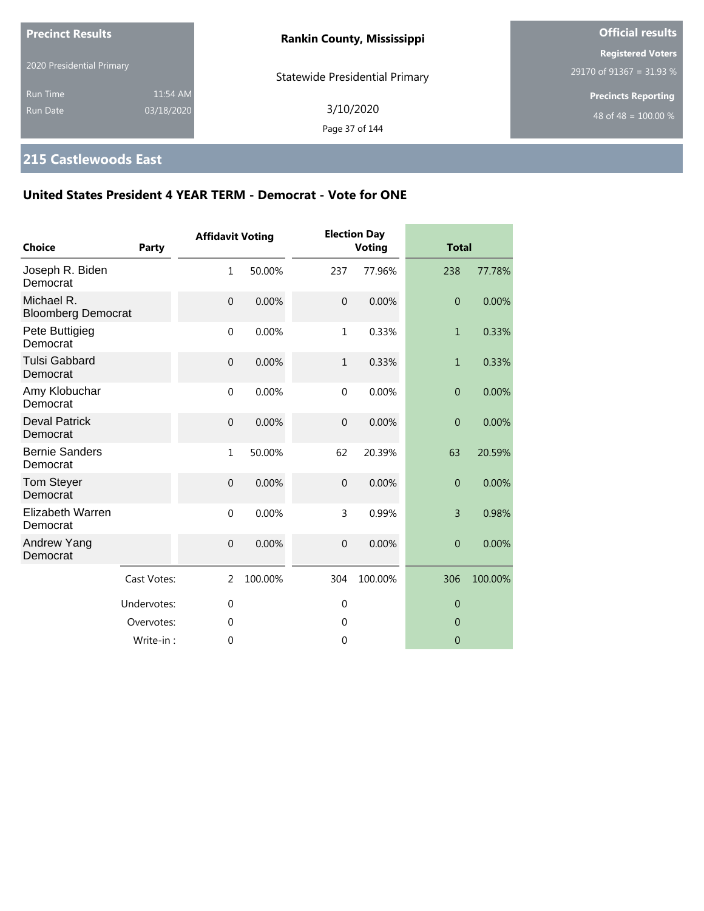| <b>Precinct Results</b>            |                        | <b>Rankin County, Mississippi</b>     | <b>Official results</b>                              |  |
|------------------------------------|------------------------|---------------------------------------|------------------------------------------------------|--|
| 2020 Presidential Primary          |                        | <b>Statewide Presidential Primary</b> | <b>Registered Voters</b><br>29170 of 91367 = 31.93 % |  |
| <b>Run Time</b><br><b>Run Date</b> | 11:54 AM<br>03/18/2020 | 3/10/2020<br>Page 37 of 144           | <b>Precincts Reporting</b><br>48 of 48 = $100.00\%$  |  |

# **215 Castlewoods East**

| <b>Choice</b>                           | Party       | <b>Affidavit Voting</b> |         |                | <b>Election Day</b><br><b>Voting</b> | <b>Total</b>   |         |
|-----------------------------------------|-------------|-------------------------|---------|----------------|--------------------------------------|----------------|---------|
| Joseph R. Biden<br>Democrat             |             | $1\,$                   | 50.00%  | 237            | 77.96%                               | 238            | 77.78%  |
| Michael R.<br><b>Bloomberg Democrat</b> |             | $\overline{0}$          | 0.00%   | $\overline{0}$ | 0.00%                                | $\overline{0}$ | 0.00%   |
| Pete Buttigieg<br>Democrat              |             | $\mathbf 0$             | 0.00%   | $\mathbf{1}$   | 0.33%                                | $\mathbf{1}$   | 0.33%   |
| <b>Tulsi Gabbard</b><br>Democrat        |             | $\mathbf 0$             | 0.00%   | $\mathbf{1}$   | 0.33%                                | $\mathbf{1}$   | 0.33%   |
| Amy Klobuchar<br>Democrat               |             | $\mathbf 0$             | 0.00%   | $\mathbf{0}$   | 0.00%                                | $\overline{0}$ | 0.00%   |
| <b>Deval Patrick</b><br>Democrat        |             | $\boldsymbol{0}$        | 0.00%   | $\mathbf{0}$   | 0.00%                                | $\overline{0}$ | 0.00%   |
| <b>Bernie Sanders</b><br>Democrat       |             | $\mathbf{1}$            | 50.00%  | 62             | 20.39%                               | 63             | 20.59%  |
| <b>Tom Steyer</b><br>Democrat           |             | $\mathbf 0$             | 0.00%   | $\overline{0}$ | 0.00%                                | $\overline{0}$ | 0.00%   |
| <b>Elizabeth Warren</b><br>Democrat     |             | $\mathbf 0$             | 0.00%   | 3              | 0.99%                                | $\overline{3}$ | 0.98%   |
| Andrew Yang<br>Democrat                 |             | $\mathbf 0$             | 0.00%   | $\mathbf{0}$   | 0.00%                                | $\overline{0}$ | 0.00%   |
|                                         | Cast Votes: | 2                       | 100.00% | 304            | 100.00%                              | 306            | 100.00% |
|                                         | Undervotes: | $\mathbf{0}$            |         | $\overline{0}$ |                                      | $\overline{0}$ |         |
|                                         | Overvotes:  | $\Omega$                |         | $\theta$       |                                      | $\overline{0}$ |         |
|                                         | Write-in:   | $\mathbf{0}$            |         | 0              |                                      | $\mathbf 0$    |         |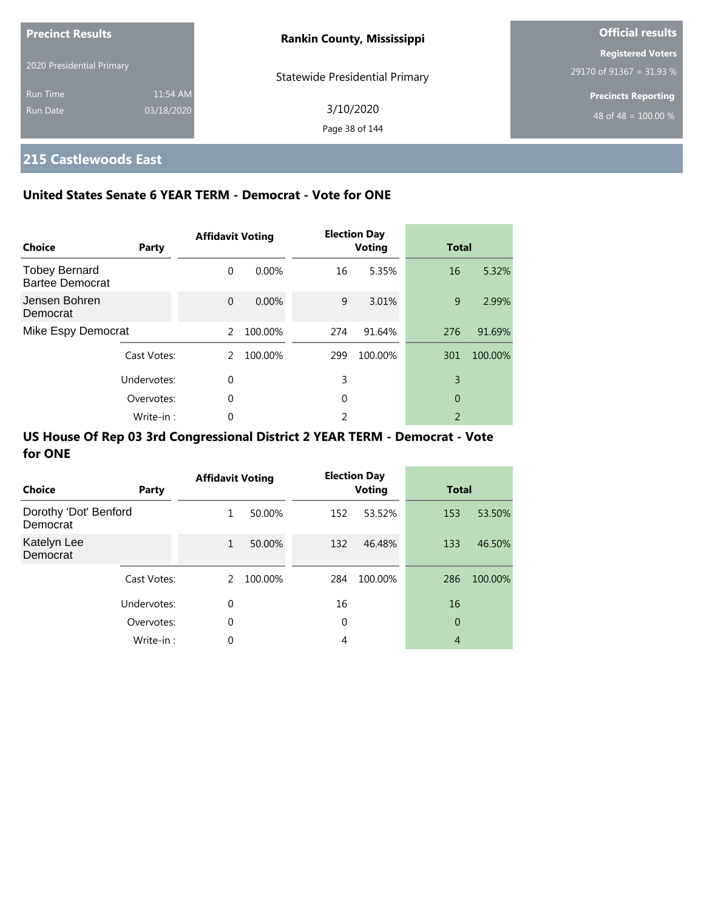| <b>Precinct Results</b>   |            | <b>Rankin County, Mississippi</b>     | <b>Official results</b>    |
|---------------------------|------------|---------------------------------------|----------------------------|
| 2020 Presidential Primary |            |                                       | <b>Registered Voters</b>   |
|                           |            | <b>Statewide Presidential Primary</b> | $29170$ of 91367 = 31.93 % |
| <b>Run Time</b>           | 11:54 AM   |                                       | <b>Precincts Reporting</b> |
| Run Date                  | 03/18/2020 | 3/10/2020                             | 48 of 48 = $100.00\%$      |
|                           |            | Page 38 of 144                        |                            |

# **215 Castlewoods East**

## **United States Senate 6 YEAR TERM - Democrat - Vote for ONE**

| Choice                                         | Party       | <b>Affidavit Voting</b> |         |     | <b>Election Day</b><br><b>Voting</b> | <b>Total</b>   |         |
|------------------------------------------------|-------------|-------------------------|---------|-----|--------------------------------------|----------------|---------|
| <b>Tobey Bernard</b><br><b>Bartee Democrat</b> |             | $\Omega$                | 0.00%   | 16  | 5.35%                                | 16             | 5.32%   |
| Jensen Bohren<br>Democrat                      |             | $\Omega$                | 0.00%   | 9   | 3.01%                                | 9              | 2.99%   |
| Mike Espy Democrat                             |             | $\mathcal{P}$           | 100.00% | 274 | 91.64%                               | 276            | 91.69%  |
|                                                | Cast Votes: | $\mathcal{P}$           | 100.00% | 299 | 100.00%                              | 301            | 100.00% |
|                                                | Undervotes: | $\Omega$                |         | 3   |                                      | 3              |         |
|                                                | Overvotes:  | 0                       |         | 0   |                                      | 0              |         |
|                                                | Write-in:   | 0                       |         | っ   |                                      | $\overline{2}$ |         |

| Choice                            | Party       | <b>Affidavit Voting</b> |         |     | <b>Election Day</b><br><b>Voting</b> | <b>Total</b>   |         |
|-----------------------------------|-------------|-------------------------|---------|-----|--------------------------------------|----------------|---------|
| Dorothy 'Dot' Benford<br>Democrat |             | 1                       | 50.00%  | 152 | 53.52%                               | 153            | 53.50%  |
| Katelyn Lee<br>Democrat           |             | $\mathbf{1}$            | 50.00%  | 132 | 46.48%                               | 133            | 46.50%  |
|                                   | Cast Votes: | 2                       | 100.00% | 284 | 100.00%                              | 286            | 100.00% |
|                                   | Undervotes: | 0                       |         | 16  |                                      | 16             |         |
|                                   | Overvotes:  | 0                       |         | 0   |                                      | 0              |         |
|                                   | Write-in:   | 0                       |         | 4   |                                      | $\overline{4}$ |         |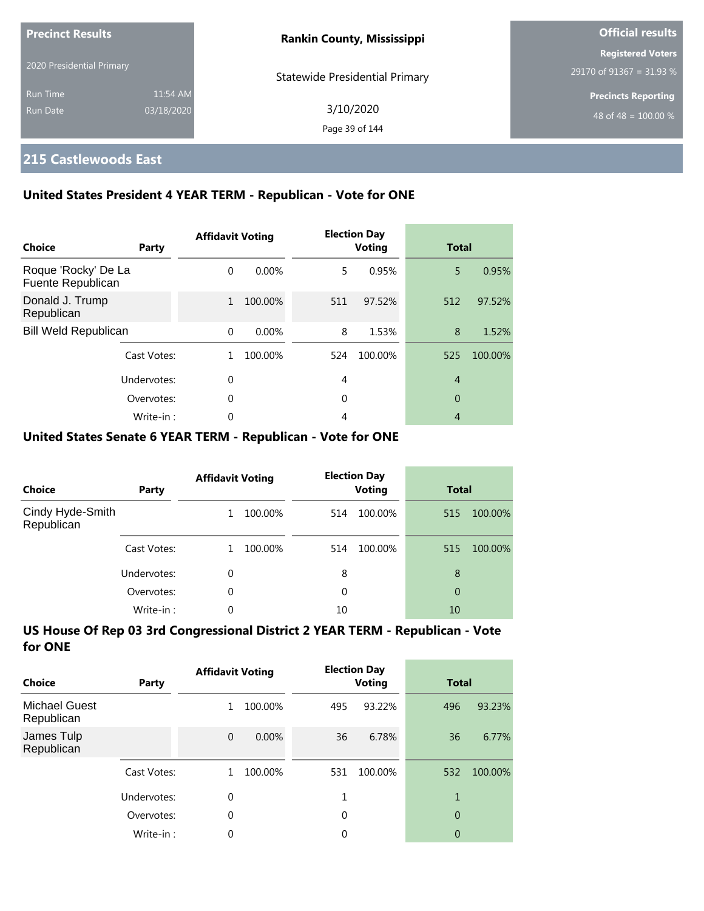| <b>Precinct Results</b>   |            | <b>Rankin County, Mississippi</b>     | <b>Official results</b>                              |
|---------------------------|------------|---------------------------------------|------------------------------------------------------|
| 2020 Presidential Primary |            |                                       | <b>Registered Voters</b><br>29170 of 91367 = 31.93 % |
| <b>Run Time</b>           | 11:54 AM   | <b>Statewide Presidential Primary</b> | <b>Precincts Reporting</b>                           |
| Run Date                  | 03/18/2020 | 3/10/2020<br>Page 39 of 144           | 48 of 48 = $100.00\%$                                |

## **215 Castlewoods East**

### **United States President 4 YEAR TERM - Republican - Vote for ONE**

| Choice                                   | Party       | <b>Affidavit Voting</b> |          |     | <b>Election Day</b><br><b>Voting</b> | <b>Total</b>   |         |
|------------------------------------------|-------------|-------------------------|----------|-----|--------------------------------------|----------------|---------|
| Roque 'Rocky' De La<br>Fuente Republican |             | $\Omega$                | $0.00\%$ | 5.  | 0.95%                                | 5              | 0.95%   |
| Donald J. Trump<br>Republican            |             | 1                       | 100.00%  | 511 | 97.52%                               | 512            | 97.52%  |
| <b>Bill Weld Republican</b>              |             | $\Omega$                | $0.00\%$ | 8   | 1.53%                                | 8              | 1.52%   |
|                                          | Cast Votes: | 1.                      | 100.00%  | 524 | 100.00%                              | 525            | 100.00% |
|                                          | Undervotes: | $\Omega$                |          | 4   |                                      | $\overline{4}$ |         |
|                                          | Overvotes:  | $\mathbf 0$             |          | 0   |                                      | 0              |         |
|                                          | Write-in:   | 0                       |          | 4   |                                      | $\overline{4}$ |         |

### **United States Senate 6 YEAR TERM - Republican - Vote for ONE**

| <b>Choice</b>                  | Party       | <b>Affidavit Voting</b> |         |     | <b>Election Day</b><br><b>Voting</b> | <b>Total</b> |         |
|--------------------------------|-------------|-------------------------|---------|-----|--------------------------------------|--------------|---------|
| Cindy Hyde-Smith<br>Republican |             |                         | 100.00% | 514 | 100.00%                              | 515          | 100.00% |
|                                | Cast Votes: |                         | 100.00% | 514 | 100.00%                              | 515          | 100.00% |
|                                | Undervotes: | 0                       |         | 8   |                                      | 8            |         |
|                                | Overvotes:  | $\Omega$                |         | 0   |                                      | 0            |         |
|                                | Write-in:   | 0                       |         | 10  |                                      | 10           |         |

| Choice                             | Party       | <b>Affidavit Voting</b> |         |             | <b>Election Day</b><br>Voting | <b>Total</b>   |         |
|------------------------------------|-------------|-------------------------|---------|-------------|-------------------------------|----------------|---------|
| <b>Michael Guest</b><br>Republican |             | 1                       | 100.00% | 495         | 93.22%                        | 496            | 93.23%  |
| James Tulp<br>Republican           |             | $\mathbf{0}$            | 0.00%   | 36          | 6.78%                         | 36             | 6.77%   |
|                                    | Cast Votes: | 1                       | 100.00% | 531         | 100.00%                       | 532            | 100.00% |
|                                    | Undervotes: | 0                       |         | 1           |                               | 1              |         |
|                                    | Overvotes:  | $\theta$                |         | $\mathbf 0$ |                               | $\overline{0}$ |         |
|                                    | Write-in:   | 0                       |         | 0           |                               | 0              |         |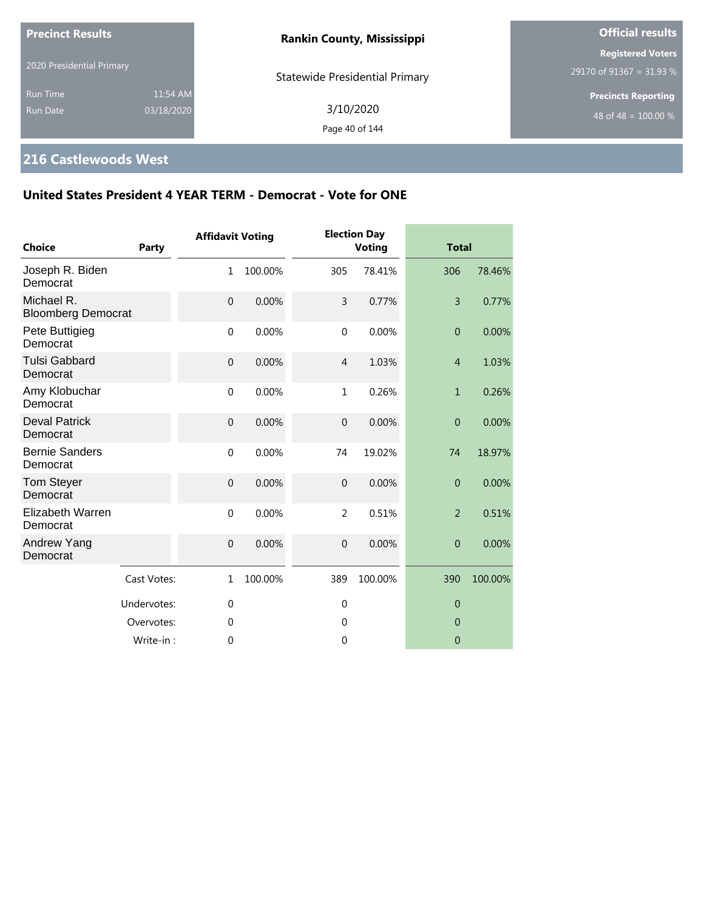| <b>Precinct Results</b>            |                        | <b>Rankin County, Mississippi</b>     | <b>Official results</b>                                        |  |
|------------------------------------|------------------------|---------------------------------------|----------------------------------------------------------------|--|
| 2020 Presidential Primary          |                        | <b>Statewide Presidential Primary</b> | <b>Registered Voters</b><br>29170 of 91367 = 31.93 %           |  |
| <b>Run Time</b><br><b>Run Date</b> | 11:54 AM<br>03/18/2020 | 3/10/2020<br>Page 40 of 144           | <b>Precincts Reporting</b><br>48 of 48 = $\overline{100.00\%}$ |  |

# **216 Castlewoods West**

| <b>Choice</b>                           | Party       | <b>Affidavit Voting</b> |         |                | <b>Election Day</b><br><b>Voting</b> | <b>Total</b>     |         |
|-----------------------------------------|-------------|-------------------------|---------|----------------|--------------------------------------|------------------|---------|
| Joseph R. Biden<br>Democrat             |             | 1                       | 100.00% | 305            | 78.41%                               | 306              | 78.46%  |
| Michael R.<br><b>Bloomberg Democrat</b> |             | $\mathbf 0$             | 0.00%   | 3              | 0.77%                                | $\overline{3}$   | 0.77%   |
| Pete Buttigieg<br>Democrat              |             | $\mathbf 0$             | 0.00%   | $\mathbf 0$    | 0.00%                                | $\mathbf{0}$     | 0.00%   |
| <b>Tulsi Gabbard</b><br>Democrat        |             | $\mathbf 0$             | 0.00%   | $\overline{4}$ | 1.03%                                | $\overline{4}$   | 1.03%   |
| Amy Klobuchar<br>Democrat               |             | $\mathbf{0}$            | 0.00%   | 1              | 0.26%                                | $\mathbf{1}$     | 0.26%   |
| <b>Deval Patrick</b><br>Democrat        |             | $\mathbf 0$             | 0.00%   | $\mathbf 0$    | 0.00%                                | $\overline{0}$   | 0.00%   |
| <b>Bernie Sanders</b><br>Democrat       |             | $\mathbf 0$             | 0.00%   | 74             | 19.02%                               | 74               | 18.97%  |
| Tom Steyer<br>Democrat                  |             | $\mathbf 0$             | 0.00%   | $\mathbf{0}$   | 0.00%                                | $\overline{0}$   | 0.00%   |
| <b>Elizabeth Warren</b><br>Democrat     |             | $\mathbf 0$             | 0.00%   | $\overline{2}$ | 0.51%                                | $\overline{2}$   | 0.51%   |
| Andrew Yang<br>Democrat                 |             | $\mathbf 0$             | 0.00%   | $\overline{0}$ | 0.00%                                | $\overline{0}$   | 0.00%   |
|                                         | Cast Votes: | $\mathbf{1}$            | 100.00% | 389            | 100.00%                              | 390              | 100.00% |
|                                         | Undervotes: | $\mathbf 0$             |         | $\mathbf 0$    |                                      | $\boldsymbol{0}$ |         |
|                                         | Overvotes:  | $\mathbf 0$             |         | 0              |                                      | $\overline{0}$   |         |
|                                         | Write-in:   | $\mathbf 0$             |         | $\mathbf 0$    |                                      | $\mathbf{0}$     |         |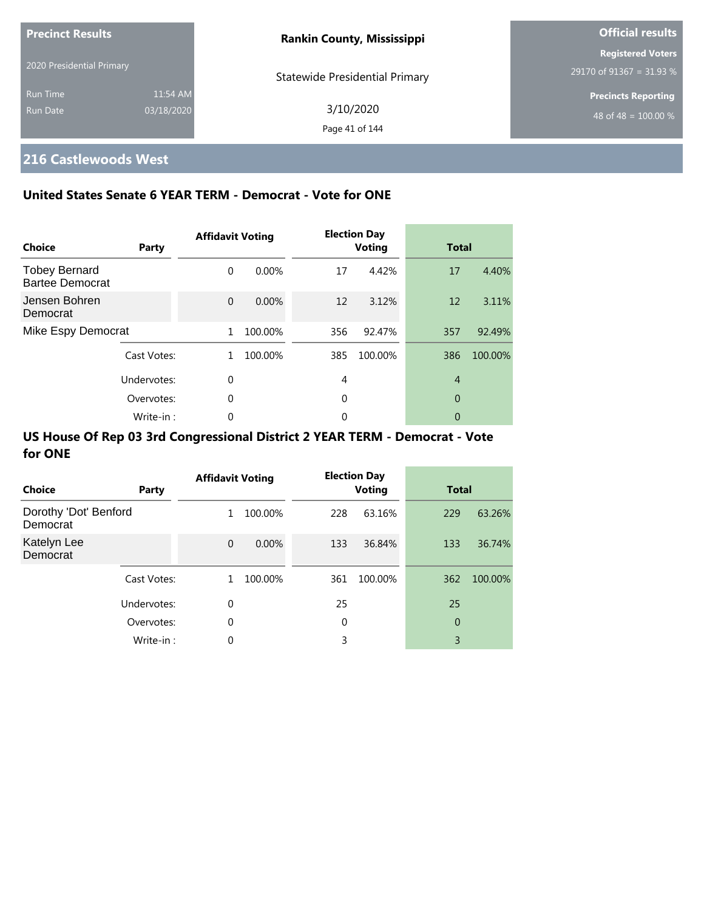| <b>Precinct Results</b>   |            | <b>Rankin County, Mississippi</b>     | <b>Official results</b>          |
|---------------------------|------------|---------------------------------------|----------------------------------|
|                           |            |                                       | <b>Registered Voters</b>         |
| 2020 Presidential Primary |            | <b>Statewide Presidential Primary</b> | 29170 of 91367 = 31.93 %         |
| <b>Run Time</b>           | 11:54 AM   |                                       | <b>Precincts Reporting</b>       |
| <b>Run Date</b>           | 03/18/2020 | 3/10/2020                             | 48 of 48 = $\overline{100.00\%}$ |
|                           |            | Page 41 of 144                        |                                  |

# **216 Castlewoods West**

### **United States Senate 6 YEAR TERM - Democrat - Vote for ONE**

| Choice                                         | Party       | <b>Affidavit Voting</b> |          |     | <b>Election Day</b><br><b>Voting</b> | <b>Total</b>   |         |
|------------------------------------------------|-------------|-------------------------|----------|-----|--------------------------------------|----------------|---------|
| <b>Tobey Bernard</b><br><b>Bartee Democrat</b> |             | $\Omega$                | $0.00\%$ | 17  | 4.42%                                | 17             | 4.40%   |
| Jensen Bohren<br>Democrat                      |             | $\Omega$                | 0.00%    | 12  | 3.12%                                | 12             | 3.11%   |
| Mike Espy Democrat                             |             | 1                       | 100.00%  | 356 | 92.47%                               | 357            | 92.49%  |
|                                                | Cast Votes: | 1.                      | 100.00%  | 385 | 100.00%                              | 386            | 100.00% |
|                                                | Undervotes: | $\Omega$                |          | 4   |                                      | $\overline{4}$ |         |
|                                                | Overvotes:  | 0                       |          | 0   |                                      | 0              |         |
|                                                | Write-in:   | 0                       |          | 0   |                                      | 0              |         |

| Choice                            | Party       | <b>Affidavit Voting</b> |          |     | <b>Election Day</b><br><b>Voting</b> | <b>Total</b>   |         |
|-----------------------------------|-------------|-------------------------|----------|-----|--------------------------------------|----------------|---------|
| Dorothy 'Dot' Benford<br>Democrat |             | $\mathbf{1}$            | 100.00%  | 228 | 63.16%                               | 229            | 63.26%  |
| Katelyn Lee<br>Democrat           |             | $\mathbf{0}$            | $0.00\%$ | 133 | 36.84%                               | 133            | 36.74%  |
|                                   | Cast Votes: | 1                       | 100.00%  | 361 | 100.00%                              | 362            | 100.00% |
|                                   | Undervotes: | 0                       |          | 25  |                                      | 25             |         |
|                                   | Overvotes:  | 0                       |          | 0   |                                      | $\overline{0}$ |         |
|                                   | Write-in:   | 0                       |          | 3   |                                      | 3              |         |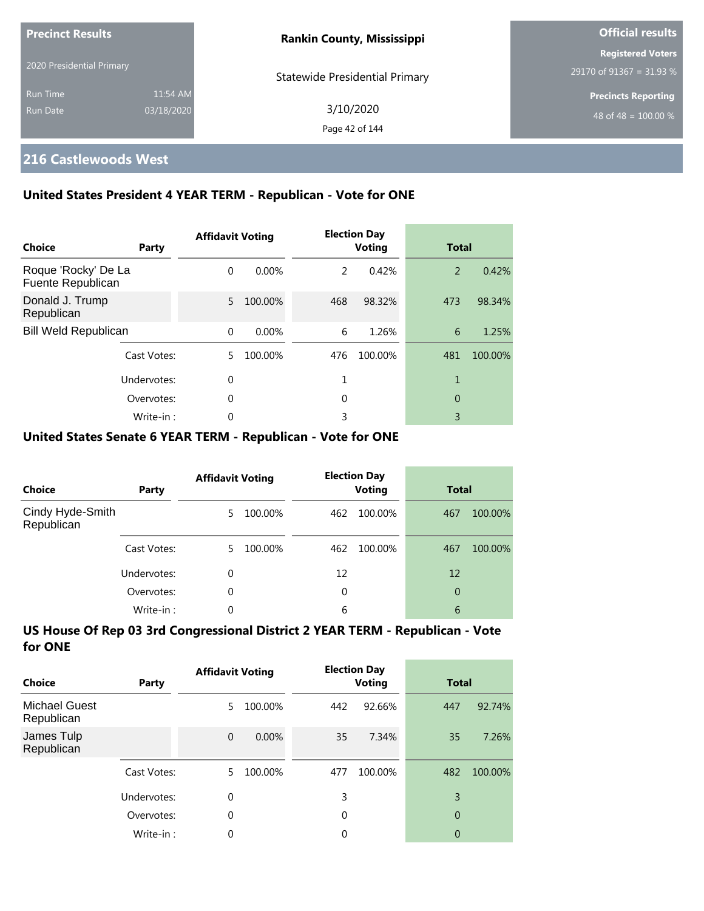| <b>Precinct Results</b>   |            | <b>Rankin County, Mississippi</b>     | <b>Official results</b>    |  |
|---------------------------|------------|---------------------------------------|----------------------------|--|
|                           |            |                                       | <b>Registered Voters</b>   |  |
| 2020 Presidential Primary |            | <b>Statewide Presidential Primary</b> | 29170 of 91367 = 31.93 %   |  |
| <b>Run Time</b>           | 11:54 AM   |                                       | <b>Precincts Reporting</b> |  |
| Run Date                  | 03/18/2020 | 3/10/2020                             | 48 of 48 = $100.00\%$      |  |
|                           |            | Page 42 of 144                        |                            |  |

# **216 Castlewoods West**

## **United States President 4 YEAR TERM - Republican - Vote for ONE**

| Choice                                   | Party       | <b>Affidavit Voting</b> |          |     | <b>Election Day</b><br><b>Voting</b> | <b>Total</b> |         |
|------------------------------------------|-------------|-------------------------|----------|-----|--------------------------------------|--------------|---------|
| Roque 'Rocky' De La<br>Fuente Republican |             | $\Omega$                | $0.00\%$ | 2   | 0.42%                                | 2            | 0.42%   |
| Donald J. Trump<br>Republican            |             | 5.                      | 100.00%  | 468 | 98.32%                               | 473          | 98.34%  |
| <b>Bill Weld Republican</b>              |             | $\Omega$                | $0.00\%$ | 6   | 1.26%                                | 6            | 1.25%   |
|                                          | Cast Votes: | 5.                      | 100.00%  | 476 | 100.00%                              | 481          | 100.00% |
|                                          | Undervotes: | 0                       |          |     |                                      | 1            |         |
|                                          | Overvotes:  | 0                       |          | 0   |                                      | 0            |         |
|                                          | Write-in:   | 0                       |          | 3   |                                      | 3            |         |

### **United States Senate 6 YEAR TERM - Republican - Vote for ONE**

| <b>Choice</b>                  | Party       | <b>Affidavit Voting</b> |         |     | <b>Election Day</b><br><b>Voting</b> | <b>Total</b> |         |
|--------------------------------|-------------|-------------------------|---------|-----|--------------------------------------|--------------|---------|
| Cindy Hyde-Smith<br>Republican |             | 5.                      | 100.00% | 462 | 100.00%                              | 467          | 100.00% |
|                                | Cast Votes: | 5.                      | 100.00% | 462 | 100.00%                              | 467          | 100.00% |
|                                | Undervotes: | $\Omega$                |         | 12  |                                      | 12           |         |
|                                | Overvotes:  | $\Omega$                |         | 0   |                                      | 0            |         |
|                                | Write-in:   | $\Omega$                |         | 6   |                                      | 6            |         |

| Choice                             | Party       | <b>Affidavit Voting</b> |         |          | <b>Election Day</b><br><b>Voting</b> | <b>Total</b>   |         |
|------------------------------------|-------------|-------------------------|---------|----------|--------------------------------------|----------------|---------|
| <b>Michael Guest</b><br>Republican |             | 5                       | 100.00% | 442      | 92.66%                               | 447            | 92.74%  |
| James Tulp<br>Republican           |             | $\Omega$                | 0.00%   | 35       | 7.34%                                | 35             | 7.26%   |
|                                    | Cast Votes: | 5                       | 100.00% | 477      | 100.00%                              | 482            | 100.00% |
|                                    | Undervotes: | $\theta$                |         | 3        |                                      | 3              |         |
|                                    | Overvotes:  | 0                       |         | $\Omega$ |                                      | $\overline{0}$ |         |
|                                    | Write-in:   | 0                       |         | 0        |                                      | 0              |         |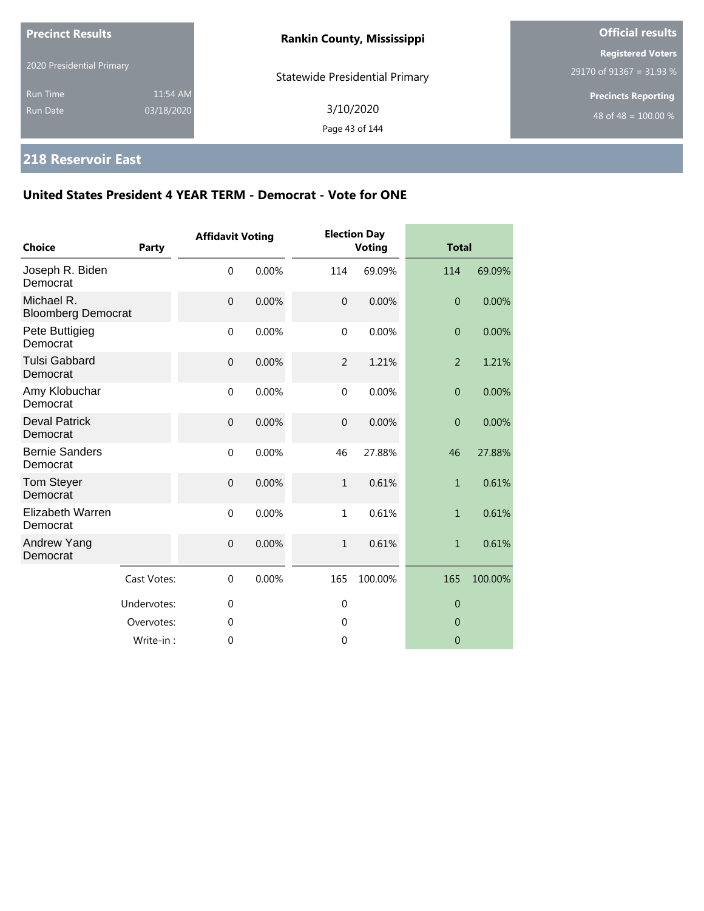| <b>Precinct Results</b>            |                        | <b>Rankin County, Mississippi</b>     | <b>Official results</b>                              |  |
|------------------------------------|------------------------|---------------------------------------|------------------------------------------------------|--|
| 2020 Presidential Primary          |                        | <b>Statewide Presidential Primary</b> | <b>Registered Voters</b><br>29170 of 91367 = 31.93 % |  |
| <b>Run Time</b><br><b>Run Date</b> | 11:54 AM<br>03/18/2020 | 3/10/2020<br>Page 43 of 144           | <b>Precincts Reporting</b><br>48 of 48 = $100.00\%$  |  |

# **218 Reservoir East**

| <b>Choice</b>                           | Party       | <b>Affidavit Voting</b> |       |                | <b>Election Day</b><br><b>Voting</b> | <b>Total</b>     |         |
|-----------------------------------------|-------------|-------------------------|-------|----------------|--------------------------------------|------------------|---------|
| Joseph R. Biden<br>Democrat             |             | $\mathbf 0$             | 0.00% | 114            | 69.09%                               | 114              | 69.09%  |
| Michael R.<br><b>Bloomberg Democrat</b> |             | $\overline{0}$          | 0.00% | $\mathbf 0$    | 0.00%                                | $\overline{0}$   | 0.00%   |
| Pete Buttigieg<br>Democrat              |             | $\mathbf 0$             | 0.00% | $\mathbf 0$    | 0.00%                                | $\boldsymbol{0}$ | 0.00%   |
| <b>Tulsi Gabbard</b><br>Democrat        |             | $\mathbf 0$             | 0.00% | $\overline{2}$ | 1.21%                                | $\overline{2}$   | 1.21%   |
| Amy Klobuchar<br>Democrat               |             | $\mathbf 0$             | 0.00% | $\mathbf{0}$   | 0.00%                                | $\boldsymbol{0}$ | 0.00%   |
| <b>Deval Patrick</b><br>Democrat        |             | $\mathbf 0$             | 0.00% | $\mathbf 0$    | 0.00%                                | $\mathbf{0}$     | 0.00%   |
| <b>Bernie Sanders</b><br>Democrat       |             | $\mathbf 0$             | 0.00% | 46             | 27.88%                               | 46               | 27.88%  |
| Tom Steyer<br>Democrat                  |             | $\mathbf 0$             | 0.00% | $\mathbf{1}$   | 0.61%                                | $\mathbf{1}$     | 0.61%   |
| Elizabeth Warren<br>Democrat            |             | $\mathbf 0$             | 0.00% | $\mathbf{1}$   | 0.61%                                | $\mathbf{1}$     | 0.61%   |
| Andrew Yang<br>Democrat                 |             | $\mathbf 0$             | 0.00% | $\mathbf{1}$   | 0.61%                                | $\mathbf{1}$     | 0.61%   |
|                                         | Cast Votes: | $\mathbf 0$             | 0.00% | 165            | 100.00%                              | 165              | 100.00% |
|                                         | Undervotes: | $\mathbf 0$             |       | $\mathbf{0}$   |                                      | $\mathbf 0$      |         |
|                                         | Overvotes:  | $\Omega$                |       | $\theta$       |                                      | $\Omega$         |         |
|                                         | Write-in:   | $\mathbf{0}$            |       | $\mathbf 0$    |                                      | $\mathbf 0$      |         |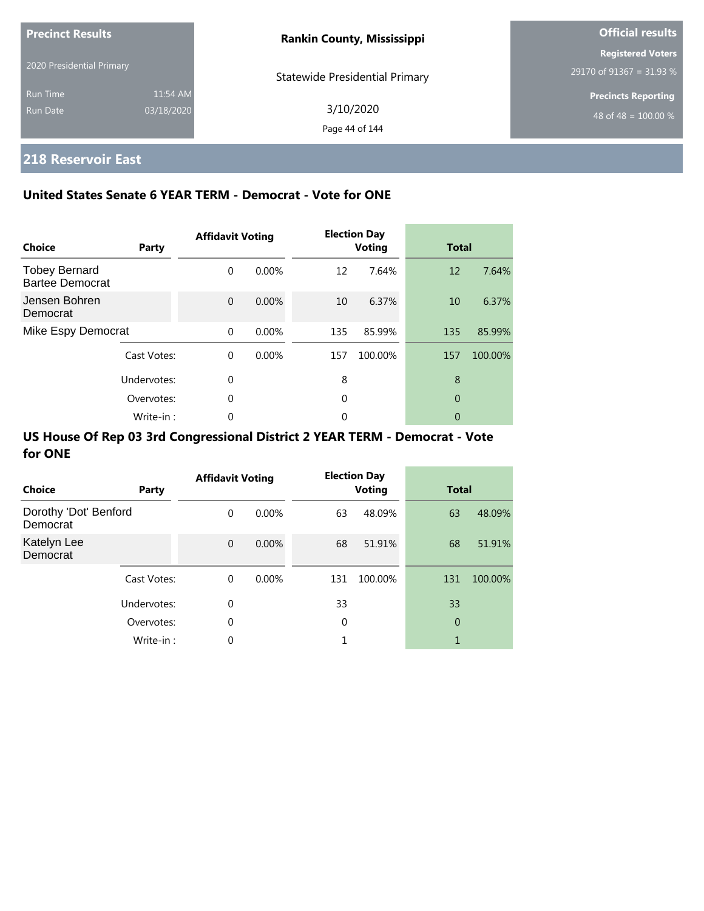| <b>Precinct Results</b>   |            | <b>Rankin County, Mississippi</b>     | <b>Official results</b>    |  |
|---------------------------|------------|---------------------------------------|----------------------------|--|
|                           |            |                                       | <b>Registered Voters</b>   |  |
| 2020 Presidential Primary |            | <b>Statewide Presidential Primary</b> | 29170 of 91367 = 31.93 %   |  |
| <b>Run Time</b>           | 11:54 AM   |                                       | <b>Precincts Reporting</b> |  |
| Run Date                  | 03/18/2020 | 3/10/2020                             | 48 of 48 = $100.00\%$      |  |
|                           |            | Page 44 of 144                        |                            |  |

# **218 Reservoir East**

### **United States Senate 6 YEAR TERM - Democrat - Vote for ONE**

| <b>Choice</b>                           | Party       | <b>Affidavit Voting</b> |          |     | <b>Election Day</b><br><b>Voting</b> | <b>Total</b> |         |
|-----------------------------------------|-------------|-------------------------|----------|-----|--------------------------------------|--------------|---------|
| <b>Tobey Bernard</b><br>Bartee Democrat |             | $\Omega$                | $0.00\%$ | 12  | 7.64%                                | 12           | 7.64%   |
| Jensen Bohren<br>Democrat               |             | $\Omega$                | $0.00\%$ | 10  | 6.37%                                | 10           | 6.37%   |
| Mike Espy Democrat                      |             | $\Omega$                | 0.00%    | 135 | 85.99%                               | 135          | 85.99%  |
|                                         | Cast Votes: | $\Omega$                | $0.00\%$ | 157 | 100.00%                              | 157          | 100.00% |
|                                         | Undervotes: | $\Omega$                |          | 8   |                                      | 8            |         |
|                                         | Overvotes:  | $\Omega$                |          | 0   |                                      | 0            |         |
|                                         | Write-in:   | 0                       |          | 0   |                                      | 0            |         |

| Choice                            | Party       | <b>Affidavit Voting</b> |          |     | <b>Election Day</b><br><b>Voting</b> | <b>Total</b> |         |
|-----------------------------------|-------------|-------------------------|----------|-----|--------------------------------------|--------------|---------|
| Dorothy 'Dot' Benford<br>Democrat |             | $\Omega$                | $0.00\%$ | 63  | 48.09%                               | 63           | 48.09%  |
| Katelyn Lee<br>Democrat           |             | $\mathbf{0}$            | $0.00\%$ | 68  | 51.91%                               | 68           | 51.91%  |
|                                   | Cast Votes: | $\Omega$                | $0.00\%$ | 131 | 100.00%                              | 131          | 100.00% |
|                                   | Undervotes: | 0                       |          | 33  |                                      | 33           |         |
|                                   | Overvotes:  | $\mathbf 0$             |          | 0   |                                      | 0            |         |
|                                   | Write-in:   | $\mathbf 0$             |          |     |                                      | 1            |         |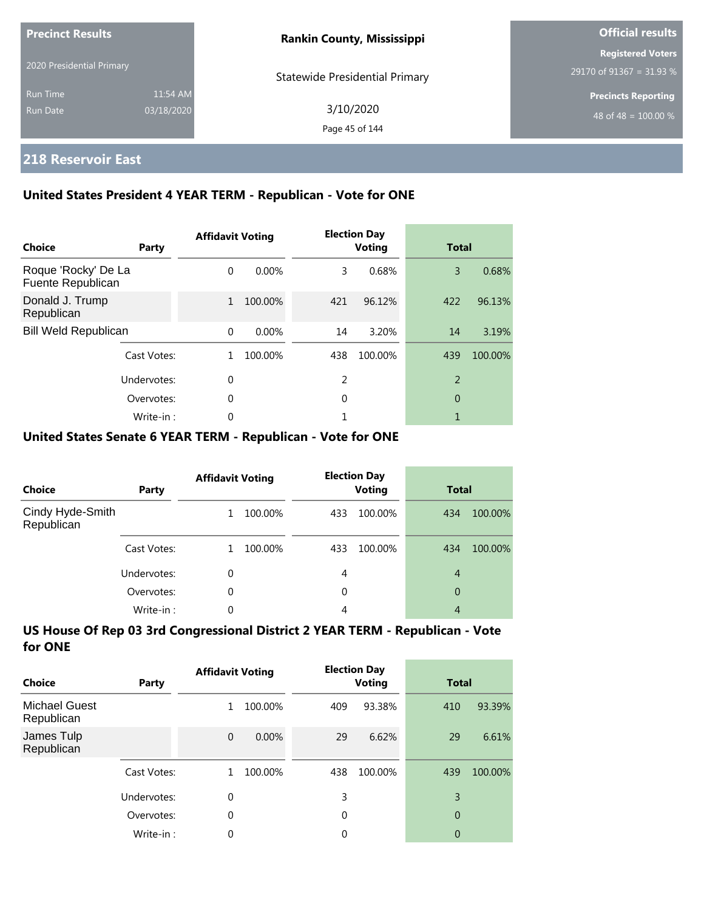| <b>Precinct Results</b><br>2020 Presidential Primary |                        | <b>Rankin County, Mississippi</b>     | <b>Official results</b>                              |
|------------------------------------------------------|------------------------|---------------------------------------|------------------------------------------------------|
|                                                      |                        | <b>Statewide Presidential Primary</b> | <b>Registered Voters</b><br>29170 of 91367 = 31.93 % |
| <b>Run Time</b><br>Run Date                          | 11:54 AM<br>03/18/2020 | 3/10/2020<br>Page 45 of 144           | <b>Precincts Reporting</b><br>48 of 48 = $100.00\%$  |

## **218 Reservoir East**

### **United States President 4 YEAR TERM - Republican - Vote for ONE**

| Choice                                   | Party       | <b>Affidavit Voting</b> |         |     | <b>Election Day</b><br><b>Voting</b> |                | <b>Total</b> |  |
|------------------------------------------|-------------|-------------------------|---------|-----|--------------------------------------|----------------|--------------|--|
| Roque 'Rocky' De La<br>Fuente Republican |             | $\Omega$                | 0.00%   | 3   | 0.68%                                | 3              | 0.68%        |  |
| Donald J. Trump<br>Republican            |             | $\mathbf{1}$            | 100.00% | 421 | 96.12%                               | 422            | 96.13%       |  |
| <b>Bill Weld Republican</b>              |             | $\Omega$                | 0.00%   | 14  | 3.20%                                | 14             | 3.19%        |  |
|                                          | Cast Votes: |                         | 100.00% | 438 | 100.00%                              | 439            | 100.00%      |  |
|                                          | Undervotes: | 0                       |         | 2   |                                      | $\overline{2}$ |              |  |
| Overvotes:                               |             | 0                       |         | 0   |                                      | 0              |              |  |
|                                          | Write-in:   | 0                       |         |     |                                      |                |              |  |

### **United States Senate 6 YEAR TERM - Republican - Vote for ONE**

| Choice                         | Party       | <b>Affidavit Voting</b> |         | <b>Election Day</b><br><b>Voting</b> |         | <b>Total</b>   |         |
|--------------------------------|-------------|-------------------------|---------|--------------------------------------|---------|----------------|---------|
| Cindy Hyde-Smith<br>Republican |             |                         | 100.00% | 433                                  | 100.00% | 434            | 100.00% |
|                                | Cast Votes: |                         | 100.00% | 433                                  | 100.00% | 434            | 100.00% |
|                                | Undervotes: | 0                       |         | 4                                    |         | $\overline{4}$ |         |
|                                | Overvotes:  | $\Omega$                |         | 0                                    |         | 0              |         |
|                                | Write-in:   | 0                       |         | 4                                    |         | 4              |         |

| Choice                             | Party       | <b>Affidavit Voting</b> |         |          | <b>Election Day</b><br>Voting |                | <b>Total</b> |  |
|------------------------------------|-------------|-------------------------|---------|----------|-------------------------------|----------------|--------------|--|
| <b>Michael Guest</b><br>Republican |             | 1                       | 100.00% | 409      | 93.38%                        | 410            | 93.39%       |  |
| James Tulp<br>Republican           |             | $\mathbf 0$             | 0.00%   | 29       | 6.62%                         | 29             | 6.61%        |  |
|                                    | Cast Votes: |                         | 100.00% | 438      | 100.00%                       | 439            | 100.00%      |  |
|                                    | Undervotes: | 0                       |         | 3        |                               | 3              |              |  |
|                                    | Overvotes:  | $\theta$                |         | $\Omega$ |                               | $\overline{0}$ |              |  |
|                                    | Write-in:   | 0                       |         | 0        |                               | 0              |              |  |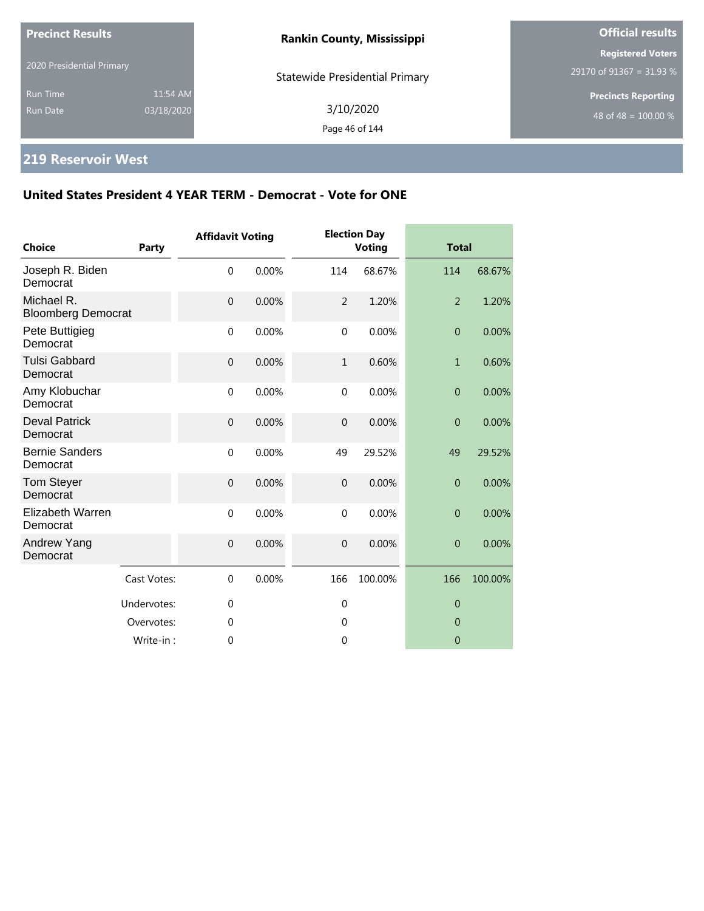| <b>Precinct Results</b><br>2020 Presidential Primary |                        | <b>Rankin County, Mississippi</b>     | <b>Official results</b>                                        |  |
|------------------------------------------------------|------------------------|---------------------------------------|----------------------------------------------------------------|--|
|                                                      |                        | <b>Statewide Presidential Primary</b> | <b>Registered Voters</b><br>29170 of 91367 = 31.93 %           |  |
| <b>Run Time</b><br><b>Run Date</b>                   | 11:54 AM<br>03/18/2020 | 3/10/2020<br>Page 46 of 144           | <b>Precincts Reporting</b><br>48 of 48 = $\overline{100.00\%}$ |  |

# **219 Reservoir West**

| <b>Choice</b>                           | <b>Party</b> | <b>Affidavit Voting</b> |       |                | <b>Election Day</b><br><b>Voting</b> |                | <b>Total</b> |  |
|-----------------------------------------|--------------|-------------------------|-------|----------------|--------------------------------------|----------------|--------------|--|
| Joseph R. Biden<br>Democrat             |              | $\mathbf 0$             | 0.00% | 114            | 68.67%                               | 114            | 68.67%       |  |
| Michael R.<br><b>Bloomberg Democrat</b> |              | $\mathbf 0$             | 0.00% | $\overline{2}$ | 1.20%                                | 2              | 1.20%        |  |
| Pete Buttigieg<br>Democrat              |              | $\mathbf 0$             | 0.00% | $\mathbf 0$    | 0.00%                                | $\overline{0}$ | 0.00%        |  |
| <b>Tulsi Gabbard</b><br>Democrat        |              | $\mathbf 0$             | 0.00% | $\mathbf{1}$   | 0.60%                                | $\mathbf{1}$   | 0.60%        |  |
| Amy Klobuchar<br>Democrat               |              | $\mathbf{0}$            | 0.00% | $\mathbf 0$    | 0.00%                                | $\overline{0}$ | 0.00%        |  |
| <b>Deval Patrick</b><br>Democrat        |              | $\mathbf 0$             | 0.00% | $\mathbf 0$    | 0.00%                                | $\overline{0}$ | 0.00%        |  |
| <b>Bernie Sanders</b><br>Democrat       |              | $\mathbf 0$             | 0.00% | 49             | 29.52%                               | 49             | 29.52%       |  |
| Tom Steyer<br>Democrat                  |              | $\mathbf 0$             | 0.00% | $\mathbf 0$    | 0.00%                                | $\overline{0}$ | 0.00%        |  |
| <b>Elizabeth Warren</b><br>Democrat     |              | $\mathbf 0$             | 0.00% | $\mathbf 0$    | 0.00%                                | $\overline{0}$ | 0.00%        |  |
| Andrew Yang<br>Democrat                 |              | $\overline{0}$          | 0.00% | $\overline{0}$ | 0.00%                                | $\overline{0}$ | 0.00%        |  |
|                                         | Cast Votes:  | $\mathbf{0}$            | 0.00% | 166            | 100.00%                              | 166            | 100.00%      |  |
|                                         | Undervotes:  | $\mathbf{0}$            |       | $\mathbf 0$    |                                      | $\theta$       |              |  |
|                                         | Overvotes:   | 0                       |       | $\mathbf 0$    |                                      | $\overline{0}$ |              |  |
|                                         | Write-in:    | 0                       |       | 0              |                                      | $\overline{0}$ |              |  |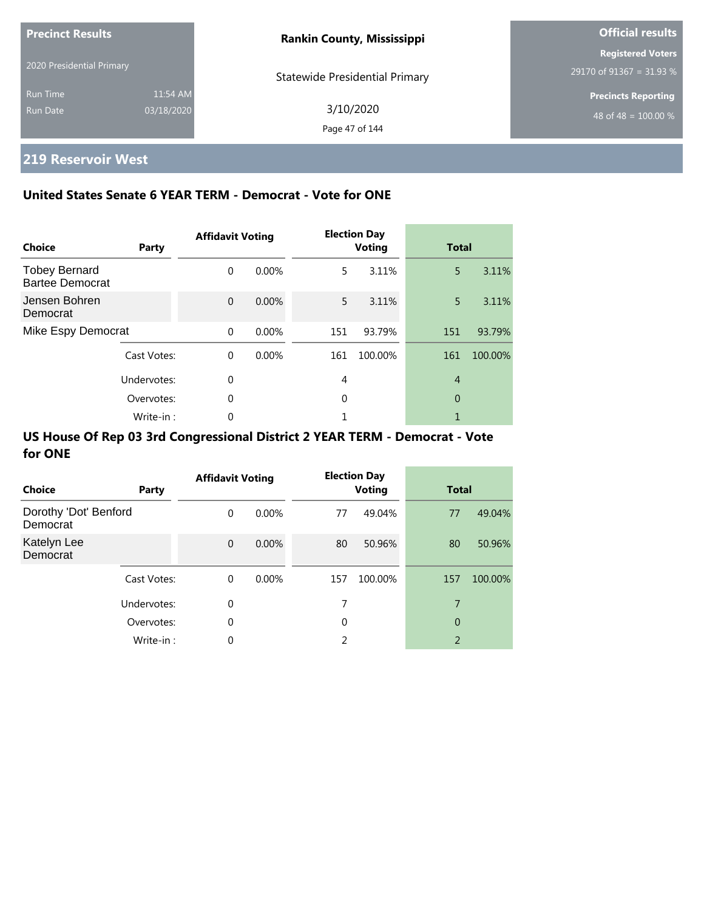| <b>Precinct Results</b>   |            | <b>Rankin County, Mississippi</b>     | <b>Official results</b>    |
|---------------------------|------------|---------------------------------------|----------------------------|
|                           |            |                                       | <b>Registered Voters</b>   |
| 2020 Presidential Primary |            | <b>Statewide Presidential Primary</b> | 29170 of 91367 = 31.93 %   |
| <b>Run Time</b>           | 11:54 AM   |                                       | <b>Precincts Reporting</b> |
| Run Date                  | 03/18/2020 | 3/10/2020                             | 48 of 48 = $100.00\%$      |
|                           |            | Page 47 of 144                        |                            |

# **219 Reservoir West**

### **United States Senate 6 YEAR TERM - Democrat - Vote for ONE**

| <b>Choice</b>                                  | Party       | <b>Affidavit Voting</b> |       |     | <b>Election Day</b><br><b>Voting</b> | <b>Total</b>   |         |
|------------------------------------------------|-------------|-------------------------|-------|-----|--------------------------------------|----------------|---------|
| <b>Tobey Bernard</b><br><b>Bartee Democrat</b> |             | $\Omega$                | 0.00% | 5.  | 3.11%                                | 5              | 3.11%   |
| Jensen Bohren<br>Democrat                      |             | $\Omega$                | 0.00% | 5.  | 3.11%                                | 5              | 3.11%   |
| Mike Espy Democrat                             |             | $\Omega$                | 0.00% | 151 | 93.79%                               | 151            | 93.79%  |
|                                                | Cast Votes: | $\Omega$                | 0.00% | 161 | 100.00%                              | 161            | 100.00% |
|                                                | Undervotes: | $\Omega$                |       | 4   |                                      | $\overline{4}$ |         |
| Overvotes:                                     |             | 0                       |       | 0   |                                      | 0              |         |
|                                                | Write-in:   | 0                       |       |     |                                      |                |         |

| Choice                            | Party       | <b>Affidavit Voting</b> |          |             | <b>Election Day</b><br><b>Voting</b> |                | <b>Total</b> |  |
|-----------------------------------|-------------|-------------------------|----------|-------------|--------------------------------------|----------------|--------------|--|
| Dorothy 'Dot' Benford<br>Democrat |             | $\Omega$                | $0.00\%$ | 77          | 49.04%                               | 77             | 49.04%       |  |
| Katelyn Lee<br>Democrat           |             | $\mathbf 0$             | 0.00%    | 80          | 50.96%                               | 80             | 50.96%       |  |
|                                   | Cast Votes: | $\Omega$                | $0.00\%$ | 157         | 100.00%                              | 157            | 100.00%      |  |
|                                   | Undervotes: | 0                       |          | 7           |                                      | 7              |              |  |
|                                   | Overvotes:  | 0                       |          | $\mathbf 0$ |                                      | 0              |              |  |
|                                   | Write-in:   | 0                       |          | C.          |                                      | $\overline{2}$ |              |  |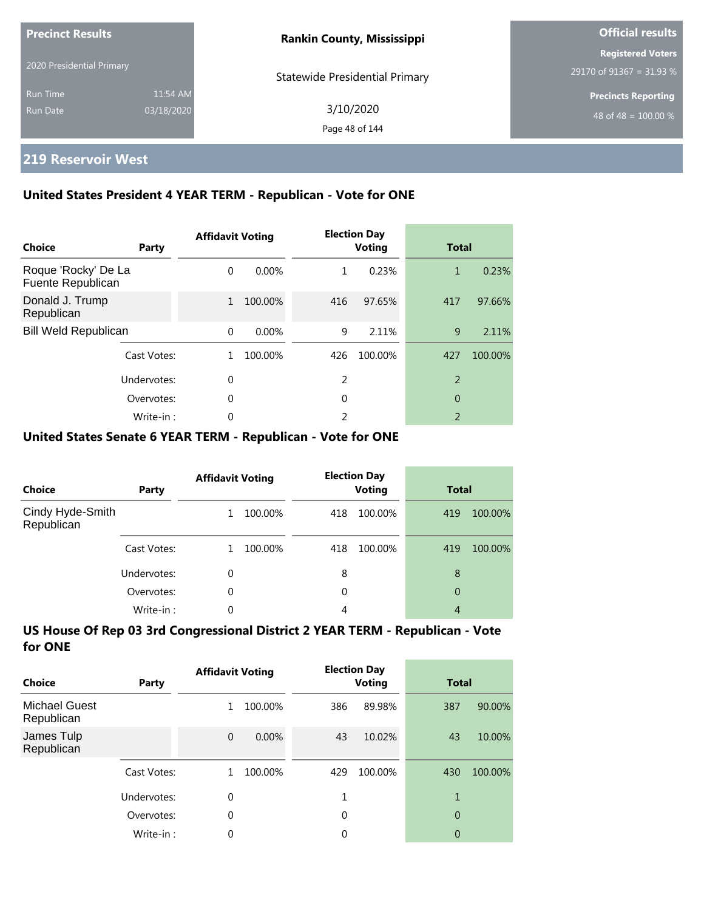| <b>Precinct Results</b>   |            | <b>Rankin County, Mississippi</b>     | <b>Official results</b>                              |  |
|---------------------------|------------|---------------------------------------|------------------------------------------------------|--|
| 2020 Presidential Primary |            | <b>Statewide Presidential Primary</b> | <b>Registered Voters</b><br>29170 of 91367 = 31.93 % |  |
| <b>Run Time</b>           | 11:54 AM   |                                       | <b>Precincts Reporting</b>                           |  |
| Run Date                  | 03/18/2020 | 3/10/2020<br>Page 48 of 144           | 48 of 48 = $\overline{100.00\%}$                     |  |

## **219 Reservoir West**

### **United States President 4 YEAR TERM - Republican - Vote for ONE**

| Choice                                   | Party       | <b>Affidavit Voting</b> |          |     | <b>Election Day</b><br><b>Voting</b> |                          | <b>Total</b> |  |
|------------------------------------------|-------------|-------------------------|----------|-----|--------------------------------------|--------------------------|--------------|--|
| Roque 'Rocky' De La<br>Fuente Republican |             | $\Omega$                | $0.00\%$ | 1   | 0.23%                                | 1                        | 0.23%        |  |
| Donald J. Trump<br>Republican            |             | 1                       | 100.00%  | 416 | 97.65%                               | 417                      | 97.66%       |  |
| <b>Bill Weld Republican</b>              |             | $\Omega$                | $0.00\%$ | 9   | 2.11%                                | 9                        | 2.11%        |  |
|                                          | Cast Votes: | 1.                      | 100.00%  | 426 | 100.00%                              | 427                      | 100.00%      |  |
|                                          | Undervotes: | $\Omega$                |          | 2   |                                      | $\overline{2}$           |              |  |
| Overvotes:                               |             | 0                       |          | 0   |                                      | 0                        |              |  |
|                                          | Write-in:   | 0                       |          | 2   |                                      | $\overline{\phantom{a}}$ |              |  |

### **United States Senate 6 YEAR TERM - Republican - Vote for ONE**

| <b>Choice</b>                  | Party       | <b>Affidavit Voting</b> |         | <b>Election Day</b><br><b>Voting</b> |         | <b>Total</b> |         |
|--------------------------------|-------------|-------------------------|---------|--------------------------------------|---------|--------------|---------|
| Cindy Hyde-Smith<br>Republican |             |                         | 100.00% | 418                                  | 100.00% | 419          | 100.00% |
|                                | Cast Votes: |                         | 100.00% | 418                                  | 100.00% | 419          | 100.00% |
|                                | Undervotes: | 0                       |         | 8                                    |         | 8            |         |
|                                | Overvotes:  | 0                       |         | 0                                    |         | 0            |         |
|                                | Write-in:   | 0                       |         | 4                                    |         | 4            |         |

| Choice                             | Party       | <b>Affidavit Voting</b> |         |             | <b>Election Day</b><br><b>Voting</b> |                | <b>Total</b> |  |
|------------------------------------|-------------|-------------------------|---------|-------------|--------------------------------------|----------------|--------------|--|
| <b>Michael Guest</b><br>Republican |             | 1                       | 100.00% | 386         | 89.98%                               | 387            | 90.00%       |  |
| James Tulp<br>Republican           |             | $\overline{0}$          | 0.00%   | 43          | 10.02%                               | 43             | 10.00%       |  |
|                                    | Cast Votes: |                         | 100.00% | 429         | 100.00%                              | 430            | 100.00%      |  |
|                                    | Undervotes: | 0                       |         | 1           |                                      | 1              |              |  |
|                                    | Overvotes:  | $\theta$                |         | $\mathbf 0$ |                                      | $\overline{0}$ |              |  |
|                                    | Write-in:   | 0                       |         | 0           |                                      | 0              |              |  |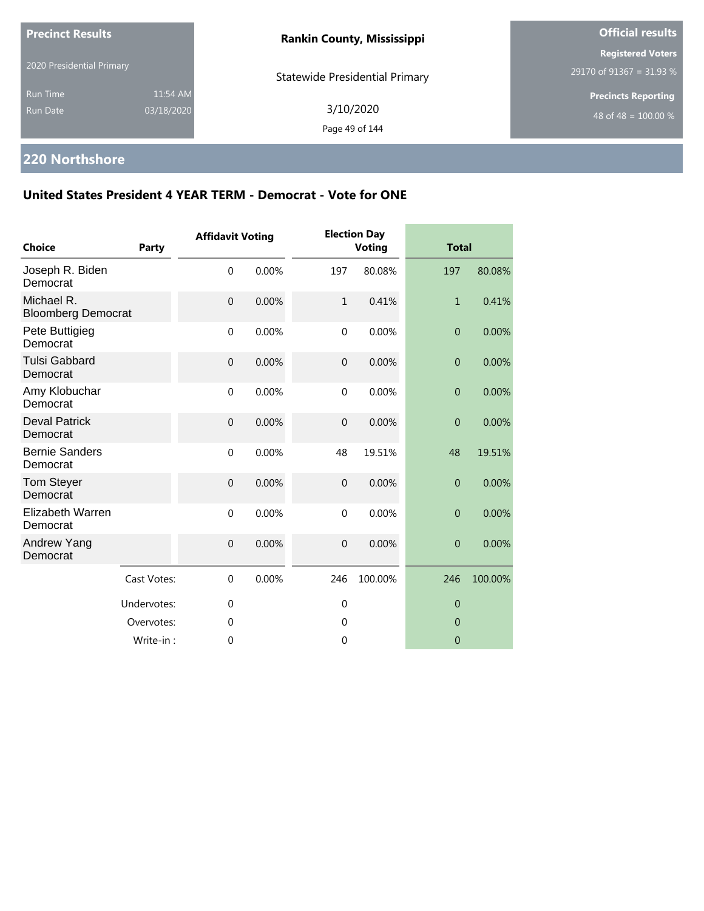| <b>Precinct Results</b>                                      | <b>Rankin County, Mississippi</b>     | <b>Official results</b>                              |
|--------------------------------------------------------------|---------------------------------------|------------------------------------------------------|
| 2020 Presidential Primary                                    | <b>Statewide Presidential Primary</b> | <b>Registered Voters</b><br>29170 of 91367 = 31.93 % |
| 11:54 AM<br><b>Run Time</b><br>03/18/2020<br><b>Run Date</b> | 3/10/2020<br>Page 49 of 144           | <b>Precincts Reporting</b><br>48 of 48 = $100.00\%$  |

# **220 Northshore**

| <b>Choice</b>                           | Party       | <b>Affidavit Voting</b> |       |              | <b>Election Day</b><br><b>Voting</b> | <b>Total</b>     |         |
|-----------------------------------------|-------------|-------------------------|-------|--------------|--------------------------------------|------------------|---------|
| Joseph R. Biden<br>Democrat             |             | $\mathbf 0$             | 0.00% | 197          | 80.08%                               | 197              | 80.08%  |
| Michael R.<br><b>Bloomberg Democrat</b> |             | $\mathbf 0$             | 0.00% | $\mathbf{1}$ | 0.41%                                | $\mathbf{1}$     | 0.41%   |
| Pete Buttigieg<br>Democrat              |             | $\mathbf 0$             | 0.00% | $\mathbf 0$  | 0.00%                                | $\boldsymbol{0}$ | 0.00%   |
| <b>Tulsi Gabbard</b><br>Democrat        |             | $\mathbf 0$             | 0.00% | $\mathbf{0}$ | 0.00%                                | $\overline{0}$   | 0.00%   |
| Amy Klobuchar<br>Democrat               |             | $\mathbf 0$             | 0.00% | $\mathbf{0}$ | 0.00%                                | $\boldsymbol{0}$ | 0.00%   |
| <b>Deval Patrick</b><br>Democrat        |             | $\mathbf 0$             | 0.00% | $\mathbf 0$  | 0.00%                                | $\mathbf{0}$     | 0.00%   |
| <b>Bernie Sanders</b><br>Democrat       |             | $\mathbf 0$             | 0.00% | 48           | 19.51%                               | 48               | 19.51%  |
| Tom Steyer<br>Democrat                  |             | $\mathbf 0$             | 0.00% | $\mathbf{0}$ | 0.00%                                | $\overline{0}$   | 0.00%   |
| Elizabeth Warren<br>Democrat            |             | $\mathbf 0$             | 0.00% | $\Omega$     | 0.00%                                | $\overline{0}$   | 0.00%   |
| Andrew Yang<br>Democrat                 |             | $\mathbf 0$             | 0.00% | $\mathbf{0}$ | 0.00%                                | $\boldsymbol{0}$ | 0.00%   |
|                                         | Cast Votes: | $\mathbf 0$             | 0.00% | 246          | 100.00%                              | 246              | 100.00% |
|                                         | Undervotes: | $\mathbf 0$             |       | $\mathbf{0}$ |                                      | $\mathbf 0$      |         |
|                                         | Overvotes:  | $\theta$                |       | $\theta$     |                                      | $\Omega$         |         |
|                                         | Write-in:   | $\mathbf 0$             |       | $\mathbf 0$  |                                      | $\mathbf 0$      |         |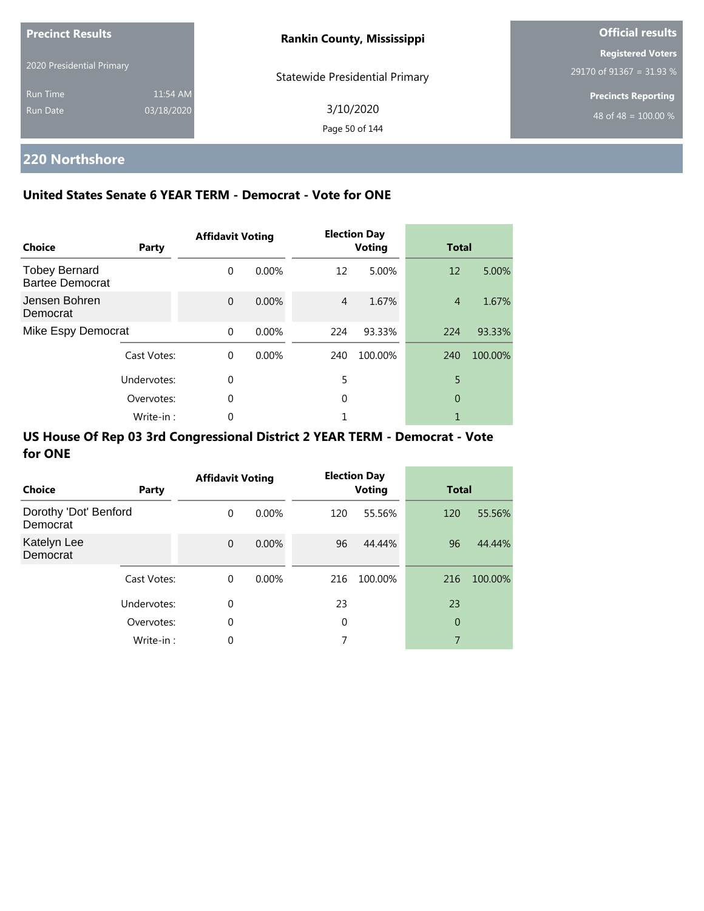| <b>Precinct Results</b>     |                        | <b>Rankin County, Mississippi</b>     | <b>Official results</b>                                        |
|-----------------------------|------------------------|---------------------------------------|----------------------------------------------------------------|
| 2020 Presidential Primary   |                        | <b>Statewide Presidential Primary</b> | <b>Registered Voters</b><br>29170 of 91367 = 31.93 %           |
| <b>Run Time</b><br>Run Date | 11:54 AM<br>03/18/2020 | 3/10/2020<br>Page 50 of 144           | <b>Precincts Reporting</b><br>48 of 48 = $\overline{100.00\%}$ |

# **220 Northshore**

### **United States Senate 6 YEAR TERM - Democrat - Vote for ONE**

| <b>Choice</b>                                  | Party       | <b>Affidavit Voting</b> |          |                | <b>Election Day</b><br><b>Voting</b> | <b>Total</b>   |         |
|------------------------------------------------|-------------|-------------------------|----------|----------------|--------------------------------------|----------------|---------|
| <b>Tobey Bernard</b><br><b>Bartee Democrat</b> |             | $\Omega$                | $0.00\%$ | 12             | 5.00%                                | 12             | 5.00%   |
| Jensen Bohren<br>Democrat                      |             | $\Omega$                | $0.00\%$ | $\overline{4}$ | 1.67%                                | $\overline{4}$ | 1.67%   |
| Mike Espy Democrat                             |             | $\Omega$                | 0.00%    | 224            | 93.33%                               | 224            | 93.33%  |
|                                                | Cast Votes: | $\Omega$                | $0.00\%$ | 240            | 100.00%                              | 240            | 100.00% |
|                                                | Undervotes: | $\Omega$                |          | 5              |                                      | 5              |         |
|                                                | Overvotes:  | $\Omega$                |          | 0              |                                      | 0              |         |
|                                                | Write-in:   | 0                       |          |                |                                      |                |         |

| Choice                            | Party       | <b>Affidavit Voting</b> |          |     | <b>Election Day</b><br><b>Voting</b> | <b>Total</b>   |         |
|-----------------------------------|-------------|-------------------------|----------|-----|--------------------------------------|----------------|---------|
| Dorothy 'Dot' Benford<br>Democrat |             | $\Omega$                | $0.00\%$ | 120 | 55.56%                               | 120            | 55.56%  |
| Katelyn Lee<br>Democrat           |             | $\mathbf{0}$            | $0.00\%$ | 96  | 44.44%                               | 96             | 44.44%  |
|                                   | Cast Votes: | $\Omega$                | $0.00\%$ | 216 | 100.00%                              | 216            | 100.00% |
|                                   | Undervotes: | 0                       |          | 23  |                                      | 23             |         |
|                                   | Overvotes:  | 0                       |          | 0   |                                      | $\overline{0}$ |         |
|                                   | Write-in:   | 0                       |          | 7   |                                      | 7              |         |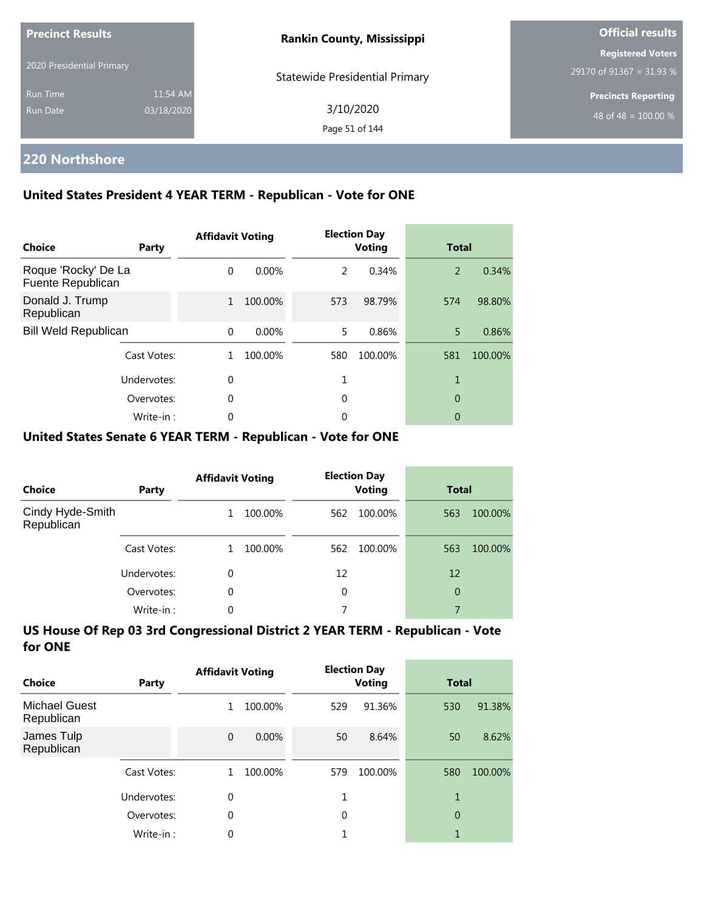| <b>Precinct Results</b>     |                        | <b>Rankin County, Mississippi</b>     | <b>Official results</b>                              |
|-----------------------------|------------------------|---------------------------------------|------------------------------------------------------|
| 2020 Presidential Primary   |                        | <b>Statewide Presidential Primary</b> | <b>Registered Voters</b><br>29170 of 91367 = 31.93 % |
| <b>Run Time</b><br>Run Date | 11:54 AM<br>03/18/2020 | 3/10/2020<br>Page 51 of 144           | <b>Precincts Reporting</b><br>48 of 48 = $100.00\%$  |

## **220 Northshore**

### **United States President 4 YEAR TERM - Republican - Vote for ONE**

| <b>Choice</b>                            | Party       | <b>Affidavit Voting</b> |          |     | <b>Election Day</b><br><b>Voting</b> | <b>Total</b> |         |
|------------------------------------------|-------------|-------------------------|----------|-----|--------------------------------------|--------------|---------|
| Roque 'Rocky' De La<br>Fuente Republican |             | $\Omega$                | $0.00\%$ | 2   | 0.34%                                | 2            | 0.34%   |
| Donald J. Trump<br>Republican            |             | $\mathbf{1}$            | 100.00%  | 573 | 98.79%                               | 574          | 98.80%  |
| <b>Bill Weld Republican</b>              |             | $\Omega$                | 0.00%    | 5   | 0.86%                                | 5            | 0.86%   |
|                                          | Cast Votes: |                         | 100.00%  | 580 | 100.00%                              | 581          | 100.00% |
|                                          | Undervotes: | $\Omega$                |          |     |                                      | 1            |         |
|                                          | Overvotes:  | $\Omega$                |          | 0   |                                      | 0            |         |
|                                          | Write-in:   | 0                       |          | 0   |                                      | 0            |         |

### **United States Senate 6 YEAR TERM - Republican - Vote for ONE**

| <b>Choice</b>                  | Party       | <b>Affidavit Voting</b> |         |     | <b>Election Day</b><br><b>Voting</b> | <b>Total</b> |         |
|--------------------------------|-------------|-------------------------|---------|-----|--------------------------------------|--------------|---------|
| Cindy Hyde-Smith<br>Republican |             |                         | 100.00% | 562 | 100.00%                              | 563          | 100.00% |
|                                | Cast Votes: |                         | 100.00% | 562 | 100.00%                              | 563          | 100.00% |
|                                | Undervotes: | 0                       |         | 12  |                                      | 12           |         |
|                                | Overvotes:  | $\Omega$                |         | 0   |                                      | 0            |         |
|                                | Write-in:   | 0                       |         | 7   |                                      | 7            |         |

| Choice                             | Party       | <b>Affidavit Voting</b> |          |     | <b>Election Day</b><br><b>Voting</b> | <b>Total</b>   |         |
|------------------------------------|-------------|-------------------------|----------|-----|--------------------------------------|----------------|---------|
| <b>Michael Guest</b><br>Republican |             | 1                       | 100.00%  | 529 | 91.36%                               | 530            | 91.38%  |
| James Tulp<br>Republican           |             | $\mathbf{0}$            | $0.00\%$ | 50  | 8.64%                                | 50             | 8.62%   |
|                                    | Cast Votes: |                         | 100.00%  | 579 | 100.00%                              | 580            | 100.00% |
|                                    | Undervotes: | 0                       |          | 1   |                                      | 1              |         |
|                                    | Overvotes:  | $\theta$                |          | 0   |                                      | $\overline{0}$ |         |
|                                    | Write-in:   | 0                       |          |     |                                      |                |         |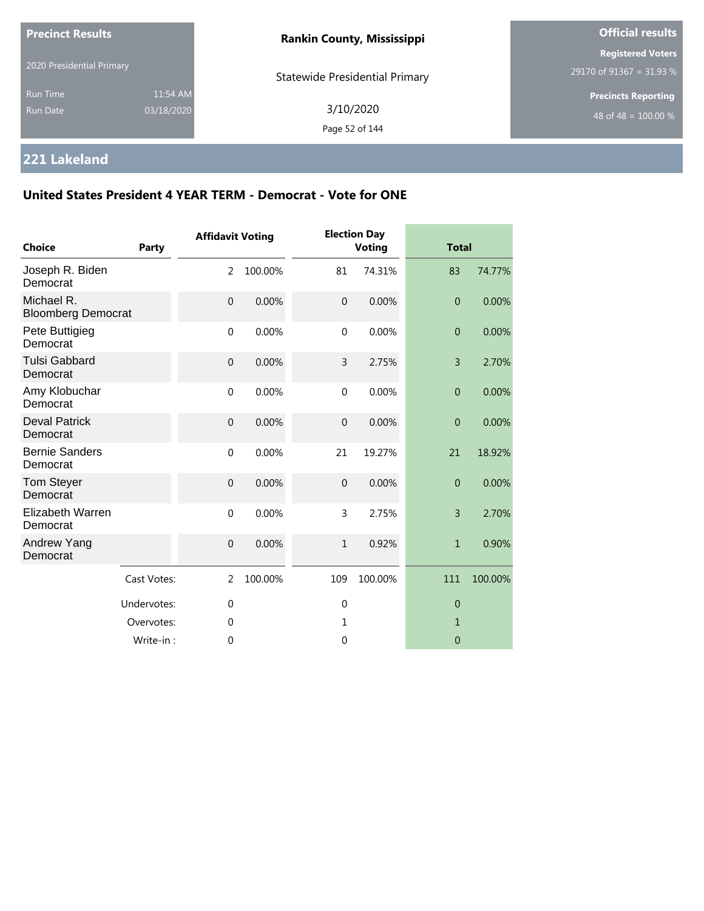| 2020 Presidential Primary                                    | <b>Rankin County, Mississippi</b><br><b>Statewide Presidential Primary</b> | <b>Registered Voters</b><br>29170 of 91367 = 31.93 % |
|--------------------------------------------------------------|----------------------------------------------------------------------------|------------------------------------------------------|
| 11:54 AM<br><b>Run Time</b><br>03/18/2020<br><b>Run Date</b> | 3/10/2020<br>Page 52 of 144                                                | <b>Precincts Reporting</b><br>48 of 48 = $100.00\%$  |

# **221 Lakeland**

| <b>Choice</b>                           | <b>Party</b> | <b>Affidavit Voting</b> |         |                | <b>Election Day</b><br><b>Voting</b> | <b>Total</b>     |         |
|-----------------------------------------|--------------|-------------------------|---------|----------------|--------------------------------------|------------------|---------|
| Joseph R. Biden<br>Democrat             |              | $\overline{2}$          | 100.00% | 81             | 74.31%                               | 83               | 74.77%  |
| Michael R.<br><b>Bloomberg Democrat</b> |              | $\Omega$                | 0.00%   | $\Omega$       | 0.00%                                | $\Omega$         | 0.00%   |
| Pete Buttigieg<br>Democrat              |              | $\mathbf 0$             | 0.00%   | $\mathbf 0$    | 0.00%                                | $\overline{0}$   | 0.00%   |
| <b>Tulsi Gabbard</b><br>Democrat        |              | $\mathbf{0}$            | 0.00%   | 3              | 2.75%                                | $\overline{3}$   | 2.70%   |
| Amy Klobuchar<br>Democrat               |              | $\mathbf{0}$            | 0.00%   | $\mathbf{0}$   | 0.00%                                | $\overline{0}$   | 0.00%   |
| <b>Deval Patrick</b><br>Democrat        |              | $\boldsymbol{0}$        | 0.00%   | $\overline{0}$ | 0.00%                                | $\boldsymbol{0}$ | 0.00%   |
| <b>Bernie Sanders</b><br>Democrat       |              | $\mathbf 0$             | 0.00%   | 21             | 19.27%                               | 21               | 18.92%  |
| Tom Steyer<br>Democrat                  |              | $\mathbf{0}$            | 0.00%   | $\overline{0}$ | 0.00%                                | $\overline{0}$   | 0.00%   |
| Elizabeth Warren<br>Democrat            |              | $\mathbf{0}$            | 0.00%   | 3              | 2.75%                                | 3                | 2.70%   |
| Andrew Yang<br>Democrat                 |              | $\mathbf{0}$            | 0.00%   | $\mathbf{1}$   | 0.92%                                | $\mathbf{1}$     | 0.90%   |
|                                         | Cast Votes:  | $\overline{2}$          | 100.00% | 109            | 100.00%                              | 111              | 100.00% |
|                                         | Undervotes:  | $\mathbf 0$             |         | $\mathbf 0$    |                                      | $\overline{0}$   |         |
|                                         | Overvotes:   | $\mathbf 0$             |         | 1              |                                      | $\mathbf{1}$     |         |
|                                         | Write-in:    | 0                       |         | $\mathbf 0$    |                                      | $\overline{0}$   |         |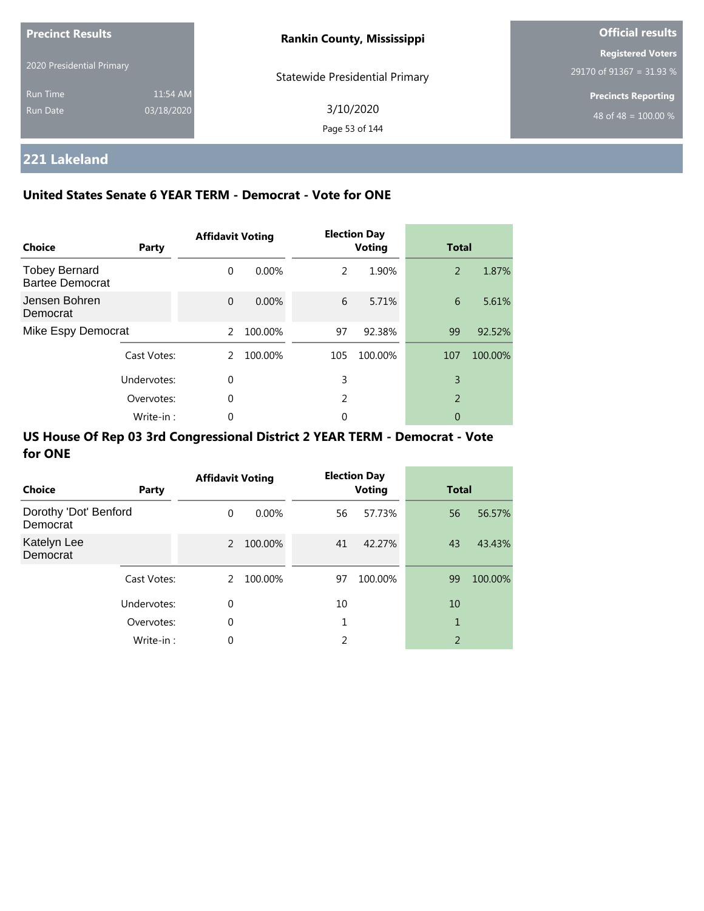| <b>Precinct Results</b>   |            | <b>Rankin County, Mississippi</b>     | <b>Official results</b>    |
|---------------------------|------------|---------------------------------------|----------------------------|
|                           |            |                                       | <b>Registered Voters</b>   |
| 2020 Presidential Primary |            | <b>Statewide Presidential Primary</b> | 29170 of 91367 = 31.93 %   |
| <b>Run Time</b>           | 11:54 AM   |                                       | <b>Precincts Reporting</b> |
| Run Date                  | 03/18/2020 | 3/10/2020                             | $148$ of 48 = 100.00 % ,   |
|                           |            | Page 53 of 144                        |                            |

# **221 Lakeland**

### **United States Senate 6 YEAR TERM - Democrat - Vote for ONE**

| <b>Choice</b>                                  | Party       | <b>Affidavit Voting</b> |          |     | <b>Election Day</b><br><b>Voting</b> | <b>Total</b>   |         |
|------------------------------------------------|-------------|-------------------------|----------|-----|--------------------------------------|----------------|---------|
| <b>Tobey Bernard</b><br><b>Bartee Democrat</b> |             | $\Omega$                | $0.00\%$ | 2   | 1.90%                                | 2              | 1.87%   |
| Jensen Bohren<br>Democrat                      |             | $\Omega$                | $0.00\%$ | 6   | 5.71%                                | 6              | 5.61%   |
| Mike Espy Democrat                             |             | $\mathcal{P}$           | 100.00%  | 97  | 92.38%                               | 99             | 92.52%  |
|                                                | Cast Votes: | 2                       | 100.00%  | 105 | 100.00%                              | 107            | 100.00% |
|                                                | Undervotes: | $\Omega$                |          | 3   |                                      | 3              |         |
|                                                | Overvotes:  | $\Omega$                |          | 2   |                                      | $\overline{2}$ |         |
|                                                | Write-in:   | 0                       |          | 0   |                                      | 0              |         |

| Choice                            | Party       | <b>Affidavit Voting</b> |          | <b>Election Day</b><br><b>Voting</b> |         | <b>Total</b> |         |
|-----------------------------------|-------------|-------------------------|----------|--------------------------------------|---------|--------------|---------|
| Dorothy 'Dot' Benford<br>Democrat |             | $\Omega$                | $0.00\%$ | 56                                   | 57.73%  | 56           | 56.57%  |
| Katelyn Lee<br>Democrat           |             | $\overline{2}$          | 100.00%  | 41                                   | 42.27%  | 43           | 43.43%  |
|                                   | Cast Votes: | 2                       | 100.00%  | 97                                   | 100.00% | 99           | 100.00% |
|                                   | Undervotes: | $\mathbf 0$             |          | 10                                   |         | 10           |         |
|                                   | Overvotes:  | $\mathbf 0$             |          |                                      |         | 1            |         |
|                                   | Write-in:   | 0                       |          | C.                                   |         | 2            |         |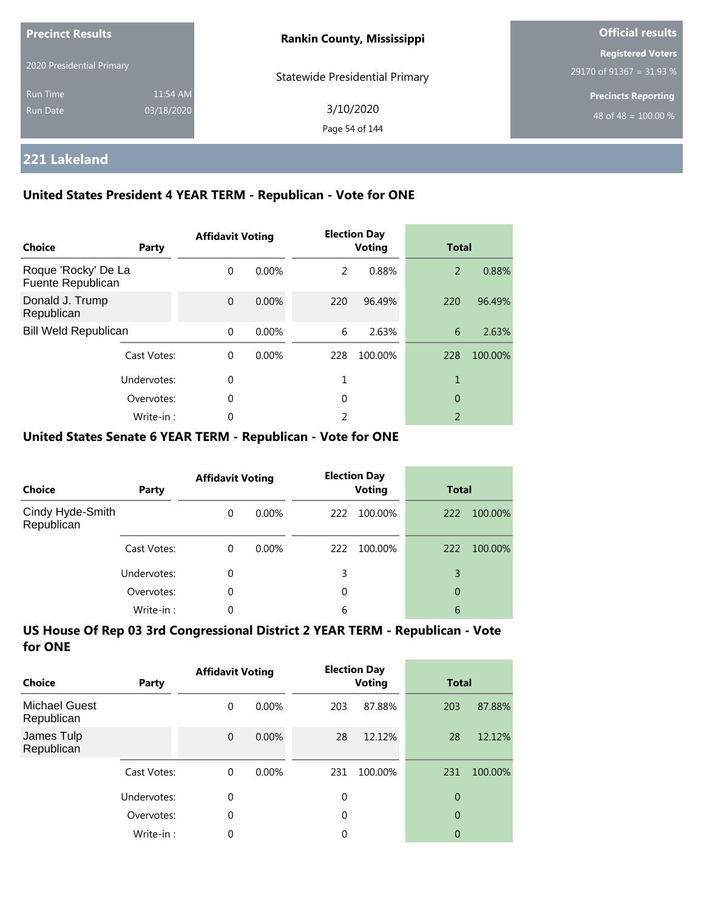| <b>Precinct Results</b><br>2020 Presidential Primary |                        | <b>Rankin County, Mississippi</b>     | <b>Official results</b>                              |
|------------------------------------------------------|------------------------|---------------------------------------|------------------------------------------------------|
|                                                      |                        | <b>Statewide Presidential Primary</b> | <b>Registered Voters</b><br>29170 of 91367 = 31.93 % |
| <b>Run Time</b><br>Run Date                          | 11:54 AM<br>03/18/2020 | 3/10/2020<br>Page 54 of 144           | <b>Precincts Reporting</b><br>48 of 48 = $100.00\%$  |

## **221 Lakeland**

### **United States President 4 YEAR TERM - Republican - Vote for ONE**

| <b>Choice</b>                            | Party       | <b>Affidavit Voting</b> |          |               | <b>Election Day</b><br><b>Voting</b> | <b>Total</b>             |         |
|------------------------------------------|-------------|-------------------------|----------|---------------|--------------------------------------|--------------------------|---------|
| Roque 'Rocky' De La<br>Fuente Republican |             | $\Omega$                | $0.00\%$ | $\mathcal{P}$ | 0.88%                                | 2                        | 0.88%   |
| Donald J. Trump<br>Republican            |             | $\Omega$                | $0.00\%$ | 220           | 96.49%                               | 220                      | 96.49%  |
| <b>Bill Weld Republican</b>              |             | $\Omega$                | 0.00%    | 6             | 2.63%                                | 6                        | 2.63%   |
|                                          | Cast Votes: | $\Omega$                | $0.00\%$ | 228           | 100.00%                              | 228                      | 100.00% |
|                                          | Undervotes: | $\Omega$                |          |               |                                      | 1                        |         |
|                                          | Overvotes:  | $\Omega$                |          | 0             |                                      | 0                        |         |
|                                          | Write-in:   | 0                       |          | 2             |                                      | $\overline{\phantom{0}}$ |         |

### **United States Senate 6 YEAR TERM - Republican - Vote for ONE**

| <b>Choice</b>                  | Party       | <b>Affidavit Voting</b> |          |     | <b>Election Day</b><br><b>Voting</b> | <b>Total</b> |         |
|--------------------------------|-------------|-------------------------|----------|-----|--------------------------------------|--------------|---------|
| Cindy Hyde-Smith<br>Republican |             | $\Omega$                | 0.00%    | 222 | 100.00%                              | 222          | 100.00% |
|                                | Cast Votes: | $\Omega$                | $0.00\%$ | 222 | 100.00%                              | 222          | 100.00% |
|                                | Undervotes: | 0                       |          | 3   |                                      | 3            |         |
|                                | Overvotes:  | $\Omega$                |          | 0   |                                      | 0            |         |
|                                | Write-in:   | 0                       |          | 6   |                                      | 6            |         |

| Choice                             | Party       | <b>Affidavit Voting</b> |          |          | <b>Election Day</b><br><b>Voting</b> | <b>Total</b>   |         |
|------------------------------------|-------------|-------------------------|----------|----------|--------------------------------------|----------------|---------|
| <b>Michael Guest</b><br>Republican |             | 0                       | $0.00\%$ | 203      | 87.88%                               | 203            | 87.88%  |
| James Tulp<br>Republican           |             | $\overline{0}$          | $0.00\%$ | 28       | 12.12%                               | 28             | 12.12%  |
|                                    | Cast Votes: | $\Omega$                | $0.00\%$ | 231      | 100.00%                              | 231            | 100.00% |
|                                    | Undervotes: | 0                       |          | $\Omega$ |                                      | $\overline{0}$ |         |
|                                    | Overvotes:  | 0                       |          | $\Omega$ |                                      | $\overline{0}$ |         |
|                                    | Write-in:   | 0                       |          | 0        |                                      | 0              |         |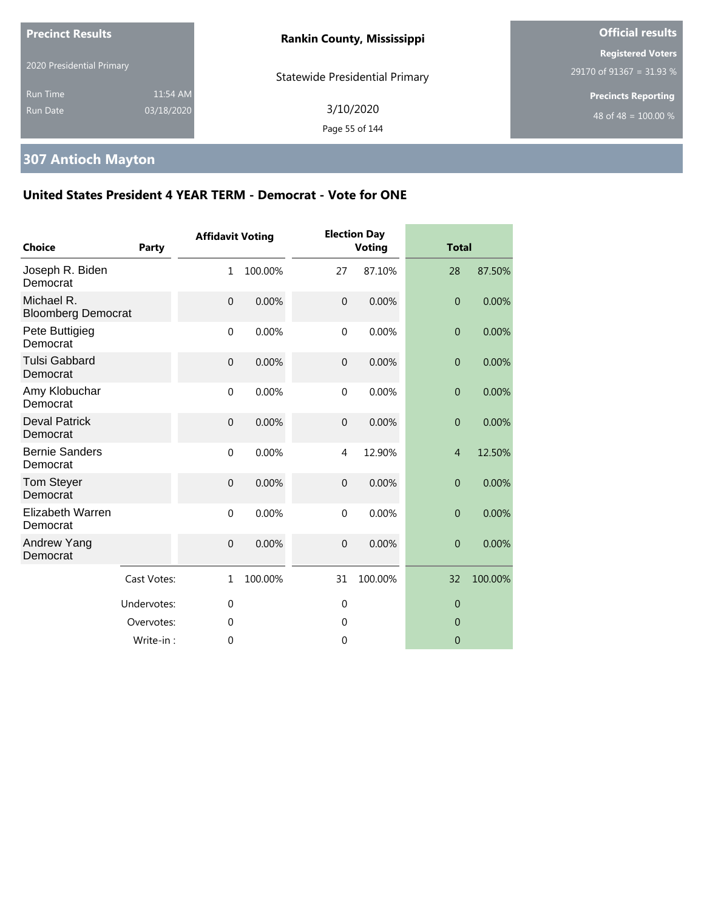| <b>Precinct Results</b>     |                        | <b>Rankin County, Mississippi</b>     | <b>Official results</b>                                        |
|-----------------------------|------------------------|---------------------------------------|----------------------------------------------------------------|
| 2020 Presidential Primary   |                        | <b>Statewide Presidential Primary</b> | <b>Registered Voters</b><br>$29170$ of 91367 = 31.93 %         |
| Run Time<br><b>Run Date</b> | 11:54 AM<br>03/18/2020 | 3/10/2020<br>Page 55 of 144           | <b>Precincts Reporting</b><br>48 of 48 = $\overline{100.00\%}$ |

# **307 Antioch Mayton**

| <b>Choice</b>                           | <b>Party</b> | <b>Affidavit Voting</b> |         |                | <b>Election Day</b><br><b>Voting</b> | <b>Total</b>     |         |
|-----------------------------------------|--------------|-------------------------|---------|----------------|--------------------------------------|------------------|---------|
| Joseph R. Biden<br>Democrat             |              | 1                       | 100.00% | 27             | 87.10%                               | 28               | 87.50%  |
| Michael R.<br><b>Bloomberg Democrat</b> |              | $\mathbf{0}$            | 0.00%   | $\mathbf{0}$   | 0.00%                                | $\mathbf{0}$     | 0.00%   |
| Pete Buttigieg<br>Democrat              |              | $\mathbf 0$             | 0.00%   | $\mathbf 0$    | 0.00%                                | $\overline{0}$   | 0.00%   |
| <b>Tulsi Gabbard</b><br>Democrat        |              | $\mathbf{0}$            | 0.00%   | $\overline{0}$ | 0.00%                                | $\overline{0}$   | 0.00%   |
| Amy Klobuchar<br>Democrat               |              | $\mathbf{0}$            | 0.00%   | $\mathbf 0$    | 0.00%                                | $\mathbf{0}$     | 0.00%   |
| <b>Deval Patrick</b><br>Democrat        |              | $\mathbf{0}$            | 0.00%   | $\mathbf 0$    | 0.00%                                | $\boldsymbol{0}$ | 0.00%   |
| <b>Bernie Sanders</b><br>Democrat       |              | $\mathbf 0$             | 0.00%   | 4              | 12.90%                               | $\overline{4}$   | 12.50%  |
| Tom Steyer<br>Democrat                  |              | $\mathbf{0}$            | 0.00%   | $\overline{0}$ | 0.00%                                | $\overline{0}$   | 0.00%   |
| <b>Elizabeth Warren</b><br>Democrat     |              | $\mathbf 0$             | 0.00%   | $\mathbf 0$    | 0.00%                                | $\overline{0}$   | 0.00%   |
| Andrew Yang<br>Democrat                 |              | $\overline{0}$          | 0.00%   | $\overline{0}$ | 0.00%                                | $\overline{0}$   | 0.00%   |
|                                         | Cast Votes:  | $\mathbf{1}$            | 100.00% | 31             | 100.00%                              | 32               | 100.00% |
|                                         | Undervotes:  | $\mathbf{0}$            |         | $\mathbf{0}$   |                                      | $\theta$         |         |
|                                         | Overvotes:   | 0                       |         | $\mathbf 0$    |                                      | $\overline{0}$   |         |
|                                         | Write-in:    | 0                       |         | 0              |                                      | $\overline{0}$   |         |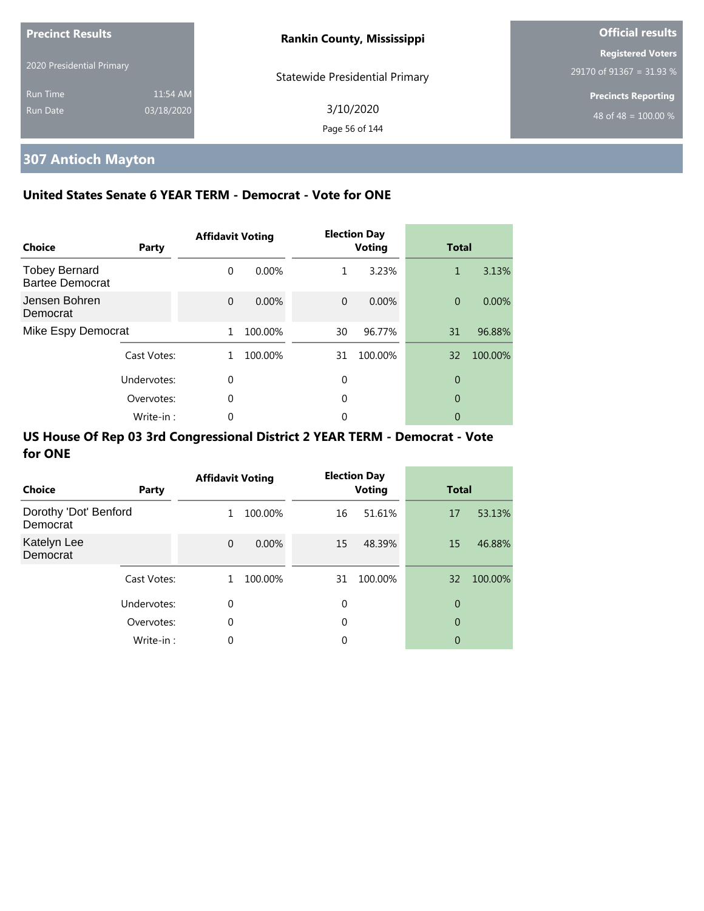| <b>Precinct Results</b>   |            | <b>Rankin County, Mississippi</b>     | <b>Official results</b>          |
|---------------------------|------------|---------------------------------------|----------------------------------|
|                           |            |                                       | <b>Registered Voters</b>         |
| 2020 Presidential Primary |            | <b>Statewide Presidential Primary</b> | 29170 of 91367 = 31.93 %         |
| <b>Run Time</b>           | 11:54 AM   |                                       | <b>Precincts Reporting</b>       |
| Run Date                  | 03/18/2020 | 3/10/2020                             | 48 of 48 = $\overline{100.00\%}$ |
|                           |            | Page 56 of 144                        |                                  |

# **307 Antioch Mayton**

## **United States Senate 6 YEAR TERM - Democrat - Vote for ONE**

| Choice                                         | Party       | <b>Affidavit Voting</b> |          |          | <b>Election Day</b><br><b>Voting</b> | <b>Total</b>   |         |
|------------------------------------------------|-------------|-------------------------|----------|----------|--------------------------------------|----------------|---------|
| <b>Tobey Bernard</b><br><b>Bartee Democrat</b> |             | $\Omega$                | 0.00%    | 1        | 3.23%                                | 1              | 3.13%   |
| Jensen Bohren<br>Democrat                      |             | $\Omega$                | $0.00\%$ | $\Omega$ | 0.00%                                | $\overline{0}$ | 0.00%   |
| Mike Espy Democrat                             |             | 1                       | 100.00%  | 30       | 96.77%                               | 31             | 96.88%  |
|                                                | Cast Votes: | 1.                      | 100.00%  | 31       | 100.00%                              | 32             | 100.00% |
|                                                | Undervotes: | $\Omega$                |          | 0        |                                      | 0              |         |
|                                                | Overvotes:  | 0                       |          | 0        |                                      | 0              |         |
|                                                | Write-in:   | 0                       |          | 0        |                                      | 0              |         |

| Choice                            | Party       | <b>Affidavit Voting</b> |          |    | <b>Election Day</b><br><b>Voting</b> | <b>Total</b> |         |
|-----------------------------------|-------------|-------------------------|----------|----|--------------------------------------|--------------|---------|
| Dorothy 'Dot' Benford<br>Democrat |             | 1                       | 100.00%  | 16 | 51.61%                               | 17           | 53.13%  |
| Katelyn Lee<br>Democrat           |             | $\Omega$                | $0.00\%$ | 15 | 48.39%                               | 15           | 46.88%  |
|                                   | Cast Votes: | 1                       | 100.00%  | 31 | 100.00%                              | 32           | 100.00% |
|                                   | Undervotes: | $\mathbf 0$             |          | 0  |                                      | 0            |         |
|                                   | Overvotes:  | $\mathbf 0$             |          | 0  |                                      | 0            |         |
|                                   | Write-in:   | 0                       |          | 0  |                                      | 0            |         |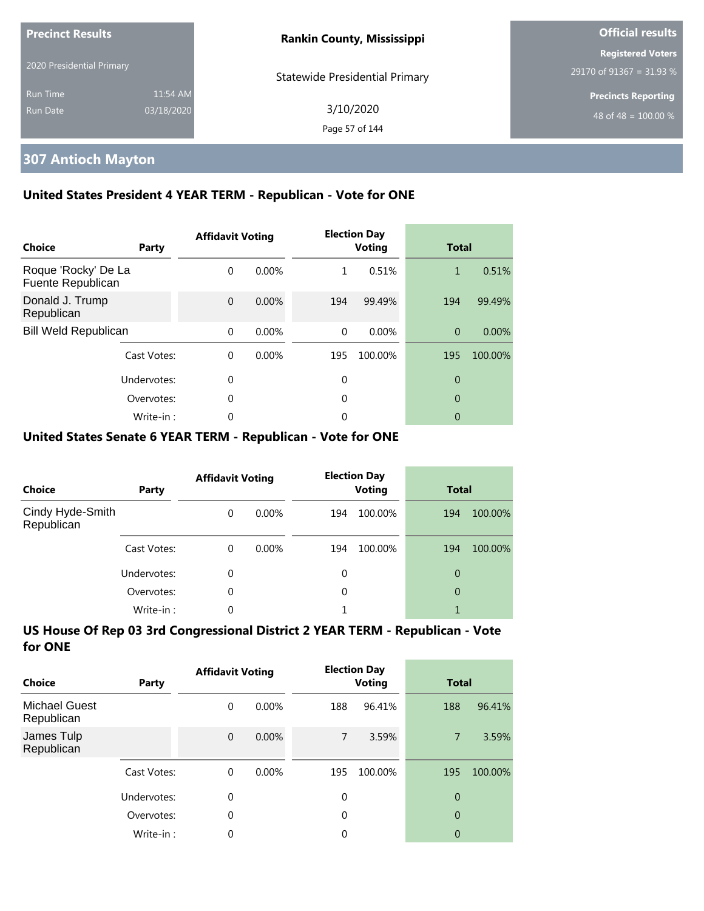| <b>Precinct Results</b><br>2020 Presidential Primary |                        | <b>Rankin County, Mississippi</b>     | <b>Official results</b>                              |
|------------------------------------------------------|------------------------|---------------------------------------|------------------------------------------------------|
|                                                      |                        | <b>Statewide Presidential Primary</b> | <b>Registered Voters</b><br>29170 of 91367 = 31.93 % |
| <b>Run Time</b><br>Run Date                          | 11:54 AM<br>03/18/2020 | 3/10/2020<br>Page 57 of 144           | <b>Precincts Reporting</b><br>48 of 48 = $100.00\%$  |

## **307 Antioch Mayton**

### **United States President 4 YEAR TERM - Republican - Vote for ONE**

| Choice                                   | Party       | <b>Affidavit Voting</b> |          |          | <b>Election Day</b><br><b>Voting</b> | <b>Total</b> |         |
|------------------------------------------|-------------|-------------------------|----------|----------|--------------------------------------|--------------|---------|
| Roque 'Rocky' De La<br>Fuente Republican |             | $\Omega$                | 0.00%    | 1        | 0.51%                                | 1            | 0.51%   |
| Donald J. Trump<br>Republican            |             | $\Omega$                | $0.00\%$ | 194      | 99.49%                               | 194          | 99.49%  |
| <b>Bill Weld Republican</b>              |             | $\Omega$                | 0.00%    | $\Omega$ | 0.00%                                | $\Omega$     | 0.00%   |
|                                          | Cast Votes: | $\Omega$                | $0.00\%$ | 195      | 100.00%                              | 195          | 100.00% |
|                                          | Undervotes: | 0                       |          | 0        |                                      | 0            |         |
|                                          | Overvotes:  | $\Omega$                |          | 0        |                                      | 0            |         |
|                                          | Write-in:   | 0                       |          | 0        |                                      | 0            |         |

### **United States Senate 6 YEAR TERM - Republican - Vote for ONE**

| <b>Choice</b>                  | Party       | <b>Affidavit Voting</b> |          | <b>Election Day</b><br><b>Voting</b> |         | <b>Total</b> |         |
|--------------------------------|-------------|-------------------------|----------|--------------------------------------|---------|--------------|---------|
| Cindy Hyde-Smith<br>Republican |             | $\Omega$                | $0.00\%$ | 194                                  | 100.00% | 194          | 100.00% |
|                                | Cast Votes: | $\Omega$                | $0.00\%$ | 194                                  | 100.00% | 194          | 100.00% |
|                                | Undervotes: | 0                       |          | 0                                    |         | 0            |         |
|                                | Overvotes:  | $\Omega$                |          | 0                                    |         | 0            |         |
|                                | Write-in:   | 0                       |          |                                      |         |              |         |

| Choice                             | Party       | <b>Affidavit Voting</b> |          | <b>Election Day</b><br><b>Voting</b> |         | <b>Total</b>   |         |
|------------------------------------|-------------|-------------------------|----------|--------------------------------------|---------|----------------|---------|
| <b>Michael Guest</b><br>Republican |             | 0                       | $0.00\%$ | 188                                  | 96.41%  | 188            | 96.41%  |
| James Tulp<br>Republican           |             | $\mathbf{0}$            | $0.00\%$ | $\overline{7}$                       | 3.59%   | $\overline{7}$ | 3.59%   |
|                                    | Cast Votes: | $\Omega$                | $0.00\%$ | 195                                  | 100.00% | 195            | 100.00% |
|                                    | Undervotes: | 0                       |          | $\mathbf 0$                          |         | $\overline{0}$ |         |
|                                    | Overvotes:  | $\theta$                |          | 0                                    |         | $\overline{0}$ |         |
|                                    | Write-in:   | 0                       |          | 0                                    |         | 0              |         |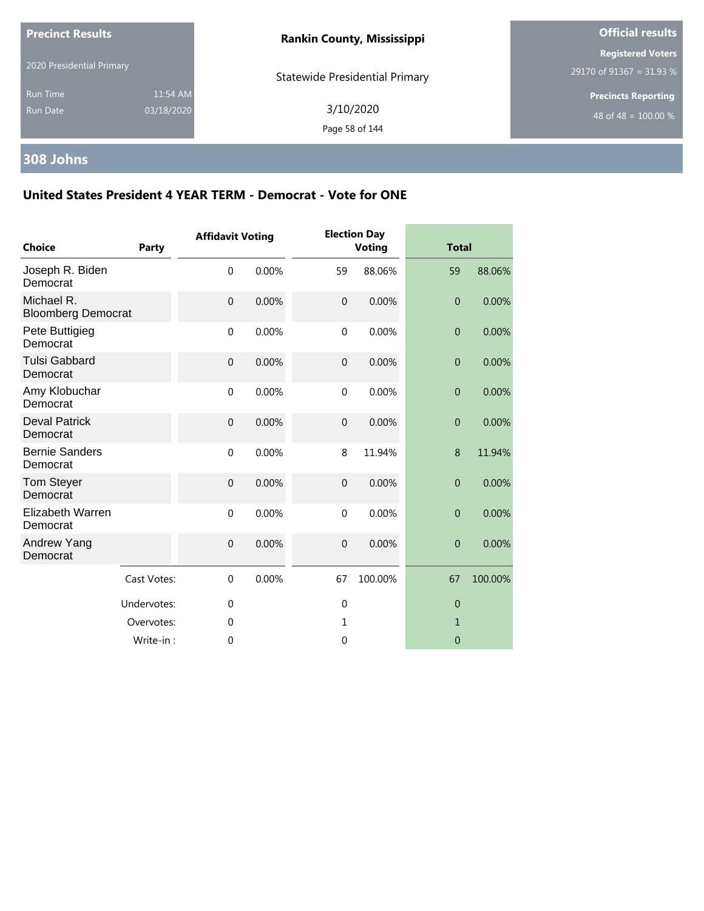| <b>Precinct Results</b>            |                        | <b>Rankin County, Mississippi</b>     | <b>Official results</b>                              |  |
|------------------------------------|------------------------|---------------------------------------|------------------------------------------------------|--|
| 2020 Presidential Primary          |                        | <b>Statewide Presidential Primary</b> | <b>Registered Voters</b><br>29170 of 91367 = 31.93 % |  |
| <b>Run Time</b><br><b>Run Date</b> | 11:54 AM<br>03/18/2020 | 3/10/2020<br>Page 58 of 144           | <b>Precincts Reporting</b><br>48 of 48 = $100.00\%$  |  |

### **308 Johns**

| <b>Choice</b>                           | Party       | <b>Affidavit Voting</b> |       |                  | <b>Election Day</b><br><b>Voting</b> |                | <b>Total</b> |  |
|-----------------------------------------|-------------|-------------------------|-------|------------------|--------------------------------------|----------------|--------------|--|
| Joseph R. Biden<br>Democrat             |             | $\mathbf 0$             | 0.00% | 59               | 88.06%                               | 59             | 88.06%       |  |
| Michael R.<br><b>Bloomberg Democrat</b> |             | $\mathbf{0}$            | 0.00% | $\mathbf{0}$     | 0.00%                                | $\overline{0}$ | 0.00%        |  |
| Pete Buttigieg<br>Democrat              |             | $\mathbf 0$             | 0.00% | $\mathbf 0$      | 0.00%                                | $\theta$       | 0.00%        |  |
| <b>Tulsi Gabbard</b><br>Democrat        |             | $\mathbf{0}$            | 0.00% | $\boldsymbol{0}$ | 0.00%                                | $\theta$       | 0.00%        |  |
| Amy Klobuchar<br>Democrat               |             | $\mathbf{0}$            | 0.00% | $\mathbf{0}$     | 0.00%                                | $\theta$       | 0.00%        |  |
| <b>Deval Patrick</b><br>Democrat        |             | $\boldsymbol{0}$        | 0.00% | $\boldsymbol{0}$ | 0.00%                                | $\theta$       | 0.00%        |  |
| <b>Bernie Sanders</b><br>Democrat       |             | $\mathbf 0$             | 0.00% | 8                | 11.94%                               | 8              | 11.94%       |  |
| Tom Steyer<br>Democrat                  |             | $\mathbf{0}$            | 0.00% | $\overline{0}$   | 0.00%                                | $\overline{0}$ | 0.00%        |  |
| Elizabeth Warren<br>Democrat            |             | $\mathbf 0$             | 0.00% | $\mathbf 0$      | 0.00%                                | $\overline{0}$ | 0.00%        |  |
| Andrew Yang<br>Democrat                 |             | $\mathbf 0$             | 0.00% | $\mathbf 0$      | 0.00%                                | $\overline{0}$ | 0.00%        |  |
|                                         | Cast Votes: | $\Omega$                | 0.00% | 67               | 100.00%                              | 67             | 100.00%      |  |
|                                         | Undervotes: | 0                       |       | $\mathbf 0$      |                                      | $\theta$       |              |  |
|                                         | Overvotes:  | $\mathbf 0$             |       | 1                |                                      | $\mathbf{1}$   |              |  |
|                                         | Write-in:   | $\mathbf 0$             |       | 0                |                                      | $\overline{0}$ |              |  |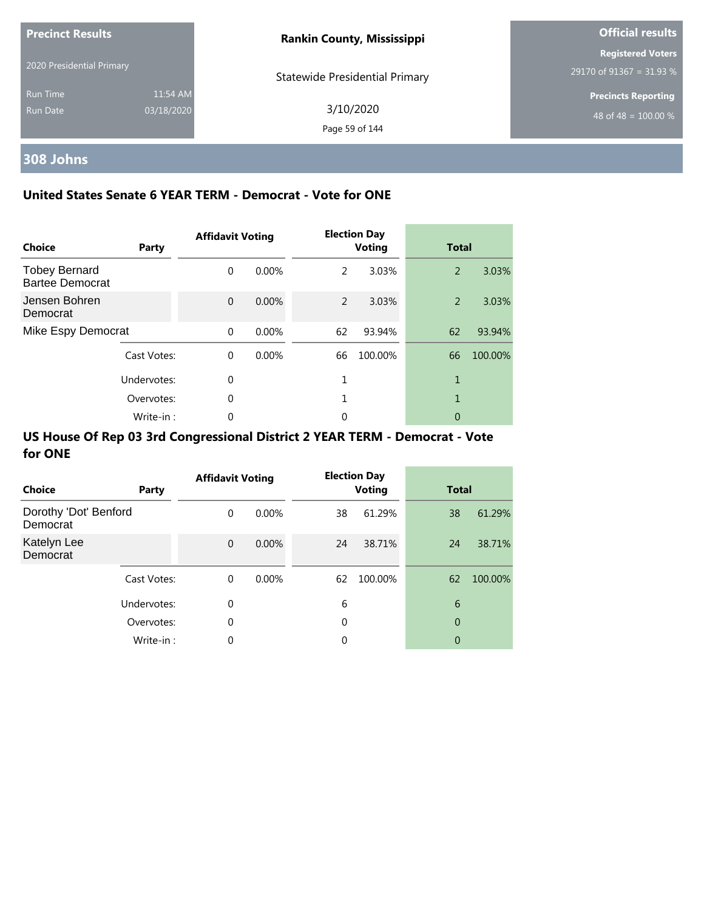| <b>Precinct Results</b>     |                        | <b>Rankin County, Mississippi</b>     | <b>Official results</b>                              |  |  |
|-----------------------------|------------------------|---------------------------------------|------------------------------------------------------|--|--|
| 2020 Presidential Primary   |                        | <b>Statewide Presidential Primary</b> | <b>Registered Voters</b><br>29170 of 91367 = 31.93 % |  |  |
| <b>Run Time</b><br>Run Date | 11:54 AM<br>03/18/2020 | 3/10/2020<br>Page 59 of 144           | <b>Precincts Reporting</b><br>48 of 48 = $100.00\%$  |  |  |

# **308 Johns**

## **United States Senate 6 YEAR TERM - Democrat - Vote for ONE**

| Choice                                         | Party       | <b>Affidavit Voting</b> |          |               | <b>Election Day</b><br><b>Voting</b> | <b>Total</b> |         |
|------------------------------------------------|-------------|-------------------------|----------|---------------|--------------------------------------|--------------|---------|
| <b>Tobey Bernard</b><br><b>Bartee Democrat</b> |             | $\Omega$                | $0.00\%$ | 2             | 3.03%                                | 2            | 3.03%   |
| Jensen Bohren<br>Democrat                      |             | $\Omega$                | $0.00\%$ | $\mathcal{P}$ | 3.03%                                | 2            | 3.03%   |
| Mike Espy Democrat                             |             | $\Omega$                | $0.00\%$ | 62            | 93.94%                               | 62           | 93.94%  |
|                                                | Cast Votes: | $\Omega$                | 0.00%    | 66            | 100.00%                              | 66           | 100.00% |
|                                                | Undervotes: | $\Omega$                |          |               |                                      | 1            |         |
|                                                | Overvotes:  | $\Omega$                |          | 1             |                                      | 1            |         |
|                                                | Write-in:   | 0                       |          | 0             |                                      | 0            |         |

| <b>Choice</b>                     | Party       | <b>Affidavit Voting</b> |          |    | <b>Election Day</b><br><b>Voting</b> |    | <b>Total</b> |
|-----------------------------------|-------------|-------------------------|----------|----|--------------------------------------|----|--------------|
| Dorothy 'Dot' Benford<br>Democrat |             | 0                       | $0.00\%$ | 38 | 61.29%                               | 38 | 61.29%       |
| Katelyn Lee<br>Democrat           |             | $\mathbf 0$             | $0.00\%$ | 24 | 38.71%                               | 24 | 38.71%       |
|                                   | Cast Votes: | 0                       | $0.00\%$ | 62 | 100.00%                              | 62 | 100.00%      |
|                                   | Undervotes: | 0                       |          | 6  |                                      | 6  |              |
|                                   | Overvotes:  | 0                       |          | 0  |                                      | 0  |              |
|                                   | Write-in:   | $\Omega$                |          | 0  |                                      | 0  |              |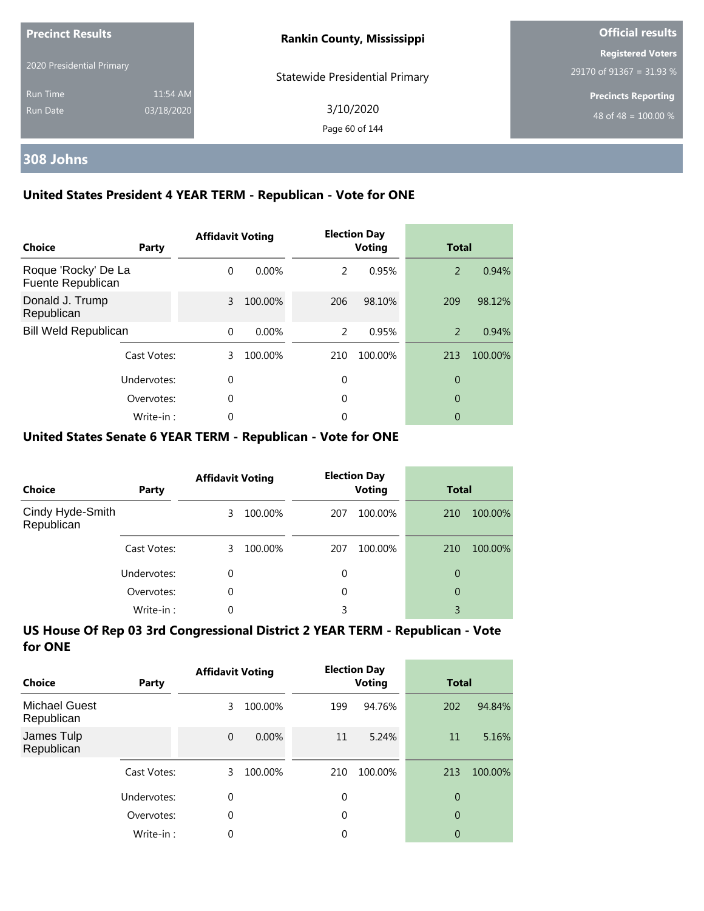| <b>Precinct Results</b>   |            | <b>Rankin County, Mississippi</b>     | <b>Official results</b>    |  |
|---------------------------|------------|---------------------------------------|----------------------------|--|
| 2020 Presidential Primary |            |                                       | <b>Registered Voters</b>   |  |
|                           |            | <b>Statewide Presidential Primary</b> | 29170 of 91367 = 31.93 %   |  |
| <b>Run Time</b>           | 11:54 AM   |                                       | <b>Precincts Reporting</b> |  |
| Run Date                  | 03/18/2020 | 3/10/2020                             | 48 of 48 = $100.00\%$      |  |
|                           |            | Page 60 of 144                        |                            |  |

# **308 Johns**

## **United States President 4 YEAR TERM - Republican - Vote for ONE**

| Choice                                   | Party       | <b>Affidavit Voting</b> |          |     | <b>Election Day</b><br><b>Voting</b> | <b>Total</b>   |         |
|------------------------------------------|-------------|-------------------------|----------|-----|--------------------------------------|----------------|---------|
| Roque 'Rocky' De La<br>Fuente Republican |             | $\Omega$                | $0.00\%$ | 2   | 0.95%                                | 2              | 0.94%   |
| Donald J. Trump<br>Republican            |             | 3                       | 100.00%  | 206 | 98.10%                               | 209            | 98.12%  |
| <b>Bill Weld Republican</b>              |             | $\Omega$                | $0.00\%$ | 2   | 0.95%                                | $\overline{2}$ | 0.94%   |
|                                          | Cast Votes: | 3                       | 100.00%  | 210 | 100.00%                              | 213            | 100.00% |
| Undervotes:                              |             | $\Omega$                |          | 0   |                                      | 0              |         |
|                                          | Overvotes:  | $\Omega$                |          | 0   |                                      | 0              |         |
|                                          | Write-in:   | 0                       |          | 0   |                                      | 0              |         |

### **United States Senate 6 YEAR TERM - Republican - Vote for ONE**

| <b>Choice</b>                  | Party       | <b>Affidavit Voting</b> |         | <b>Election Day</b><br><b>Voting</b> |         | <b>Total</b> |         |
|--------------------------------|-------------|-------------------------|---------|--------------------------------------|---------|--------------|---------|
| Cindy Hyde-Smith<br>Republican |             | 3.                      | 100.00% | 207                                  | 100.00% | 210          | 100.00% |
|                                | Cast Votes: | 3                       | 100.00% | 207                                  | 100.00% | 210          | 100.00% |
|                                | Undervotes: | $\Omega$                |         | 0                                    |         | 0            |         |
|                                | Overvotes:  | $\Omega$                |         | 0                                    |         | 0            |         |
|                                | Write-in:   | 0                       |         | 3                                    |         | 3            |         |

| Choice                             | Party       | <b>Affidavit Voting</b> |          | <b>Election Day</b><br><b>Voting</b> |         | <b>Total</b>   |         |
|------------------------------------|-------------|-------------------------|----------|--------------------------------------|---------|----------------|---------|
| <b>Michael Guest</b><br>Republican |             | 3                       | 100.00%  | 199                                  | 94.76%  | 202            | 94.84%  |
| James Tulp<br>Republican           |             | $\mathbf{0}$            | $0.00\%$ | 11                                   | 5.24%   | 11             | 5.16%   |
|                                    | Cast Votes: | 3                       | 100.00%  | 210                                  | 100.00% | 213            | 100.00% |
|                                    | Undervotes: | $\Omega$                |          | $\Omega$                             |         | $\overline{0}$ |         |
|                                    | Overvotes:  | 0                       |          | 0                                    |         | $\overline{0}$ |         |
|                                    | Write-in:   | 0                       |          | 0                                    |         | $\overline{0}$ |         |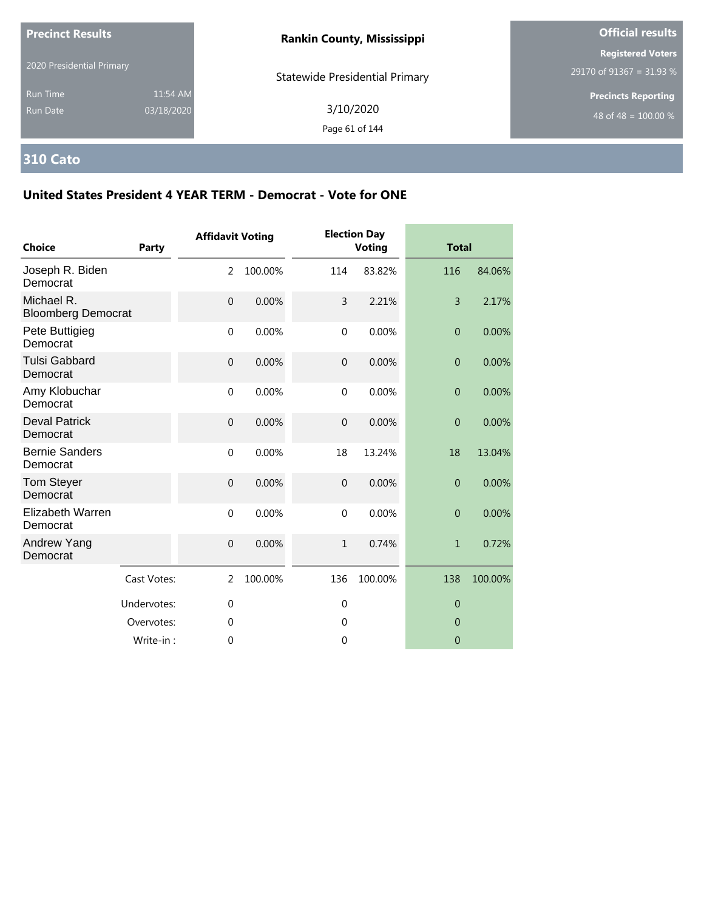| <b>Precinct Results</b>            |                        | <b>Rankin County, Mississippi</b>     | <b>Official results</b>                              |  |
|------------------------------------|------------------------|---------------------------------------|------------------------------------------------------|--|
| 2020 Presidential Primary          |                        | <b>Statewide Presidential Primary</b> | <b>Registered Voters</b><br>29170 of 91367 = 31.93 % |  |
| <b>Run Time</b><br><b>Run Date</b> | 11:54 AM<br>03/18/2020 | 3/10/2020<br>Page 61 of 144           | <b>Precincts Reporting</b><br>48 of 48 = $100.00\%$  |  |

# **310 Cato**

| <b>Choice</b>                           | <b>Party</b> | <b>Affidavit Voting</b> |         |                | <b>Election Day</b><br><b>Voting</b> | <b>Total</b>   |         |
|-----------------------------------------|--------------|-------------------------|---------|----------------|--------------------------------------|----------------|---------|
| Joseph R. Biden<br>Democrat             |              | 2                       | 100.00% | 114            | 83.82%                               | 116            | 84.06%  |
| Michael R.<br><b>Bloomberg Democrat</b> |              | $\mathbf{0}$            | 0.00%   | 3              | 2.21%                                | $\overline{3}$ | 2.17%   |
| Pete Buttigieg<br>Democrat              |              | $\mathbf 0$             | 0.00%   | $\mathbf{0}$   | 0.00%                                | $\overline{0}$ | 0.00%   |
| <b>Tulsi Gabbard</b><br>Democrat        |              | $\mathbf 0$             | 0.00%   | $\overline{0}$ | 0.00%                                | $\theta$       | 0.00%   |
| Amy Klobuchar<br>Democrat               |              | $\mathbf{0}$            | 0.00%   | $\mathbf{0}$   | 0.00%                                | $\overline{0}$ | 0.00%   |
| <b>Deval Patrick</b><br>Democrat        |              | $\mathbf 0$             | 0.00%   | $\overline{0}$ | 0.00%                                | $\overline{0}$ | 0.00%   |
| <b>Bernie Sanders</b><br>Democrat       |              | $\mathbf 0$             | 0.00%   | 18             | 13.24%                               | 18             | 13.04%  |
| <b>Tom Steyer</b><br>Democrat           |              | $\mathbf 0$             | 0.00%   | $\overline{0}$ | 0.00%                                | $\overline{0}$ | 0.00%   |
| <b>Elizabeth Warren</b><br>Democrat     |              | $\mathbf 0$             | 0.00%   | $\mathbf 0$    | 0.00%                                | $\overline{0}$ | 0.00%   |
| Andrew Yang<br>Democrat                 |              | $\mathbf{0}$            | 0.00%   | $\mathbf{1}$   | 0.74%                                | $\mathbf{1}$   | 0.72%   |
|                                         | Cast Votes:  | 2                       | 100.00% | 136            | 100.00%                              | 138            | 100.00% |
|                                         | Undervotes:  | $\mathbf 0$             |         | $\mathbf{0}$   |                                      | $\overline{0}$ |         |
|                                         | Overvotes:   | $\theta$                |         | $\Omega$       |                                      | $\theta$       |         |
|                                         | Write-in:    | $\mathbf 0$             |         | 0              |                                      | $\theta$       |         |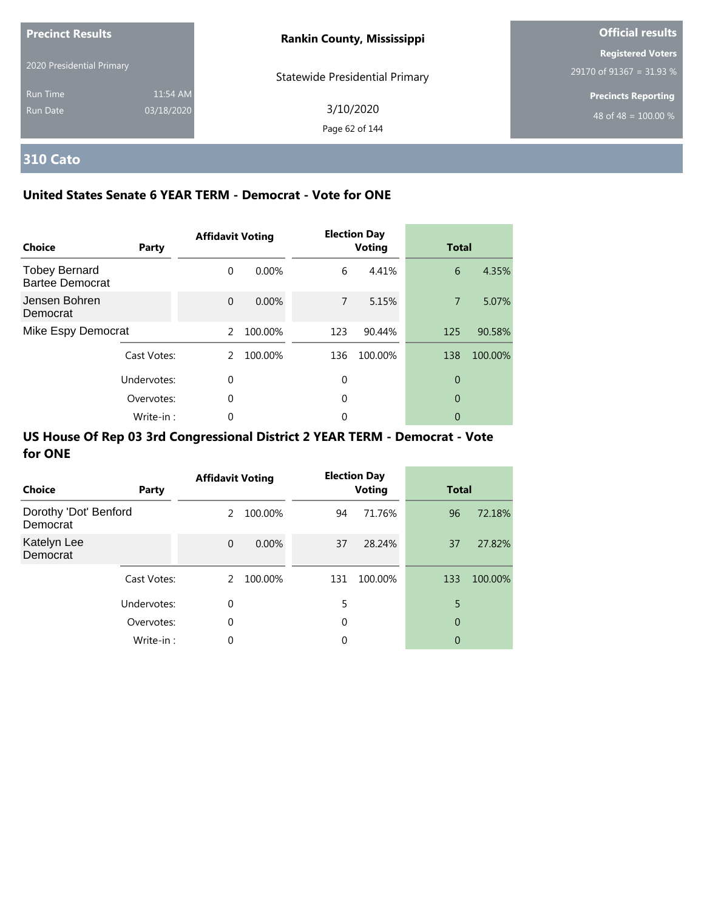| <b>Precinct Results</b>     |                        | <b>Rankin County, Mississippi</b>     | <b>Official results</b>                              |
|-----------------------------|------------------------|---------------------------------------|------------------------------------------------------|
| 2020 Presidential Primary   |                        | <b>Statewide Presidential Primary</b> | <b>Registered Voters</b><br>29170 of 91367 = 31.93 % |
| <b>Run Time</b><br>Run Date | 11:54 AM<br>03/18/2020 | 3/10/2020<br>Page 62 of 144           | <b>Precincts Reporting</b><br>48 of 48 = $100.00\%$  |

# **310 Cato**

### **United States Senate 6 YEAR TERM - Democrat - Vote for ONE**

| Choice                                         | Party       | <b>Affidavit Voting</b> |          |     | <b>Election Day</b><br><b>Voting</b> | <b>Total</b>   |         |
|------------------------------------------------|-------------|-------------------------|----------|-----|--------------------------------------|----------------|---------|
| <b>Tobey Bernard</b><br><b>Bartee Democrat</b> |             | $\Omega$                | $0.00\%$ | 6   | 4.41%                                | 6              | 4.35%   |
| Jensen Bohren<br>Democrat                      |             | $\Omega$                | $0.00\%$ | 7   | 5.15%                                | $\overline{7}$ | 5.07%   |
| Mike Espy Democrat                             |             | $\mathcal{P}$           | 100.00%  | 123 | 90.44%                               | 125            | 90.58%  |
|                                                | Cast Votes: | 2                       | 100.00%  | 136 | 100.00%                              | 138            | 100.00% |
|                                                | Undervotes: | 0                       |          | 0   |                                      | 0              |         |
|                                                | Overvotes:  | 0                       |          | 0   |                                      | 0              |         |
|                                                | Write-in:   | 0                       |          | 0   |                                      | 0              |         |

| Choice                            | Party       | <b>Affidavit Voting</b> |          |     | <b>Election Day</b><br><b>Voting</b> | <b>Total</b> |         |
|-----------------------------------|-------------|-------------------------|----------|-----|--------------------------------------|--------------|---------|
| Dorothy 'Dot' Benford<br>Democrat |             | 2                       | 100.00%  | 94  | 71.76%                               | 96           | 72.18%  |
| Katelyn Lee<br>Democrat           |             | $\Omega$                | $0.00\%$ | 37  | 28.24%                               | 37           | 27.82%  |
|                                   | Cast Votes: | 2                       | 100.00%  | 131 | 100.00%                              | 133          | 100.00% |
|                                   | Undervotes: | 0                       |          | 5   |                                      | 5            |         |
|                                   | Overvotes:  | $\mathbf 0$             |          | 0   |                                      | 0            |         |
|                                   | Write-in:   | 0                       |          | 0   |                                      | 0            |         |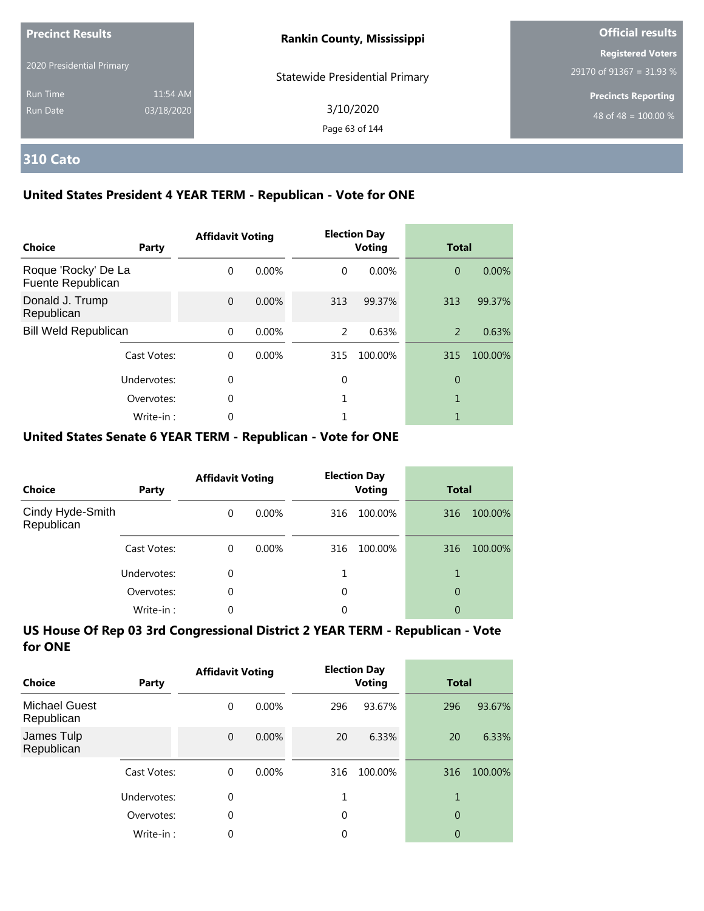| <b>Precinct Results</b>   |            | <b>Rankin County, Mississippi</b>     | <b>Official results</b>    |  |
|---------------------------|------------|---------------------------------------|----------------------------|--|
| 2020 Presidential Primary |            |                                       | <b>Registered Voters</b>   |  |
|                           |            | <b>Statewide Presidential Primary</b> | 29170 of 91367 = 31.93 %   |  |
| <b>Run Time</b>           | 11:54 AM   |                                       | <b>Precincts Reporting</b> |  |
| Run Date                  | 03/18/2020 | 3/10/2020                             | 48 of 48 = $100.00\%$      |  |
|                           |            | Page 63 of 144                        |                            |  |

## **310 Cato**

### **United States President 4 YEAR TERM - Republican - Vote for ONE**

| <b>Choice</b>                            | Party       | <b>Affidavit Voting</b> |          |          | <b>Election Day</b><br><b>Voting</b> | <b>Total</b>   |         |
|------------------------------------------|-------------|-------------------------|----------|----------|--------------------------------------|----------------|---------|
| Roque 'Rocky' De La<br>Fuente Republican |             | $\Omega$                | 0.00%    | $\Omega$ | $0.00\%$                             | $\overline{0}$ | 0.00%   |
| Donald J. Trump<br>Republican            |             | $\Omega$                | 0.00%    | 313      | 99.37%                               | 313            | 99.37%  |
| <b>Bill Weld Republican</b>              |             | $\Omega$                | 0.00%    | 2        | 0.63%                                | 2              | 0.63%   |
|                                          | Cast Votes: | $\Omega$                | $0.00\%$ | 315      | 100.00%                              | 315            | 100.00% |
|                                          | Undervotes: | 0                       |          | 0        |                                      | 0              |         |
|                                          | Overvotes:  | $\Omega$                |          |          |                                      | 1              |         |
|                                          | Write-in:   | 0                       |          |          |                                      |                |         |

### **United States Senate 6 YEAR TERM - Republican - Vote for ONE**

| <b>Choice</b>                  | Party       | <b>Affidavit Voting</b> |          |     | <b>Election Day</b><br><b>Voting</b> | <b>Total</b> |         |
|--------------------------------|-------------|-------------------------|----------|-----|--------------------------------------|--------------|---------|
| Cindy Hyde-Smith<br>Republican |             | $\Omega$                | $0.00\%$ | 316 | 100.00%                              | 316          | 100.00% |
|                                | Cast Votes: | $\Omega$                | $0.00\%$ | 316 | 100.00%                              | 316          | 100.00% |
|                                | Undervotes: | 0                       |          |     |                                      |              |         |
|                                | Overvotes:  | $\Omega$                |          | 0   |                                      | 0            |         |
|                                | Write-in:   | 0                       |          | 0   |                                      | 0            |         |

| Choice                             | Party       | <b>Affidavit Voting</b> |          |     | <b>Election Day</b><br><b>Voting</b> | <b>Total</b>   |         |
|------------------------------------|-------------|-------------------------|----------|-----|--------------------------------------|----------------|---------|
| <b>Michael Guest</b><br>Republican |             | 0                       | $0.00\%$ | 296 | 93.67%                               | 296            | 93.67%  |
| James Tulp<br>Republican           |             | $\overline{0}$          | $0.00\%$ | 20  | 6.33%                                | 20             | 6.33%   |
|                                    | Cast Votes: | $\Omega$                | $0.00\%$ | 316 | 100.00%                              | 316            | 100.00% |
|                                    | Undervotes: | 0                       |          | 1   |                                      | 1              |         |
|                                    | Overvotes:  | 0                       |          | 0   |                                      | $\overline{0}$ |         |
|                                    | Write-in:   | 0                       |          | 0   |                                      | 0              |         |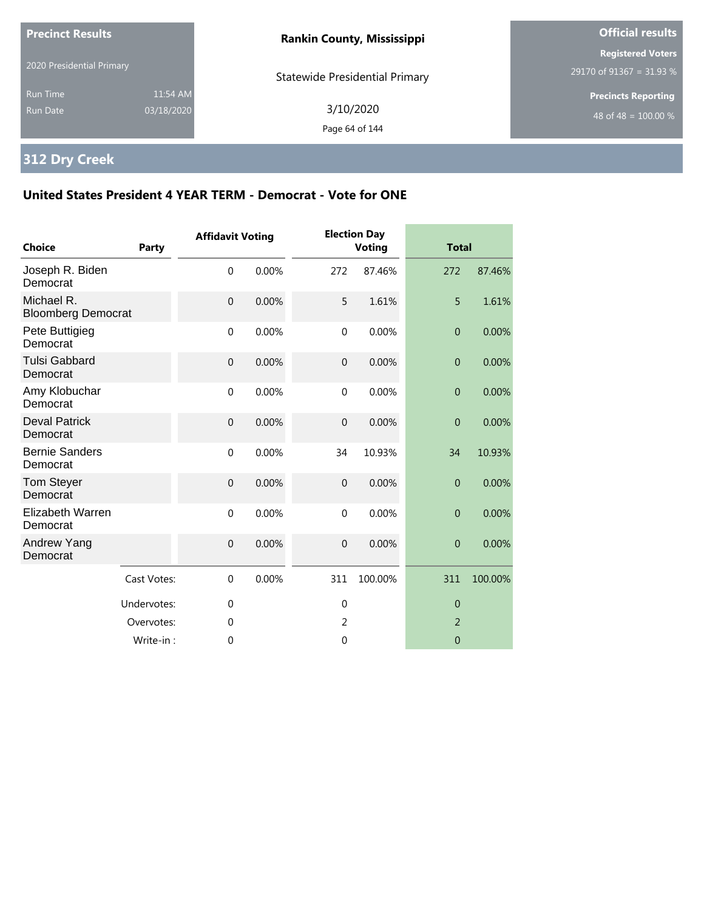| <b>Precinct Results</b>     |                        | <b>Rankin County, Mississippi</b>     | <b>Official results</b>                                        |  |
|-----------------------------|------------------------|---------------------------------------|----------------------------------------------------------------|--|
| 2020 Presidential Primary   |                        | <b>Statewide Presidential Primary</b> | <b>Registered Voters</b><br>29170 of 91367 = 31.93 %           |  |
| <b>Run Time</b><br>Run Date | 11:54 AM<br>03/18/2020 | 3/10/2020<br>Page 64 of 144           | <b>Precincts Reporting</b><br>48 of 48 = $\overline{100.00\%}$ |  |

# **312 Dry Creek**

| <b>Choice</b>                           | Party       | <b>Affidavit Voting</b> |       |                  | <b>Election Day</b><br><b>Voting</b> | <b>Total</b>   |         |
|-----------------------------------------|-------------|-------------------------|-------|------------------|--------------------------------------|----------------|---------|
| Joseph R. Biden<br>Democrat             |             | $\mathbf 0$             | 0.00% | 272              | 87.46%                               | 272            | 87.46%  |
| Michael R.<br><b>Bloomberg Democrat</b> |             | $\mathbf{0}$            | 0.00% | 5                | 1.61%                                | 5              | 1.61%   |
| Pete Buttigieg<br>Democrat              |             | $\mathbf 0$             | 0.00% | $\mathbf 0$      | 0.00%                                | $\mathbf{0}$   | 0.00%   |
| <b>Tulsi Gabbard</b><br>Democrat        |             | $\mathbf{0}$            | 0.00% | $\overline{0}$   | 0.00%                                | $\overline{0}$ | 0.00%   |
| Amy Klobuchar<br>Democrat               |             | $\mathbf{0}$            | 0.00% | $\mathbf{0}$     | 0.00%                                | $\theta$       | 0.00%   |
| <b>Deval Patrick</b><br>Democrat        |             | $\mathbf{0}$            | 0.00% | $\mathbf 0$      | 0.00%                                | $\overline{0}$ | 0.00%   |
| <b>Bernie Sanders</b><br>Democrat       |             | $\mathbf 0$             | 0.00% | 34               | 10.93%                               | 34             | 10.93%  |
| <b>Tom Steyer</b><br>Democrat           |             | $\overline{0}$          | 0.00% | $\mathbf 0$      | 0.00%                                | $\theta$       | 0.00%   |
| Elizabeth Warren<br>Democrat            |             | $\mathbf 0$             | 0.00% | $\mathbf 0$      | 0.00%                                | $\overline{0}$ | 0.00%   |
| Andrew Yang<br>Democrat                 |             | $\mathbf{0}$            | 0.00% | $\boldsymbol{0}$ | 0.00%                                | $\theta$       | 0.00%   |
|                                         | Cast Votes: | $\mathbf 0$             | 0.00% | 311              | 100.00%                              | 311            | 100.00% |
|                                         | Undervotes: | $\mathbf 0$             |       | $\mathbf 0$      |                                      | $\theta$       |         |
|                                         | Overvotes:  | 0                       |       | 2                |                                      | $\overline{2}$ |         |
|                                         | Write-in:   | $\mathbf 0$             |       | $\mathbf{0}$     |                                      | $\overline{0}$ |         |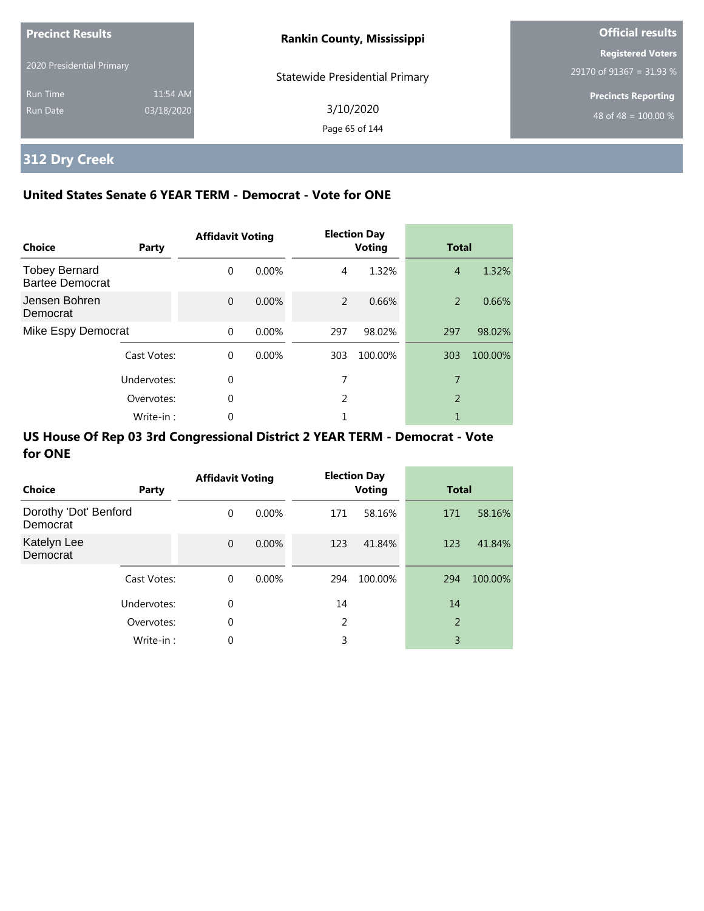| <b>Precinct Results</b>     |                        | <b>Rankin County, Mississippi</b>     | <b>Official results</b>                                        |
|-----------------------------|------------------------|---------------------------------------|----------------------------------------------------------------|
| 2020 Presidential Primary   |                        | <b>Statewide Presidential Primary</b> | <b>Registered Voters</b><br>29170 of 91367 = 31.93 %           |
| <b>Run Time</b><br>Run Date | 11:54 AM<br>03/18/2020 | 3/10/2020<br>Page 65 of 144           | <b>Precincts Reporting</b><br>48 of 48 = $\overline{100.00\%}$ |

# **312 Dry Creek**

## **United States Senate 6 YEAR TERM - Democrat - Vote for ONE**

| Choice                                         | Party       | <b>Affidavit Voting</b> |          |               | <b>Election Day</b><br><b>Voting</b> | <b>Total</b>   |         |
|------------------------------------------------|-------------|-------------------------|----------|---------------|--------------------------------------|----------------|---------|
| <b>Tobey Bernard</b><br><b>Bartee Democrat</b> |             | $\Omega$                | $0.00\%$ | 4             | 1.32%                                | $\overline{4}$ | 1.32%   |
| Jensen Bohren<br>Democrat                      |             | $\Omega$                | 0.00%    | $\mathcal{P}$ | 0.66%                                | 2              | 0.66%   |
| Mike Espy Democrat                             |             | $\Omega$                | 0.00%    | 297           | 98.02%                               | 297            | 98.02%  |
|                                                | Cast Votes: | $\Omega$                | 0.00%    | 303           | 100.00%                              | 303            | 100.00% |
|                                                | Undervotes: | 0                       |          | 7             |                                      | 7              |         |
|                                                | Overvotes:  | $\Omega$                |          | 2             |                                      | 2              |         |
|                                                | Write-in:   | 0                       |          |               |                                      | 1              |         |

| Choice                            | Party       | <b>Affidavit Voting</b> |          |     | <b>Election Day</b><br><b>Voting</b> | <b>Total</b> |         |
|-----------------------------------|-------------|-------------------------|----------|-----|--------------------------------------|--------------|---------|
| Dorothy 'Dot' Benford<br>Democrat |             | $\Omega$                | $0.00\%$ | 171 | 58.16%                               | 171          | 58.16%  |
| Katelyn Lee<br>Democrat           |             | $\Omega$                | $0.00\%$ | 123 | 41.84%                               | 123          | 41.84%  |
|                                   | Cast Votes: | $\mathbf 0$             | $0.00\%$ | 294 | 100.00%                              | 294          | 100.00% |
|                                   | Undervotes: | 0                       |          | 14  |                                      | 14           |         |
|                                   | Overvotes:  | 0                       |          | 2   |                                      | 2            |         |
|                                   | Write-in:   | 0                       |          | 3   |                                      | 3            |         |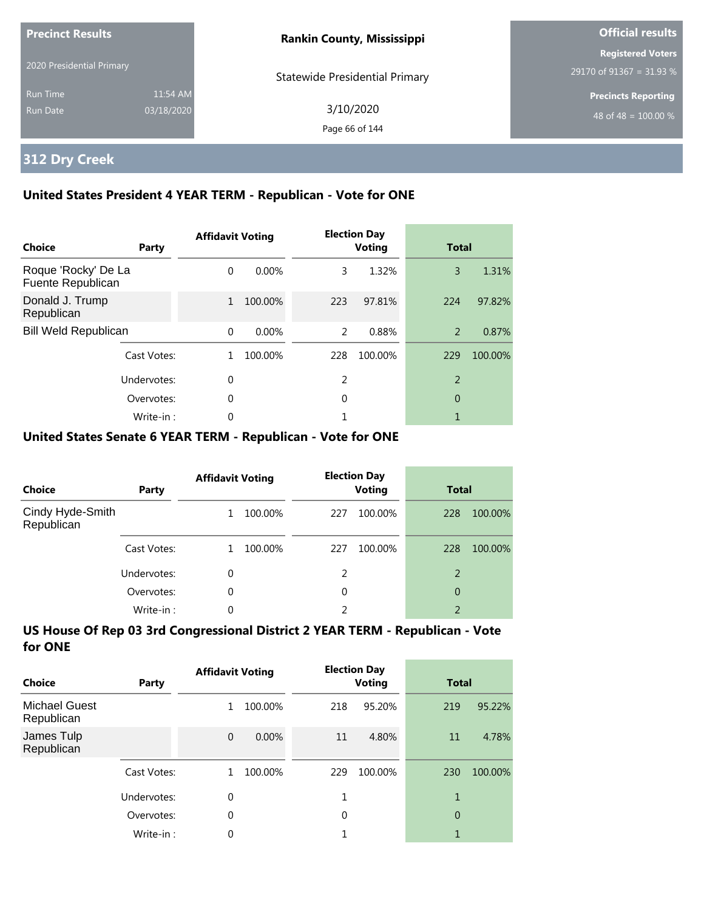| <b>Precinct Results</b>     |                        | <b>Rankin County, Mississippi</b>     | <b>Official results</b>                              |  |
|-----------------------------|------------------------|---------------------------------------|------------------------------------------------------|--|
| 2020 Presidential Primary   |                        | <b>Statewide Presidential Primary</b> | <b>Registered Voters</b><br>29170 of 91367 = 31.93 % |  |
| <b>Run Time</b><br>Run Date | 11:54 AM<br>03/18/2020 | 3/10/2020<br>Page 66 of 144           | <b>Precincts Reporting</b><br>48 of 48 = $100.00\%$  |  |

# **312 Dry Creek**

### **United States President 4 YEAR TERM - Republican - Vote for ONE**

| Choice                                   | Party       | <b>Affidavit Voting</b> |         |     | <b>Election Day</b><br><b>Voting</b> | <b>Total</b>   |         |
|------------------------------------------|-------------|-------------------------|---------|-----|--------------------------------------|----------------|---------|
| Roque 'Rocky' De La<br>Fuente Republican |             | $\Omega$                | 0.00%   | 3   | 1.32%                                | 3              | 1.31%   |
| Donald J. Trump<br>Republican            |             | $\mathbf{1}$            | 100.00% | 223 | 97.81%                               | 224            | 97.82%  |
| <b>Bill Weld Republican</b>              |             | $\Omega$                | 0.00%   | 2   | 0.88%                                | 2              | 0.87%   |
|                                          | Cast Votes: |                         | 100.00% | 228 | 100.00%                              | 229            | 100.00% |
|                                          | Undervotes: | 0                       |         | 2   |                                      | $\mathfrak{D}$ |         |
|                                          | Overvotes:  | 0                       |         | 0   |                                      | 0              |         |
|                                          | Write-in:   | 0                       |         |     |                                      |                |         |

### **United States Senate 6 YEAR TERM - Republican - Vote for ONE**

| <b>Choice</b>                  | Party       | <b>Affidavit Voting</b> |         |     | <b>Election Day</b><br><b>Voting</b> | <b>Total</b>   |         |
|--------------------------------|-------------|-------------------------|---------|-----|--------------------------------------|----------------|---------|
| Cindy Hyde-Smith<br>Republican |             |                         | 100.00% | 227 | 100.00%                              | 228            | 100.00% |
|                                | Cast Votes: |                         | 100.00% | 227 | 100.00%                              | 228            | 100.00% |
|                                | Undervotes: | 0                       |         | 2   |                                      | 2              |         |
|                                | Overvotes:  | $\Omega$                |         | 0   |                                      | 0              |         |
|                                | Write-in:   | 0                       |         | 2   |                                      | $\overline{2}$ |         |

| Choice                             | Party       | <b>Affidavit Voting</b> |         |          | <b>Election Day</b><br><b>Voting</b> | <b>Total</b> |         |
|------------------------------------|-------------|-------------------------|---------|----------|--------------------------------------|--------------|---------|
| <b>Michael Guest</b><br>Republican |             | 1                       | 100.00% | 218      | 95.20%                               | 219          | 95.22%  |
| James Tulp<br>Republican           |             | $\mathbf{0}$            | 0.00%   | 11       | 4.80%                                | 11           | 4.78%   |
|                                    | Cast Votes: |                         | 100.00% | 229      | 100.00%                              | 230          | 100.00% |
|                                    | Undervotes: | 0                       |         |          |                                      | 1            |         |
|                                    | Overvotes:  | 0                       |         | $\Omega$ |                                      | 0            |         |
|                                    | Write-in:   | 0                       |         |          |                                      | 1            |         |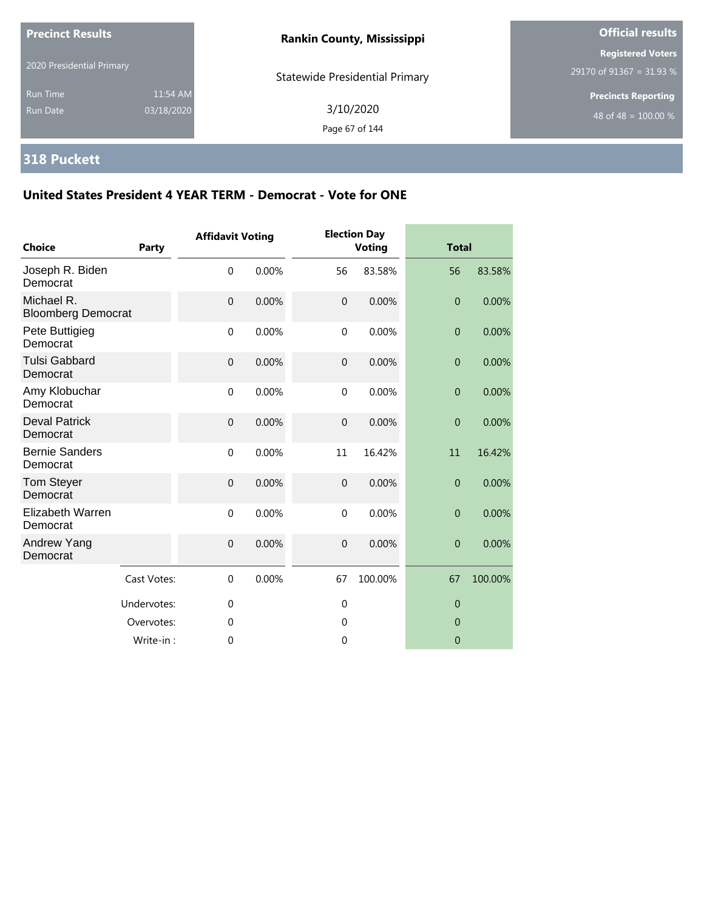| <b>Precinct Results</b>            |                        | <b>Rankin County, Mississippi</b>     | <b>Official results</b>                              |  |
|------------------------------------|------------------------|---------------------------------------|------------------------------------------------------|--|
| 2020 Presidential Primary          |                        | <b>Statewide Presidential Primary</b> | <b>Registered Voters</b><br>29170 of 91367 = 31.93 % |  |
| <b>Run Time</b><br><b>Run Date</b> | 11:54 AM<br>03/18/2020 | 3/10/2020<br>Page 67 of 144           | <b>Precincts Reporting</b><br>48 of 48 = $100.00\%$  |  |

# **318 Puckett**

| <b>Choice</b>                           | Party       | <b>Affidavit Voting</b> |       |                | <b>Election Day</b><br><b>Voting</b> | <b>Total</b>   |         |
|-----------------------------------------|-------------|-------------------------|-------|----------------|--------------------------------------|----------------|---------|
| Joseph R. Biden<br>Democrat             |             | $\mathbf 0$             | 0.00% | 56             | 83.58%                               | 56             | 83.58%  |
| Michael R.<br><b>Bloomberg Democrat</b> |             | $\mathbf 0$             | 0.00% | $\mathbf{0}$   | 0.00%                                | $\overline{0}$ | 0.00%   |
| Pete Buttigieg<br>Democrat              |             | $\mathbf 0$             | 0.00% | $\mathbf 0$    | 0.00%                                | $\theta$       | 0.00%   |
| <b>Tulsi Gabbard</b><br>Democrat        |             | $\mathbf 0$             | 0.00% | $\overline{0}$ | 0.00%                                | $\theta$       | 0.00%   |
| Amy Klobuchar<br>Democrat               |             | $\mathbf{0}$            | 0.00% | $\mathbf{0}$   | 0.00%                                | $\overline{0}$ | 0.00%   |
| <b>Deval Patrick</b><br>Democrat        |             | $\boldsymbol{0}$        | 0.00% | $\overline{0}$ | 0.00%                                | $\theta$       | 0.00%   |
| <b>Bernie Sanders</b><br>Democrat       |             | $\mathbf 0$             | 0.00% | 11             | 16.42%                               | 11             | 16.42%  |
| Tom Steyer<br>Democrat                  |             | $\mathbf 0$             | 0.00% | $\overline{0}$ | 0.00%                                | $\overline{0}$ | 0.00%   |
| Elizabeth Warren<br>Democrat            |             | $\mathbf 0$             | 0.00% | $\mathbf 0$    | 0.00%                                | $\overline{0}$ | 0.00%   |
| Andrew Yang<br>Democrat                 |             | $\mathbf 0$             | 0.00% | $\mathbf 0$    | 0.00%                                | $\overline{0}$ | 0.00%   |
|                                         | Cast Votes: | $\Omega$                | 0.00% | 67             | 100.00%                              | 67             | 100.00% |
|                                         | Undervotes: | $\mathbf 0$             |       | 0              |                                      | $\theta$       |         |
|                                         | Overvotes:  | $\mathbf 0$             |       | $\mathbf 0$    |                                      | $\mathbf{0}$   |         |
|                                         | Write-in:   | 0                       |       | $\mathbf 0$    |                                      | $\overline{0}$ |         |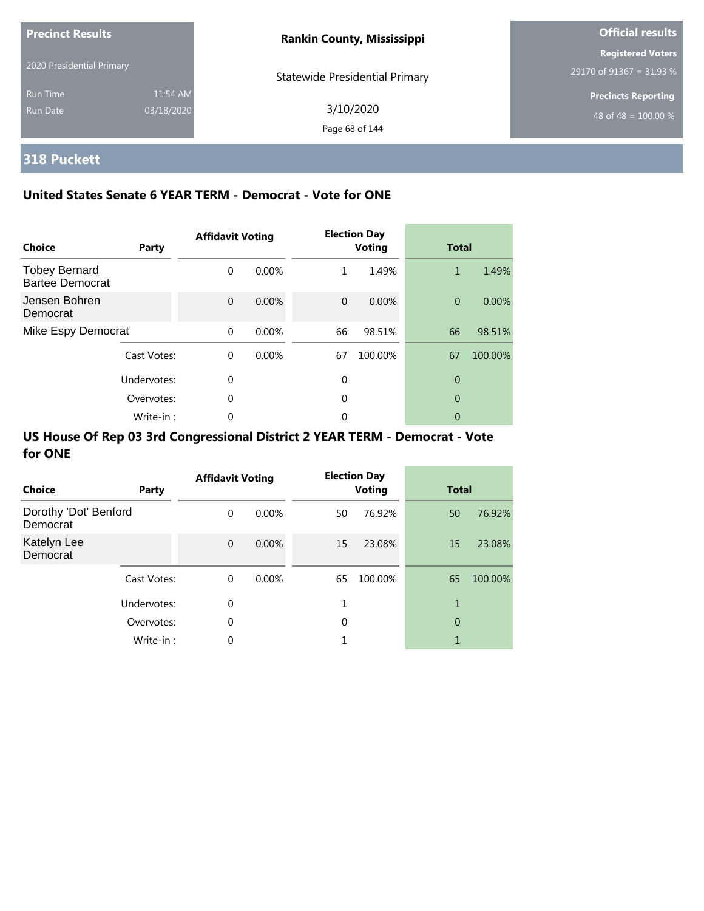| <b>Precinct Results</b>     |                        | <b>Rankin County, Mississippi</b>     | <b>Official results</b>                              |
|-----------------------------|------------------------|---------------------------------------|------------------------------------------------------|
| 2020 Presidential Primary   |                        | <b>Statewide Presidential Primary</b> | <b>Registered Voters</b><br>29170 of 91367 = 31.93 % |
| <b>Run Time</b><br>Run Date | 11:54 AM<br>03/18/2020 | 3/10/2020<br>Page 68 of 144           | <b>Precincts Reporting</b><br>48 of 48 = $100.00\%$  |

# **318 Puckett**

### **United States Senate 6 YEAR TERM - Democrat - Vote for ONE**

| <b>Choice</b>                                  | Party       | <b>Affidavit Voting</b> |          |          | <b>Election Day</b><br><b>Voting</b> | <b>Total</b>   |         |
|------------------------------------------------|-------------|-------------------------|----------|----------|--------------------------------------|----------------|---------|
| <b>Tobey Bernard</b><br><b>Bartee Democrat</b> |             | $\Omega$                | $0.00\%$ | 1        | 1.49%                                | 1              | 1.49%   |
| Jensen Bohren<br>Democrat                      |             | $\Omega$                | $0.00\%$ | $\Omega$ | 0.00%                                | $\overline{0}$ | 0.00%   |
| Mike Espy Democrat                             |             | $\Omega$                | 0.00%    | 66       | 98.51%                               | 66             | 98.51%  |
|                                                | Cast Votes: | $\Omega$                | $0.00\%$ | 67       | 100.00%                              | 67             | 100.00% |
|                                                | Undervotes: | $\Omega$                |          | 0        |                                      | $\theta$       |         |
|                                                | Overvotes:  | $\Omega$                |          | 0        |                                      | 0              |         |
|                                                | Write-in:   |                         |          | 0        |                                      | 0              |         |

| <b>Choice</b>                     | Party       | <b>Affidavit Voting</b> |          |    | <b>Election Day</b><br><b>Voting</b> | <b>Total</b> |         |
|-----------------------------------|-------------|-------------------------|----------|----|--------------------------------------|--------------|---------|
| Dorothy 'Dot' Benford<br>Democrat |             | $\Omega$                | $0.00\%$ | 50 | 76.92%                               | 50           | 76.92%  |
| Katelyn Lee<br>Democrat           |             | $\mathbf{0}$            | $0.00\%$ | 15 | 23.08%                               | 15           | 23.08%  |
|                                   | Cast Votes: | $\Omega$                | $0.00\%$ | 65 | 100.00%                              | 65           | 100.00% |
|                                   | Undervotes: | $\mathbf 0$             |          |    |                                      | 1            |         |
|                                   | Overvotes:  | $\mathbf 0$             |          | 0  |                                      | 0            |         |
|                                   | Write-in:   | 0                       |          |    |                                      | 1            |         |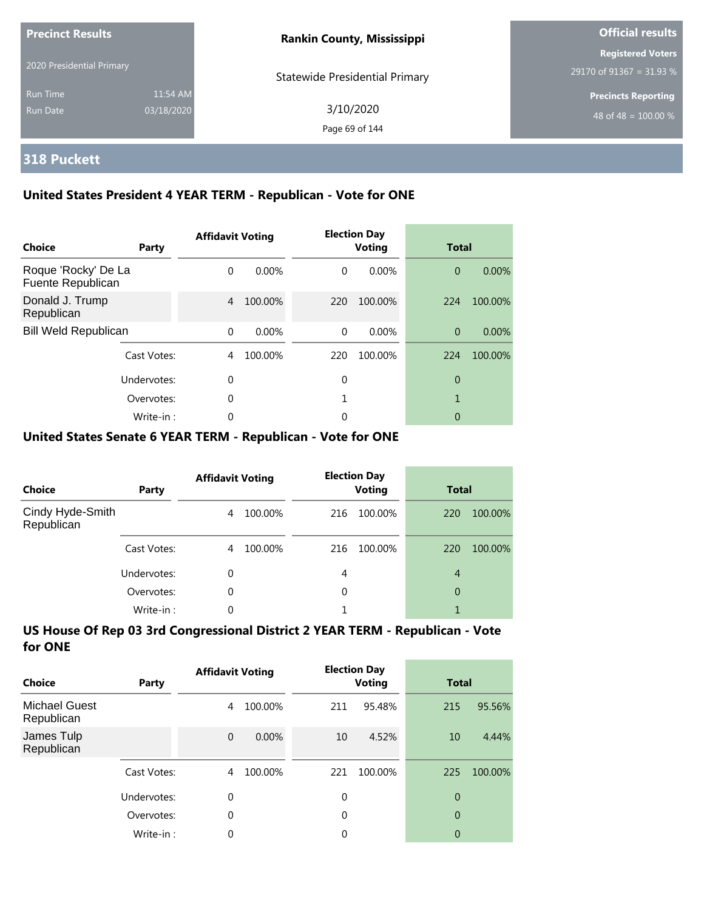| <b>Precinct Results</b>     |                        | <b>Rankin County, Mississippi</b>     | <b>Official results</b>                                |
|-----------------------------|------------------------|---------------------------------------|--------------------------------------------------------|
| 2020 Presidential Primary   |                        | <b>Statewide Presidential Primary</b> | <b>Registered Voters</b><br>29170 of 91367 = 31.93 $%$ |
| <b>Run Time</b><br>Run Date | 11:54 AM<br>03/18/2020 | 3/10/2020<br>Page 69 of 144           | <b>Precincts Reporting</b><br>48 of 48 = $100.00\%$    |

# **318 Puckett**

### **United States President 4 YEAR TERM - Republican - Vote for ONE**

| <b>Choice</b>                            | Party       | <b>Affidavit Voting</b> |          |          | <b>Election Day</b><br><b>Voting</b> | <b>Total</b>   |          |
|------------------------------------------|-------------|-------------------------|----------|----------|--------------------------------------|----------------|----------|
| Roque 'Rocky' De La<br>Fuente Republican |             | $\Omega$                | $0.00\%$ | $\Omega$ | $0.00\%$                             | $\overline{0}$ | 0.00%    |
| Donald J. Trump<br>Republican            |             | 4                       | 100.00%  | 220      | 100.00%                              | 224            | 100.00%  |
| <b>Bill Weld Republican</b>              |             | $\Omega$                | 0.00%    | $\Omega$ | $0.00\%$                             | $\overline{0}$ | $0.00\%$ |
|                                          | Cast Votes: | 4                       | 100.00%  | 220      | 100.00%                              | 224            | 100.00%  |
| Undervotes:                              |             | $\Omega$                |          | 0        |                                      | 0              |          |
|                                          | Overvotes:  | $\Omega$                |          |          |                                      |                |          |
|                                          | Write-in:   | 0                       |          | 0        |                                      | 0              |          |

### **United States Senate 6 YEAR TERM - Republican - Vote for ONE**

| <b>Choice</b>                  | Party       | <b>Affidavit Voting</b> |         | <b>Election Day</b><br><b>Voting</b> |         | <b>Total</b> |         |
|--------------------------------|-------------|-------------------------|---------|--------------------------------------|---------|--------------|---------|
| Cindy Hyde-Smith<br>Republican |             | 4                       | 100.00% | 216                                  | 100.00% | 220          | 100.00% |
|                                | Cast Votes: | 4                       | 100.00% | 216                                  | 100.00% | 220          | 100.00% |
|                                | Undervotes: | 0                       |         | 4                                    |         | 4            |         |
|                                | Overvotes:  | $\Omega$                |         | 0                                    |         | 0            |         |
|                                | Write-in:   | 0                       |         |                                      |         |              |         |

| Choice                             | Party       | <b>Affidavit Voting</b> |         |             | <b>Election Day</b><br><b>Voting</b> |                | Total   |  |
|------------------------------------|-------------|-------------------------|---------|-------------|--------------------------------------|----------------|---------|--|
| <b>Michael Guest</b><br>Republican |             | 4                       | 100.00% | 211         | 95.48%                               | 215            | 95.56%  |  |
| James Tulp<br>Republican           |             | $\mathbf{0}$            | 0.00%   | 10          | 4.52%                                | 10             | 4.44%   |  |
|                                    | Cast Votes: | 4                       | 100.00% | 221         | 100.00%                              | 225            | 100.00% |  |
|                                    | Undervotes: | 0                       |         | $\mathbf 0$ |                                      | 0              |         |  |
|                                    | Overvotes:  | $\theta$                |         | 0           |                                      | $\overline{0}$ |         |  |
|                                    | Write-in:   | 0                       |         | 0           |                                      | 0              |         |  |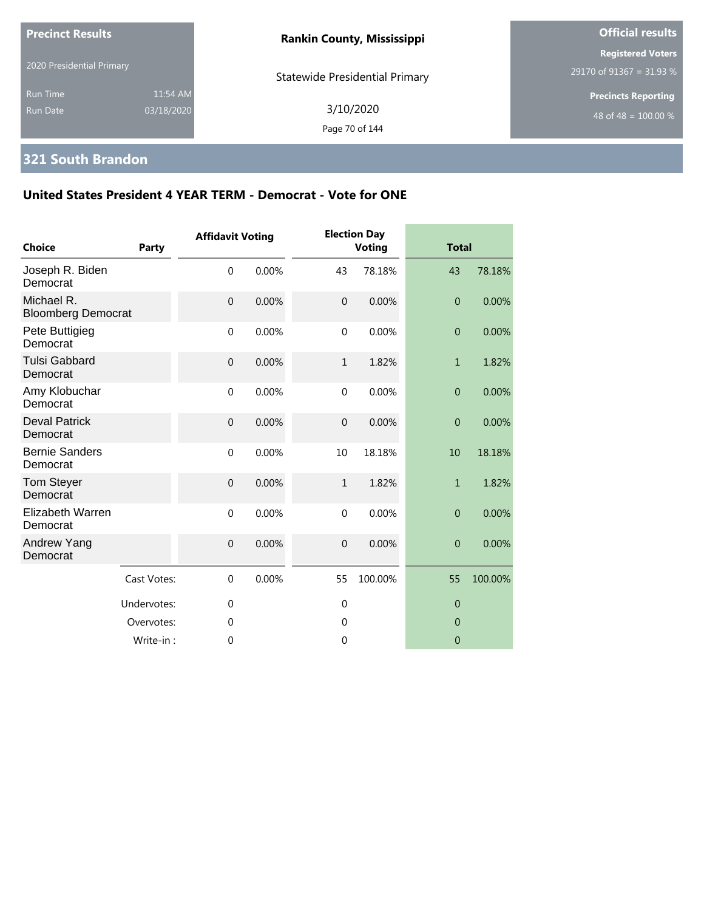| <b>Precinct Results</b>     |                        | <b>Rankin County, Mississippi</b>     | <b>Official results</b>                              |  |
|-----------------------------|------------------------|---------------------------------------|------------------------------------------------------|--|
| 2020 Presidential Primary   |                        | <b>Statewide Presidential Primary</b> | <b>Registered Voters</b><br>29170 of 91367 = 31.93 % |  |
| Run Time<br><b>Run Date</b> | 11:54 AM<br>03/18/2020 | 3/10/2020<br>Page 70 of 144           | <b>Precincts Reporting</b><br>48 of 48 = $100.00\%$  |  |

# **321 South Brandon**

| <b>Choice</b>                           | Party       | <b>Affidavit Voting</b> |       |                | <b>Election Day</b><br><b>Voting</b> |                  | <b>Total</b> |  |
|-----------------------------------------|-------------|-------------------------|-------|----------------|--------------------------------------|------------------|--------------|--|
| Joseph R. Biden<br>Democrat             |             | $\mathbf 0$             | 0.00% | 43             | 78.18%                               | 43               | 78.18%       |  |
| Michael R.<br><b>Bloomberg Democrat</b> |             | $\mathbf 0$             | 0.00% | $\mathbf{0}$   | 0.00%                                | $\overline{0}$   | 0.00%        |  |
| Pete Buttigieg<br>Democrat              |             | $\mathbf 0$             | 0.00% | $\mathbf 0$    | 0.00%                                | $\boldsymbol{0}$ | 0.00%        |  |
| <b>Tulsi Gabbard</b><br>Democrat        |             | $\mathbf 0$             | 0.00% | $\mathbf{1}$   | 1.82%                                | $\mathbf{1}$     | 1.82%        |  |
| Amy Klobuchar<br>Democrat               |             | $\mathbf 0$             | 0.00% | $\mathbf{0}$   | 0.00%                                | $\overline{0}$   | 0.00%        |  |
| <b>Deval Patrick</b><br>Democrat        |             | $\mathbf 0$             | 0.00% | $\overline{0}$ | 0.00%                                | $\overline{0}$   | 0.00%        |  |
| <b>Bernie Sanders</b><br>Democrat       |             | $\mathbf 0$             | 0.00% | 10             | 18.18%                               | 10               | 18.18%       |  |
| <b>Tom Steyer</b><br>Democrat           |             | $\mathbf 0$             | 0.00% | $\mathbf{1}$   | 1.82%                                | $\mathbf{1}$     | 1.82%        |  |
| <b>Elizabeth Warren</b><br>Democrat     |             | $\mathbf 0$             | 0.00% | $\mathbf 0$    | 0.00%                                | $\overline{0}$   | 0.00%        |  |
| Andrew Yang<br>Democrat                 |             | $\mathbf 0$             | 0.00% | $\overline{0}$ | 0.00%                                | $\overline{0}$   | 0.00%        |  |
|                                         | Cast Votes: | $\mathbf{0}$            | 0.00% | 55             | 100.00%                              | 55               | 100.00%      |  |
|                                         | Undervotes: | $\mathbf 0$             |       | $\mathbf 0$    |                                      | $\overline{0}$   |              |  |
|                                         | Overvotes:  | $\overline{0}$          |       | $\mathbf 0$    |                                      | $\overline{0}$   |              |  |
|                                         | Write-in:   | $\overline{0}$          |       | 0              |                                      | $\overline{0}$   |              |  |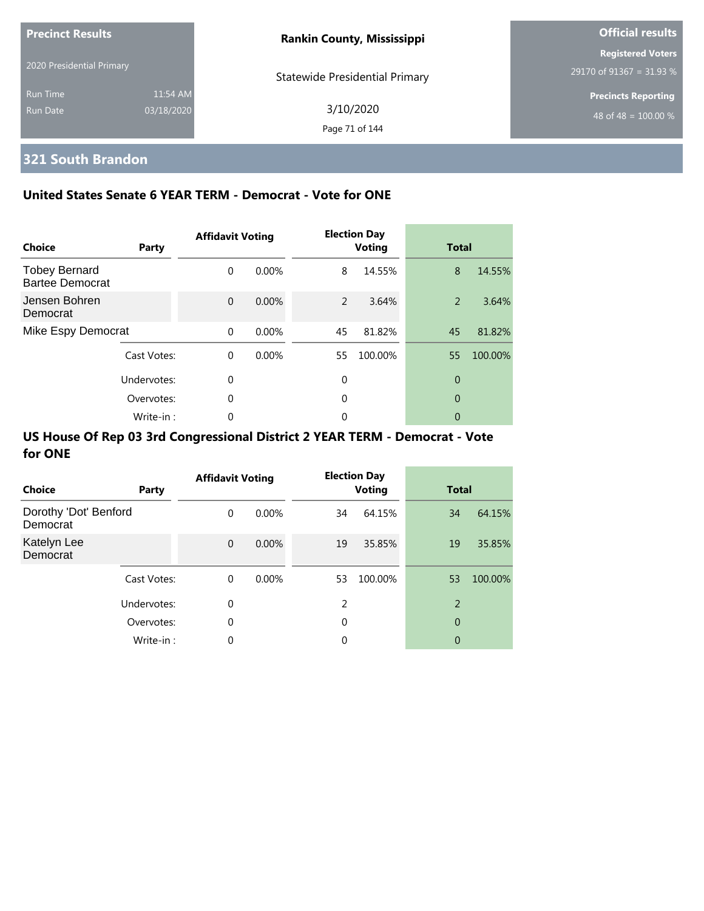| <b>Precinct Results</b>   |            | <b>Rankin County, Mississippi</b>     | <b>Official results</b>    |  |  |
|---------------------------|------------|---------------------------------------|----------------------------|--|--|
| 2020 Presidential Primary |            |                                       | <b>Registered Voters</b>   |  |  |
|                           |            | <b>Statewide Presidential Primary</b> | $29170$ of 91367 = 31.93 % |  |  |
| <b>Run Time</b>           | 11:54 AM   |                                       | <b>Precincts Reporting</b> |  |  |
| Run Date                  | 03/18/2020 | 3/10/2020                             | 48 of 48 = $100.00\%$      |  |  |
|                           |            | Page 71 of 144                        |                            |  |  |

# **321 South Brandon**

## **United States Senate 6 YEAR TERM - Democrat - Vote for ONE**

| <b>Choice</b>                                  | Party       | <b>Affidavit Voting</b> |          |    | <b>Election Day</b><br><b>Voting</b> | <b>Total</b> |         |
|------------------------------------------------|-------------|-------------------------|----------|----|--------------------------------------|--------------|---------|
| <b>Tobey Bernard</b><br><b>Bartee Democrat</b> |             | $\Omega$                | $0.00\%$ | 8  | 14.55%                               | 8            | 14.55%  |
| Jensen Bohren<br>Democrat                      |             | $\Omega$                | $0.00\%$ | 2  | 3.64%                                | 2            | 3.64%   |
| Mike Espy Democrat                             |             | $\Omega$                | $0.00\%$ | 45 | 81.82%                               | 45           | 81.82%  |
|                                                | Cast Votes: | $\Omega$                | 0.00%    | 55 | 100.00%                              | 55           | 100.00% |
|                                                | Undervotes: | $\Omega$                |          | 0  |                                      | 0            |         |
| Overvotes:                                     |             | $\Omega$                |          | 0  |                                      | 0            |         |
|                                                | Write-in:   | 0                       |          | 0  |                                      | 0            |         |

| <b>Choice</b>                     | Party       | <b>Affidavit Voting</b> |          |    | <b>Election Day</b><br><b>Voting</b> | <b>Total</b>   |         |
|-----------------------------------|-------------|-------------------------|----------|----|--------------------------------------|----------------|---------|
| Dorothy 'Dot' Benford<br>Democrat |             | $\Omega$                | $0.00\%$ | 34 | 64.15%                               | 34             | 64.15%  |
| Katelyn Lee<br>Democrat           |             | $\mathbf 0$             | $0.00\%$ | 19 | 35.85%                               | 19             | 35.85%  |
|                                   | Cast Votes: | $\Omega$                | $0.00\%$ | 53 | 100.00%                              | 53             | 100.00% |
|                                   | Undervotes: | 0                       |          | 2  |                                      | $\overline{2}$ |         |
|                                   | Overvotes:  | $\mathbf 0$             |          | 0  |                                      | 0              |         |
|                                   | Write-in:   | $\mathbf 0$             |          | 0  |                                      | 0              |         |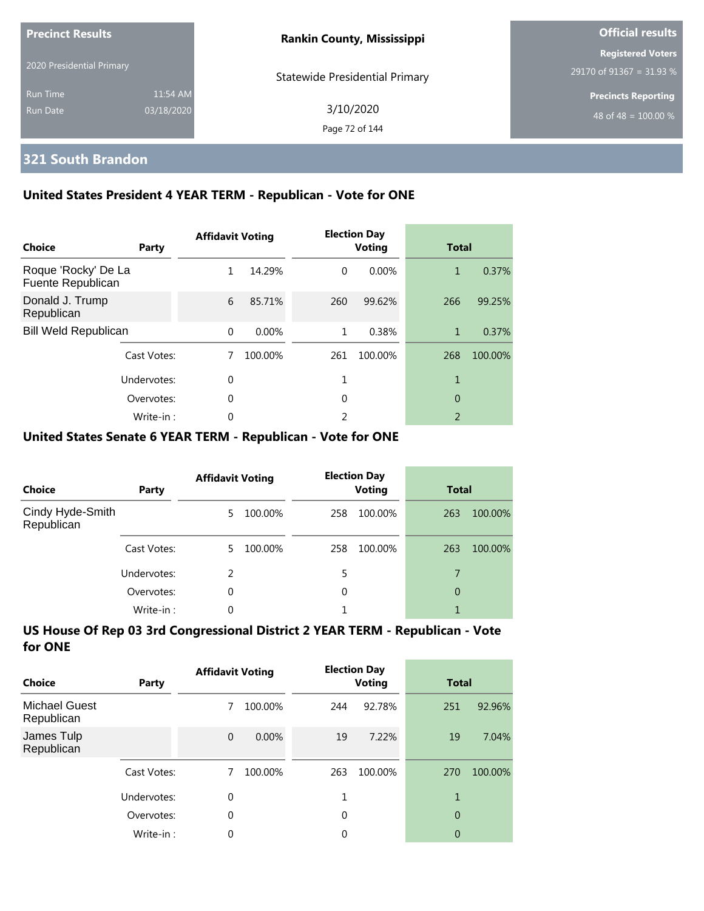| <b>Precinct Results</b><br>2020 Presidential Primary |                        | <b>Rankin County, Mississippi</b>     | <b>Official results</b>                              |  |  |
|------------------------------------------------------|------------------------|---------------------------------------|------------------------------------------------------|--|--|
|                                                      |                        | <b>Statewide Presidential Primary</b> | <b>Registered Voters</b><br>29170 of 91367 = 31.93 % |  |  |
| <b>Run Time</b><br>Run Date                          | 11:54 AM<br>03/18/2020 | 3/10/2020                             | <b>Precincts Reporting</b><br>48 of 48 = $100.00\%$  |  |  |
|                                                      |                        | Page 72 of 144                        |                                                      |  |  |

## **321 South Brandon**

### **United States President 4 YEAR TERM - Republican - Vote for ONE**

| Choice                                   | Party       | <b>Affidavit Voting</b> |          |          | <b>Election Day</b><br><b>Voting</b> | <b>Total</b>             |         |
|------------------------------------------|-------------|-------------------------|----------|----------|--------------------------------------|--------------------------|---------|
| Roque 'Rocky' De La<br>Fuente Republican |             | 1                       | 14.29%   | $\Omega$ | 0.00%                                | 1                        | 0.37%   |
| Donald J. Trump<br>Republican            |             | 6                       | 85.71%   | 260      | 99.62%                               | 266                      | 99.25%  |
| <b>Bill Weld Republican</b>              |             | $\Omega$                | $0.00\%$ | 1        | 0.38%                                | 1                        | 0.37%   |
|                                          | Cast Votes: |                         | 100.00%  | 261      | 100.00%                              | 268                      | 100.00% |
| Undervotes:                              |             | $\Omega$                |          |          |                                      | 1                        |         |
|                                          | Overvotes:  | $\mathbf 0$             |          | 0        |                                      | 0                        |         |
|                                          | Write-in:   | 0                       |          | 2        |                                      | $\overline{\phantom{a}}$ |         |

### **United States Senate 6 YEAR TERM - Republican - Vote for ONE**

| <b>Choice</b>                  | Party       | <b>Affidavit Voting</b> |         | <b>Election Day</b><br><b>Voting</b> |         | <b>Total</b> |         |
|--------------------------------|-------------|-------------------------|---------|--------------------------------------|---------|--------------|---------|
| Cindy Hyde-Smith<br>Republican |             | 5.                      | 100.00% | 258                                  | 100.00% | 263          | 100.00% |
|                                | Cast Votes: | 5.                      | 100.00% | 258                                  | 100.00% | 263          | 100.00% |
|                                | Undervotes: | $\mathcal{P}$           |         | 5                                    |         | 7            |         |
|                                | Overvotes:  | $\Omega$                |         | 0                                    |         | 0            |         |
|                                | Write-in:   | 0                       |         |                                      |         |              |         |

| Choice                             | Party       | <b>Affidavit Voting</b> |          | <b>Election Day</b><br><b>Voting</b> |         | <b>Total</b>   |         |
|------------------------------------|-------------|-------------------------|----------|--------------------------------------|---------|----------------|---------|
| <b>Michael Guest</b><br>Republican |             | 7                       | 100.00%  | 244                                  | 92.78%  | 251            | 92.96%  |
| James Tulp<br>Republican           |             | $\overline{0}$          | $0.00\%$ | 19                                   | 7.22%   | 19             | 7.04%   |
|                                    | Cast Votes: | 7                       | 100.00%  | 263                                  | 100.00% | 270            | 100.00% |
|                                    | Undervotes: | 0                       |          |                                      |         |                |         |
|                                    | Overvotes:  | 0                       |          | $\Omega$                             |         | $\overline{0}$ |         |
|                                    | Write-in:   | 0                       |          | 0                                    |         | 0              |         |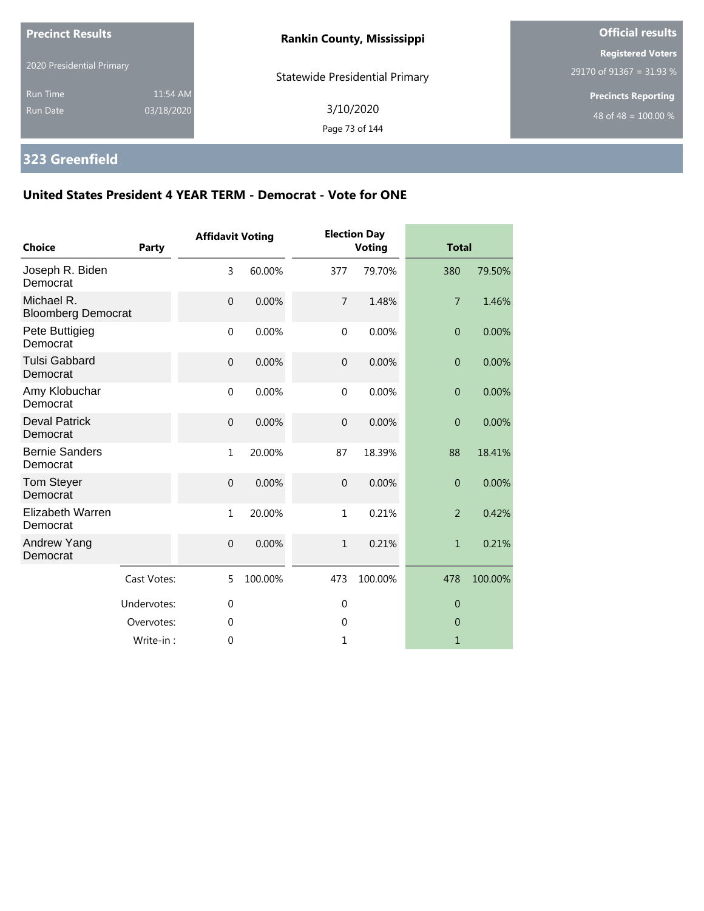| <b>Precinct Results</b>            |                        | <b>Rankin County, Mississippi</b>     | <b>Official results</b>                              |  |  |
|------------------------------------|------------------------|---------------------------------------|------------------------------------------------------|--|--|
| 2020 Presidential Primary          |                        | <b>Statewide Presidential Primary</b> | <b>Registered Voters</b><br>29170 of 91367 = 31.93 % |  |  |
| <b>Run Time</b><br><b>Run Date</b> | 11:54 AM<br>03/18/2020 | 3/10/2020<br>Page 73 of 144           | <b>Precincts Reporting</b><br>48 of 48 = $100.00\%$  |  |  |

# **323 Greenfield**

| <b>Choice</b>                           | Party       | <b>Affidavit Voting</b> |         |                | <b>Election Day</b><br><b>Voting</b> | <b>Total</b>   |         |
|-----------------------------------------|-------------|-------------------------|---------|----------------|--------------------------------------|----------------|---------|
| Joseph R. Biden<br>Democrat             |             | 3                       | 60.00%  | 377            | 79.70%                               | 380            | 79.50%  |
| Michael R.<br><b>Bloomberg Democrat</b> |             | $\overline{0}$          | 0.00%   | $\overline{7}$ | 1.48%                                | $\overline{7}$ | 1.46%   |
| Pete Buttigieg<br>Democrat              |             | $\mathbf 0$             | 0.00%   | $\mathbf 0$    | 0.00%                                | $\overline{0}$ | 0.00%   |
| <b>Tulsi Gabbard</b><br>Democrat        |             | $\mathbf 0$             | 0.00%   | $\overline{0}$ | 0.00%                                | $\overline{0}$ | 0.00%   |
| Amy Klobuchar<br>Democrat               |             | $\mathbf{0}$            | 0.00%   | $\mathbf{0}$   | 0.00%                                | $\overline{0}$ | 0.00%   |
| <b>Deval Patrick</b><br>Democrat        |             | $\mathbf 0$             | 0.00%   | $\mathbf 0$    | 0.00%                                | $\overline{0}$ | 0.00%   |
| <b>Bernie Sanders</b><br>Democrat       |             | $\mathbf{1}$            | 20.00%  | 87             | 18.39%                               | 88             | 18.41%  |
| <b>Tom Steyer</b><br>Democrat           |             | $\overline{0}$          | 0.00%   | $\overline{0}$ | 0.00%                                | $\overline{0}$ | 0.00%   |
| Elizabeth Warren<br>Democrat            |             | $\mathbf{1}$            | 20.00%  | $\mathbf{1}$   | 0.21%                                | $\overline{2}$ | 0.42%   |
| Andrew Yang<br>Democrat                 |             | $\mathbf 0$             | 0.00%   | $\mathbf{1}$   | 0.21%                                | $\mathbf{1}$   | 0.21%   |
|                                         | Cast Votes: | 5                       | 100.00% | 473            | 100.00%                              | 478            | 100.00% |
|                                         | Undervotes: | $\mathbf 0$             |         | $\mathbf 0$    |                                      | $\overline{0}$ |         |
|                                         | Overvotes:  | $\mathbf 0$             |         | 0              |                                      | $\theta$       |         |
|                                         | Write-in:   | 0                       |         | 1              |                                      | $\mathbf{1}$   |         |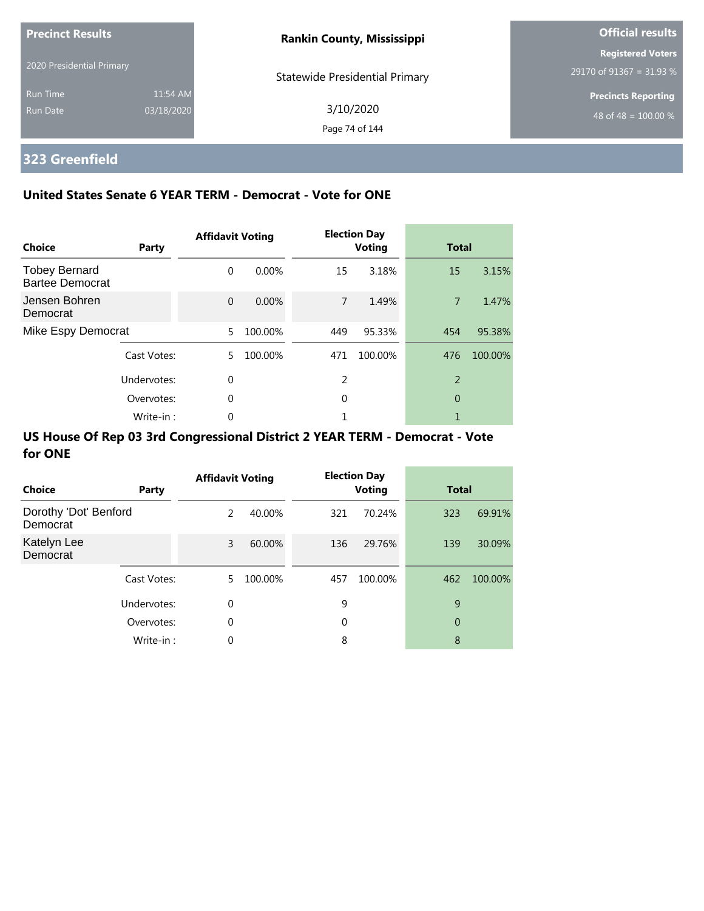| Precinct Results            |                        | <b>Rankin County, Mississippi</b>     | <b>Official results</b>                              |  |
|-----------------------------|------------------------|---------------------------------------|------------------------------------------------------|--|
| 2020 Presidential Primary   |                        | <b>Statewide Presidential Primary</b> | <b>Registered Voters</b><br>29170 of 91367 = 31.93 % |  |
| <b>Run Time</b><br>Run Date | 11:54 AM<br>03/18/2020 | 3/10/2020<br>Page 74 of 144           | <b>Precincts Reporting</b><br>48 of 48 = $100.00\%$  |  |

## **323 Greenfield**

### **United States Senate 6 YEAR TERM - Democrat - Vote for ONE**

| Choice                                         | Party       | <b>Affidavit Voting</b> |          |     | <b>Election Day</b><br><b>Voting</b> | <b>Total</b>   |         |
|------------------------------------------------|-------------|-------------------------|----------|-----|--------------------------------------|----------------|---------|
| <b>Tobey Bernard</b><br><b>Bartee Democrat</b> |             | $\Omega$                | $0.00\%$ | 15  | 3.18%                                | 15             | 3.15%   |
| Jensen Bohren<br>Democrat                      |             | $\Omega$                | 0.00%    | 7   | 1.49%                                | $\overline{7}$ | 1.47%   |
| Mike Espy Democrat                             |             | 5                       | 100.00%  | 449 | 95.33%                               | 454            | 95.38%  |
|                                                | Cast Votes: | 5.                      | 100.00%  | 471 | 100.00%                              | 476            | 100.00% |
|                                                | Undervotes: | $\Omega$                |          | 2   |                                      | $\overline{2}$ |         |
|                                                | Overvotes:  | 0                       |          | 0   |                                      | 0              |         |
|                                                | Write-in:   | 0                       |          |     |                                      |                |         |

| Choice                            | Party       | <b>Affidavit Voting</b> |         |     | <b>Election Day</b><br><b>Voting</b> | <b>Total</b> |         |
|-----------------------------------|-------------|-------------------------|---------|-----|--------------------------------------|--------------|---------|
| Dorothy 'Dot' Benford<br>Democrat |             | 2                       | 40.00%  | 321 | 70.24%                               | 323          | 69.91%  |
| Katelyn Lee<br>Democrat           |             | 3                       | 60.00%  | 136 | 29.76%                               | 139          | 30.09%  |
|                                   | Cast Votes: | 5.                      | 100.00% | 457 | 100.00%                              | 462          | 100.00% |
|                                   | Undervotes: | $\Omega$                |         | 9   |                                      | 9            |         |
|                                   | Overvotes:  | $\mathbf 0$             |         | 0   |                                      | 0            |         |
|                                   | Write-in:   | 0                       |         | 8   |                                      | 8            |         |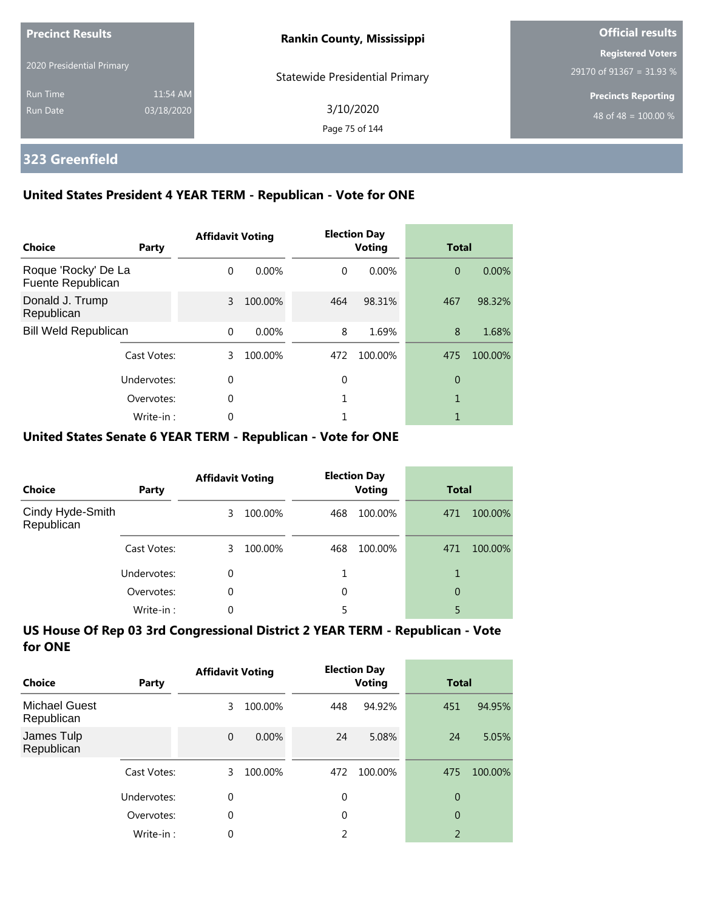| <b>Precinct Results</b>     |                        | <b>Rankin County, Mississippi</b>     | <b>Official results</b>                              |  |
|-----------------------------|------------------------|---------------------------------------|------------------------------------------------------|--|
| 2020 Presidential Primary   |                        | <b>Statewide Presidential Primary</b> | <b>Registered Voters</b><br>29170 of 91367 = 31.93 % |  |
| <b>Run Time</b><br>Run Date | 11:54 AM<br>03/18/2020 | 3/10/2020<br>Page 75 of 144           | <b>Precincts Reporting</b><br>48 of 48 = $100.00\%$  |  |

## **323 Greenfield**

### **United States President 4 YEAR TERM - Republican - Vote for ONE**

| <b>Choice</b>                            | Party       | <b>Affidavit Voting</b> |          |          | <b>Election Day</b><br><b>Voting</b> | <b>Total</b>   |         |
|------------------------------------------|-------------|-------------------------|----------|----------|--------------------------------------|----------------|---------|
| Roque 'Rocky' De La<br>Fuente Republican |             | $\Omega$                | $0.00\%$ | $\Omega$ | $0.00\%$                             | $\overline{0}$ | 0.00%   |
| Donald J. Trump<br>Republican            |             | 3                       | 100.00%  | 464      | 98.31%                               | 467            | 98.32%  |
| <b>Bill Weld Republican</b>              |             | $\Omega$                | 0.00%    | 8        | 1.69%                                | 8              | 1.68%   |
|                                          | Cast Votes: | 3                       | 100.00%  | 472      | 100.00%                              | 475            | 100.00% |
|                                          | Undervotes: | $\Omega$                |          | 0        |                                      | 0              |         |
|                                          | Overvotes:  | $\Omega$                |          |          |                                      | 1              |         |
|                                          | Write-in:   | 0                       |          |          |                                      |                |         |

### **United States Senate 6 YEAR TERM - Republican - Vote for ONE**

| <b>Choice</b>                  | Party       | <b>Affidavit Voting</b> |         |     | <b>Election Day</b><br><b>Voting</b> |     | <b>Total</b> |  |
|--------------------------------|-------------|-------------------------|---------|-----|--------------------------------------|-----|--------------|--|
| Cindy Hyde-Smith<br>Republican |             | 3                       | 100.00% | 468 | 100.00%                              | 471 | 100.00%      |  |
|                                | Cast Votes: | 3.                      | 100.00% | 468 | 100.00%                              | 471 | 100.00%      |  |
|                                | Undervotes: | 0                       |         |     |                                      |     |              |  |
|                                | Overvotes:  | $\Omega$                |         | 0   |                                      | 0   |              |  |
|                                | Write-in:   | 0                       |         |     |                                      | 5   |              |  |

| Choice                             | Party       | <b>Affidavit Voting</b> |         |             | <b>Election Day</b><br><b>Voting</b> | <b>Total</b>             |         |
|------------------------------------|-------------|-------------------------|---------|-------------|--------------------------------------|--------------------------|---------|
| <b>Michael Guest</b><br>Republican |             | 3                       | 100.00% | 448         | 94.92%                               | 451                      | 94.95%  |
| James Tulp<br>Republican           |             | $\mathbf 0$             | 0.00%   | 24          | 5.08%                                | 24                       | 5.05%   |
|                                    | Cast Votes: | 3                       | 100.00% | 472         | 100.00%                              | 475                      | 100.00% |
|                                    | Undervotes: | 0                       |         | $\mathbf 0$ |                                      | 0                        |         |
|                                    | Overvotes:  | $\theta$                |         | 0           |                                      | $\overline{0}$           |         |
|                                    | Write-in:   | 0                       |         | 2           |                                      | $\overline{\phantom{a}}$ |         |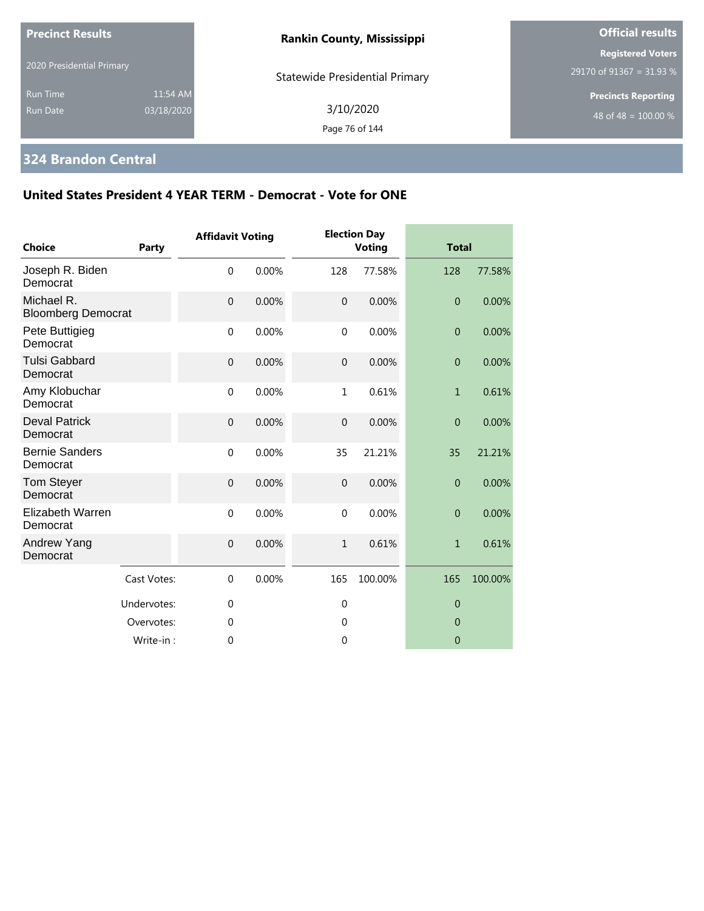| <b>Precinct Results</b>                                      | <b>Rankin County, Mississippi</b>     | <b>Official results</b>                              |
|--------------------------------------------------------------|---------------------------------------|------------------------------------------------------|
| 2020 Presidential Primary                                    | <b>Statewide Presidential Primary</b> | <b>Registered Voters</b><br>29170 of 91367 = 31.93 % |
| 11:54 AM<br><b>Run Time</b><br>03/18/2020<br><b>Run Date</b> | 3/10/2020<br>Page 76 of 144           | <b>Precincts Reporting</b><br>48 of 48 = $100.00\%$  |

## **324 Brandon Central**

| <b>Choice</b>                           | Party       | <b>Affidavit Voting</b> |       |                | <b>Election Day</b><br><b>Voting</b> | <b>Total</b>     |         |
|-----------------------------------------|-------------|-------------------------|-------|----------------|--------------------------------------|------------------|---------|
| Joseph R. Biden<br>Democrat             |             | $\mathbf 0$             | 0.00% | 128            | 77.58%                               | 128              | 77.58%  |
| Michael R.<br><b>Bloomberg Democrat</b> |             | $\mathbf{0}$            | 0.00% | $\overline{0}$ | 0.00%                                | $\mathbf{0}$     | 0.00%   |
| Pete Buttigieg<br>Democrat              |             | $\mathbf 0$             | 0.00% | $\mathbf{0}$   | 0.00%                                | $\boldsymbol{0}$ | 0.00%   |
| <b>Tulsi Gabbard</b><br>Democrat        |             | $\mathbf 0$             | 0.00% | $\overline{0}$ | 0.00%                                | $\overline{0}$   | 0.00%   |
| Amy Klobuchar<br>Democrat               |             | $\mathbf 0$             | 0.00% | 1              | 0.61%                                | $\mathbf{1}$     | 0.61%   |
| <b>Deval Patrick</b><br>Democrat        |             | $\mathbf 0$             | 0.00% | $\mathbf 0$    | 0.00%                                | $\overline{0}$   | 0.00%   |
| <b>Bernie Sanders</b><br>Democrat       |             | $\mathbf 0$             | 0.00% | 35             | 21.21%                               | 35               | 21.21%  |
| <b>Tom Steyer</b><br>Democrat           |             | $\mathbf{0}$            | 0.00% | $\overline{0}$ | 0.00%                                | $\mathbf{0}$     | 0.00%   |
| Elizabeth Warren<br>Democrat            |             | $\mathbf 0$             | 0.00% | $\Omega$       | 0.00%                                | $\overline{0}$   | 0.00%   |
| Andrew Yang<br>Democrat                 |             | $\mathbf{0}$            | 0.00% | $\mathbf{1}$   | 0.61%                                | $\mathbf{1}$     | 0.61%   |
|                                         | Cast Votes: | $\mathbf{0}$            | 0.00% | 165            | 100.00%                              | 165              | 100.00% |
|                                         | Undervotes: | $\mathbf{0}$            |       | $\overline{0}$ |                                      | $\theta$         |         |
|                                         | Overvotes:  | $\theta$                |       | $\theta$       |                                      | $\Omega$         |         |
|                                         | Write-in:   | 0                       |       | $\mathbf{0}$   |                                      | $\theta$         |         |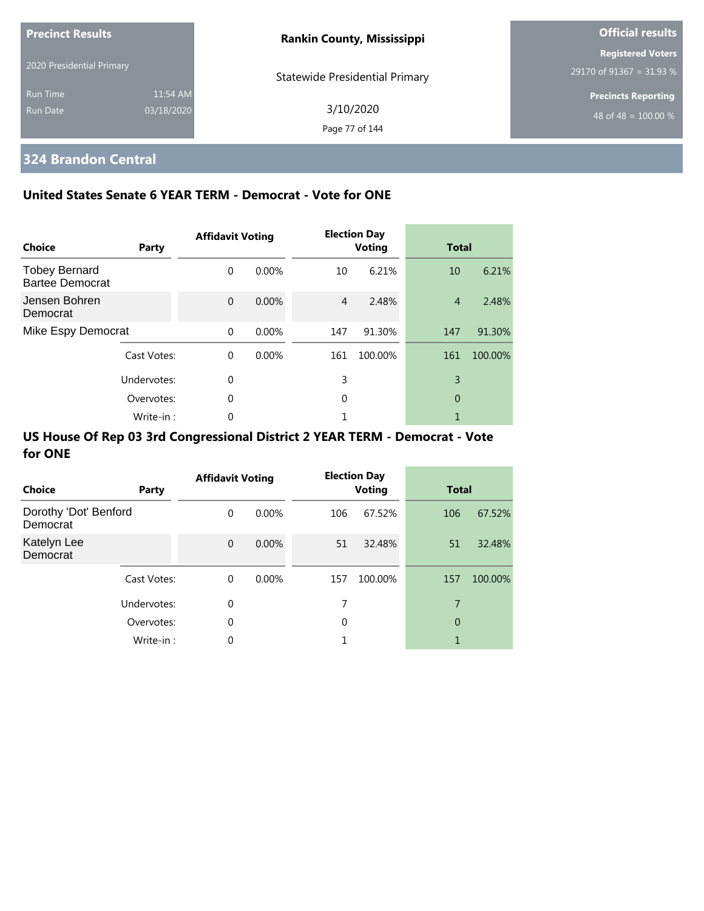| <b>Precinct Results</b>   |            | <b>Rankin County, Mississippi</b> | <b>Official results</b>                              |
|---------------------------|------------|-----------------------------------|------------------------------------------------------|
| 2020 Presidential Primary |            |                                   | <b>Registered Voters</b><br>29170 of 91367 = 31.93 % |
| <b>Run Time</b>           | 11:54 AM   | Statewide Presidential Primary    | <b>Precincts Reporting</b>                           |
| Run Date                  | 03/18/2020 | 3/10/2020<br>Page 77 of 144       | 48 of 48 = $100.00\%$                                |

## **324 Brandon Central**

### **United States Senate 6 YEAR TERM - Democrat - Vote for ONE**

| Choice                                         | Party       | <b>Affidavit Voting</b> |          |     | <b>Election Day</b><br><b>Voting</b> | <b>Total</b>   |         |
|------------------------------------------------|-------------|-------------------------|----------|-----|--------------------------------------|----------------|---------|
| <b>Tobey Bernard</b><br><b>Bartee Democrat</b> |             | $\Omega$                | $0.00\%$ | 10  | 6.21%                                | 10             | 6.21%   |
| Jensen Bohren<br>Democrat                      |             | $\Omega$                | 0.00%    | 4   | 2.48%                                | $\overline{4}$ | 2.48%   |
| Mike Espy Democrat                             |             | $\Omega$                | 0.00%    | 147 | 91.30%                               | 147            | 91.30%  |
|                                                | Cast Votes: | $\Omega$                | 0.00%    | 161 | 100.00%                              | 161            | 100.00% |
|                                                | Undervotes: | $\Omega$                |          | 3   |                                      | 3              |         |
|                                                | Overvotes:  | 0                       |          | 0   |                                      | 0              |         |
|                                                | Write-in:   | 0                       |          |     |                                      |                |         |

| <b>Choice</b>                     | Party       | <b>Affidavit Voting</b> |          |     | <b>Election Day</b><br><b>Voting</b> |     | <b>Total</b> |  |
|-----------------------------------|-------------|-------------------------|----------|-----|--------------------------------------|-----|--------------|--|
| Dorothy 'Dot' Benford<br>Democrat |             | $\Omega$                | $0.00\%$ | 106 | 67.52%                               | 106 | 67.52%       |  |
| Katelyn Lee<br>Democrat           |             | $\mathbf{0}$            | 0.00%    | 51  | 32.48%                               | 51  | 32.48%       |  |
|                                   | Cast Votes: | $\Omega$                | $0.00\%$ | 157 | 100.00%                              | 157 | 100.00%      |  |
|                                   | Undervotes: | 0                       |          | 7   |                                      | 7   |              |  |
|                                   | Overvotes:  | $\mathbf 0$             |          | 0   |                                      | 0   |              |  |
|                                   | Write-in:   | $\mathbf 0$             |          |     |                                      | 1   |              |  |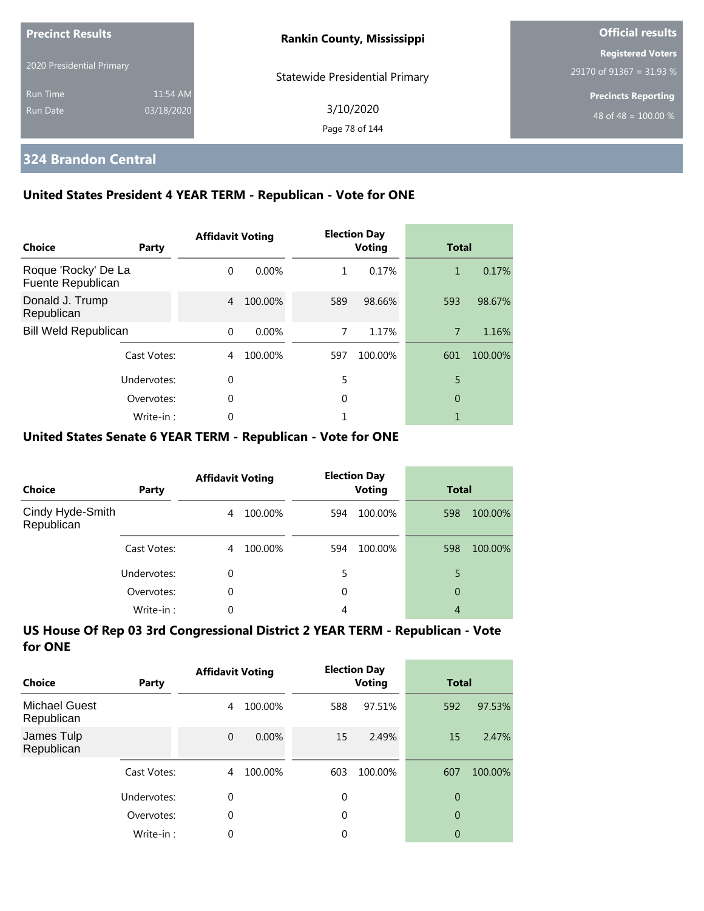| <b>Precinct Results</b>   |            | <b>Rankin County, Mississippi</b>     | <b>Official results</b>                              |
|---------------------------|------------|---------------------------------------|------------------------------------------------------|
| 2020 Presidential Primary |            |                                       | <b>Registered Voters</b><br>29170 of 91367 = 31.93 % |
| <b>Run Time</b>           | 11:54 AM   | <b>Statewide Presidential Primary</b> | <b>Precincts Reporting</b>                           |
| Run Date                  | 03/18/2020 | 3/10/2020<br>Page 78 of 144           | 48 of 48 = $100.00\%$                                |

## **324 Brandon Central**

### **United States President 4 YEAR TERM - Republican - Vote for ONE**

| Choice                                   | Party       | <b>Affidavit Voting</b> |          |     | <b>Election Day</b><br><b>Voting</b> | <b>Total</b>   |         |
|------------------------------------------|-------------|-------------------------|----------|-----|--------------------------------------|----------------|---------|
| Roque 'Rocky' De La<br>Fuente Republican |             | $\Omega$                | $0.00\%$ | 1   | 0.17%                                | 1              | 0.17%   |
| Donald J. Trump<br>Republican            |             | 4                       | 100.00%  | 589 | 98.66%                               | 593            | 98.67%  |
| <b>Bill Weld Republican</b>              |             | $\Omega$                | $0.00\%$ | 7   | 1.17%                                | $\overline{7}$ | 1.16%   |
|                                          | Cast Votes: | 4                       | 100.00%  | 597 | 100.00%                              | 601            | 100.00% |
|                                          | Undervotes: | $\Omega$                |          | 5   |                                      | 5              |         |
|                                          | Overvotes:  | $\mathbf 0$             |          | 0   |                                      | 0              |         |
|                                          | Write-in:   | 0                       |          |     |                                      |                |         |

#### **United States Senate 6 YEAR TERM - Republican - Vote for ONE**

| Choice                         | Party       | <b>Affidavit Voting</b> |         |     | <b>Election Day</b><br><b>Voting</b> | <b>Total</b> |         |
|--------------------------------|-------------|-------------------------|---------|-----|--------------------------------------|--------------|---------|
| Cindy Hyde-Smith<br>Republican |             | 4                       | 100.00% | 594 | 100.00%                              | 598          | 100.00% |
|                                | Cast Votes: | 4                       | 100.00% | 594 | 100.00%                              | 598          | 100.00% |
|                                | Undervotes: | 0                       |         | 5   |                                      | 5            |         |
|                                | Overvotes:  | 0                       |         | 0   |                                      | 0            |         |
|                                | Write-in:   | 0                       |         | 4   |                                      | 4            |         |

| Choice                             | Party       | <b>Affidavit Voting</b> |         |             | <b>Election Day</b><br><b>Voting</b> | Total          |         |
|------------------------------------|-------------|-------------------------|---------|-------------|--------------------------------------|----------------|---------|
| <b>Michael Guest</b><br>Republican |             | 4                       | 100.00% | 588         | 97.51%                               | 592            | 97.53%  |
| James Tulp<br>Republican           |             | $\mathbf{0}$            | 0.00%   | 15          | 2.49%                                | 15             | 2.47%   |
|                                    | Cast Votes: | 4                       | 100.00% | 603         | 100.00%                              | 607            | 100.00% |
|                                    | Undervotes: | 0                       |         | $\mathbf 0$ |                                      | 0              |         |
|                                    | Overvotes:  | $\theta$                |         | 0           |                                      | $\overline{0}$ |         |
|                                    | Write-in:   | 0                       |         | 0           |                                      | 0              |         |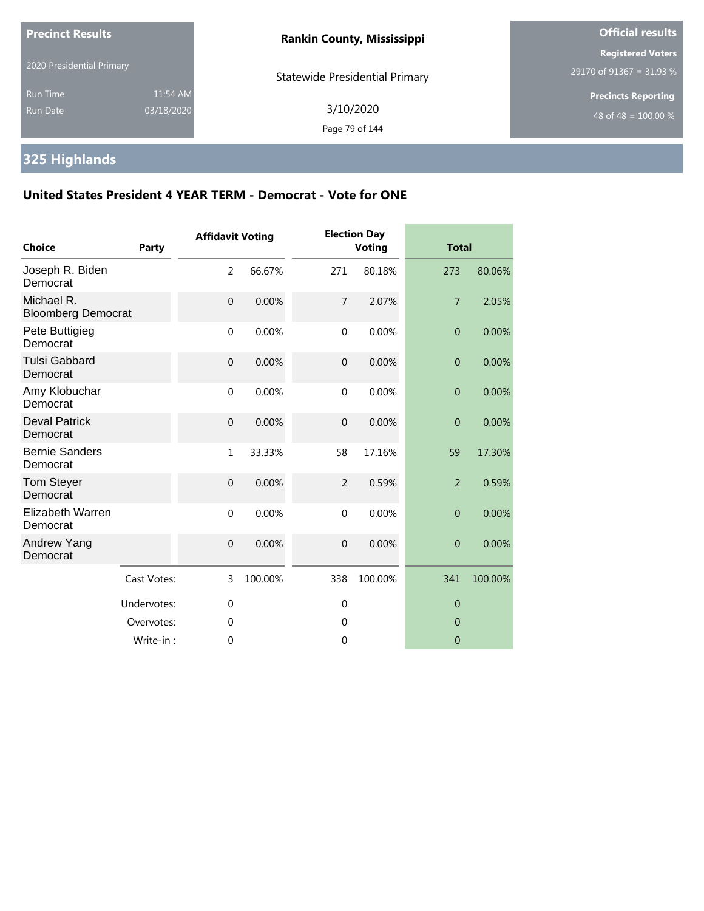| <b>Precinct Results</b>                                      | <b>Rankin County, Mississippi</b>     | <b>Official results</b>                              |  |
|--------------------------------------------------------------|---------------------------------------|------------------------------------------------------|--|
| 2020 Presidential Primary                                    | <b>Statewide Presidential Primary</b> | <b>Registered Voters</b><br>29170 of 91367 = 31.93 % |  |
| 11:54 AM<br><b>Run Time</b><br>03/18/2020<br><b>Run Date</b> | 3/10/2020<br>Page 79 of 144           | <b>Precincts Reporting</b><br>48 of 48 = $100.00\%$  |  |

# **325 Highlands**

| <b>Choice</b>                           | Party       | <b>Affidavit Voting</b> |         |                | <b>Election Day</b><br><b>Voting</b> | <b>Total</b>     |         |
|-----------------------------------------|-------------|-------------------------|---------|----------------|--------------------------------------|------------------|---------|
| Joseph R. Biden<br>Democrat             |             | 2                       | 66.67%  | 271            | 80.18%                               | 273              | 80.06%  |
| Michael R.<br><b>Bloomberg Democrat</b> |             | $\mathbf 0$             | 0.00%   | $\overline{7}$ | 2.07%                                | $\overline{7}$   | 2.05%   |
| Pete Buttigieg<br>Democrat              |             | $\mathbf 0$             | 0.00%   | $\mathbf 0$    | 0.00%                                | $\boldsymbol{0}$ | 0.00%   |
| <b>Tulsi Gabbard</b><br>Democrat        |             | $\overline{0}$          | 0.00%   | $\overline{0}$ | 0.00%                                | $\overline{0}$   | 0.00%   |
| Amy Klobuchar<br>Democrat               |             | $\mathbf 0$             | 0.00%   | $\mathbf{0}$   | 0.00%                                | $\overline{0}$   | 0.00%   |
| <b>Deval Patrick</b><br>Democrat        |             | $\mathbf 0$             | 0.00%   | $\mathbf 0$    | 0.00%                                | $\overline{0}$   | 0.00%   |
| <b>Bernie Sanders</b><br>Democrat       |             | $\mathbf{1}$            | 33.33%  | 58             | 17.16%                               | 59               | 17.30%  |
| Tom Steyer<br>Democrat                  |             | $\overline{0}$          | 0.00%   | 2              | 0.59%                                | $\overline{2}$   | 0.59%   |
| Elizabeth Warren<br>Democrat            |             | $\mathbf{0}$            | 0.00%   | $\Omega$       | 0.00%                                | $\overline{0}$   | 0.00%   |
| Andrew Yang<br>Democrat                 |             | $\mathbf{0}$            | 0.00%   | $\overline{0}$ | 0.00%                                | $\overline{0}$   | 0.00%   |
|                                         | Cast Votes: | 3                       | 100.00% | 338            | 100.00%                              | 341              | 100.00% |
|                                         | Undervotes: | $\overline{0}$          |         | $\mathbf 0$    |                                      | $\overline{0}$   |         |
|                                         | Overvotes:  | 0                       |         | 0              |                                      | $\overline{0}$   |         |
|                                         | Write-in:   | 0                       |         | $\overline{0}$ |                                      | $\overline{0}$   |         |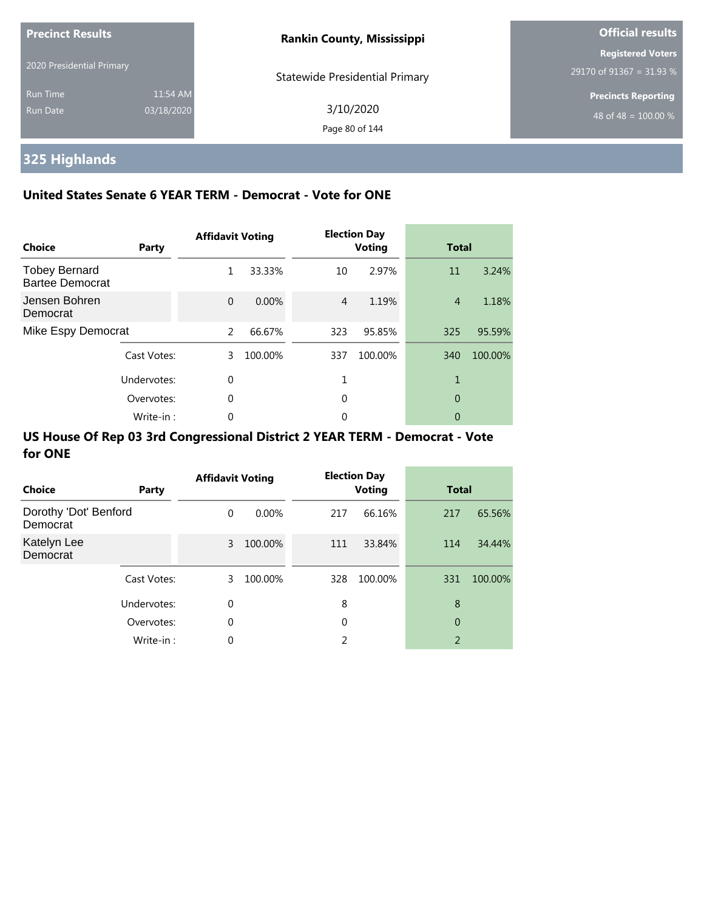| <b>Precinct Results</b>     |                        | <b>Rankin County, Mississippi</b>     | <b>Official results</b>                              |  |
|-----------------------------|------------------------|---------------------------------------|------------------------------------------------------|--|
| 2020 Presidential Primary   |                        | <b>Statewide Presidential Primary</b> | <b>Registered Voters</b><br>29170 of 91367 = 31.93 % |  |
| <b>Run Time</b><br>Run Date | 11:54 AM<br>03/18/2020 | 3/10/2020<br>Page 80 of 144           | <b>Precincts Reporting</b><br>48 of 48 = $100.00\%$  |  |

# **325 Highlands**

### **United States Senate 6 YEAR TERM - Democrat - Vote for ONE**

| Choice                                         | Party       | <b>Affidavit Voting</b> |         |     | <b>Election Day</b><br><b>Voting</b> | <b>Total</b>   |         |
|------------------------------------------------|-------------|-------------------------|---------|-----|--------------------------------------|----------------|---------|
| <b>Tobey Bernard</b><br><b>Bartee Democrat</b> |             | 1                       | 33.33%  | 10  | 2.97%                                | 11             | 3.24%   |
| Jensen Bohren<br>Democrat                      |             | $\Omega$                | 0.00%   | 4   | 1.19%                                | $\overline{4}$ | 1.18%   |
| Mike Espy Democrat                             |             | $\mathcal{P}$           | 66.67%  | 323 | 95.85%                               | 325            | 95.59%  |
|                                                | Cast Votes: | 3                       | 100.00% | 337 | 100.00%                              | 340            | 100.00% |
|                                                | Undervotes: | 0                       |         |     |                                      | 1              |         |
|                                                | Overvotes:  | $\Omega$                |         | 0   |                                      | 0              |         |
|                                                | Write-in:   | 0                       |         | 0   |                                      | 0              |         |

| <b>Choice</b>                     | Party       | <b>Affidavit Voting</b> |          |     | <b>Election Day</b><br><b>Voting</b> | <b>Total</b> |         |
|-----------------------------------|-------------|-------------------------|----------|-----|--------------------------------------|--------------|---------|
| Dorothy 'Dot' Benford<br>Democrat |             | 0                       | $0.00\%$ | 217 | 66.16%                               | 217          | 65.56%  |
| Katelyn Lee<br>Democrat           |             | 3                       | 100.00%  | 111 | 33.84%                               | 114          | 34.44%  |
|                                   | Cast Votes: | 3                       | 100.00%  | 328 | 100.00%                              | 331          | 100.00% |
|                                   | Undervotes: | 0                       |          | 8   |                                      | 8            |         |
|                                   | Overvotes:  | 0                       |          | 0   |                                      | 0            |         |
|                                   | Write-in:   | 0                       |          | C.  |                                      | 2            |         |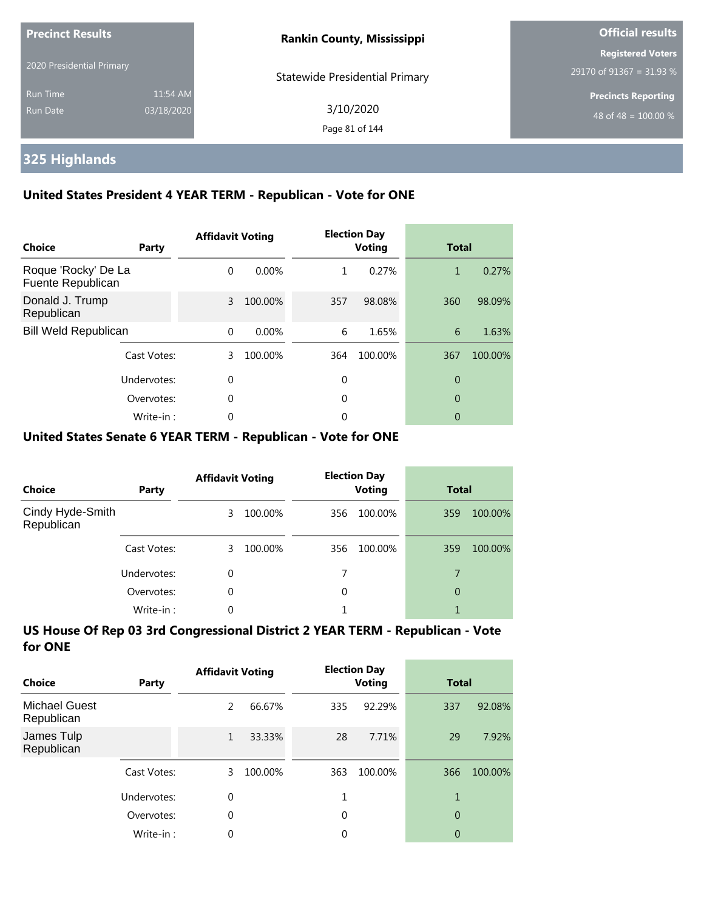| <b>Precinct Results</b>     |                        | <b>Rankin County, Mississippi</b>     | <b>Official results</b>                              |  |
|-----------------------------|------------------------|---------------------------------------|------------------------------------------------------|--|
| 2020 Presidential Primary   |                        | <b>Statewide Presidential Primary</b> | <b>Registered Voters</b><br>29170 of 91367 = 31.93 % |  |
| <b>Run Time</b><br>Run Date | 11:54 AM<br>03/18/2020 | 3/10/2020<br>Page 81 of 144           | <b>Precincts Reporting</b><br>48 of 48 = $100.00\%$  |  |

## **325 Highlands**

### **United States President 4 YEAR TERM - Republican - Vote for ONE**

| Choice                                   | Party       | <b>Affidavit Voting</b> |         |     | <b>Election Day</b><br><b>Voting</b> | <b>Total</b> |         |
|------------------------------------------|-------------|-------------------------|---------|-----|--------------------------------------|--------------|---------|
| Roque 'Rocky' De La<br>Fuente Republican |             | $\Omega$                | 0.00%   | 1   | 0.27%                                | 1            | 0.27%   |
| Donald J. Trump<br>Republican            |             | 3                       | 100.00% | 357 | 98.08%                               | 360          | 98.09%  |
| <b>Bill Weld Republican</b>              |             | $\Omega$                | 0.00%   | 6   | 1.65%                                | 6            | 1.63%   |
|                                          | Cast Votes: | 3                       | 100.00% | 364 | 100.00%                              | 367          | 100.00% |
| Undervotes:                              |             | $\theta$                |         | 0   |                                      | 0            |         |
|                                          | Overvotes:  | $\Omega$                |         | 0   |                                      | 0            |         |
|                                          | Write-in:   | 0                       |         | 0   |                                      | 0            |         |

### **United States Senate 6 YEAR TERM - Republican - Vote for ONE**

| <b>Choice</b>                  | Party       | <b>Affidavit Voting</b> |         | <b>Election Day</b><br><b>Voting</b> |         | <b>Total</b> |         |
|--------------------------------|-------------|-------------------------|---------|--------------------------------------|---------|--------------|---------|
| Cindy Hyde-Smith<br>Republican |             | 3                       | 100.00% | 356                                  | 100.00% | 359          | 100.00% |
|                                | Cast Votes: | 3.                      | 100.00% | 356                                  | 100.00% | 359          | 100.00% |
|                                | Undervotes: | 0                       |         |                                      |         | 7            |         |
|                                | Overvotes:  | $\Omega$                |         | 0                                    |         | 0            |         |
|                                | Write-in:   | 0                       |         |                                      |         |              |         |

| Choice                             | Party       | <b>Affidavit Voting</b> |         | <b>Election Day</b><br><b>Voting</b> |         | Total          |         |
|------------------------------------|-------------|-------------------------|---------|--------------------------------------|---------|----------------|---------|
| <b>Michael Guest</b><br>Republican |             | 2                       | 66.67%  | 335                                  | 92.29%  | 337            | 92.08%  |
| James Tulp<br>Republican           |             | 1                       | 33.33%  | 28                                   | 7.71%   | 29             | 7.92%   |
|                                    | Cast Votes: | 3                       | 100.00% | 363                                  | 100.00% | 366            | 100.00% |
|                                    | Undervotes: | 0                       |         | 1                                    |         | 1              |         |
|                                    | Overvotes:  | $\theta$                |         | 0                                    |         | $\overline{0}$ |         |
|                                    | Write-in:   | 0                       |         | 0                                    |         | 0              |         |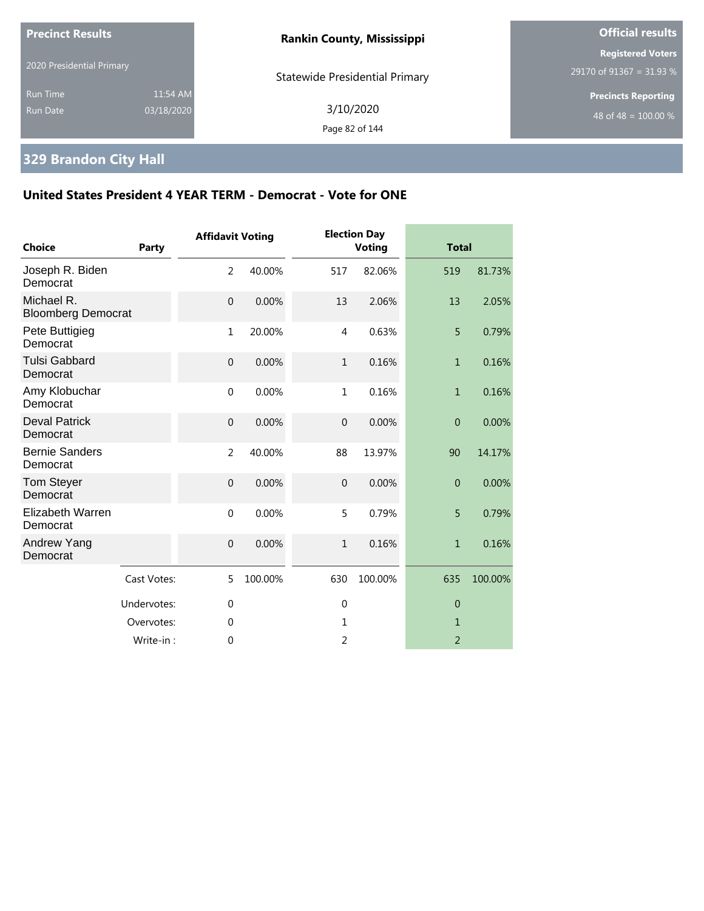| <b>Precinct Results</b>            |                        | <b>Rankin County, Mississippi</b>     | <b>Official results</b>                              |  |  |
|------------------------------------|------------------------|---------------------------------------|------------------------------------------------------|--|--|
| 2020 Presidential Primary          |                        | <b>Statewide Presidential Primary</b> | <b>Registered Voters</b><br>29170 of 91367 = 31.93 % |  |  |
| <b>Run Time</b><br><b>Run Date</b> | 11:54 AM<br>03/18/2020 | 3/10/2020<br>Page 82 of 144           | <b>Precincts Reporting</b><br>48 of 48 = $100.00\%$  |  |  |

# **329 Brandon City Hall**

| Choice                                  | Party       | <b>Affidavit Voting</b> |         |                | <b>Election Day</b><br><b>Voting</b> |                | <b>Total</b> |  |
|-----------------------------------------|-------------|-------------------------|---------|----------------|--------------------------------------|----------------|--------------|--|
| Joseph R. Biden<br>Democrat             |             | $\overline{2}$          | 40.00%  | 517            | 82.06%                               | 519            | 81.73%       |  |
| Michael R.<br><b>Bloomberg Democrat</b> |             | $\mathbf{0}$            | 0.00%   | 13             | 2.06%                                | 13             | 2.05%        |  |
| Pete Buttigieg<br>Democrat              |             | $\mathbf{1}$            | 20.00%  | $\overline{4}$ | 0.63%                                | 5              | 0.79%        |  |
| <b>Tulsi Gabbard</b><br>Democrat        |             | $\mathbf 0$             | 0.00%   | $\mathbf{1}$   | 0.16%                                | $\mathbf{1}$   | 0.16%        |  |
| Amy Klobuchar<br>Democrat               |             | $\mathbf{0}$            | 0.00%   | 1              | 0.16%                                | $\mathbf{1}$   | 0.16%        |  |
| <b>Deval Patrick</b><br>Democrat        |             | $\boldsymbol{0}$        | 0.00%   | $\mathbf 0$    | 0.00%                                | $\overline{0}$ | 0.00%        |  |
| <b>Bernie Sanders</b><br>Democrat       |             | $\overline{2}$          | 40.00%  | 88             | 13.97%                               | 90             | 14.17%       |  |
| <b>Tom Steyer</b><br>Democrat           |             | $\mathbf{0}$            | 0.00%   | $\overline{0}$ | 0.00%                                | $\overline{0}$ | 0.00%        |  |
| Elizabeth Warren<br>Democrat            |             | $\mathbf 0$             | 0.00%   | 5              | 0.79%                                | 5              | 0.79%        |  |
| Andrew Yang<br>Democrat                 |             | $\mathbf{0}$            | 0.00%   | $\mathbf{1}$   | 0.16%                                | $\mathbf{1}$   | 0.16%        |  |
|                                         | Cast Votes: | 5                       | 100.00% | 630            | 100.00%                              | 635            | 100.00%      |  |
|                                         | Undervotes: | $\overline{0}$          |         | $\mathbf 0$    |                                      | $\overline{0}$ |              |  |
|                                         | Overvotes:  | $\overline{0}$          |         | 1              |                                      | 1              |              |  |
|                                         | Write-in:   | $\theta$                |         | 2              |                                      | $\overline{2}$ |              |  |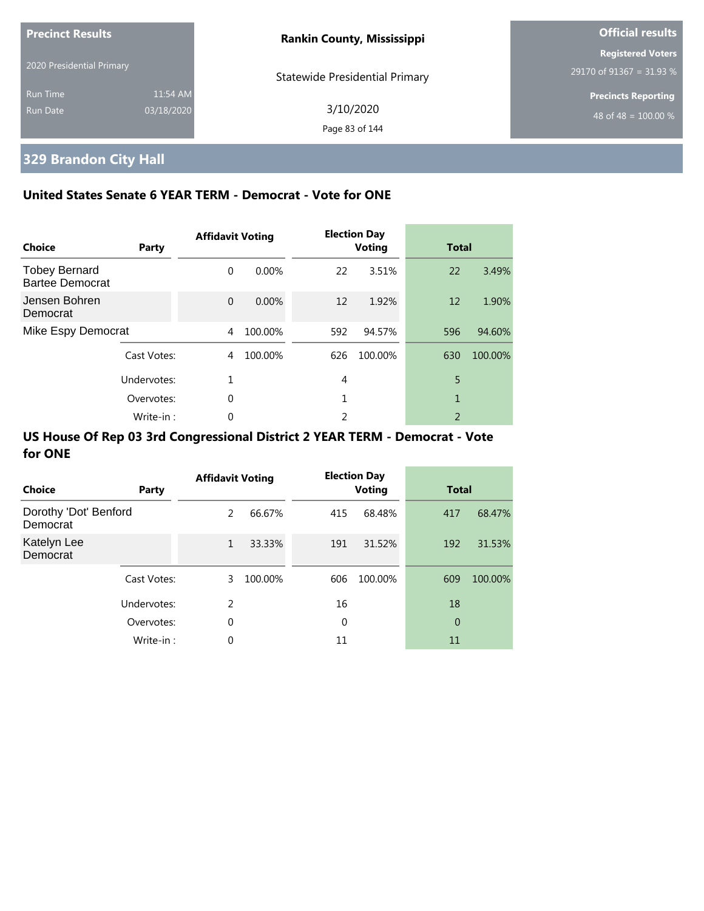| <b>Precinct Results</b>     |                        | <b>Rankin County, Mississippi</b>     | <b>Official results</b>                              |  |
|-----------------------------|------------------------|---------------------------------------|------------------------------------------------------|--|
| 2020 Presidential Primary   |                        | <b>Statewide Presidential Primary</b> | <b>Registered Voters</b><br>29170 of 91367 = 31.93 % |  |
| <b>Run Time</b><br>Run Date | 11:54 AM<br>03/18/2020 | 3/10/2020<br>Page 83 of 144           | <b>Precincts Reporting</b><br>48 of 48 = $100.00\%$  |  |

## **329 Brandon City Hall**

### **United States Senate 6 YEAR TERM - Democrat - Vote for ONE**

| Choice                                         | Party       | <b>Affidavit Voting</b> |          |     | <b>Election Day</b><br><b>Voting</b> | <b>Total</b> |         |
|------------------------------------------------|-------------|-------------------------|----------|-----|--------------------------------------|--------------|---------|
| <b>Tobey Bernard</b><br><b>Bartee Democrat</b> |             | $\Omega$                | $0.00\%$ | 22  | 3.51%                                | 22           | 3.49%   |
| Jensen Bohren<br>Democrat                      |             | $\Omega$                | 0.00%    | 12  | 1.92%                                | 12           | 1.90%   |
| Mike Espy Democrat                             |             | 4                       | 100.00%  | 592 | 94.57%                               | 596          | 94.60%  |
|                                                | Cast Votes: | 4                       | 100.00%  | 626 | 100.00%                              | 630          | 100.00% |
| Undervotes:                                    |             | 1                       |          | 4   |                                      | 5            |         |
|                                                | Overvotes:  |                         |          | 1   |                                      | 1            |         |
|                                                | Write-in:   | 0                       |          | 2   |                                      | 2            |         |

| Choice                            | Party       | <b>Affidavit Voting</b> |         |     | <b>Election Day</b><br><b>Voting</b> | <b>Total</b> |         |
|-----------------------------------|-------------|-------------------------|---------|-----|--------------------------------------|--------------|---------|
| Dorothy 'Dot' Benford<br>Democrat |             | 2                       | 66.67%  | 415 | 68.48%                               | 417          | 68.47%  |
| Katelyn Lee<br>Democrat           |             | $\mathbf{1}$            | 33.33%  | 191 | 31.52%                               | 192          | 31.53%  |
|                                   | Cast Votes: | 3                       | 100.00% | 606 | 100.00%                              | 609          | 100.00% |
|                                   | Undervotes: | $\mathcal{P}$           |         | 16  |                                      | 18           |         |
|                                   | Overvotes:  | 0                       |         | 0   |                                      | 0            |         |
|                                   | Write-in:   | 0                       |         | 11  |                                      | 11           |         |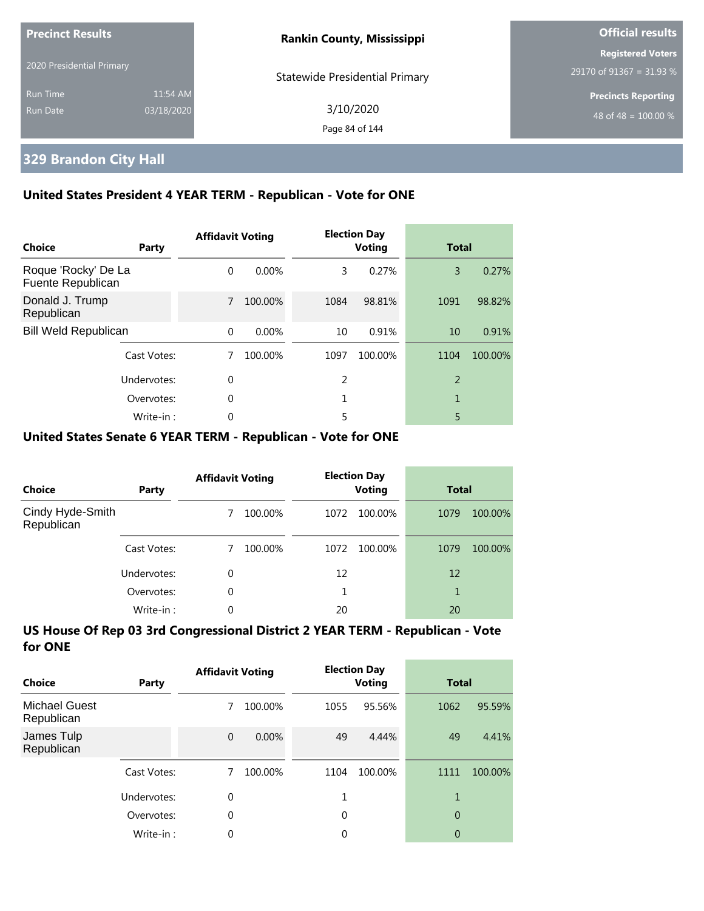| <b>Precinct Results</b><br>2020 Presidential Primary |                        | <b>Rankin County, Mississippi</b> | Official results                                     |  |
|------------------------------------------------------|------------------------|-----------------------------------|------------------------------------------------------|--|
|                                                      |                        | Statewide Presidential Primary    | <b>Registered Voters</b><br>29170 of 91367 = 31.93 % |  |
| <b>Run Time</b><br>Run Date                          | 11:54 AM<br>03/18/2020 | 3/10/2020<br>Page 84 of 144       | <b>Precincts Reporting</b><br>48 of 48 = $100.00\%$  |  |

## **329 Brandon City Hall**

### **United States President 4 YEAR TERM - Republican - Vote for ONE**

| Choice                                   | Party       | <b>Affidavit Voting</b> |          |      | <b>Election Day</b><br><b>Voting</b> | <b>Total</b>   |         |
|------------------------------------------|-------------|-------------------------|----------|------|--------------------------------------|----------------|---------|
| Roque 'Rocky' De La<br>Fuente Republican |             | $\Omega$                | $0.00\%$ | 3    | 0.27%                                | 3              | 0.27%   |
| Donald J. Trump<br>Republican            |             | 7                       | 100.00%  | 1084 | 98.81%                               | 1091           | 98.82%  |
| <b>Bill Weld Republican</b>              |             | $\Omega$                | $0.00\%$ | 10   | 0.91%                                | 10             | 0.91%   |
|                                          | Cast Votes: |                         | 100.00%  | 1097 | 100.00%                              | 1104           | 100.00% |
| Undervotes:                              |             | $\theta$                |          | 2    |                                      | $\overline{2}$ |         |
|                                          | Overvotes:  | 0                       |          |      |                                      | 1              |         |
|                                          | Write-in:   | 0                       |          | 5    |                                      | 5              |         |

### **United States Senate 6 YEAR TERM - Republican - Vote for ONE**

| <b>Choice</b>                  | Party       | <b>Affidavit Voting</b> |         | <b>Election Day</b><br><b>Voting</b> |         | <b>Total</b> |         |
|--------------------------------|-------------|-------------------------|---------|--------------------------------------|---------|--------------|---------|
| Cindy Hyde-Smith<br>Republican |             |                         | 100.00% | 1072                                 | 100.00% | 1079         | 100.00% |
|                                | Cast Votes: |                         | 100.00% | 1072                                 | 100.00% | 1079         | 100.00% |
|                                | Undervotes: | $\Omega$                |         | 12                                   |         | 12           |         |
|                                | Overvotes:  | $\Omega$                |         |                                      |         | 1            |         |
|                                | Write-in:   | 0                       |         | 20                                   |         | 20           |         |

| Choice                             | Party       | <b>Affidavit Voting</b> |         | <b>Election Day</b><br><b>Voting</b> |         | <b>Total</b>   |         |
|------------------------------------|-------------|-------------------------|---------|--------------------------------------|---------|----------------|---------|
| <b>Michael Guest</b><br>Republican |             |                         | 100.00% | 1055                                 | 95.56%  | 1062           | 95.59%  |
| James Tulp<br>Republican           |             | $\Omega$                | 0.00%   | 49                                   | 4.44%   | 49             | 4.41%   |
|                                    | Cast Votes: |                         | 100.00% | 1104                                 | 100.00% | 1111           | 100.00% |
|                                    | Undervotes: | $\theta$                |         |                                      |         | 1              |         |
|                                    | Overvotes:  | $\theta$                |         | $\Omega$                             |         | $\overline{0}$ |         |
|                                    | Write-in:   | $\theta$                |         | 0                                    |         | 0              |         |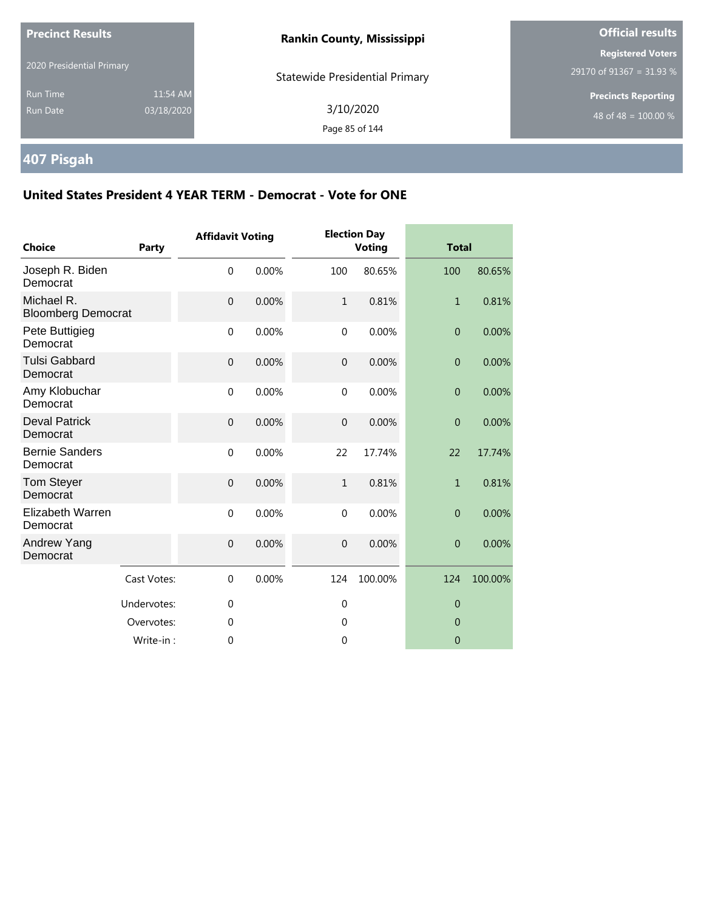| <b>Precinct Results</b>            |                        | <b>Rankin County, Mississippi</b>     | <b>Official results</b>                              |  |
|------------------------------------|------------------------|---------------------------------------|------------------------------------------------------|--|
| 2020 Presidential Primary          |                        | <b>Statewide Presidential Primary</b> | <b>Registered Voters</b><br>29170 of 91367 = 31.93 % |  |
| <b>Run Time</b><br><b>Run Date</b> | 11:54 AM<br>03/18/2020 | 3/10/2020<br>Page 85 of 144           | <b>Precincts Reporting</b><br>48 of 48 = $100.00\%$  |  |

## **407 Pisgah**

| <b>Choice</b>                           | Party       | <b>Affidavit Voting</b> |       |                  | <b>Election Day</b><br><b>Voting</b> | <b>Total</b>   |         |
|-----------------------------------------|-------------|-------------------------|-------|------------------|--------------------------------------|----------------|---------|
| Joseph R. Biden<br>Democrat             |             | $\mathbf 0$             | 0.00% | 100              | 80.65%                               | 100            | 80.65%  |
| Michael R.<br><b>Bloomberg Democrat</b> |             | $\mathbf{0}$            | 0.00% | $\mathbf{1}$     | 0.81%                                | $\mathbf{1}$   | 0.81%   |
| Pete Buttigieg<br>Democrat              |             | $\mathbf 0$             | 0.00% | $\mathbf 0$      | 0.00%                                | $\mathbf{0}$   | 0.00%   |
| <b>Tulsi Gabbard</b><br>Democrat        |             | $\mathbf{0}$            | 0.00% | $\overline{0}$   | 0.00%                                | $\theta$       | 0.00%   |
| Amy Klobuchar<br>Democrat               |             | $\mathbf{0}$            | 0.00% | $\mathbf{0}$     | 0.00%                                | $\theta$       | 0.00%   |
| <b>Deval Patrick</b><br>Democrat        |             | $\mathbf{0}$            | 0.00% | $\mathbf 0$      | 0.00%                                | $\overline{0}$ | 0.00%   |
| <b>Bernie Sanders</b><br>Democrat       |             | $\mathbf 0$             | 0.00% | 22               | 17.74%                               | 22             | 17.74%  |
| <b>Tom Steyer</b><br>Democrat           |             | $\overline{0}$          | 0.00% | $\mathbf{1}$     | 0.81%                                | $\mathbf{1}$   | 0.81%   |
| Elizabeth Warren<br>Democrat            |             | $\mathbf 0$             | 0.00% | $\mathbf 0$      | 0.00%                                | $\overline{0}$ | 0.00%   |
| Andrew Yang<br>Democrat                 |             | $\boldsymbol{0}$        | 0.00% | $\boldsymbol{0}$ | 0.00%                                | $\theta$       | 0.00%   |
|                                         | Cast Votes: | $\mathbf 0$             | 0.00% | 124              | 100.00%                              | 124            | 100.00% |
|                                         | Undervotes: | $\mathbf 0$             |       | $\mathbf 0$      |                                      | $\theta$       |         |
|                                         | Overvotes:  | 0                       |       | 0                |                                      | $\mathbf 0$    |         |
|                                         | Write-in:   | $\mathbf 0$             |       | 0                |                                      | $\overline{0}$ |         |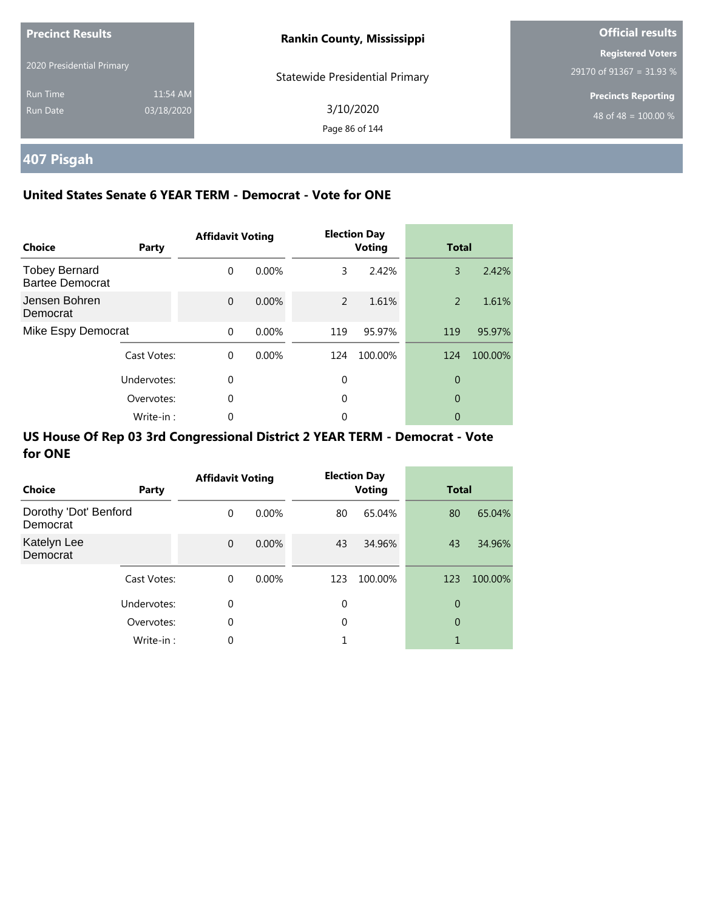| <b>Precinct Results</b>     |                        | <b>Rankin County, Mississippi</b>     | <b>Official results</b>                              |
|-----------------------------|------------------------|---------------------------------------|------------------------------------------------------|
| 2020 Presidential Primary   |                        | <b>Statewide Presidential Primary</b> | <b>Registered Voters</b><br>29170 of 91367 = 31.93 % |
| <b>Run Time</b><br>Run Date | 11:54 AM<br>03/18/2020 | 3/10/2020<br>Page 86 of 144           | <b>Precincts Reporting</b><br>48 of 48 = $100.00\%$  |

## **407 Pisgah**

### **United States Senate 6 YEAR TERM - Democrat - Vote for ONE**

| <b>Choice</b>                                  | Party       | <b>Affidavit Voting</b> |       |     | <b>Election Day</b><br><b>Voting</b> | <b>Total</b> |         |
|------------------------------------------------|-------------|-------------------------|-------|-----|--------------------------------------|--------------|---------|
| <b>Tobey Bernard</b><br><b>Bartee Democrat</b> |             | $\Omega$                | 0.00% | 3   | 2.42%                                | 3            | 2.42%   |
| Jensen Bohren<br>Democrat                      |             | $\Omega$                | 0.00% | 2   | 1.61%                                | 2            | 1.61%   |
| Mike Espy Democrat                             |             | $\Omega$                | 0.00% | 119 | 95.97%                               | 119          | 95.97%  |
|                                                | Cast Votes: | $\Omega$                | 0.00% | 124 | 100.00%                              | 124          | 100.00% |
|                                                | Undervotes: | $\Omega$                |       | 0   |                                      | 0            |         |
|                                                | Overvotes:  | $\Omega$                |       | 0   |                                      | 0            |         |
|                                                | Write-in:   | 0                       |       | 0   |                                      | 0            |         |

| Choice                            | Party       | <b>Affidavit Voting</b> |          |     | <b>Election Day</b><br><b>Voting</b> | <b>Total</b> |         |
|-----------------------------------|-------------|-------------------------|----------|-----|--------------------------------------|--------------|---------|
| Dorothy 'Dot' Benford<br>Democrat |             | $\mathbf 0$             | $0.00\%$ | 80  | 65.04%                               | 80           | 65.04%  |
| Katelyn Lee<br>Democrat           |             | $\mathbf 0$             | $0.00\%$ | 43  | 34.96%                               | 43           | 34.96%  |
|                                   | Cast Votes: | $\mathbf 0$             | $0.00\%$ | 123 | 100.00%                              | 123          | 100.00% |
|                                   | Undervotes: | 0                       |          | 0   |                                      | 0            |         |
|                                   | Overvotes:  | 0                       |          | 0   |                                      | 0            |         |
|                                   | Write-in:   | 0                       |          |     |                                      | 1            |         |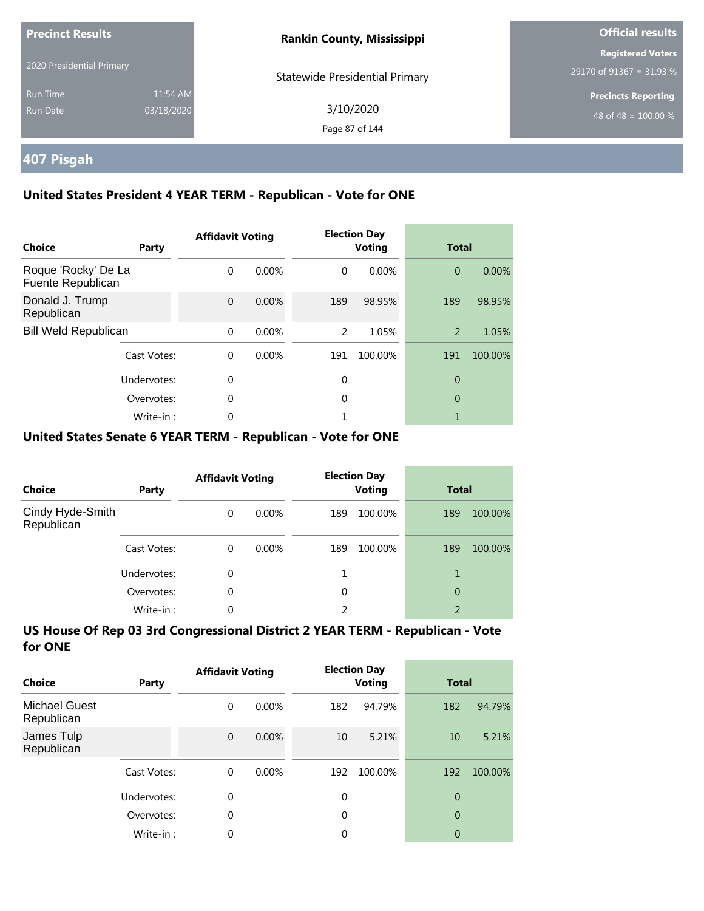| <b>Precinct Results</b>     |                        | <b>Rankin County, Mississippi</b>     | <b>Official results</b>                              |  |  |
|-----------------------------|------------------------|---------------------------------------|------------------------------------------------------|--|--|
| 2020 Presidential Primary   |                        | <b>Statewide Presidential Primary</b> | <b>Registered Voters</b><br>29170 of 91367 = 31.93 % |  |  |
| <b>Run Time</b><br>Run Date | 11:54 AM<br>03/18/2020 | 3/10/2020<br>Page 87 of 144           | <b>Precincts Reporting</b><br>48 of 48 = $100.00\%$  |  |  |

## **407 Pisgah**

### **United States President 4 YEAR TERM - Republican - Vote for ONE**

| <b>Choice</b>                            | Party       | <b>Affidavit Voting</b> |          |          | <b>Election Day</b><br><b>Voting</b> | <b>Total</b>   |         |
|------------------------------------------|-------------|-------------------------|----------|----------|--------------------------------------|----------------|---------|
| Roque 'Rocky' De La<br>Fuente Republican |             | $\Omega$                | $0.00\%$ | $\Omega$ | 0.00%                                | $\overline{0}$ | 0.00%   |
| Donald J. Trump<br>Republican            |             | $\Omega$                | 0.00%    | 189      | 98.95%                               | 189            | 98.95%  |
| <b>Bill Weld Republican</b>              |             | $\Omega$                | $0.00\%$ | 2        | 1.05%                                | 2              | 1.05%   |
|                                          | Cast Votes: | $\Omega$                | $0.00\%$ | 191      | 100.00%                              | 191            | 100.00% |
|                                          | Undervotes: | $\Omega$                |          | $\theta$ |                                      | $\overline{0}$ |         |
|                                          | Overvotes:  | $\Omega$                |          | 0        |                                      | $\theta$       |         |
|                                          | Write-in:   | 0                       |          |          |                                      |                |         |

### **United States Senate 6 YEAR TERM - Republican - Vote for ONE**

| <b>Choice</b>                  | Party       | <b>Affidavit Voting</b> |          |     | <b>Election Day</b><br><b>Voting</b> | <b>Total</b>   |         |
|--------------------------------|-------------|-------------------------|----------|-----|--------------------------------------|----------------|---------|
| Cindy Hyde-Smith<br>Republican |             | $\Omega$                | $0.00\%$ | 189 | 100.00%                              | 189            | 100.00% |
|                                | Cast Votes: | $\Omega$                | $0.00\%$ | 189 | 100.00%                              | 189            | 100.00% |
|                                | Undervotes: | $\Omega$                |          |     |                                      |                |         |
|                                | Overvotes:  | $\Omega$                |          | 0   |                                      | 0              |         |
|                                | Write-in:   | 0                       |          | 2   |                                      | $\mathfrak{D}$ |         |

| Choice                             | Party       | <b>Affidavit Voting</b> |          |          | <b>Election Day</b><br><b>Voting</b> | <b>Total</b>   |         |
|------------------------------------|-------------|-------------------------|----------|----------|--------------------------------------|----------------|---------|
| <b>Michael Guest</b><br>Republican |             | 0                       | $0.00\%$ | 182      | 94.79%                               | 182            | 94.79%  |
| James Tulp<br>Republican           |             | $\mathbf 0$             | $0.00\%$ | 10       | 5.21%                                | 10             | 5.21%   |
|                                    | Cast Votes: | $\Omega$                | $0.00\%$ | 192      | 100.00%                              | 192            | 100.00% |
|                                    | Undervotes: | $\Omega$                |          | $\Omega$ |                                      | $\overline{0}$ |         |
|                                    | Overvotes:  | $\theta$                |          | $\Omega$ |                                      | $\overline{0}$ |         |
|                                    | Write-in:   | 0                       |          | 0        |                                      | 0              |         |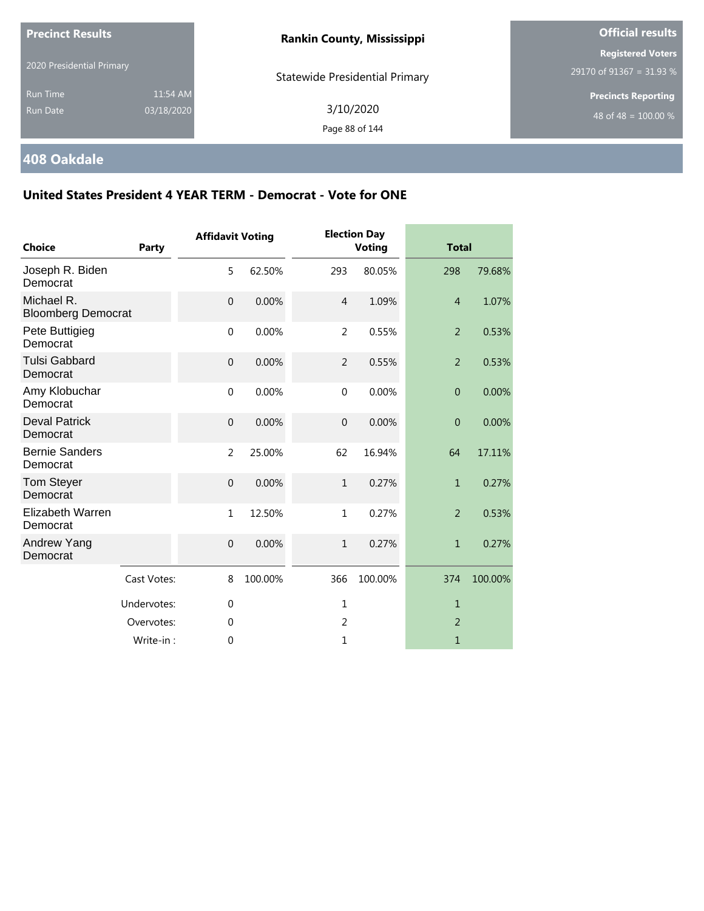| <b>Precinct Results</b>   |            | <b>Rankin County, Mississippi</b>     | <b>Official results</b>                              |  |
|---------------------------|------------|---------------------------------------|------------------------------------------------------|--|
| 2020 Presidential Primary |            | <b>Statewide Presidential Primary</b> | <b>Registered Voters</b><br>29170 of 91367 = 31.93 % |  |
| <b>Run Time</b>           | 11:54 AM   |                                       | <b>Precincts Reporting</b>                           |  |
| <b>Run Date</b>           | 03/18/2020 | 3/10/2020<br>Page 88 of 144           | 48 of 48 = $100.00\%$                                |  |
|                           |            |                                       |                                                      |  |

## **408 Oakdale**

| <b>Choice</b>                           | Party       | <b>Affidavit Voting</b> |         |                | <b>Election Day</b><br><b>Voting</b> | <b>Total</b>   |         |
|-----------------------------------------|-------------|-------------------------|---------|----------------|--------------------------------------|----------------|---------|
| Joseph R. Biden<br>Democrat             |             | 5                       | 62.50%  | 293            | 80.05%                               | 298            | 79.68%  |
| Michael R.<br><b>Bloomberg Democrat</b> |             | $\overline{0}$          | 0.00%   | $\overline{4}$ | 1.09%                                | $\overline{4}$ | 1.07%   |
| Pete Buttigieg<br>Democrat              |             | $\mathbf 0$             | 0.00%   | 2              | 0.55%                                | $\overline{2}$ | 0.53%   |
| <b>Tulsi Gabbard</b><br>Democrat        |             | $\mathbf 0$             | 0.00%   | $\overline{2}$ | 0.55%                                | $\overline{2}$ | 0.53%   |
| Amy Klobuchar<br>Democrat               |             | $\mathbf{0}$            | 0.00%   | $\mathbf{0}$   | 0.00%                                | $\overline{0}$ | 0.00%   |
| <b>Deval Patrick</b><br>Democrat        |             | $\mathbf 0$             | 0.00%   | $\overline{0}$ | 0.00%                                | $\overline{0}$ | 0.00%   |
| <b>Bernie Sanders</b><br>Democrat       |             | $\overline{2}$          | 25.00%  | 62             | 16.94%                               | 64             | 17.11%  |
| <b>Tom Steyer</b><br>Democrat           |             | $\mathbf 0$             | 0.00%   | $\mathbf{1}$   | 0.27%                                | $\mathbf{1}$   | 0.27%   |
| Elizabeth Warren<br>Democrat            |             | $1\,$                   | 12.50%  | $\mathbf{1}$   | 0.27%                                | $\overline{2}$ | 0.53%   |
| Andrew Yang<br>Democrat                 |             | $\mathbf{0}$            | 0.00%   | $\mathbf{1}$   | 0.27%                                | $\mathbf{1}$   | 0.27%   |
|                                         | Cast Votes: | 8                       | 100.00% | 366            | 100.00%                              | 374            | 100.00% |
|                                         | Undervotes: | $\mathbf 0$             |         | 1              |                                      | $\mathbf{1}$   |         |
|                                         | Overvotes:  | $\theta$                |         | 2              |                                      | 2              |         |
|                                         | Write-in:   | $\mathbf 0$             |         | 1              |                                      | 1              |         |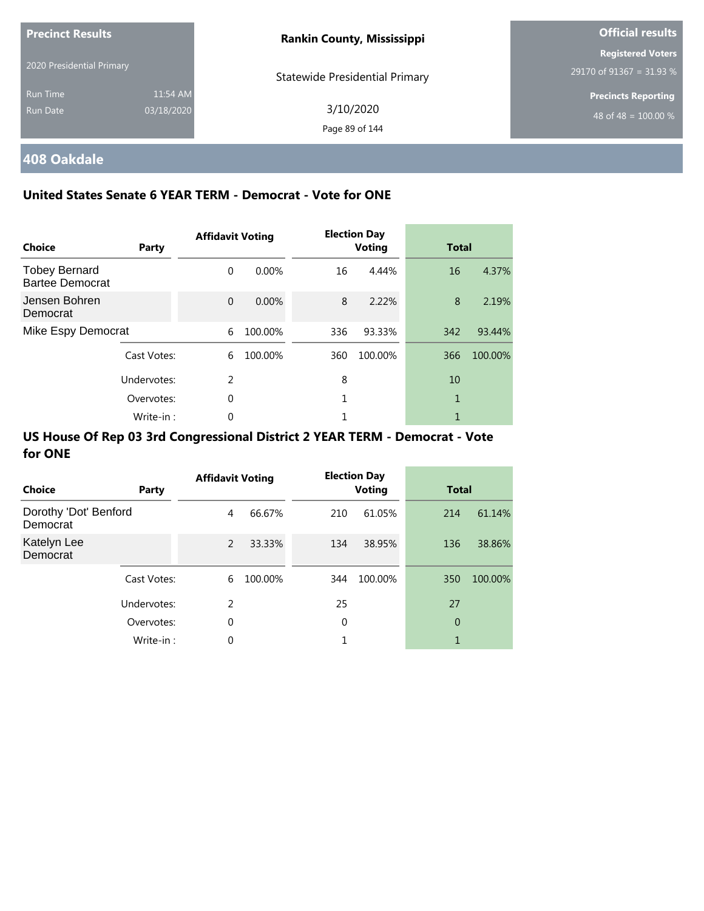| <b>Precinct Results</b>     |                        | <b>Rankin County, Mississippi</b>     | <b>Official results</b>                              |
|-----------------------------|------------------------|---------------------------------------|------------------------------------------------------|
| 2020 Presidential Primary   |                        | <b>Statewide Presidential Primary</b> | <b>Registered Voters</b><br>29170 of 91367 = 31.93 % |
| <b>Run Time</b><br>Run Date | 11:54 AM<br>03/18/2020 | 3/10/2020<br>Page 89 of 144           | <b>Precincts Reporting</b><br>48 of 48 = $100.00\%$  |

# **408 Oakdale**

### **United States Senate 6 YEAR TERM - Democrat - Vote for ONE**

| Choice                                         | Party       | <b>Affidavit Voting</b> |          |     | <b>Election Day</b><br><b>Voting</b> | <b>Total</b> |         |
|------------------------------------------------|-------------|-------------------------|----------|-----|--------------------------------------|--------------|---------|
| <b>Tobey Bernard</b><br><b>Bartee Democrat</b> |             | $\Omega$                | $0.00\%$ | 16  | 4.44%                                | 16           | 4.37%   |
| Jensen Bohren<br>Democrat                      |             | $\Omega$                | 0.00%    | 8   | 2.22%                                | 8            | 2.19%   |
| Mike Espy Democrat                             |             | 6                       | 100.00%  | 336 | 93.33%                               | 342          | 93.44%  |
|                                                | Cast Votes: | 6                       | 100.00%  | 360 | 100.00%                              | 366          | 100.00% |
|                                                | Undervotes: | $\mathfrak{D}$          |          | 8   |                                      | 10           |         |
|                                                | Overvotes:  | 0                       |          |     |                                      | 1            |         |
|                                                | Write-in:   | 0                       |          |     |                                      |              |         |

| Choice                            | Party       | <b>Affidavit Voting</b> |         |     | <b>Election Day</b><br><b>Voting</b> | <b>Total</b> |         |
|-----------------------------------|-------------|-------------------------|---------|-----|--------------------------------------|--------------|---------|
| Dorothy 'Dot' Benford<br>Democrat |             | 4                       | 66.67%  | 210 | 61.05%                               | 214          | 61.14%  |
| Katelyn Lee<br>Democrat           |             | 2                       | 33.33%  | 134 | 38.95%                               | 136          | 38.86%  |
|                                   | Cast Votes: | 6                       | 100.00% | 344 | 100.00%                              | 350          | 100.00% |
|                                   | Undervotes: | $\mathcal{P}$           |         | 25  |                                      | 27           |         |
|                                   | Overvotes:  | 0                       |         | 0   |                                      | 0            |         |
|                                   | Write-in:   | 0                       |         |     |                                      | 1            |         |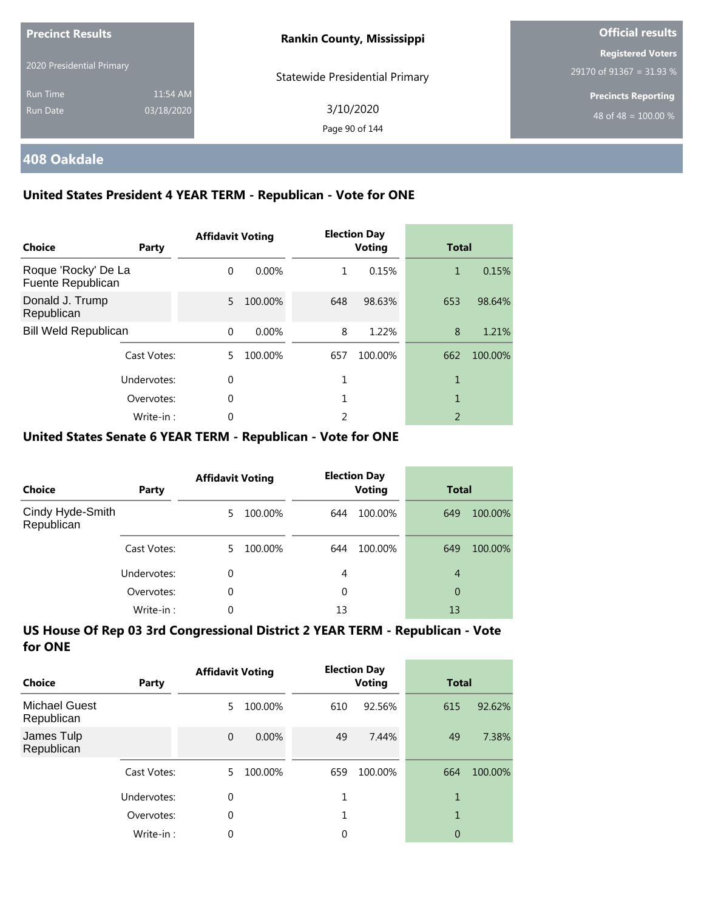| <b>Precinct Results</b><br>2020 Presidential Primary |            | <b>Rankin County, Mississippi</b>     | <b>Official results</b>    |
|------------------------------------------------------|------------|---------------------------------------|----------------------------|
|                                                      |            |                                       | <b>Registered Voters</b>   |
|                                                      |            | <b>Statewide Presidential Primary</b> | 29170 of 91367 = 31.93 $%$ |
| <b>Run Time</b>                                      | 11:54 AM   |                                       | <b>Precincts Reporting</b> |
| Run Date                                             | 03/18/2020 | 3/10/2020                             | 48 of 48 = $100.00\%$      |
|                                                      |            | Page 90 of 144                        |                            |

## **408 Oakdale**

### **United States President 4 YEAR TERM - Republican - Vote for ONE**

| <b>Choice</b>                            | Party       | <b>Affidavit Voting</b> |          |     | <b>Election Day</b><br><b>Voting</b> | <b>Total</b>             |         |
|------------------------------------------|-------------|-------------------------|----------|-----|--------------------------------------|--------------------------|---------|
| Roque 'Rocky' De La<br>Fuente Republican |             | $\Omega$                | $0.00\%$ | 1   | 0.15%                                | 1                        | 0.15%   |
| Donald J. Trump<br>Republican            |             | 5.                      | 100.00%  | 648 | 98.63%                               | 653                      | 98.64%  |
| <b>Bill Weld Republican</b>              |             | $\Omega$                | 0.00%    | 8   | 1.22%                                | 8                        | 1.21%   |
|                                          | Cast Votes: | 5.                      | 100.00%  | 657 | 100.00%                              | 662                      | 100.00% |
|                                          | Undervotes: | $\Omega$                |          |     |                                      | 1                        |         |
|                                          | Overvotes:  | $\Omega$                |          |     |                                      | 1                        |         |
|                                          | Write-in:   |                         |          | 2   |                                      | $\overline{\phantom{a}}$ |         |

### **United States Senate 6 YEAR TERM - Republican - Vote for ONE**

| Choice                         | Party       | <b>Affidavit Voting</b> |         |     | <b>Election Day</b><br><b>Voting</b> | <b>Total</b> |         |
|--------------------------------|-------------|-------------------------|---------|-----|--------------------------------------|--------------|---------|
| Cindy Hyde-Smith<br>Republican |             | 5.                      | 100.00% | 644 | 100.00%                              | 649          | 100.00% |
|                                | Cast Votes: | 5.                      | 100.00% | 644 | 100.00%                              | 649          | 100.00% |
|                                | Undervotes: | 0                       |         | 4   |                                      | 4            |         |
|                                | Overvotes:  | 0                       |         | 0   |                                      | 0            |         |
|                                | Write-in:   | 0                       |         | 13  |                                      | 13           |         |

| Choice                             | Party       | <b>Affidavit Voting</b> |         |     | <b>Election Day</b><br><b>Voting</b> | <b>Total</b> |         |
|------------------------------------|-------------|-------------------------|---------|-----|--------------------------------------|--------------|---------|
| <b>Michael Guest</b><br>Republican |             | 5                       | 100.00% | 610 | 92.56%                               | 615          | 92.62%  |
| James Tulp<br>Republican           |             | $\Omega$                | 0.00%   | 49  | 7.44%                                | 49           | 7.38%   |
|                                    | Cast Votes: | 5                       | 100.00% | 659 | 100.00%                              | 664          | 100.00% |
|                                    | Undervotes: | 0                       |         |     |                                      | 1            |         |
|                                    | Overvotes:  | 0                       |         |     |                                      | 1            |         |
|                                    | Write-in:   | 0                       |         | 0   |                                      | 0            |         |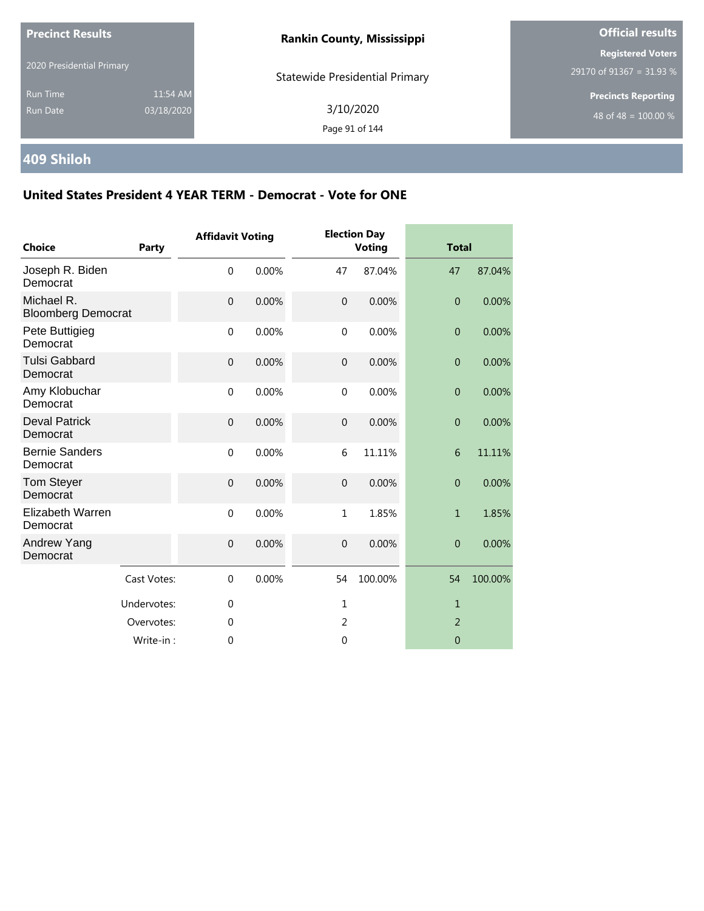| <b>Precinct Results</b>            |                        | <b>Rankin County, Mississippi</b>     | <b>Official results</b>                              |
|------------------------------------|------------------------|---------------------------------------|------------------------------------------------------|
| 2020 Presidential Primary          |                        | <b>Statewide Presidential Primary</b> | <b>Registered Voters</b><br>29170 of 91367 = 31.93 % |
| <b>Run Time</b><br><b>Run Date</b> | 11:54 AM<br>03/18/2020 | 3/10/2020<br>Page 91 of 144           | <b>Precincts Reporting</b><br>48 of 48 = $100.00\%$  |

## **409 Shiloh**

| <b>Choice</b>                           | Party       | <b>Affidavit Voting</b> |       |                  | <b>Election Day</b><br><b>Voting</b> | <b>Total</b>     |         |
|-----------------------------------------|-------------|-------------------------|-------|------------------|--------------------------------------|------------------|---------|
| Joseph R. Biden<br>Democrat             |             | $\mathbf 0$             | 0.00% | 47               | 87.04%                               | 47               | 87.04%  |
| Michael R.<br><b>Bloomberg Democrat</b> |             | $\mathbf 0$             | 0.00% | $\mathbf 0$      | 0.00%                                | $\overline{0}$   | 0.00%   |
| Pete Buttigieg<br>Democrat              |             | $\mathbf 0$             | 0.00% | $\mathbf 0$      | 0.00%                                | $\overline{0}$   | 0.00%   |
| <b>Tulsi Gabbard</b><br>Democrat        |             | $\boldsymbol{0}$        | 0.00% | $\boldsymbol{0}$ | 0.00%                                | $\boldsymbol{0}$ | 0.00%   |
| Amy Klobuchar<br>Democrat               |             | $\mathbf 0$             | 0.00% | $\mathbf 0$      | 0.00%                                | $\overline{0}$   | 0.00%   |
| <b>Deval Patrick</b><br>Democrat        |             | $\boldsymbol{0}$        | 0.00% | $\overline{0}$   | 0.00%                                | $\boldsymbol{0}$ | 0.00%   |
| <b>Bernie Sanders</b><br>Democrat       |             | $\mathbf 0$             | 0.00% | 6                | 11.11%                               | 6                | 11.11%  |
| <b>Tom Steyer</b><br>Democrat           |             | $\overline{0}$          | 0.00% | $\overline{0}$   | 0.00%                                | $\overline{0}$   | 0.00%   |
| Elizabeth Warren<br>Democrat            |             | $\mathbf{0}$            | 0.00% | $\mathbf{1}$     | 1.85%                                | $\mathbf{1}$     | 1.85%   |
| Andrew Yang<br>Democrat                 |             | $\mathbf 0$             | 0.00% | $\overline{0}$   | 0.00%                                | $\overline{0}$   | 0.00%   |
|                                         | Cast Votes: | $\mathbf{0}$            | 0.00% | 54               | 100.00%                              | 54               | 100.00% |
|                                         | Undervotes: | $\mathbf 0$             |       | $\mathbf{1}$     |                                      | $\mathbf{1}$     |         |
|                                         | Overvotes:  | $\mathbf 0$             |       | $\overline{2}$   |                                      | 2                |         |
|                                         | Write-in:   | 0                       |       | $\mathbf 0$      |                                      | $\mathbf 0$      |         |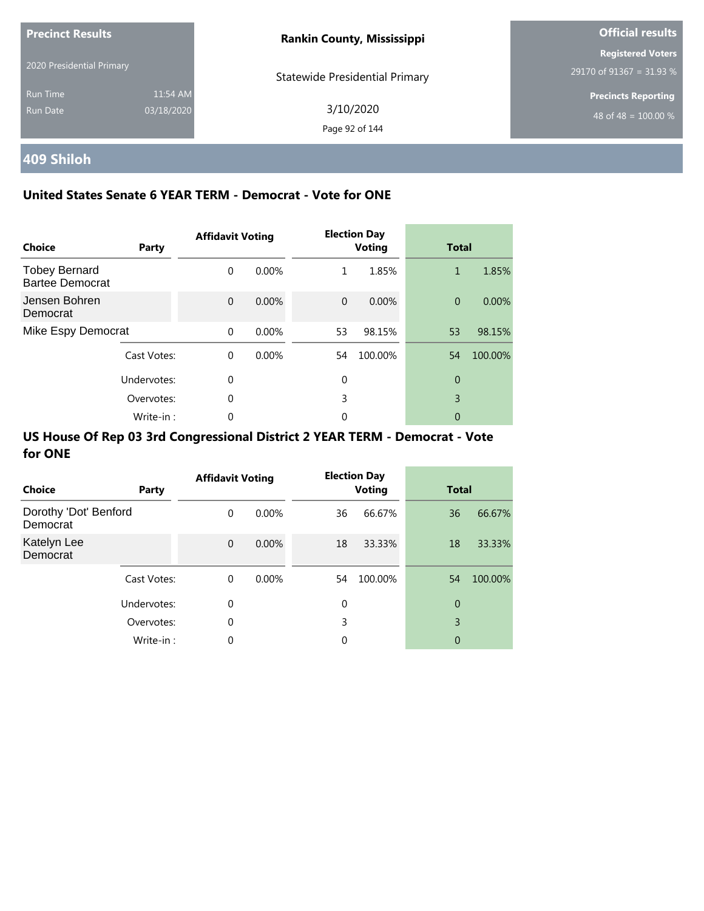| <b>Precinct Results</b>     |                        | <b>Rankin County, Mississippi</b>     | <b>Official results</b>                              |
|-----------------------------|------------------------|---------------------------------------|------------------------------------------------------|
| 2020 Presidential Primary   |                        | <b>Statewide Presidential Primary</b> | <b>Registered Voters</b><br>29170 of 91367 = 31.93 % |
| <b>Run Time</b><br>Run Date | 11:54 AM<br>03/18/2020 | 3/10/2020<br>Page 92 of 144           | <b>Precincts Reporting</b><br>48 of 48 = $100.00\%$  |

## **409 Shiloh**

### **United States Senate 6 YEAR TERM - Democrat - Vote for ONE**

| <b>Choice</b>                                  | Party       | <b>Affidavit Voting</b> |          |          | <b>Election Day</b><br><b>Voting</b> | <b>Total</b>   |         |
|------------------------------------------------|-------------|-------------------------|----------|----------|--------------------------------------|----------------|---------|
| <b>Tobey Bernard</b><br><b>Bartee Democrat</b> |             | $\Omega$                | $0.00\%$ | 1        | 1.85%                                | 1              | 1.85%   |
| Jensen Bohren<br>Democrat                      |             | $\Omega$                | $0.00\%$ | $\Omega$ | 0.00%                                | $\overline{0}$ | 0.00%   |
| Mike Espy Democrat                             |             | $\Omega$                | 0.00%    | 53       | 98.15%                               | 53             | 98.15%  |
|                                                | Cast Votes: | $\Omega$                | $0.00\%$ | 54       | 100.00%                              | 54             | 100.00% |
|                                                | Undervotes: | $\Omega$                |          | 0        |                                      | $\theta$       |         |
|                                                | Overvotes:  | $\Omega$                |          | 3        |                                      | 3              |         |
|                                                | Write-in:   | 0                       |          | 0        |                                      | 0              |         |

| <b>Choice</b>                     | Party       | <b>Affidavit Voting</b> |          |    | <b>Election Day</b><br><b>Voting</b> | <b>Total</b> |         |
|-----------------------------------|-------------|-------------------------|----------|----|--------------------------------------|--------------|---------|
| Dorothy 'Dot' Benford<br>Democrat |             | $\Omega$                | $0.00\%$ | 36 | 66.67%                               | 36           | 66.67%  |
| Katelyn Lee<br>Democrat           |             | $\mathbf{0}$            | 0.00%    | 18 | 33.33%                               | 18           | 33.33%  |
|                                   | Cast Votes: | $\Omega$                | $0.00\%$ | 54 | 100.00%                              | 54           | 100.00% |
|                                   | Undervotes: | 0                       |          | 0  |                                      | 0            |         |
|                                   | Overvotes:  | $\mathbf 0$             |          | 3  |                                      | 3            |         |
|                                   | Write-in:   | $\mathbf 0$             |          | 0  |                                      | 0            |         |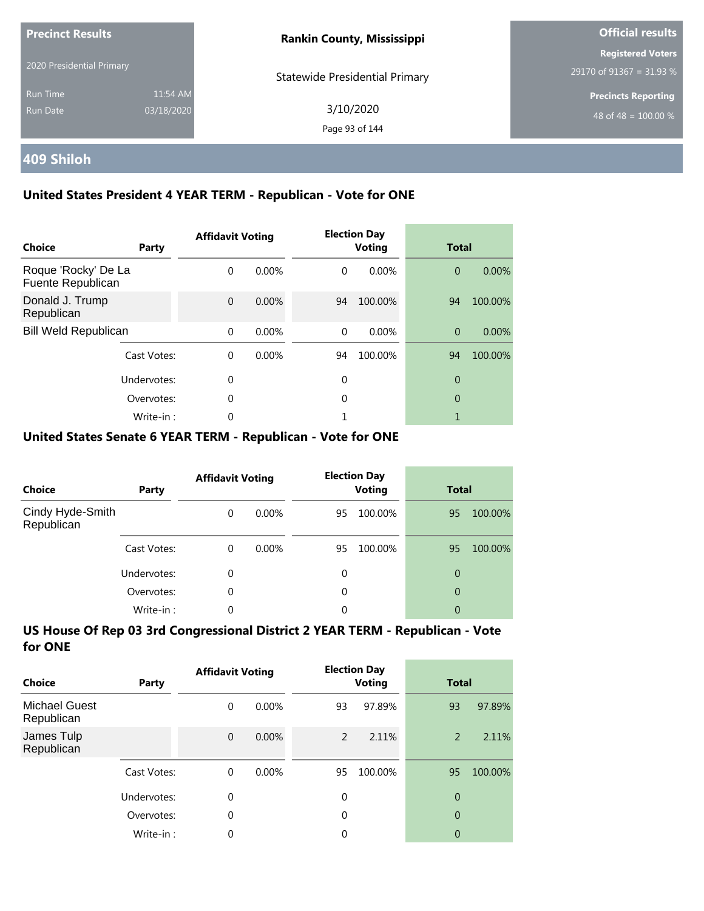| <b>Precinct Results</b>     |                        | <b>Rankin County, Mississippi</b>     | <b>Official results</b>                                |
|-----------------------------|------------------------|---------------------------------------|--------------------------------------------------------|
| 2020 Presidential Primary   |                        | <b>Statewide Presidential Primary</b> | <b>Registered Voters</b><br>29170 of 91367 = 31.93 $%$ |
| <b>Run Time</b><br>Run Date | 11:54 AM<br>03/18/2020 | 3/10/2020<br>Page 93 of 144           | <b>Precincts Reporting</b><br>48 of 48 = $100.00\%$    |

## **409 Shiloh**

### **United States President 4 YEAR TERM - Republican - Vote for ONE**

| Choice                                   | Party       | <b>Affidavit Voting</b> |          |          | <b>Election Day</b><br><b>Voting</b> | <b>Total</b>   |          |
|------------------------------------------|-------------|-------------------------|----------|----------|--------------------------------------|----------------|----------|
| Roque 'Rocky' De La<br>Fuente Republican |             | $\Omega$                | $0.00\%$ | $\Omega$ | 0.00%                                | $\overline{0}$ | 0.00%    |
| Donald J. Trump<br>Republican            |             | $\Omega$                | 0.00%    | 94       | 100.00%                              | 94             | 100.00%  |
| <b>Bill Weld Republican</b>              |             | $\Omega$                | 0.00%    | $\Omega$ | $0.00\%$                             | $\overline{0}$ | $0.00\%$ |
|                                          | Cast Votes: | $\Omega$                | $0.00\%$ | 94       | 100.00%                              | 94             | 100.00%  |
| Undervotes:                              |             | $\Omega$                |          | 0        |                                      | $\overline{0}$ |          |
|                                          | Overvotes:  | $\Omega$                |          | 0        |                                      | 0              |          |
|                                          | Write-in:   | 0                       |          |          |                                      |                |          |

#### **United States Senate 6 YEAR TERM - Republican - Vote for ONE**

| <b>Choice</b>                  | Party       | <b>Affidavit Voting</b> |          |    | <b>Election Day</b><br><b>Voting</b> |    | <b>Total</b> |  |
|--------------------------------|-------------|-------------------------|----------|----|--------------------------------------|----|--------------|--|
| Cindy Hyde-Smith<br>Republican |             | $\Omega$                | $0.00\%$ | 95 | 100.00%                              | 95 | 100.00%      |  |
|                                | Cast Votes: | $\Omega$                | $0.00\%$ | 95 | 100.00%                              | 95 | 100.00%      |  |
|                                | Undervotes: | 0                       |          | 0  |                                      | 0  |              |  |
|                                | Overvotes:  | $\Omega$                |          | 0  |                                      | 0  |              |  |
|                                | Write-in:   | 0                       |          | 0  |                                      | 0  |              |  |

| Choice                             | Party       | <b>Affidavit Voting</b> |          |             | <b>Election Day</b><br><b>Voting</b> |                | <b>Total</b> |  |
|------------------------------------|-------------|-------------------------|----------|-------------|--------------------------------------|----------------|--------------|--|
| <b>Michael Guest</b><br>Republican |             | 0                       | $0.00\%$ | 93          | 97.89%                               | 93             | 97.89%       |  |
| James Tulp<br>Republican           |             | $\mathbf{0}$            | 0.00%    | 2           | 2.11%                                | 2              | 2.11%        |  |
|                                    | Cast Votes: | $\Omega$                | $0.00\%$ | 95          | 100.00%                              | 95             | 100.00%      |  |
|                                    | Undervotes: | 0                       |          | $\mathbf 0$ |                                      | 0              |              |  |
|                                    | Overvotes:  | $\theta$                |          | 0           |                                      | $\overline{0}$ |              |  |
|                                    | Write-in:   | 0                       |          | 0           |                                      | 0              |              |  |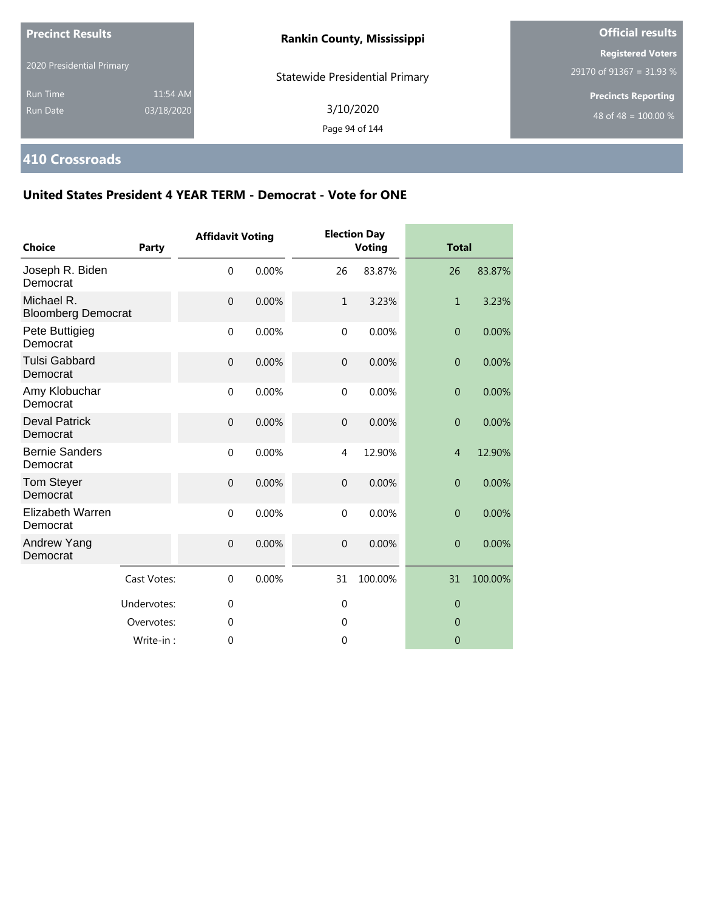| <b>Precinct Results</b><br>2020 Presidential Primary |                        | <b>Rankin County, Mississippi</b>     | <b>Official results</b>                                        |  |
|------------------------------------------------------|------------------------|---------------------------------------|----------------------------------------------------------------|--|
|                                                      |                        | <b>Statewide Presidential Primary</b> | <b>Registered Voters</b><br>29170 of 91367 = 31.93 %           |  |
| <b>Run Time</b><br>Run Date                          | 11:54 AM<br>03/18/2020 | 3/10/2020<br>Page 94 of 144           | <b>Precincts Reporting</b><br>48 of 48 = $\overline{100.00\%}$ |  |

## **410 Crossroads**

| <b>Choice</b>                           | Party       | <b>Affidavit Voting</b> |       |                | <b>Election Day</b><br><b>Voting</b> |                | <b>Total</b> |  |
|-----------------------------------------|-------------|-------------------------|-------|----------------|--------------------------------------|----------------|--------------|--|
| Joseph R. Biden<br>Democrat             |             | $\mathbf 0$             | 0.00% | 26             | 83.87%                               | 26             | 83.87%       |  |
| Michael R.<br><b>Bloomberg Democrat</b> |             | $\overline{0}$          | 0.00% | $\mathbf{1}$   | 3.23%                                | $\mathbf{1}$   | 3.23%        |  |
| Pete Buttigieg<br>Democrat              |             | $\mathbf 0$             | 0.00% | $\mathbf 0$    | 0.00%                                | $\overline{0}$ | 0.00%        |  |
| <b>Tulsi Gabbard</b><br>Democrat        |             | $\mathbf{0}$            | 0.00% | $\overline{0}$ | 0.00%                                | $\overline{0}$ | 0.00%        |  |
| Amy Klobuchar<br>Democrat               |             | $\mathbf 0$             | 0.00% | $\mathbf 0$    | 0.00%                                | $\overline{0}$ | 0.00%        |  |
| <b>Deval Patrick</b><br>Democrat        |             | $\mathbf 0$             | 0.00% | $\mathbf 0$    | 0.00%                                | $\mathbf{0}$   | 0.00%        |  |
| <b>Bernie Sanders</b><br>Democrat       |             | $\mathbf 0$             | 0.00% | 4              | 12.90%                               | $\overline{4}$ | 12.90%       |  |
| Tom Steyer<br>Democrat                  |             | $\mathbf 0$             | 0.00% | $\overline{0}$ | 0.00%                                | $\overline{0}$ | 0.00%        |  |
| Elizabeth Warren<br>Democrat            |             | $\mathbf{0}$            | 0.00% | $\Omega$       | 0.00%                                | $\overline{0}$ | 0.00%        |  |
| Andrew Yang<br>Democrat                 |             | $\mathbf 0$             | 0.00% | $\overline{0}$ | 0.00%                                | $\overline{0}$ | 0.00%        |  |
|                                         | Cast Votes: | $\mathbf 0$             | 0.00% | 31             | 100.00%                              | 31             | 100.00%      |  |
|                                         | Undervotes: | $\mathbf 0$             |       | $\mathbf 0$    |                                      | $\overline{0}$ |              |  |
|                                         | Overvotes:  | $\mathbf 0$             |       | 0              |                                      | $\overline{0}$ |              |  |
|                                         | Write-in:   | 0                       |       | $\mathbf 0$    |                                      | $\Omega$       |              |  |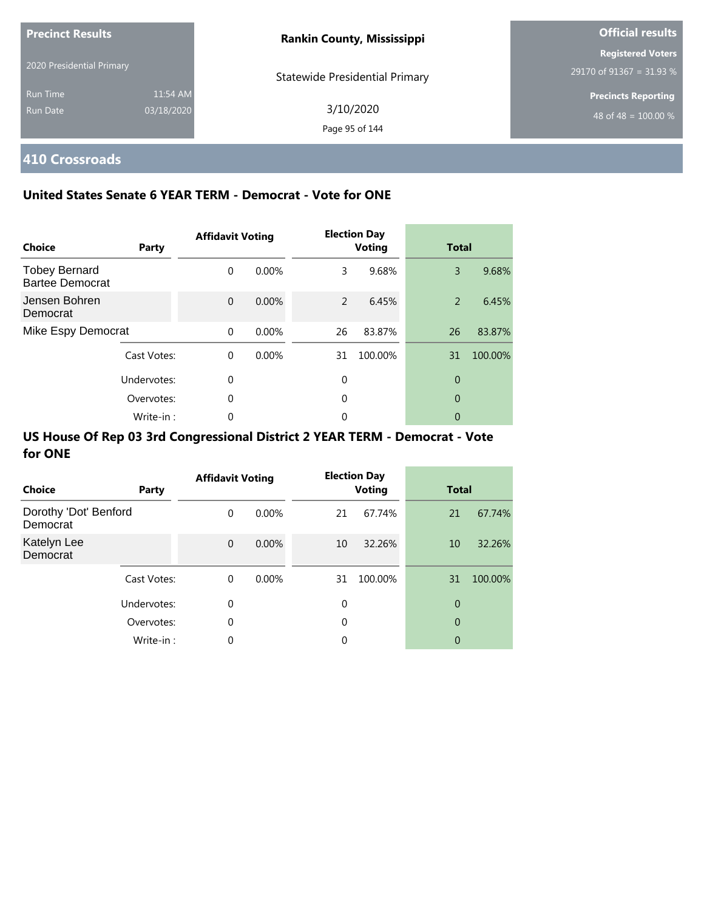| <b>Precinct Results</b>   |            | <b>Rankin County, Mississippi</b>     | <b>Official results</b>    |  |
|---------------------------|------------|---------------------------------------|----------------------------|--|
|                           |            |                                       | <b>Registered Voters</b>   |  |
| 2020 Presidential Primary |            | <b>Statewide Presidential Primary</b> | 29170 of 91367 = 31.93 %   |  |
| <b>Run Time</b>           | 11:54 AM   |                                       | <b>Precincts Reporting</b> |  |
| Run Date                  | 03/18/2020 | 3/10/2020                             | 48 of 48 = $100.00\%$      |  |
|                           |            | Page 95 of 144                        |                            |  |

## **410 Crossroads**

### **United States Senate 6 YEAR TERM - Democrat - Vote for ONE**

| Choice                                         | Party       | <b>Affidavit Voting</b> |       |               | <b>Election Day</b><br><b>Voting</b> | <b>Total</b>   |         |
|------------------------------------------------|-------------|-------------------------|-------|---------------|--------------------------------------|----------------|---------|
| <b>Tobey Bernard</b><br><b>Bartee Democrat</b> |             | $\Omega$                | 0.00% | 3             | 9.68%                                | 3              | 9.68%   |
| Jensen Bohren<br>Democrat                      |             | $\Omega$                | 0.00% | $\mathcal{P}$ | 6.45%                                | 2              | 6.45%   |
| Mike Espy Democrat                             |             | $\Omega$                | 0.00% | 26            | 83.87%                               | 26             | 83.87%  |
|                                                | Cast Votes: | $\Omega$                | 0.00% | 31            | 100.00%                              | 31             | 100.00% |
|                                                | Undervotes: | 0                       |       | $\theta$      |                                      | $\overline{0}$ |         |
| Overvotes:                                     |             | 0                       |       | $\Omega$      |                                      | $\overline{0}$ |         |
|                                                | Write-in:   | 0                       |       | 0             |                                      | 0              |         |

| Choice                            | Party       | <b>Affidavit Voting</b> |          |    | <b>Election Day</b><br><b>Voting</b> |    | <b>Total</b> |  |
|-----------------------------------|-------------|-------------------------|----------|----|--------------------------------------|----|--------------|--|
| Dorothy 'Dot' Benford<br>Democrat |             | $\Omega$                | $0.00\%$ | 21 | 67.74%                               | 21 | 67.74%       |  |
| Katelyn Lee<br>Democrat           |             | $\mathbf 0$             | 0.00%    | 10 | 32.26%                               | 10 | 32.26%       |  |
|                                   | Cast Votes: | $\Omega$                | $0.00\%$ | 31 | 100.00%                              | 31 | 100.00%      |  |
|                                   | Undervotes: | 0                       |          | 0  |                                      | 0  |              |  |
|                                   | Overvotes:  | 0                       |          | 0  |                                      | 0  |              |  |
|                                   | Write-in:   | 0                       |          | 0  |                                      | 0  |              |  |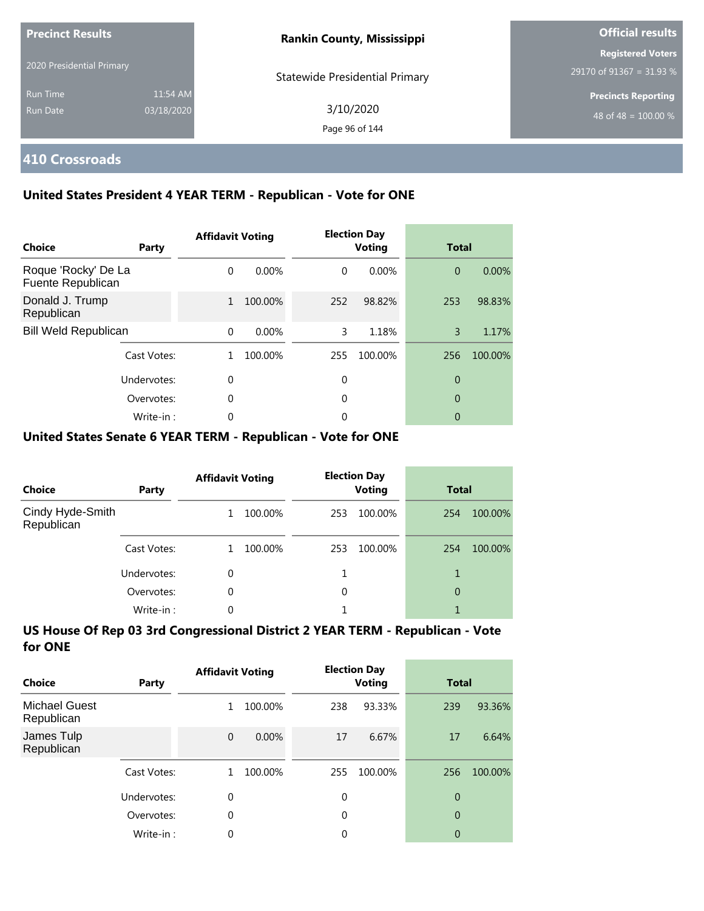| <b>Precinct Results</b><br>2020 Presidential Primary |                        | <b>Rankin County, Mississippi</b>     | <b>Official results</b>                              |  |
|------------------------------------------------------|------------------------|---------------------------------------|------------------------------------------------------|--|
|                                                      |                        | <b>Statewide Presidential Primary</b> | <b>Registered Voters</b><br>29170 of 91367 = 31.93 % |  |
| <b>Run Time</b><br>Run Date                          | 11:54 AM<br>03/18/2020 | 3/10/2020<br>Page 96 of 144           | <b>Precincts Reporting</b><br>48 of 48 = $100.00\%$  |  |

## **410 Crossroads**

### **United States President 4 YEAR TERM - Republican - Vote for ONE**

| <b>Choice</b>                            | Party       | <b>Affidavit Voting</b> |          |          | <b>Election Day</b><br><b>Voting</b> |                | <b>Total</b> |  |
|------------------------------------------|-------------|-------------------------|----------|----------|--------------------------------------|----------------|--------------|--|
| Roque 'Rocky' De La<br>Fuente Republican |             | $\Omega$                | $0.00\%$ | $\Omega$ | $0.00\%$                             | $\overline{0}$ | 0.00%        |  |
| Donald J. Trump<br>Republican            |             | $\mathbf{1}$            | 100.00%  | 252      | 98.82%                               | 253            | 98.83%       |  |
| <b>Bill Weld Republican</b>              |             | $\Omega$                | 0.00%    | 3        | 1.18%                                | 3              | 1.17%        |  |
|                                          | Cast Votes: |                         | 100.00%  | 255      | 100.00%                              | 256            | 100.00%      |  |
| Undervotes:<br>Overvotes:                |             | $\Omega$                |          | 0        |                                      | 0              |              |  |
|                                          |             | $\Omega$                |          | 0        |                                      | 0              |              |  |
|                                          | Write-in:   |                         |          | 0        |                                      | 0              |              |  |

#### **United States Senate 6 YEAR TERM - Republican - Vote for ONE**

| <b>Choice</b>                  | Party       | <b>Affidavit Voting</b> |         | <b>Election Day</b><br><b>Voting</b> |         | <b>Total</b> |         |
|--------------------------------|-------------|-------------------------|---------|--------------------------------------|---------|--------------|---------|
| Cindy Hyde-Smith<br>Republican |             |                         | 100.00% | 253                                  | 100.00% | 254          | 100.00% |
|                                | Cast Votes: |                         | 100.00% | 253                                  | 100.00% | 254          | 100.00% |
|                                | Undervotes: | 0                       |         |                                      |         |              |         |
|                                | Overvotes:  | $\Omega$                |         | 0                                    |         | 0            |         |
|                                | Write-in:   | 0                       |         |                                      |         |              |         |

| Choice                             | Party       | <b>Affidavit Voting</b> |         |             | <b>Election Day</b><br><b>Voting</b> |                | Total   |  |
|------------------------------------|-------------|-------------------------|---------|-------------|--------------------------------------|----------------|---------|--|
| <b>Michael Guest</b><br>Republican |             | 1                       | 100.00% | 238         | 93.33%                               | 239            | 93.36%  |  |
| James Tulp<br>Republican           |             | $\mathbf 0$             | 0.00%   | 17          | 6.67%                                | 17             | 6.64%   |  |
|                                    | Cast Votes: |                         | 100.00% | 255         | 100.00%                              | 256            | 100.00% |  |
|                                    | Undervotes: | 0                       |         | $\mathbf 0$ |                                      | 0              |         |  |
|                                    | Overvotes:  | $\theta$                |         | 0           |                                      | $\overline{0}$ |         |  |
|                                    | Write-in:   | 0                       |         | 0           |                                      | 0              |         |  |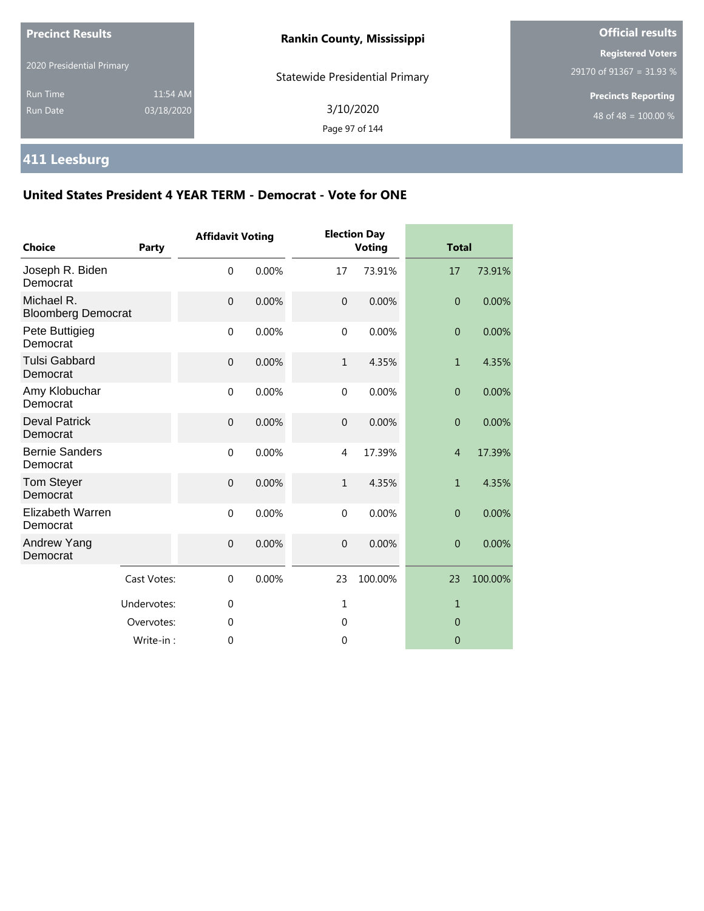| <b>Precinct Results</b>            |                        | <b>Rankin County, Mississippi</b>     | <b>Official results</b>                                |  |
|------------------------------------|------------------------|---------------------------------------|--------------------------------------------------------|--|
| 2020 Presidential Primary          |                        | <b>Statewide Presidential Primary</b> | <b>Registered Voters</b><br>$29170$ of 91367 = 31.93 % |  |
| <b>Run Time</b><br><b>Run Date</b> | 11:54 AM<br>03/18/2020 | 3/10/2020<br>Page 97 of 144           | <b>Precincts Reporting</b><br>48 of 48 = $100.00\%$    |  |

## **411 Leesburg**

| <b>Choice</b>                           | <b>Party</b> | <b>Affidavit Voting</b> |       |                | <b>Election Day</b><br><b>Voting</b> | <b>Total</b>   |         |
|-----------------------------------------|--------------|-------------------------|-------|----------------|--------------------------------------|----------------|---------|
| Joseph R. Biden<br>Democrat             |              | $\mathbf 0$             | 0.00% | 17             | 73.91%                               | 17             | 73.91%  |
| Michael R.<br><b>Bloomberg Democrat</b> |              | $\mathbf 0$             | 0.00% | $\overline{0}$ | 0.00%                                | $\overline{0}$ | 0.00%   |
| Pete Buttigieg<br>Democrat              |              | $\mathbf 0$             | 0.00% | $\mathbf 0$    | 0.00%                                | $\overline{0}$ | 0.00%   |
| <b>Tulsi Gabbard</b><br>Democrat        |              | $\mathbf 0$             | 0.00% | $\mathbf{1}$   | 4.35%                                | $\mathbf{1}$   | 4.35%   |
| Amy Klobuchar<br>Democrat               |              | $\mathbf{0}$            | 0.00% | $\mathbf{0}$   | 0.00%                                | $\overline{0}$ | 0.00%   |
| <b>Deval Patrick</b><br>Democrat        |              | $\mathbf 0$             | 0.00% | $\mathbf 0$    | 0.00%                                | $\theta$       | 0.00%   |
| <b>Bernie Sanders</b><br>Democrat       |              | $\mathbf 0$             | 0.00% | $\overline{4}$ | 17.39%                               | $\overline{4}$ | 17.39%  |
| <b>Tom Steyer</b><br>Democrat           |              | $\mathbf{0}$            | 0.00% | $\mathbf{1}$   | 4.35%                                | $\mathbf{1}$   | 4.35%   |
| <b>Elizabeth Warren</b><br>Democrat     |              | $\mathbf 0$             | 0.00% | $\mathbf 0$    | 0.00%                                | $\overline{0}$ | 0.00%   |
| Andrew Yang<br>Democrat                 |              | $\mathbf 0$             | 0.00% | $\overline{0}$ | 0.00%                                | $\overline{0}$ | 0.00%   |
|                                         | Cast Votes:  | $\mathbf 0$             | 0.00% | 23             | 100.00%                              | 23             | 100.00% |
|                                         | Undervotes:  | 0                       |       | 1              |                                      | $\mathbf{1}$   |         |
|                                         | Overvotes:   | $\mathbf 0$             |       | $\mathbf 0$    |                                      | $\mathbf{0}$   |         |
|                                         | Write-in:    | $\mathbf 0$             |       | $\overline{0}$ |                                      | $\overline{0}$ |         |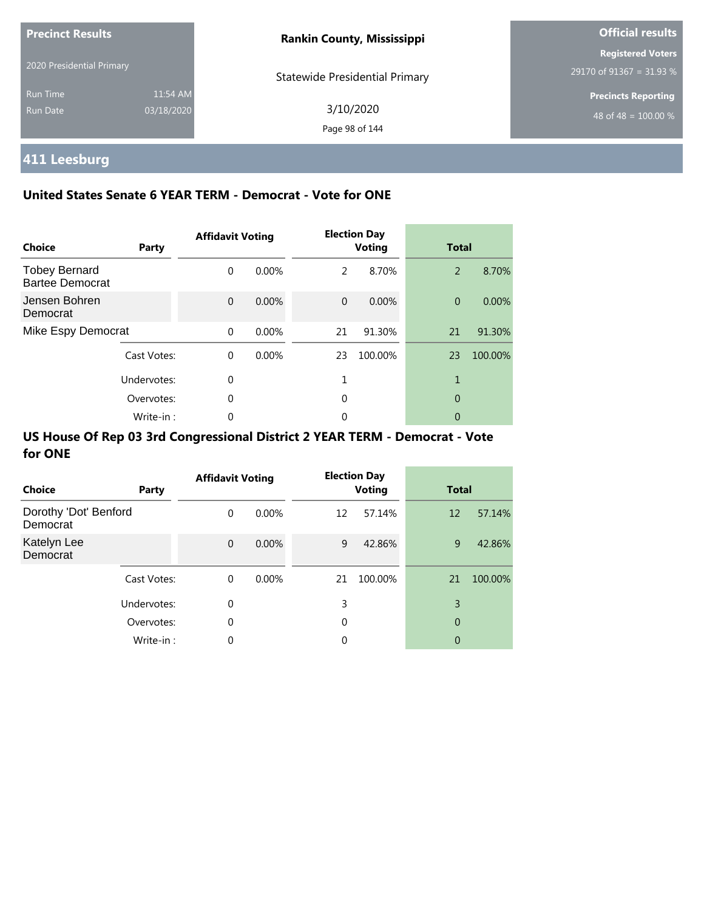| <b>Precinct Results</b>   |            | <b>Rankin County, Mississippi</b>     | <b>Official results</b>    |  |
|---------------------------|------------|---------------------------------------|----------------------------|--|
|                           |            |                                       | <b>Registered Voters</b>   |  |
| 2020 Presidential Primary |            | <b>Statewide Presidential Primary</b> | 29170 of 91367 = 31.93 %   |  |
| <b>Run Time</b>           | 11:54 AM   |                                       | <b>Precincts Reporting</b> |  |
| Run Date                  | 03/18/2020 | 3/10/2020                             | 48 of 48 = $100.00\%$      |  |
|                           |            | Page 98 of 144                        |                            |  |

## **411 Leesburg**

### **United States Senate 6 YEAR TERM - Democrat - Vote for ONE**

| <b>Choice</b>                                  | Party       | <b>Affidavit Voting</b> |          |          | <b>Election Day</b><br><b>Voting</b> | <b>Total</b>   |         |
|------------------------------------------------|-------------|-------------------------|----------|----------|--------------------------------------|----------------|---------|
| <b>Tobey Bernard</b><br><b>Bartee Democrat</b> |             | $\Omega$                | $0.00\%$ | 2        | 8.70%                                | 2              | 8.70%   |
| Jensen Bohren<br>Democrat                      |             | $\Omega$                | $0.00\%$ | $\Omega$ | 0.00%                                | $\overline{0}$ | 0.00%   |
| Mike Espy Democrat                             |             | $\Omega$                | 0.00%    | 21       | 91.30%                               | 21             | 91.30%  |
|                                                | Cast Votes: | $\Omega$                | $0.00\%$ | 23       | 100.00%                              | 23             | 100.00% |
|                                                | Undervotes: | $\Omega$                |          |          |                                      |                |         |
|                                                | Overvotes:  | $\Omega$                |          | 0        |                                      | 0              |         |
|                                                | Write-in:   | 0                       |          | 0        |                                      | 0              |         |

| <b>Choice</b>                     | Party       | <b>Affidavit Voting</b> |          |    | <b>Election Day</b><br><b>Voting</b> | <b>Total</b>   |         |
|-----------------------------------|-------------|-------------------------|----------|----|--------------------------------------|----------------|---------|
| Dorothy 'Dot' Benford<br>Democrat |             | $\Omega$                | $0.00\%$ | 12 | 57.14%                               | 12             | 57.14%  |
| Katelyn Lee<br>Democrat           |             | $\Omega$                | 0.00%    | 9  | 42.86%                               | 9              | 42.86%  |
|                                   | Cast Votes: | $\Omega$                | $0.00\%$ | 21 | 100.00%                              | 21             | 100.00% |
|                                   | Undervotes: | 0                       |          | 3  |                                      | 3              |         |
|                                   | Overvotes:  | 0                       |          | 0  |                                      | $\overline{0}$ |         |
|                                   | Write-in:   | 0                       |          | 0  |                                      | 0              |         |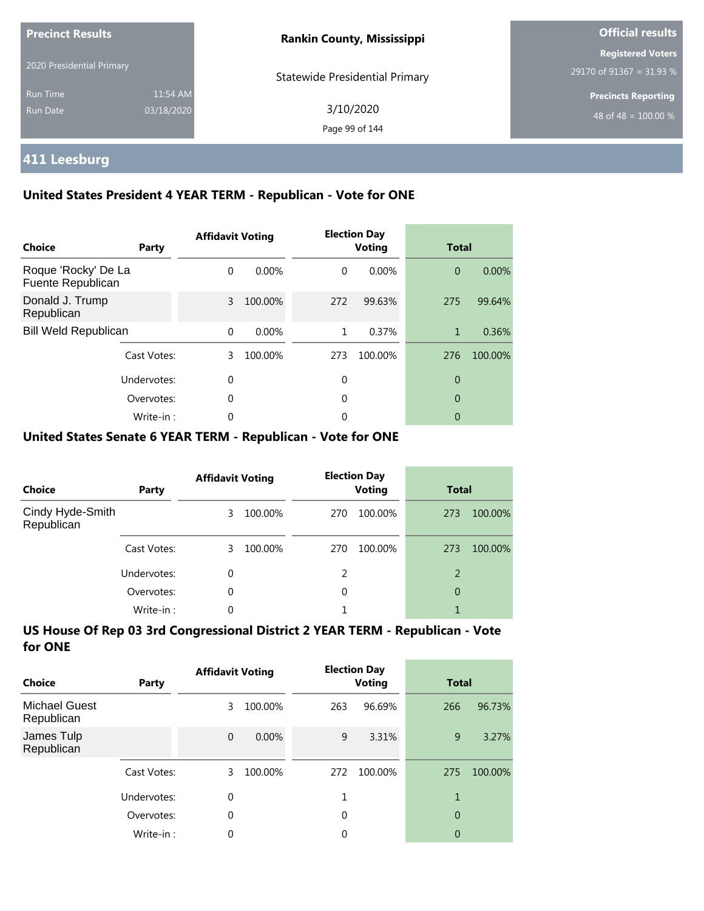| <b>Precinct Results</b><br>2020 Presidential Primary |                        | <b>Rankin County, Mississippi</b>     | <b>Official results</b>                              |  |  |
|------------------------------------------------------|------------------------|---------------------------------------|------------------------------------------------------|--|--|
|                                                      |                        | <b>Statewide Presidential Primary</b> | <b>Registered Voters</b><br>29170 of 91367 = 31.93 % |  |  |
| <b>Run Time</b><br>Run Date                          | 11:54 AM<br>03/18/2020 | 3/10/2020<br>Page 99 of 144           | <b>Precincts Reporting</b><br>48 of 48 = $100.00\%$  |  |  |

## **411 Leesburg**

### **United States President 4 YEAR TERM - Republican - Vote for ONE**

| <b>Choice</b>                            | Party       | <b>Affidavit Voting</b> |          |          | <b>Election Day</b><br><b>Voting</b> | <b>Total</b>   |         |
|------------------------------------------|-------------|-------------------------|----------|----------|--------------------------------------|----------------|---------|
| Roque 'Rocky' De La<br>Fuente Republican |             | $\Omega$                | $0.00\%$ | $\Omega$ | $0.00\%$                             | $\overline{0}$ | 0.00%   |
| Donald J. Trump<br>Republican            |             | 3                       | 100.00%  | 272      | 99.63%                               | 275            | 99.64%  |
| <b>Bill Weld Republican</b>              |             | $\Omega$                | $0.00\%$ | 1        | 0.37%                                | 1              | 0.36%   |
|                                          | Cast Votes: | 3                       | 100.00%  | 273      | 100.00%                              | 276            | 100.00% |
|                                          | Undervotes: | $\Omega$                |          | 0        |                                      | 0              |         |
|                                          | Overvotes:  | $\Omega$                |          | 0        |                                      | 0              |         |
|                                          | Write-in:   | 0                       |          | 0        |                                      | 0              |         |

### **United States Senate 6 YEAR TERM - Republican - Vote for ONE**

| <b>Choice</b>                  | Party       | <b>Affidavit Voting</b> |         |     | <b>Election Day</b><br><b>Voting</b> | <b>Total</b> |         |
|--------------------------------|-------------|-------------------------|---------|-----|--------------------------------------|--------------|---------|
| Cindy Hyde-Smith<br>Republican |             | 3                       | 100.00% | 270 | 100.00%                              | 273          | 100.00% |
|                                | Cast Votes: | 3.                      | 100.00% | 270 | 100.00%                              | 273          | 100.00% |
|                                | Undervotes: | 0                       |         | 2   |                                      | 2            |         |
|                                | Overvotes:  | $\Omega$                |         | 0   |                                      | 0            |         |
|                                | Write-in:   | 0                       |         |     |                                      |              |         |

| Choice                             | Party       | <b>Affidavit Voting</b> |         |     | <b>Election Day</b><br><b>Voting</b> | Total          |         |
|------------------------------------|-------------|-------------------------|---------|-----|--------------------------------------|----------------|---------|
| <b>Michael Guest</b><br>Republican |             | 3                       | 100.00% | 263 | 96.69%                               | 266            | 96.73%  |
| James Tulp<br>Republican           |             | $\mathbf{0}$            | 0.00%   | 9   | 3.31%                                | 9              | 3.27%   |
|                                    | Cast Votes: | 3                       | 100.00% | 272 | 100.00%                              | 275            | 100.00% |
|                                    | Undervotes: | 0                       |         | 1   |                                      | 1              |         |
|                                    | Overvotes:  | $\theta$                |         | 0   |                                      | $\overline{0}$ |         |
|                                    | Write-in:   | 0                       |         | 0   |                                      | 0              |         |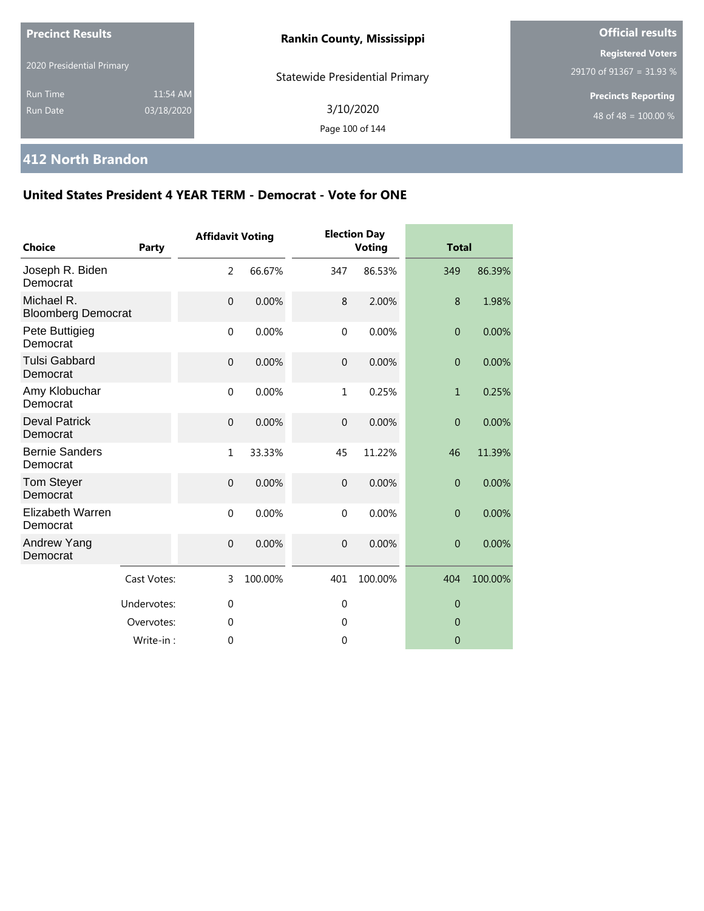| <b>Precinct Results</b>                                      | <b>Rankin County, Mississippi</b>     | <b>Official results</b>                              |  |
|--------------------------------------------------------------|---------------------------------------|------------------------------------------------------|--|
| 2020 Presidential Primary                                    | <b>Statewide Presidential Primary</b> | <b>Registered Voters</b><br>29170 of 91367 = 31.93 % |  |
| 11:54 AM<br><b>Run Time</b><br>03/18/2020<br><b>Run Date</b> | 3/10/2020<br>Page 100 of 144          | <b>Precincts Reporting</b><br>48 of 48 = $100.00\%$  |  |

## **412 North Brandon**

| <b>Choice</b>                           | Party       | <b>Affidavit Voting</b> |         |                  | <b>Election Day</b><br><b>Voting</b> | <b>Total</b>     |         |
|-----------------------------------------|-------------|-------------------------|---------|------------------|--------------------------------------|------------------|---------|
| Joseph R. Biden<br>Democrat             |             | $\overline{2}$          | 66.67%  | 347              | 86.53%                               | 349              | 86.39%  |
| Michael R.<br><b>Bloomberg Democrat</b> |             | $\mathbf{0}$            | 0.00%   | 8                | 2.00%                                | 8                | 1.98%   |
| Pete Buttigieg<br>Democrat              |             | $\mathbf 0$             | 0.00%   | $\mathbf 0$      | 0.00%                                | $\boldsymbol{0}$ | 0.00%   |
| <b>Tulsi Gabbard</b><br>Democrat        |             | $\overline{0}$          | 0.00%   | $\boldsymbol{0}$ | 0.00%                                | $\overline{0}$   | 0.00%   |
| Amy Klobuchar<br>Democrat               |             | $\mathbf{0}$            | 0.00%   | 1                | 0.25%                                | $\mathbf{1}$     | 0.25%   |
| <b>Deval Patrick</b><br>Democrat        |             | $\mathbf{0}$            | 0.00%   | $\overline{0}$   | 0.00%                                | $\overline{0}$   | 0.00%   |
| <b>Bernie Sanders</b><br>Democrat       |             | $\mathbf{1}$            | 33.33%  | 45               | 11.22%                               | 46               | 11.39%  |
| <b>Tom Steyer</b><br>Democrat           |             | $\overline{0}$          | 0.00%   | $\overline{0}$   | 0.00%                                | $\overline{0}$   | 0.00%   |
| <b>Elizabeth Warren</b><br>Democrat     |             | $\mathbf 0$             | 0.00%   | $\mathbf 0$      | 0.00%                                | $\overline{0}$   | 0.00%   |
| Andrew Yang<br>Democrat                 |             | $\mathbf 0$             | 0.00%   | $\overline{0}$   | 0.00%                                | $\overline{0}$   | 0.00%   |
|                                         | Cast Votes: | 3                       | 100.00% | 401              | 100.00%                              | 404              | 100.00% |
|                                         | Undervotes: | $\mathbf{0}$            |         | $\mathbf 0$      |                                      | $\overline{0}$   |         |
|                                         | Overvotes:  | $\mathbf{0}$            |         | $\mathbf 0$      |                                      | $\overline{0}$   |         |
|                                         | Write-in:   | $\theta$                |         | 0                |                                      | $\overline{0}$   |         |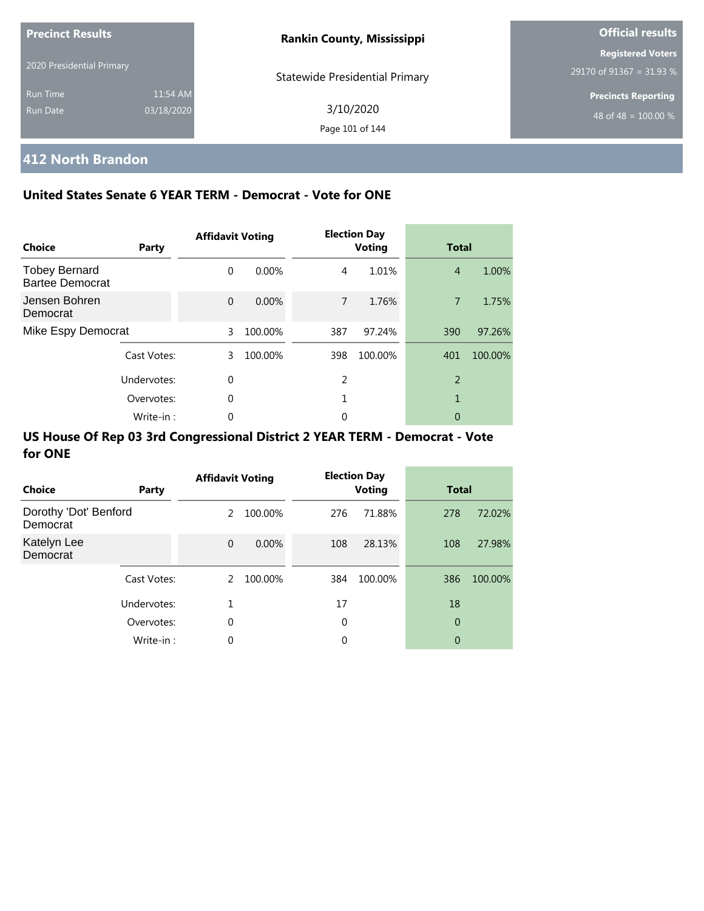| <b>Precinct Results</b>   |            | <b>Rankin County, Mississippi</b> | <b>Official results</b>    |
|---------------------------|------------|-----------------------------------|----------------------------|
| 2020 Presidential Primary |            |                                   | <b>Registered Voters</b>   |
|                           |            | Statewide Presidential Primary    | 29170 of 91367 = 31.93 %   |
| <b>Run Time</b>           | 11:54 AM   |                                   | <b>Precincts Reporting</b> |
| Run Date                  | 03/18/2020 | 3/10/2020                         | 48 of 48 = $100.00\%$      |
|                           |            | Page 101 of 144                   |                            |

## **412 North Brandon**

### **United States Senate 6 YEAR TERM - Democrat - Vote for ONE**

| Choice                                         | Party       | <b>Affidavit Voting</b> |         |     | <b>Election Day</b><br><b>Voting</b> | <b>Total</b>   |         |
|------------------------------------------------|-------------|-------------------------|---------|-----|--------------------------------------|----------------|---------|
| <b>Tobey Bernard</b><br><b>Bartee Democrat</b> |             | $\Omega$                | 0.00%   | 4   | 1.01%                                | $\overline{4}$ | 1.00%   |
| Jensen Bohren<br>Democrat                      |             | $\Omega$                | 0.00%   | 7   | 1.76%                                | $\overline{7}$ | 1.75%   |
| Mike Espy Democrat                             |             | 3                       | 100.00% | 387 | 97.24%                               | 390            | 97.26%  |
|                                                | Cast Votes: | 3                       | 100.00% | 398 | 100.00%                              | 401            | 100.00% |
|                                                | Undervotes: | $\Omega$                |         | 2   |                                      | $\overline{2}$ |         |
|                                                | Overvotes:  | 0                       |         |     |                                      | 1              |         |
|                                                | Write-in:   | 0                       |         | 0   |                                      | 0              |         |

| Choice                            | Party       | <b>Affidavit Voting</b> |          |     | <b>Election Day</b><br><b>Voting</b> | <b>Total</b> |         |
|-----------------------------------|-------------|-------------------------|----------|-----|--------------------------------------|--------------|---------|
| Dorothy 'Dot' Benford<br>Democrat |             | 2                       | 100.00%  | 276 | 71.88%                               | 278          | 72.02%  |
| Katelyn Lee<br>Democrat           |             | $\mathbf{0}$            | $0.00\%$ | 108 | 28.13%                               | 108          | 27.98%  |
|                                   | Cast Votes: | 2                       | 100.00%  | 384 | 100.00%                              | 386          | 100.00% |
|                                   | Undervotes: | 1                       |          | 17  |                                      | 18           |         |
|                                   | Overvotes:  | 0                       |          | 0   |                                      | 0            |         |
|                                   | Write-in:   | 0                       |          | 0   |                                      | 0            |         |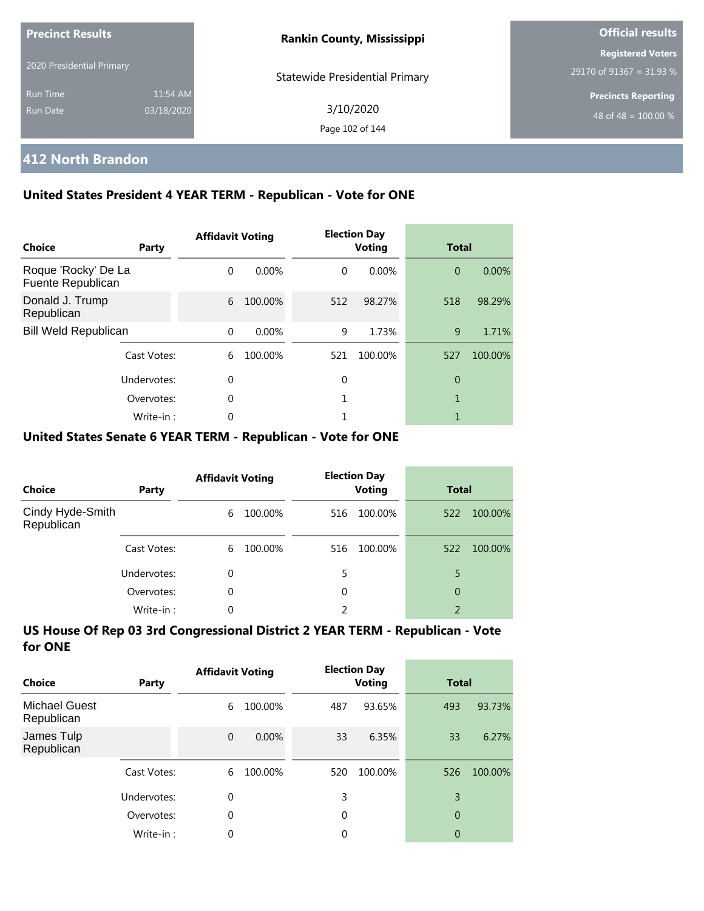| <b>Precinct Results</b>     |                        | <b>Rankin County, Mississippi</b>     | <b>Official results</b>                              |
|-----------------------------|------------------------|---------------------------------------|------------------------------------------------------|
| 2020 Presidential Primary   |                        | <b>Statewide Presidential Primary</b> | <b>Registered Voters</b><br>29170 of 91367 = 31.93 % |
| <b>Run Time</b><br>Run Date | 11:54 AM<br>03/18/2020 | 3/10/2020<br>Page 102 of 144          | <b>Precincts Reporting</b><br>48 of 48 = $100.00\%$  |

## **412 North Brandon**

### **United States President 4 YEAR TERM - Republican - Vote for ONE**

| Choice                                   | Party       | <b>Affidavit Voting</b> |         |          | <b>Election Day</b><br><b>Voting</b> | <b>Total</b>   |         |
|------------------------------------------|-------------|-------------------------|---------|----------|--------------------------------------|----------------|---------|
| Roque 'Rocky' De La<br>Fuente Republican |             | $\Omega$                | 0.00%   | $\Omega$ | $0.00\%$                             | $\overline{0}$ | 0.00%   |
| Donald J. Trump<br>Republican            |             | 6                       | 100.00% | 512      | 98.27%                               | 518            | 98.29%  |
| <b>Bill Weld Republican</b>              |             | $\Omega$                | 0.00%   | 9        | 1.73%                                | 9              | 1.71%   |
|                                          | Cast Votes: | 6                       | 100.00% | 521      | 100.00%                              | 527            | 100.00% |
|                                          | Undervotes: | 0                       |         | 0        |                                      | 0              |         |
|                                          | Overvotes:  | 0                       |         |          |                                      | 1              |         |
|                                          | Write-in:   | 0                       |         |          |                                      |                |         |

#### **United States Senate 6 YEAR TERM - Republican - Vote for ONE**

| <b>Choice</b>                  | Party       | <b>Affidavit Voting</b> |         | <b>Election Day</b><br><b>Voting</b> |         | <b>Total</b>   |         |
|--------------------------------|-------------|-------------------------|---------|--------------------------------------|---------|----------------|---------|
| Cindy Hyde-Smith<br>Republican |             | 6                       | 100.00% | 516                                  | 100.00% | 522            | 100.00% |
|                                | Cast Votes: | 6                       | 100.00% | 516                                  | 100.00% | 522            | 100.00% |
|                                | Undervotes: | 0                       |         | 5                                    |         | 5              |         |
|                                | Overvotes:  | $\Omega$                |         | 0                                    |         | 0              |         |
|                                | Write-in:   | 0                       |         | 2                                    |         | $\overline{2}$ |         |

| Choice                             | Party       | <b>Affidavit Voting</b> |         |     | <b>Election Day</b><br><b>Voting</b> | <b>Total</b>   |         |
|------------------------------------|-------------|-------------------------|---------|-----|--------------------------------------|----------------|---------|
| <b>Michael Guest</b><br>Republican |             | 6                       | 100.00% | 487 | 93.65%                               | 493            | 93.73%  |
| James Tulp<br>Republican           |             | $\mathbf 0$             | 0.00%   | 33  | 6.35%                                | 33             | 6.27%   |
|                                    | Cast Votes: | 6                       | 100.00% | 520 | 100.00%                              | 526            | 100.00% |
|                                    | Undervotes: | 0                       |         | 3   |                                      | 3              |         |
|                                    | Overvotes:  | $\theta$                |         | 0   |                                      | $\overline{0}$ |         |
|                                    | Write-in:   | 0                       |         | 0   |                                      | 0              |         |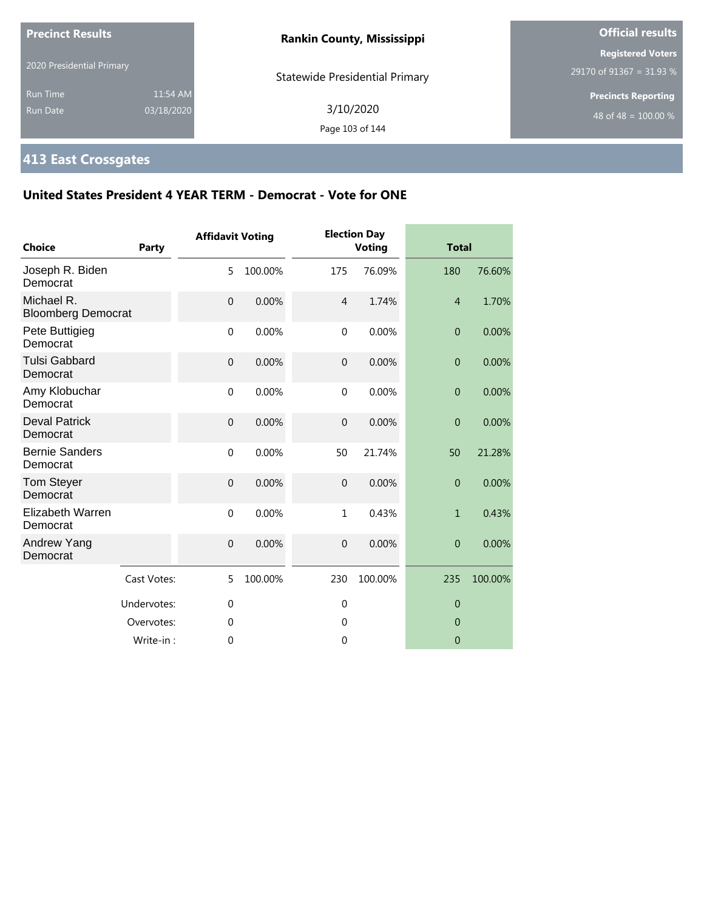| <b>Precinct Results</b>            |                        | <b>Rankin County, Mississippi</b>     | <b>Official results</b>                              |  |
|------------------------------------|------------------------|---------------------------------------|------------------------------------------------------|--|
| 2020 Presidential Primary          |                        | <b>Statewide Presidential Primary</b> | <b>Registered Voters</b><br>29170 of 91367 = 31.93 % |  |
| <b>Run Time</b><br><b>Run Date</b> | 11:54 AM<br>03/18/2020 | 3/10/2020<br>Page 103 of 144          | <b>Precincts Reporting</b><br>48 of 48 = $100.00\%$  |  |

## **413 East Crossgates**

| Choice                                  | Party       | <b>Affidavit Voting</b> |         |                | <b>Election Day</b><br><b>Voting</b> | <b>Total</b>     |         |
|-----------------------------------------|-------------|-------------------------|---------|----------------|--------------------------------------|------------------|---------|
| Joseph R. Biden<br>Democrat             |             | 5                       | 100.00% | 175            | 76.09%                               | 180              | 76.60%  |
| Michael R.<br><b>Bloomberg Democrat</b> |             | $\overline{0}$          | 0.00%   | $\overline{4}$ | 1.74%                                | $\overline{4}$   | 1.70%   |
| Pete Buttigieg<br>Democrat              |             | $\mathbf 0$             | 0.00%   | $\mathbf 0$    | 0.00%                                | $\boldsymbol{0}$ | 0.00%   |
| <b>Tulsi Gabbard</b><br>Democrat        |             | $\overline{0}$          | 0.00%   | $\mathbf 0$    | 0.00%                                | $\overline{0}$   | 0.00%   |
| Amy Klobuchar<br>Democrat               |             | $\mathbf 0$             | 0.00%   | $\mathbf{0}$   | 0.00%                                | $\overline{0}$   | 0.00%   |
| <b>Deval Patrick</b><br>Democrat        |             | $\mathbf 0$             | 0.00%   | $\overline{0}$ | 0.00%                                | $\overline{0}$   | 0.00%   |
| <b>Bernie Sanders</b><br>Democrat       |             | $\mathbf 0$             | 0.00%   | 50             | 21.74%                               | 50               | 21.28%  |
| <b>Tom Steyer</b><br>Democrat           |             | $\mathbf 0$             | 0.00%   | $\mathbf{0}$   | 0.00%                                | $\overline{0}$   | 0.00%   |
| <b>Elizabeth Warren</b><br>Democrat     |             | $\mathbf 0$             | 0.00%   | $\mathbf{1}$   | 0.43%                                | $\mathbf{1}$     | 0.43%   |
| Andrew Yang<br>Democrat                 |             | $\mathbf 0$             | 0.00%   | $\overline{0}$ | 0.00%                                | $\overline{0}$   | 0.00%   |
|                                         | Cast Votes: | 5                       | 100.00% | 230            | 100.00%                              | 235              | 100.00% |
|                                         | Undervotes: | $\mathbf 0$             |         | $\mathbf 0$    |                                      | $\overline{0}$   |         |
|                                         | Overvotes:  | $\mathbf 0$             |         | $\mathbf 0$    |                                      | $\overline{0}$   |         |
|                                         | Write-in:   | $\theta$                |         | $\mathbf 0$    |                                      | $\mathbf{0}$     |         |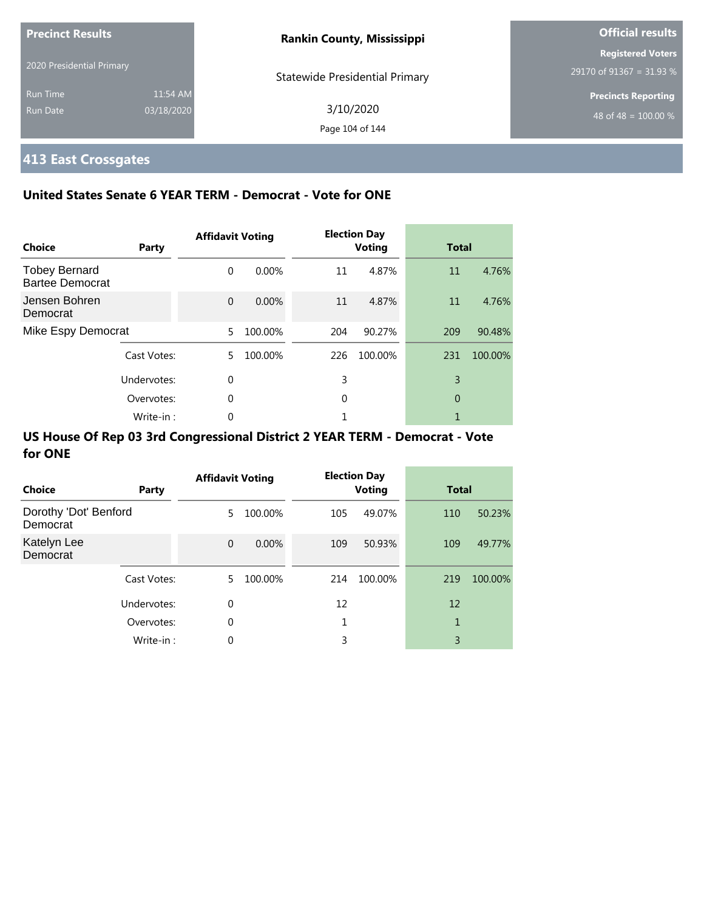| <b>Precinct Results</b>   |            | <b>Rankin County, Mississippi</b>     | <b>Official results</b>    |
|---------------------------|------------|---------------------------------------|----------------------------|
|                           |            |                                       | <b>Registered Voters</b>   |
| 2020 Presidential Primary |            | <b>Statewide Presidential Primary</b> | 29170 of 91367 = 31.93 %   |
| <b>Run Time</b>           | 11:54 AM   |                                       | <b>Precincts Reporting</b> |
| Run Date                  | 03/18/2020 | 3/10/2020                             | 48 of 48 = $100.00\%$      |
|                           |            | Page 104 of 144                       |                            |

## **413 East Crossgates**

### **United States Senate 6 YEAR TERM - Democrat - Vote for ONE**

| Choice                                         | Party       | <b>Affidavit Voting</b> |          |     | <b>Election Day</b><br><b>Voting</b> | <b>Total</b> |         |
|------------------------------------------------|-------------|-------------------------|----------|-----|--------------------------------------|--------------|---------|
| <b>Tobey Bernard</b><br><b>Bartee Democrat</b> |             | $\Omega$                | $0.00\%$ | 11  | 4.87%                                | 11           | 4.76%   |
| Jensen Bohren<br>Democrat                      |             | $\Omega$                | 0.00%    | 11  | 4.87%                                | 11           | 4.76%   |
| Mike Espy Democrat                             |             | 5.                      | 100.00%  | 204 | 90.27%                               | 209          | 90.48%  |
|                                                | Cast Votes: | 5.                      | 100.00%  | 226 | 100.00%                              | 231          | 100.00% |
|                                                | Undervotes: | $\Omega$                |          | 3   |                                      | 3            |         |
|                                                | Overvotes:  | $\Omega$                |          | 0   |                                      | $\theta$     |         |
|                                                | Write-in:   | 0                       |          |     |                                      |              |         |

| Choice                            | Party       | <b>Affidavit Voting</b> |          |     | <b>Election Day</b><br><b>Voting</b> | <b>Total</b> |         |
|-----------------------------------|-------------|-------------------------|----------|-----|--------------------------------------|--------------|---------|
| Dorothy 'Dot' Benford<br>Democrat |             | 5.                      | 100.00%  | 105 | 49.07%                               | 110          | 50.23%  |
| Katelyn Lee<br>Democrat           |             | $\Omega$                | $0.00\%$ | 109 | 50.93%                               | 109          | 49.77%  |
|                                   | Cast Votes: | 5.                      | 100.00%  | 214 | 100.00%                              | 219          | 100.00% |
|                                   | Undervotes: | $\mathbf 0$             |          | 12  |                                      | 12           |         |
|                                   | Overvotes:  | $\mathbf 0$             |          |     |                                      | 1            |         |
|                                   | Write-in:   | 0                       |          | 3   |                                      | 3            |         |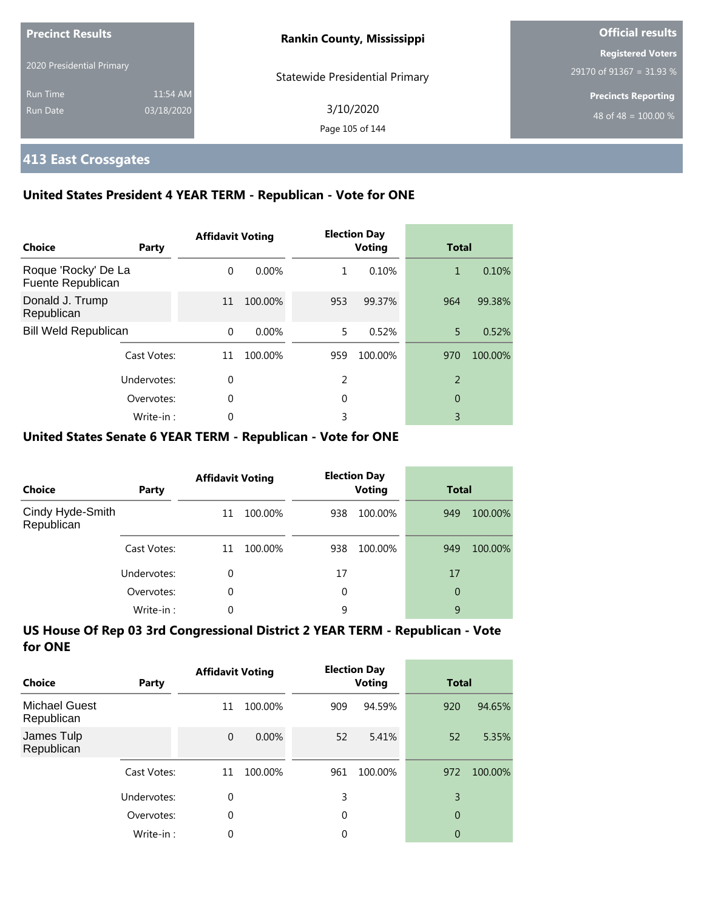| <b>Precinct Results</b>     |                        | <b>Rankin County, Mississippi</b>     | <b>Official results</b>                              |
|-----------------------------|------------------------|---------------------------------------|------------------------------------------------------|
| 2020 Presidential Primary   |                        | <b>Statewide Presidential Primary</b> | <b>Registered Voters</b><br>29170 of 91367 = 31.93 % |
| <b>Run Time</b><br>Run Date | 11:54 AM<br>03/18/2020 | 3/10/2020                             | <b>Precincts Reporting</b><br>48 of 48 = $100.00\%$  |
|                             |                        | Page 105 of 144                       |                                                      |

## **413 East Crossgates**

### **United States President 4 YEAR TERM - Republican - Vote for ONE**

| Choice                                   | Party       | <b>Affidavit Voting</b> |          |     | <b>Election Day</b><br><b>Voting</b> |                | <b>Total</b> |  |
|------------------------------------------|-------------|-------------------------|----------|-----|--------------------------------------|----------------|--------------|--|
| Roque 'Rocky' De La<br>Fuente Republican |             | $\Omega$                | $0.00\%$ | 1   | 0.10%                                | 1              | 0.10%        |  |
| Donald J. Trump<br>Republican            |             | 11                      | 100.00%  | 953 | 99.37%                               | 964            | 99.38%       |  |
| <b>Bill Weld Republican</b>              |             | $\Omega$                | $0.00\%$ | 5.  | 0.52%                                | 5.             | 0.52%        |  |
|                                          | Cast Votes: | 11                      | 100.00%  | 959 | 100.00%                              | 970            | 100.00%      |  |
|                                          | Undervotes: | $\Omega$                |          | 2   |                                      | $\overline{2}$ |              |  |
|                                          | Overvotes:  | 0                       |          | 0   |                                      | 0              |              |  |
|                                          | Write-in:   | 0                       |          | 3   |                                      | 3              |              |  |

### **United States Senate 6 YEAR TERM - Republican - Vote for ONE**

| Choice                         | Party       | <b>Affidavit Voting</b> |         | <b>Election Day</b><br><b>Voting</b> |         | <b>Total</b> |         |
|--------------------------------|-------------|-------------------------|---------|--------------------------------------|---------|--------------|---------|
| Cindy Hyde-Smith<br>Republican |             | 11                      | 100.00% | 938                                  | 100.00% | 949          | 100.00% |
|                                | Cast Votes: | 11                      | 100.00% | 938                                  | 100.00% | 949          | 100.00% |
|                                | Undervotes: | 0                       |         | 17                                   |         | 17           |         |
|                                | Overvotes:  | $\Omega$                |         | 0                                    |         | 0            |         |
|                                | Write-in:   | 0                       |         | 9                                    |         | 9            |         |

| Choice                             | Party       | <b>Affidavit Voting</b> |         | <b>Election Day</b><br>Voting |         | <b>Total</b>   |         |
|------------------------------------|-------------|-------------------------|---------|-------------------------------|---------|----------------|---------|
| <b>Michael Guest</b><br>Republican |             | 11                      | 100.00% | 909                           | 94.59%  | 920            | 94.65%  |
| James Tulp<br>Republican           |             | $\mathbf 0$             | 0.00%   | 52                            | 5.41%   | 52             | 5.35%   |
|                                    | Cast Votes: | 11                      | 100.00% | 961                           | 100.00% | 972            | 100.00% |
|                                    | Undervotes: | 0                       |         | 3                             |         | 3              |         |
|                                    | Overvotes:  | 0                       |         | 0                             |         | $\overline{0}$ |         |
|                                    | Write-in:   | 0                       |         | 0                             |         | 0              |         |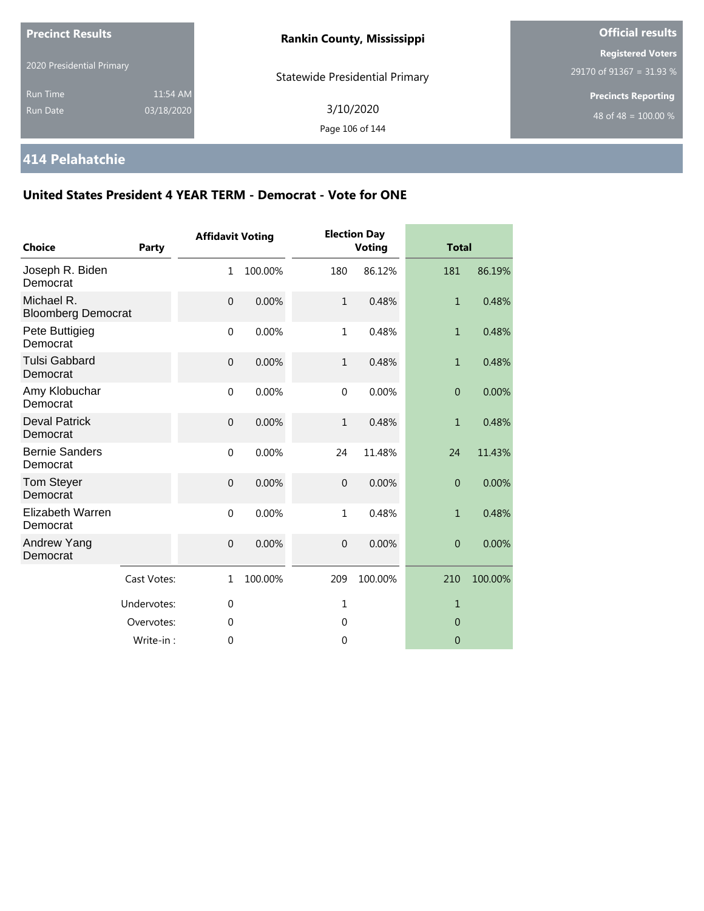| <b>Precinct Results</b>            |                        | <b>Rankin County, Mississippi</b>     | <b>Official results</b>                              |  |  |
|------------------------------------|------------------------|---------------------------------------|------------------------------------------------------|--|--|
| 2020 Presidential Primary          |                        | <b>Statewide Presidential Primary</b> | <b>Registered Voters</b><br>29170 of 91367 = 31.93 % |  |  |
| <b>Run Time</b><br><b>Run Date</b> | 11:54 AM<br>03/18/2020 | 3/10/2020<br>Page 106 of 144          | <b>Precincts Reporting</b><br>48 of 48 = $100.00\%$  |  |  |

## **414 Pelahatchie**

| <b>Choice</b>                           | <b>Party</b> | <b>Affidavit Voting</b> |         |                | <b>Election Day</b><br><b>Voting</b> | <b>Total</b>   |         |
|-----------------------------------------|--------------|-------------------------|---------|----------------|--------------------------------------|----------------|---------|
| Joseph R. Biden<br>Democrat             |              | 1                       | 100.00% | 180            | 86.12%                               | 181            | 86.19%  |
| Michael R.<br><b>Bloomberg Democrat</b> |              | $\mathbf{0}$            | 0.00%   | $\mathbf{1}$   | 0.48%                                | $\mathbf{1}$   | 0.48%   |
| Pete Buttigieg<br>Democrat              |              | $\mathbf 0$             | 0.00%   | $\mathbf{1}$   | 0.48%                                | $\mathbf{1}$   | 0.48%   |
| <b>Tulsi Gabbard</b><br>Democrat        |              | $\mathbf 0$             | 0.00%   | $\mathbf{1}$   | 0.48%                                | $\mathbf{1}$   | 0.48%   |
| Amy Klobuchar<br>Democrat               |              | $\mathbf 0$             | 0.00%   | $\mathbf{0}$   | 0.00%                                | $\overline{0}$ | 0.00%   |
| <b>Deval Patrick</b><br>Democrat        |              | $\mathbf 0$             | 0.00%   | $\mathbf{1}$   | 0.48%                                | $\mathbf{1}$   | 0.48%   |
| <b>Bernie Sanders</b><br>Democrat       |              | $\mathbf 0$             | 0.00%   | 24             | 11.48%                               | 24             | 11.43%  |
| Tom Steyer<br>Democrat                  |              | $\overline{0}$          | 0.00%   | $\overline{0}$ | 0.00%                                | $\overline{0}$ | 0.00%   |
| Elizabeth Warren<br>Democrat            |              | $\mathbf{0}$            | 0.00%   | $\mathbf{1}$   | 0.48%                                | $\mathbf{1}$   | 0.48%   |
| Andrew Yang<br>Democrat                 |              | $\mathbf{0}$            | 0.00%   | $\overline{0}$ | 0.00%                                | $\overline{0}$ | 0.00%   |
|                                         | Cast Votes:  | 1                       | 100.00% | 209            | 100.00%                              | 210            | 100.00% |
|                                         | Undervotes:  | $\mathbf{0}$            |         | $\mathbf{1}$   |                                      | $\mathbf{1}$   |         |
|                                         | Overvotes:   | $\theta$                |         | $\Omega$       |                                      | $\overline{0}$ |         |
|                                         | Write-in:    | 0                       |         | $\mathbf{0}$   |                                      | $\theta$       |         |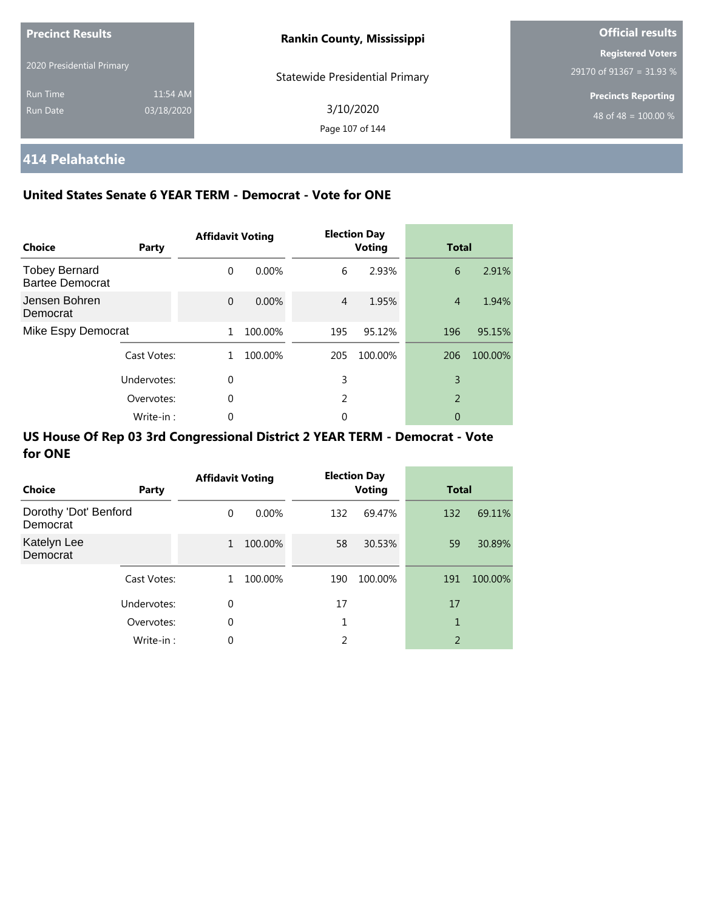| <b>Precinct Results</b><br>2020 Presidential Primary |                        | <b>Rankin County, Mississippi</b>     | <b>Official results</b>                              |  |  |
|------------------------------------------------------|------------------------|---------------------------------------|------------------------------------------------------|--|--|
|                                                      |                        | <b>Statewide Presidential Primary</b> | <b>Registered Voters</b><br>29170 of 91367 = 31.93 % |  |  |
| <b>Run Time</b><br><b>Run Date</b>                   | 11:54 AM<br>03/18/2020 | 3/10/2020<br>Page 107 of 144          | <b>Precincts Reporting</b><br>48 of 48 = $100.00\%$  |  |  |

# **414 Pelahatchie**

### **United States Senate 6 YEAR TERM - Democrat - Vote for ONE**

| Choice                                         | Party       | <b>Affidavit Voting</b> |         |     | <b>Election Day</b><br><b>Voting</b> | <b>Total</b>   |         |
|------------------------------------------------|-------------|-------------------------|---------|-----|--------------------------------------|----------------|---------|
| <b>Tobey Bernard</b><br><b>Bartee Democrat</b> |             | $\Omega$                | 0.00%   | 6   | 2.93%                                | 6              | 2.91%   |
| Jensen Bohren<br>Democrat                      |             | $\Omega$                | 0.00%   | 4   | 1.95%                                | $\overline{4}$ | 1.94%   |
| Mike Espy Democrat                             |             | 1                       | 100.00% | 195 | 95.12%                               | 196            | 95.15%  |
|                                                | Cast Votes: | 1.                      | 100.00% | 205 | 100.00%                              | 206            | 100.00% |
|                                                | Undervotes: | $\Omega$                |         | 3   |                                      | 3              |         |
| Overvotes:                                     |             | 0                       |         | 2   |                                      | $\overline{2}$ |         |
|                                                | Write-in:   | 0                       |         | 0   |                                      | 0              |         |

| <b>Choice</b>                     | Party       | <b>Affidavit Voting</b> |          |     | <b>Election Day</b><br><b>Voting</b> |                | <b>Total</b> |  |
|-----------------------------------|-------------|-------------------------|----------|-----|--------------------------------------|----------------|--------------|--|
| Dorothy 'Dot' Benford<br>Democrat |             | $\Omega$                | $0.00\%$ | 132 | 69.47%                               | 132            | 69.11%       |  |
| Katelyn Lee<br>Democrat           |             | $\mathbf{1}$            | 100.00%  | 58  | 30.53%                               | 59             | 30.89%       |  |
|                                   | Cast Votes: | 1                       | 100.00%  | 190 | 100.00%                              | 191            | 100.00%      |  |
|                                   | Undervotes: | $\Omega$                |          | 17  |                                      | 17             |              |  |
|                                   | Overvotes:  | $\mathbf 0$             |          |     |                                      | 1              |              |  |
|                                   | Write-in:   | 0                       |          | 2   |                                      | $\overline{2}$ |              |  |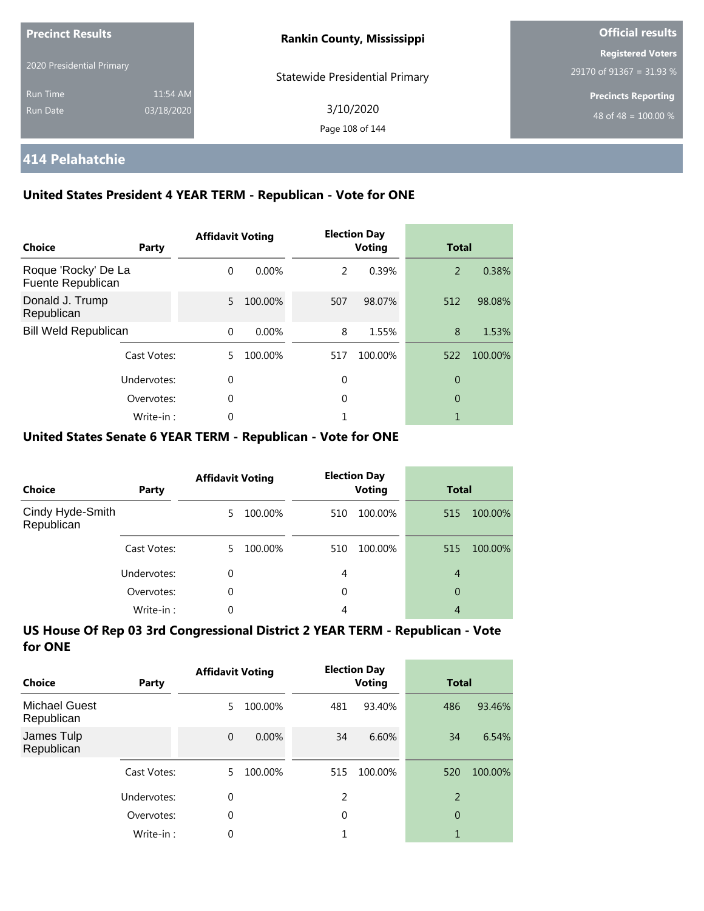| <b>Precinct Results</b>   |            | <b>Rankin County, Mississippi</b>     | <b>Official results</b>                              |  |
|---------------------------|------------|---------------------------------------|------------------------------------------------------|--|
| 2020 Presidential Primary |            |                                       | <b>Registered Voters</b><br>29170 of 91367 = 31.93 % |  |
| <b>Run Time</b>           | 11:54 AM   | <b>Statewide Presidential Primary</b> | <b>Precincts Reporting</b>                           |  |
| Run Date                  | 03/18/2020 | 3/10/2020<br>Page 108 of 144          | 48 of 48 = $100.00\%$                                |  |

## **414 Pelahatchie**

### **United States President 4 YEAR TERM - Republican - Vote for ONE**

| Choice                                   | Party       | <b>Affidavit Voting</b> |         |               | <b>Election Day</b><br><b>Voting</b> | <b>Total</b> |         |
|------------------------------------------|-------------|-------------------------|---------|---------------|--------------------------------------|--------------|---------|
| Roque 'Rocky' De La<br>Fuente Republican |             | $\Omega$                | 0.00%   | $\mathcal{P}$ | 0.39%                                | 2            | 0.38%   |
| Donald J. Trump<br>Republican            |             | 5                       | 100.00% | 507           | 98.07%                               | 512          | 98.08%  |
| <b>Bill Weld Republican</b>              |             | $\Omega$                | 0.00%   | 8             | 1.55%                                | 8            | 1.53%   |
|                                          | Cast Votes: | 5.                      | 100.00% | 517           | 100.00%                              | 522          | 100.00% |
|                                          | Undervotes: | 0                       |         | 0             |                                      | 0            |         |
|                                          | Overvotes:  | 0                       |         | 0             |                                      | 0            |         |
|                                          | Write-in:   | $\Omega$                |         |               |                                      |              |         |

### **United States Senate 6 YEAR TERM - Republican - Vote for ONE**

| <b>Choice</b>                  | Party       | <b>Affidavit Voting</b> |         | <b>Election Day</b><br><b>Voting</b> |         | <b>Total</b> |         |
|--------------------------------|-------------|-------------------------|---------|--------------------------------------|---------|--------------|---------|
| Cindy Hyde-Smith<br>Republican |             | 5.                      | 100.00% | 510                                  | 100.00% | 515          | 100.00% |
|                                | Cast Votes: | 5.                      | 100.00% | 510                                  | 100.00% | 515          | 100.00% |
|                                | Undervotes: | 0                       |         | 4                                    |         | 4            |         |
|                                | Overvotes:  | $\Omega$                |         | 0                                    |         | 0            |         |
|                                | Write-in:   | 0                       |         | 4                                    |         | 4            |         |

| Choice                             | Party       | <b>Affidavit Voting</b> |         |          | <b>Election Day</b><br><b>Voting</b> |     | <b>Total</b> |  |
|------------------------------------|-------------|-------------------------|---------|----------|--------------------------------------|-----|--------------|--|
| <b>Michael Guest</b><br>Republican |             | 5                       | 100.00% | 481      | 93.40%                               | 486 | 93.46%       |  |
| James Tulp<br>Republican           |             | $\mathbf 0$             | 0.00%   | 34       | 6.60%                                | 34  | 6.54%        |  |
|                                    | Cast Votes: | 5.                      | 100.00% | 515      | 100.00%                              | 520 | 100.00%      |  |
|                                    | Undervotes: | 0                       |         | 2        |                                      | 2   |              |  |
|                                    | Overvotes:  | $\theta$                |         | $\Omega$ |                                      | 0   |              |  |
|                                    | Write-in:   | 0                       |         |          |                                      | 1   |              |  |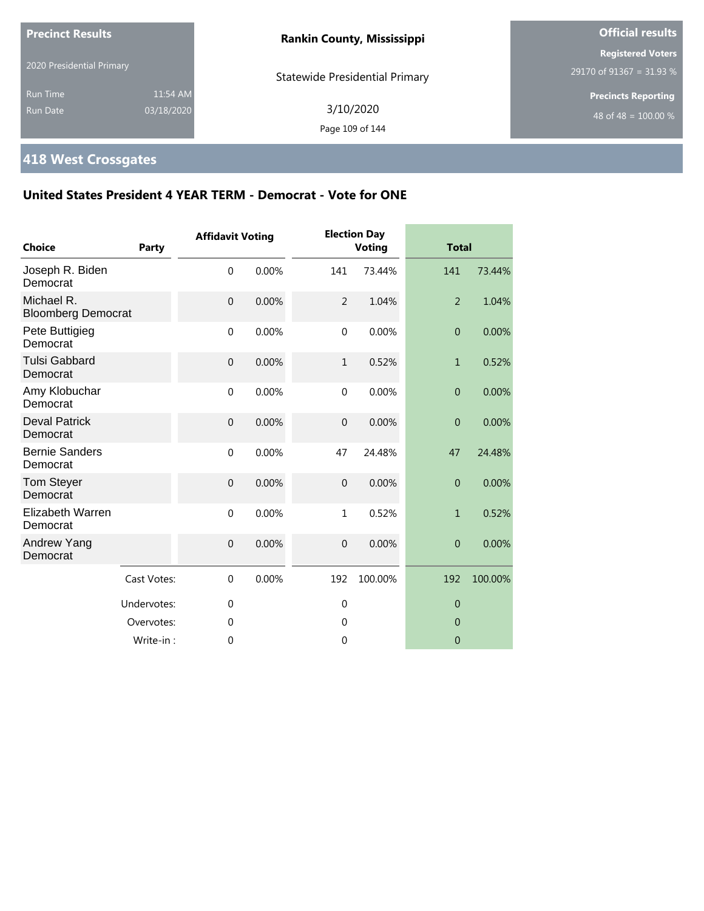| 2020 Presidential Primary<br><b>Statewide Presidential Primary</b><br>11:54 AM<br><b>Run Time</b><br>3/10/2020<br>03/18/2020<br><b>Run Date</b><br>Page 109 of 144 | <b>Precinct Results</b> |  | <b>Rankin County, Mississippi</b> | <b>Official results</b>                              |  |
|--------------------------------------------------------------------------------------------------------------------------------------------------------------------|-------------------------|--|-----------------------------------|------------------------------------------------------|--|
|                                                                                                                                                                    |                         |  |                                   | <b>Registered Voters</b><br>29170 of 91367 = 31.93 % |  |
|                                                                                                                                                                    |                         |  |                                   | <b>Precincts Reporting</b><br>48 of 48 = $100.00\%$  |  |

# **418 West Crossgates**

| <b>Choice</b>                           | <b>Party</b> | <b>Affidavit Voting</b> |       |                | <b>Election Day</b><br><b>Voting</b> | <b>Total</b>     |         |
|-----------------------------------------|--------------|-------------------------|-------|----------------|--------------------------------------|------------------|---------|
| Joseph R. Biden<br>Democrat             |              | $\mathbf 0$             | 0.00% | 141            | 73.44%                               | 141              | 73.44%  |
| Michael R.<br><b>Bloomberg Democrat</b> |              | $\mathbf{0}$            | 0.00% | $\overline{2}$ | 1.04%                                | $\overline{2}$   | 1.04%   |
| Pete Buttigieg<br>Democrat              |              | $\mathbf 0$             | 0.00% | $\mathbf 0$    | 0.00%                                | $\boldsymbol{0}$ | 0.00%   |
| <b>Tulsi Gabbard</b><br>Democrat        |              | $\mathbf{0}$            | 0.00% | $\mathbf{1}$   | 0.52%                                | $\mathbf{1}$     | 0.52%   |
| Amy Klobuchar<br>Democrat               |              | $\mathbf 0$             | 0.00% | $\mathbf 0$    | 0.00%                                | $\overline{0}$   | 0.00%   |
| <b>Deval Patrick</b><br>Democrat        |              | $\mathbf{0}$            | 0.00% | $\mathbf 0$    | 0.00%                                | $\overline{0}$   | 0.00%   |
| <b>Bernie Sanders</b><br>Democrat       |              | $\mathbf 0$             | 0.00% | 47             | 24.48%                               | 47               | 24.48%  |
| Tom Steyer<br>Democrat                  |              | $\overline{0}$          | 0.00% | $\overline{0}$ | 0.00%                                | $\overline{0}$   | 0.00%   |
| Elizabeth Warren<br>Democrat            |              | $\Omega$                | 0.00% | $\mathbf{1}$   | 0.52%                                | $\mathbf{1}$     | 0.52%   |
| Andrew Yang<br>Democrat                 |              | $\mathbf{0}$            | 0.00% | $\mathbf 0$    | 0.00%                                | $\overline{0}$   | 0.00%   |
|                                         | Cast Votes:  | $\Omega$                | 0.00% | 192            | 100.00%                              | 192              | 100.00% |
|                                         | Undervotes:  | $\mathbf{0}$            |       | $\mathbf 0$    |                                      | $\theta$         |         |
|                                         | Overvotes:   | $\mathbf 0$             |       | $\mathbf 0$    |                                      | $\overline{0}$   |         |
|                                         | Write-in:    | $\theta$                |       | $\mathbf 0$    |                                      | $\overline{0}$   |         |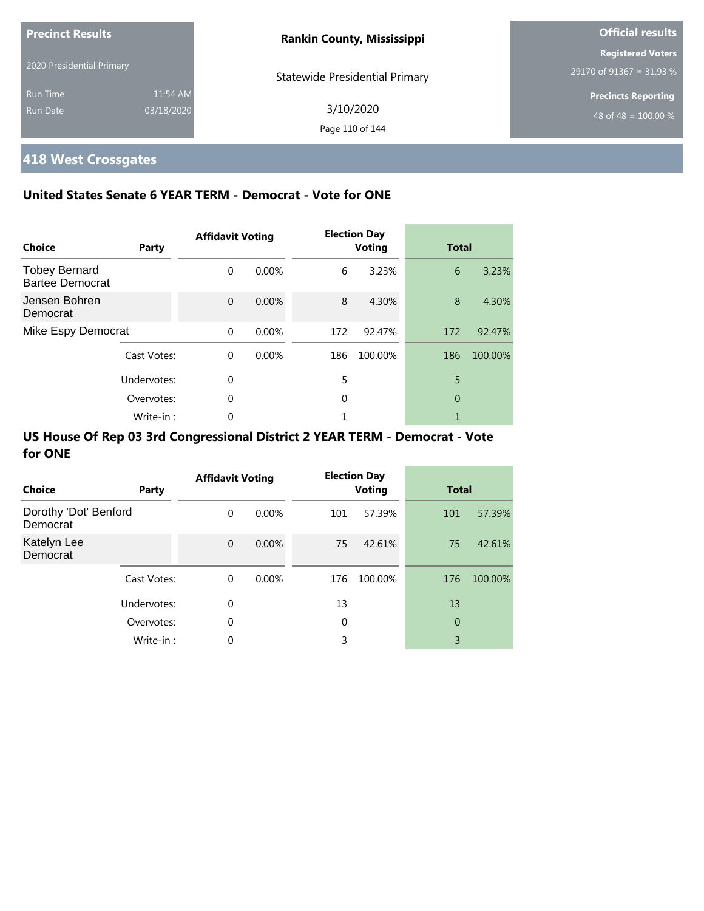| <b>Precinct Results</b>   |            | <b>Rankin County, Mississippi</b>     | <b>Official results</b>    |
|---------------------------|------------|---------------------------------------|----------------------------|
|                           |            |                                       | <b>Registered Voters</b>   |
| 2020 Presidential Primary |            | <b>Statewide Presidential Primary</b> | 29170 of 91367 = 31.93 %   |
| <b>Run Time</b>           | 11:54 AM   |                                       | <b>Precincts Reporting</b> |
| Run Date                  | 03/18/2020 | 3/10/2020<br>Page 110 of 144          | 48 of 48 = $100.00\%$      |

i.

# **418 West Crossgates**

### **United States Senate 6 YEAR TERM - Democrat - Vote for ONE**

| Choice                                         | Party       | <b>Affidavit Voting</b> |          |     | <b>Election Day</b><br><b>Voting</b> | <b>Total</b> |         |
|------------------------------------------------|-------------|-------------------------|----------|-----|--------------------------------------|--------------|---------|
| <b>Tobey Bernard</b><br><b>Bartee Democrat</b> |             | 0                       | $0.00\%$ | 6   | 3.23%                                | 6            | 3.23%   |
| Jensen Bohren<br>Democrat                      |             | $\Omega$                | 0.00%    | 8   | 4.30%                                | 8            | 4.30%   |
| Mike Espy Democrat                             |             | $\Omega$                | $0.00\%$ | 172 | 92.47%                               | 172          | 92.47%  |
|                                                | Cast Votes: | $\Omega$                | $0.00\%$ | 186 | 100.00%                              | 186          | 100.00% |
|                                                | Undervotes: | $\theta$                |          | 5   |                                      | 5            |         |
|                                                | Overvotes:  | 0                       |          | 0   |                                      | $\theta$     |         |
|                                                | Write-in:   | 0                       |          |     |                                      |              |         |

| Choice                            | Party       | <b>Affidavit Voting</b> |          |             | <b>Election Day</b><br><b>Voting</b> | <b>Total</b>   |         |
|-----------------------------------|-------------|-------------------------|----------|-------------|--------------------------------------|----------------|---------|
| Dorothy 'Dot' Benford<br>Democrat |             | 0                       | $0.00\%$ | 101         | 57.39%                               | 101            | 57.39%  |
| Katelyn Lee<br>Democrat           |             | $\mathbf 0$             | 0.00%    | 75          | 42.61%                               | 75             | 42.61%  |
|                                   | Cast Votes: | $\mathbf 0$             | $0.00\%$ | 176         | 100.00%                              | 176            | 100.00% |
|                                   | Undervotes: | 0                       |          | 13          |                                      | 13             |         |
|                                   | Overvotes:  | 0                       |          | $\mathbf 0$ |                                      | $\overline{0}$ |         |
|                                   | Write-in:   | 0                       |          | 3           |                                      | 3              |         |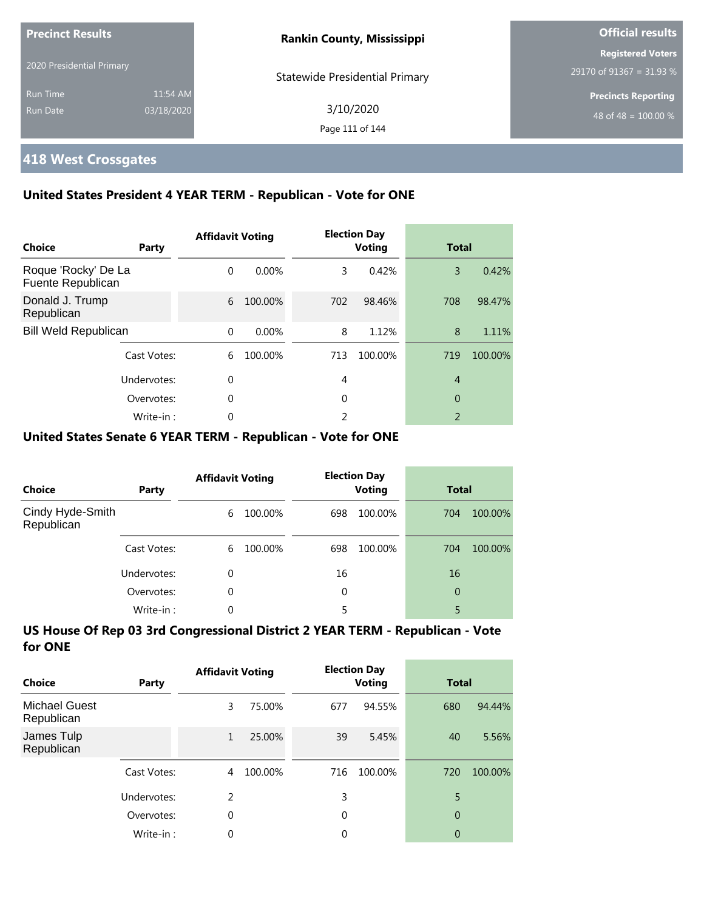| <b>Precinct Results</b>   |            | <b>Rankin County, Mississippi</b>     | <b>Official results</b>    |  |
|---------------------------|------------|---------------------------------------|----------------------------|--|
|                           |            |                                       | <b>Registered Voters</b>   |  |
| 2020 Presidential Primary |            | <b>Statewide Presidential Primary</b> | 29170 of 91367 = 31.93 %   |  |
| <b>Run Time</b>           | 11:54 AM   |                                       | <b>Precincts Reporting</b> |  |
| Run Date                  | 03/18/2020 | 3/10/2020                             | 48 of 48 = $100.00\%$      |  |
|                           |            | Page 111 of 144                       |                            |  |

### **418 West Crossgates**

### **United States President 4 YEAR TERM - Republican - Vote for ONE**

| Choice                                   | Party       | <b>Affidavit Voting</b> |         |     | <b>Election Day</b><br><b>Voting</b> | <b>Total</b>   |         |
|------------------------------------------|-------------|-------------------------|---------|-----|--------------------------------------|----------------|---------|
| Roque 'Rocky' De La<br>Fuente Republican |             | $\Omega$                | 0.00%   | 3   | 0.42%                                | 3              | 0.42%   |
| Donald J. Trump<br>Republican            |             | 6                       | 100.00% | 702 | 98.46%                               | 708            | 98.47%  |
| <b>Bill Weld Republican</b>              |             | $\Omega$                | 0.00%   | 8   | 1.12%                                | 8              | 1.11%   |
|                                          | Cast Votes: | 6                       | 100.00% | 713 | 100.00%                              | 719            | 100.00% |
|                                          | Undervotes: | 0                       |         | 4   |                                      | $\overline{4}$ |         |
|                                          | Overvotes:  | $\Omega$                |         | 0   |                                      | 0              |         |
|                                          | Write-in:   | 0                       |         | 2   |                                      | $\mathfrak{D}$ |         |

### **United States Senate 6 YEAR TERM - Republican - Vote for ONE**

| Choice                         | Party       | <b>Affidavit Voting</b> |         |          | <b>Election Day</b><br><b>Voting</b> |     | <b>Total</b> |  |
|--------------------------------|-------------|-------------------------|---------|----------|--------------------------------------|-----|--------------|--|
| Cindy Hyde-Smith<br>Republican |             | 6                       | 100.00% | 698      | 100.00%                              | 704 | 100.00%      |  |
|                                | Cast Votes: | 6                       | 100.00% | 698      | 100.00%                              | 704 | 100.00%      |  |
|                                | Undervotes: | $\Omega$                |         | 16       |                                      | 16  |              |  |
|                                | Overvotes:  | $\Omega$                |         | $\Omega$ |                                      | 0   |              |  |
|                                | Write-in:   | $\Omega$                |         |          |                                      | 5   |              |  |

| Choice                             | Party       | <b>Affidavit Voting</b> |         |     | <b>Election Day</b><br><b>Voting</b> | Total          |         |
|------------------------------------|-------------|-------------------------|---------|-----|--------------------------------------|----------------|---------|
| <b>Michael Guest</b><br>Republican |             | 3                       | 75.00%  | 677 | 94.55%                               | 680            | 94.44%  |
| James Tulp<br>Republican           |             | 1                       | 25.00%  | 39  | 5.45%                                | 40             | 5.56%   |
|                                    | Cast Votes: | 4                       | 100.00% | 716 | 100.00%                              | 720            | 100.00% |
|                                    | Undervotes: | 2                       |         | 3   |                                      | 5              |         |
|                                    | Overvotes:  | 0                       |         | 0   |                                      | $\overline{0}$ |         |
|                                    | Write-in:   | 0                       |         | 0   |                                      | 0              |         |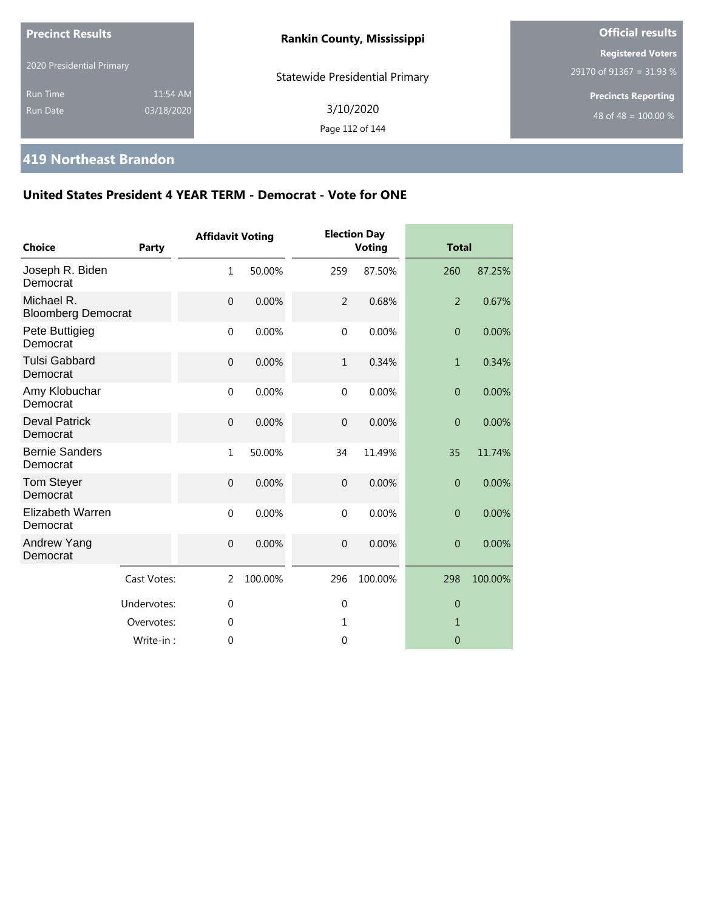| <b>Precinct Results</b>     |                        | <b>Rankin County, Mississippi</b>     | <b>Official results</b>                                        |  |  |
|-----------------------------|------------------------|---------------------------------------|----------------------------------------------------------------|--|--|
| 2020 Presidential Primary   |                        | <b>Statewide Presidential Primary</b> | <b>Registered Voters</b><br>29170 of 91367 = 31.93 %           |  |  |
| Run Time<br><b>Run Date</b> | 11:54 AM<br>03/18/2020 | 3/10/2020<br>Page 112 of 144          | <b>Precincts Reporting</b><br>48 of 48 = $\overline{100.00\%}$ |  |  |

### **419 Northeast Brandon**

| <b>Choice</b>                           | Party       | <b>Affidavit Voting</b> |         |                  | <b>Election Day</b><br><b>Voting</b> | <b>Total</b>   |         |
|-----------------------------------------|-------------|-------------------------|---------|------------------|--------------------------------------|----------------|---------|
| Joseph R. Biden<br>Democrat             |             | $\mathbf{1}$            | 50.00%  | 259              | 87.50%                               | 260            | 87.25%  |
| Michael R.<br><b>Bloomberg Democrat</b> |             | $\overline{0}$          | 0.00%   | $\overline{2}$   | 0.68%                                | $\overline{2}$ | 0.67%   |
| Pete Buttigieg<br>Democrat              |             | $\mathbf 0$             | 0.00%   | $\mathbf 0$      | 0.00%                                | $\overline{0}$ | 0.00%   |
| <b>Tulsi Gabbard</b><br>Democrat        |             | $\mathbf{0}$            | 0.00%   | $\mathbf{1}$     | 0.34%                                | $\mathbf{1}$   | 0.34%   |
| Amy Klobuchar<br>Democrat               |             | $\mathbf{0}$            | 0.00%   | $\mathbf 0$      | 0.00%                                | $\overline{0}$ | 0.00%   |
| <b>Deval Patrick</b><br>Democrat        |             | $\mathbf{0}$            | 0.00%   | $\overline{0}$   | 0.00%                                | $\overline{0}$ | 0.00%   |
| <b>Bernie Sanders</b><br>Democrat       |             | $\mathbf{1}$            | 50.00%  | 34               | 11.49%                               | 35             | 11.74%  |
| <b>Tom Steyer</b><br>Democrat           |             | $\mathbf{0}$            | 0.00%   | $\boldsymbol{0}$ | 0.00%                                | $\overline{0}$ | 0.00%   |
| Elizabeth Warren<br>Democrat            |             | $\mathbf 0$             | 0.00%   | $\mathbf 0$      | 0.00%                                | $\overline{0}$ | 0.00%   |
| Andrew Yang<br>Democrat                 |             | $\mathbf{0}$            | 0.00%   | $\overline{0}$   | 0.00%                                | $\overline{0}$ | 0.00%   |
|                                         | Cast Votes: | 2                       | 100.00% | 296              | 100.00%                              | 298            | 100.00% |
|                                         | Undervotes: | $\mathbf{0}$            |         | $\overline{0}$   |                                      | $\overline{0}$ |         |
|                                         | Overvotes:  | 0                       |         | 1                |                                      | 1              |         |
|                                         | Write-in:   | 0                       |         | $\mathbf 0$      |                                      | $\overline{0}$ |         |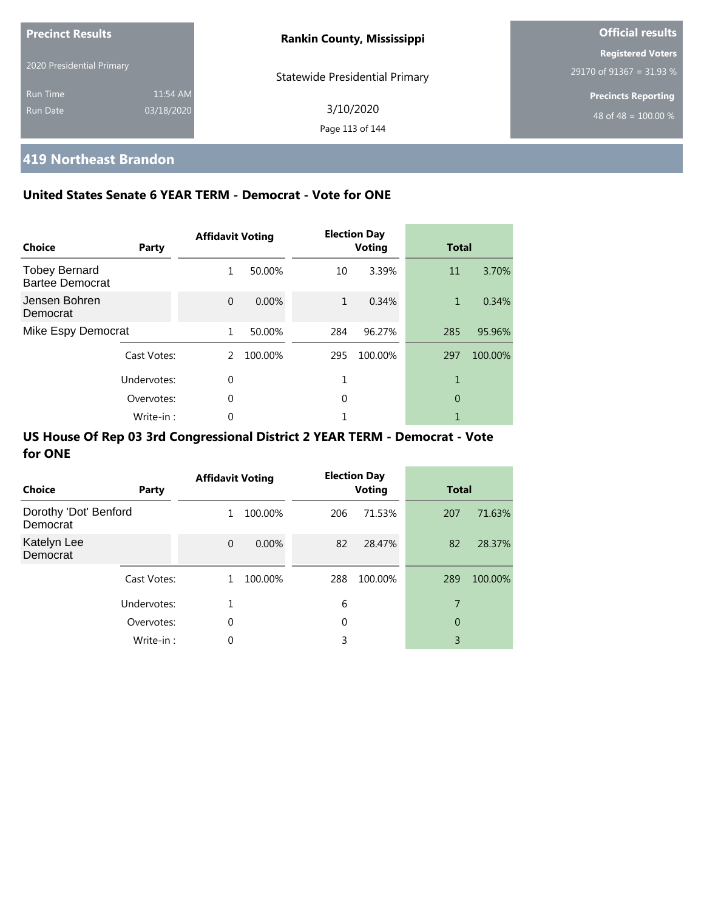| <b>Precinct Results</b>   |            | <b>Rankin County, Mississippi</b>     | <b>Official results</b>    |  |
|---------------------------|------------|---------------------------------------|----------------------------|--|
|                           |            |                                       | <b>Registered Voters</b>   |  |
| 2020 Presidential Primary |            | <b>Statewide Presidential Primary</b> | 29170 of 91367 = 31.93 %   |  |
| <b>Run Time</b>           | 11:54 AM   |                                       | <b>Precincts Reporting</b> |  |
| Run Date                  | 03/18/2020 | 3/10/2020                             | 48 of 48 = $100.00\%$      |  |
|                           |            | Page 113 of 144                       |                            |  |

# **419 Northeast Brandon**

### **United States Senate 6 YEAR TERM - Democrat - Vote for ONE**

| Choice                                         | Party       | <b>Affidavit Voting</b> |         |              | <b>Election Day</b><br><b>Voting</b> | <b>Total</b> |         |
|------------------------------------------------|-------------|-------------------------|---------|--------------|--------------------------------------|--------------|---------|
| <b>Tobey Bernard</b><br><b>Bartee Democrat</b> |             | 1                       | 50.00%  | 10           | 3.39%                                | 11           | 3.70%   |
| Jensen Bohren<br>Democrat                      |             | $\Omega$                | 0.00%   | $\mathbf{1}$ | 0.34%                                | $\mathbf{1}$ | 0.34%   |
| Mike Espy Democrat                             |             | 1                       | 50.00%  | 284          | 96.27%                               | 285          | 95.96%  |
|                                                | Cast Votes: | 2                       | 100.00% | 295          | 100.00%                              | 297          | 100.00% |
|                                                | Undervotes: | $\Omega$                |         |              |                                      |              |         |
|                                                | Overvotes:  | 0                       |         | 0            |                                      | 0            |         |
|                                                | Write-in:   | 0                       |         |              |                                      |              |         |

| Choice                            | Party       | <b>Affidavit Voting</b> |         |     | <b>Election Day</b><br><b>Voting</b> | <b>Total</b> |         |
|-----------------------------------|-------------|-------------------------|---------|-----|--------------------------------------|--------------|---------|
| Dorothy 'Dot' Benford<br>Democrat |             | 1                       | 100.00% | 206 | 71.53%                               | 207          | 71.63%  |
| Katelyn Lee<br>Democrat           |             | $\Omega$                | 0.00%   | 82  | 28.47%                               | 82           | 28.37%  |
|                                   | Cast Votes: | 1                       | 100.00% | 288 | 100.00%                              | 289          | 100.00% |
|                                   | Undervotes: |                         |         | 6   |                                      | 7            |         |
|                                   | Overvotes:  | 0                       |         | 0   |                                      | 0            |         |
|                                   | Write-in:   | 0                       |         | 3   |                                      | 3            |         |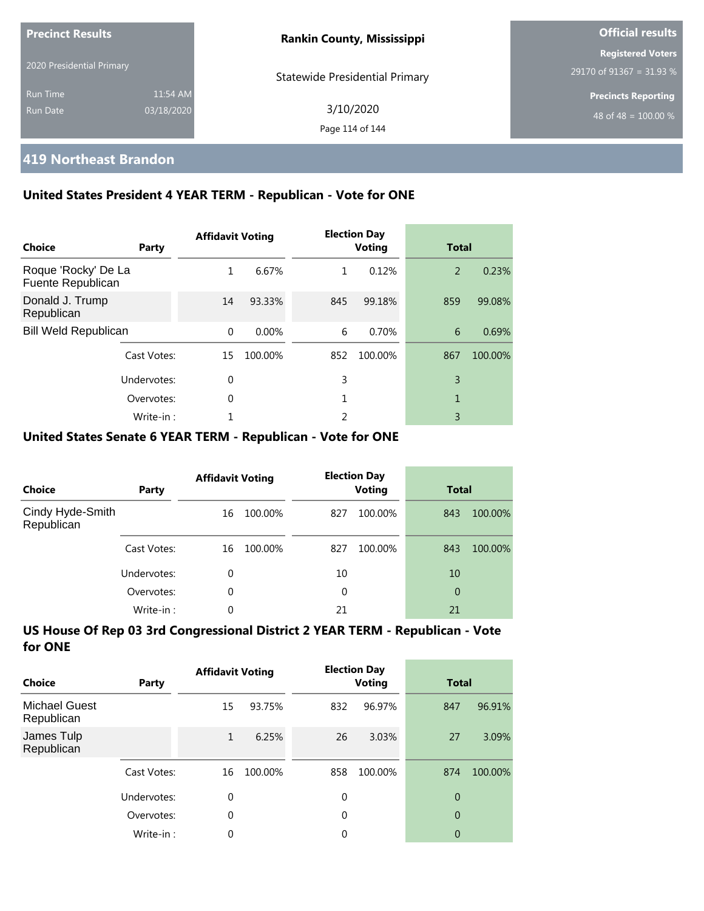| <b>Precinct Results</b>   |            | <b>Rankin County, Mississippi</b>     | <b>Official results</b>                              |  |
|---------------------------|------------|---------------------------------------|------------------------------------------------------|--|
| 2020 Presidential Primary |            |                                       | <b>Registered Voters</b><br>29170 of 91367 = 31.93 % |  |
| <b>Run Time</b>           | 11:54 AM   | <b>Statewide Presidential Primary</b> | <b>Precincts Reporting</b>                           |  |
| Run Date                  | 03/18/2020 | 3/10/2020<br>Page 114 of 144          | 48 of 48 = $100.00\%$                                |  |

### **419 Northeast Brandon**

### **United States President 4 YEAR TERM - Republican - Vote for ONE**

| Choice                                   | Party       | <b>Affidavit Voting</b> |          |     | <b>Election Day</b><br><b>Voting</b> | <b>Total</b> |         |
|------------------------------------------|-------------|-------------------------|----------|-----|--------------------------------------|--------------|---------|
| Roque 'Rocky' De La<br>Fuente Republican |             | 1                       | 6.67%    | 1   | 0.12%                                | 2            | 0.23%   |
| Donald J. Trump<br>Republican            |             | 14                      | 93.33%   | 845 | 99.18%                               | 859          | 99.08%  |
| <b>Bill Weld Republican</b>              |             | $\Omega$                | $0.00\%$ | 6   | 0.70%                                | 6            | 0.69%   |
|                                          | Cast Votes: | 15                      | 100.00%  | 852 | 100.00%                              | 867          | 100.00% |
|                                          | Undervotes: | $\Omega$                |          | 3   |                                      | 3            |         |
|                                          | Overvotes:  | $\Omega$                |          |     |                                      | 1            |         |
|                                          | Write-in:   |                         |          | 2   |                                      | 3            |         |

#### **United States Senate 6 YEAR TERM - Republican - Vote for ONE**

| <b>Choice</b>                  | Party       | <b>Affidavit Voting</b> |         |     | <b>Election Day</b><br><b>Voting</b> | <b>Total</b> |         |
|--------------------------------|-------------|-------------------------|---------|-----|--------------------------------------|--------------|---------|
| Cindy Hyde-Smith<br>Republican |             | 16                      | 100.00% | 827 | 100.00%                              | 843          | 100.00% |
|                                | Cast Votes: | 16                      | 100.00% | 827 | 100.00%                              | 843          | 100.00% |
|                                | Undervotes: | 0                       |         | 10  |                                      | 10           |         |
|                                | Overvotes:  | $\Omega$                |         | 0   |                                      | 0            |         |
|                                | Write-in:   | 0                       |         | 21  |                                      | 21           |         |

| Choice                             | Party       | <b>Affidavit Voting</b> |         |          | <b>Election Day</b><br><b>Voting</b> | <b>Total</b>   |         |
|------------------------------------|-------------|-------------------------|---------|----------|--------------------------------------|----------------|---------|
| <b>Michael Guest</b><br>Republican |             | 15                      | 93.75%  | 832      | 96.97%                               | 847            | 96.91%  |
| James Tulp<br>Republican           |             | 1                       | 6.25%   | 26       | 3.03%                                | 27             | 3.09%   |
|                                    | Cast Votes: | 16                      | 100.00% | 858      | 100.00%                              | 874            | 100.00% |
|                                    | Undervotes: | 0                       |         | $\Omega$ |                                      | $\overline{0}$ |         |
|                                    | Overvotes:  | 0                       |         | 0        |                                      | $\overline{0}$ |         |
|                                    | Write-in:   | 0                       |         | 0        |                                      | 0              |         |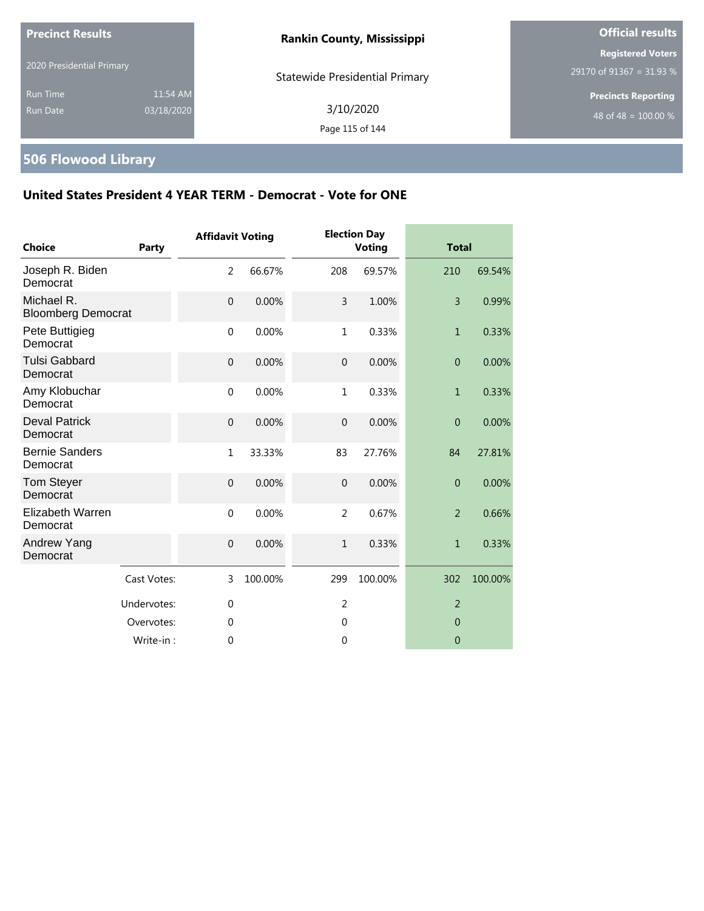| <b>Precinct Results</b>                                      | <b>Rankin County, Mississippi</b>     | <b>Official results</b>                              |  |
|--------------------------------------------------------------|---------------------------------------|------------------------------------------------------|--|
| 2020 Presidential Primary                                    | <b>Statewide Presidential Primary</b> | <b>Registered Voters</b><br>29170 of 91367 = 31.93 % |  |
| 11:54 AM<br><b>Run Time</b><br>03/18/2020<br><b>Run Date</b> | 3/10/2020<br>Page 115 of 144          | <b>Precincts Reporting</b><br>48 of 48 = $100.00\%$  |  |

# **506 Flowood Library**

| <b>Choice</b>                           | Party       | <b>Affidavit Voting</b> |         |                | <b>Election Day</b><br><b>Voting</b> | <b>Total</b>   |         |
|-----------------------------------------|-------------|-------------------------|---------|----------------|--------------------------------------|----------------|---------|
| Joseph R. Biden<br>Democrat             |             | $\overline{2}$          | 66.67%  | 208            | 69.57%                               | 210            | 69.54%  |
| Michael R.<br><b>Bloomberg Democrat</b> |             | $\mathbf 0$             | 0.00%   | 3              | 1.00%                                | $\overline{3}$ | 0.99%   |
| Pete Buttigieg<br>Democrat              |             | $\mathbf 0$             | 0.00%   | $\mathbf{1}$   | 0.33%                                | $\mathbf{1}$   | 0.33%   |
| <b>Tulsi Gabbard</b><br>Democrat        |             | $\mathbf 0$             | 0.00%   | $\overline{0}$ | 0.00%                                | $\overline{0}$ | 0.00%   |
| Amy Klobuchar<br>Democrat               |             | $\mathbf 0$             | 0.00%   | 1              | 0.33%                                | $\mathbf{1}$   | 0.33%   |
| <b>Deval Patrick</b><br>Democrat        |             | $\mathbf 0$             | 0.00%   | $\mathbf 0$    | 0.00%                                | $\overline{0}$ | 0.00%   |
| <b>Bernie Sanders</b><br>Democrat       |             | $1\,$                   | 33.33%  | 83             | 27.76%                               | 84             | 27.81%  |
| <b>Tom Steyer</b><br>Democrat           |             | $\overline{0}$          | 0.00%   | $\theta$       | 0.00%                                | $\mathbf{0}$   | 0.00%   |
| Elizabeth Warren<br>Democrat            |             | $\mathbf 0$             | 0.00%   | $\overline{2}$ | 0.67%                                | $\overline{2}$ | 0.66%   |
| Andrew Yang<br>Democrat                 |             | $\mathbf 0$             | 0.00%   | $\mathbf{1}$   | 0.33%                                | $\mathbf{1}$   | 0.33%   |
|                                         | Cast Votes: | 3                       | 100.00% | 299            | 100.00%                              | 302            | 100.00% |
|                                         | Undervotes: | $\mathbf 0$             |         | $\overline{2}$ |                                      | $\overline{2}$ |         |
|                                         | Overvotes:  | $\mathbf 0$             |         | $\mathbf 0$    |                                      | $\overline{0}$ |         |
|                                         | Write-in:   | $\mathbf 0$             |         | 0              |                                      | $\mathbf 0$    |         |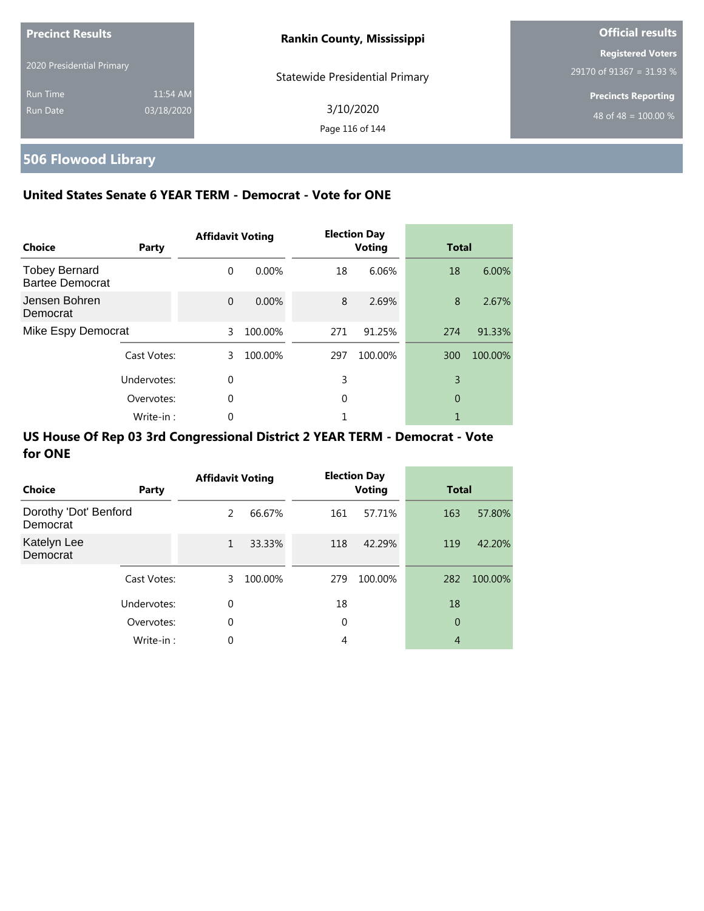| <b>Precinct Results</b>   |            | <b>Rankin County, Mississippi</b> | <b>Official results</b>                              |  |
|---------------------------|------------|-----------------------------------|------------------------------------------------------|--|
| 2020 Presidential Primary |            |                                   | <b>Registered Voters</b><br>29170 of 91367 = 31.93 % |  |
| <b>Run Time</b>           | 11:54 AM   | Statewide Presidential Primary    | <b>Precincts Reporting</b>                           |  |
| <b>Run Date</b>           | 03/18/2020 | 3/10/2020<br>Page 116 of 144      | 48 of 48 = $100.00\%$                                |  |

# **506 Flowood Library**

### **United States Senate 6 YEAR TERM - Democrat - Vote for ONE**

| Choice                                         | Party       | <b>Affidavit Voting</b> |          |     | <b>Election Day</b><br><b>Voting</b> | <b>Total</b> |         |
|------------------------------------------------|-------------|-------------------------|----------|-----|--------------------------------------|--------------|---------|
| <b>Tobey Bernard</b><br><b>Bartee Democrat</b> |             | $\Omega$                | $0.00\%$ | 18  | 6.06%                                | 18           | 6.00%   |
| Jensen Bohren<br>Democrat                      |             | $\Omega$                | 0.00%    | 8   | 2.69%                                | 8            | 2.67%   |
| Mike Espy Democrat                             |             | 3                       | 100.00%  | 271 | 91.25%                               | 274          | 91.33%  |
|                                                | Cast Votes: | 3                       | 100.00%  | 297 | 100.00%                              | 300          | 100.00% |
|                                                | Undervotes: | $\Omega$                |          | 3   |                                      | 3            |         |
|                                                | Overvotes:  | $\Omega$                |          | 0   |                                      | 0            |         |
|                                                | Write-in:   | 0                       |          |     |                                      |              |         |

| <b>Choice</b>                     | Party       | <b>Affidavit Voting</b> |         |     | <b>Election Day</b><br><b>Voting</b> | <b>Total</b>   |         |
|-----------------------------------|-------------|-------------------------|---------|-----|--------------------------------------|----------------|---------|
| Dorothy 'Dot' Benford<br>Democrat |             | 2                       | 66.67%  | 161 | 57.71%                               | 163            | 57.80%  |
| Katelyn Lee<br>Democrat           |             | $\mathbf{1}$            | 33.33%  | 118 | 42.29%                               | 119            | 42.20%  |
|                                   | Cast Votes: | 3                       | 100.00% | 279 | 100.00%                              | 282            | 100.00% |
|                                   | Undervotes: | 0                       |         | 18  |                                      | 18             |         |
|                                   | Overvotes:  | 0                       |         | 0   |                                      | 0              |         |
|                                   | Write-in:   | 0                       |         | 4   |                                      | $\overline{4}$ |         |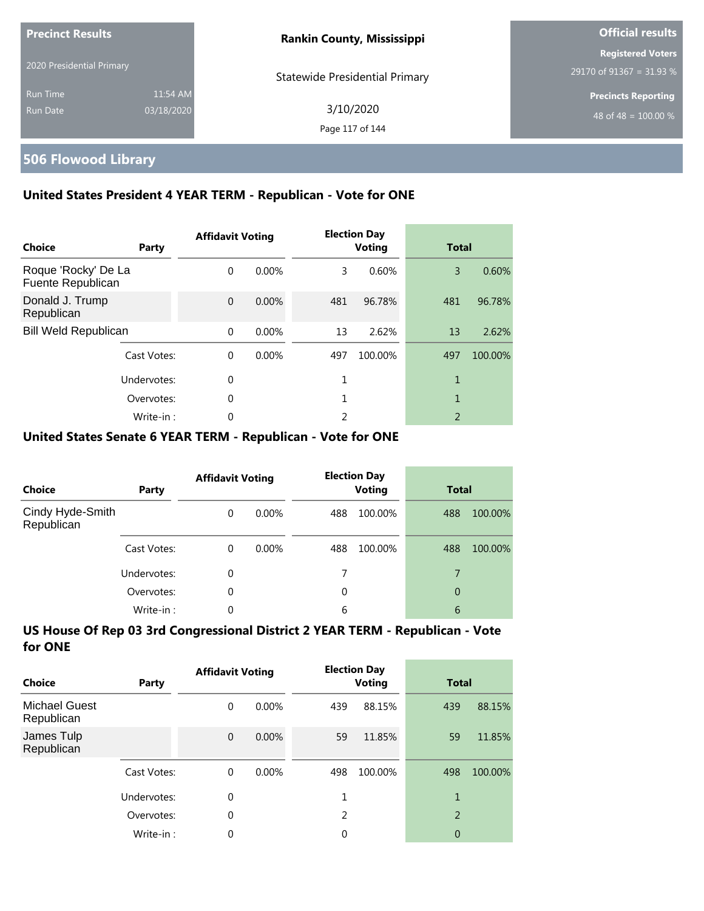| <b>Precinct Results</b>   |            | <b>Rankin County, Mississippi</b>     | <b>Official results</b>                              |
|---------------------------|------------|---------------------------------------|------------------------------------------------------|
| 2020 Presidential Primary |            |                                       | <b>Registered Voters</b><br>29170 of 91367 = 31.93 % |
| <b>Run Time</b>           | 11:54 AM   | <b>Statewide Presidential Primary</b> | <b>Precincts Reporting</b>                           |
| Run Date                  | 03/18/2020 | 3/10/2020<br>Page 117 of 144          | 48 of 48 = $100.00\%$                                |

# **506 Flowood Library**

### **United States President 4 YEAR TERM - Republican - Vote for ONE**

| Choice                                   | Party       | <b>Affidavit Voting</b> |          |     | <b>Election Day</b><br><b>Voting</b> |                          | <b>Total</b> |  |
|------------------------------------------|-------------|-------------------------|----------|-----|--------------------------------------|--------------------------|--------------|--|
| Roque 'Rocky' De La<br>Fuente Republican |             | $\Omega$                | $0.00\%$ | 3   | 0.60%                                | 3                        | 0.60%        |  |
| Donald J. Trump<br>Republican            |             | $\Omega$                | $0.00\%$ | 481 | 96.78%                               | 481                      | 96.78%       |  |
| <b>Bill Weld Republican</b>              |             | $\Omega$                | $0.00\%$ | 13  | 2.62%                                | 13                       | 2.62%        |  |
|                                          | Cast Votes: | $\Omega$                | 0.00%    | 497 | 100.00%                              | 497                      | 100.00%      |  |
|                                          | Undervotes: | $\Omega$                |          |     |                                      | 1                        |              |  |
|                                          | Overvotes:  | $\Omega$                |          |     |                                      | 1                        |              |  |
|                                          | Write-in:   | 0                       |          | 2   |                                      | $\overline{\phantom{a}}$ |              |  |

#### **United States Senate 6 YEAR TERM - Republican - Vote for ONE**

| <b>Choice</b>                  | Party       | <b>Affidavit Voting</b> |          |          | <b>Election Day</b><br><b>Voting</b> |     | <b>Total</b> |  |
|--------------------------------|-------------|-------------------------|----------|----------|--------------------------------------|-----|--------------|--|
| Cindy Hyde-Smith<br>Republican |             | $\Omega$                | $0.00\%$ | 488      | 100.00%                              | 488 | 100.00%      |  |
|                                | Cast Votes: | $\Omega$                | $0.00\%$ | 488      | 100.00%                              | 488 | 100.00%      |  |
|                                | Undervotes: | $\Omega$                |          |          |                                      | 7   |              |  |
|                                | Overvotes:  | $\Omega$                |          | $\Omega$ |                                      | 0   |              |  |
|                                | Write-in:   | $\Omega$                |          | 6        |                                      | 6   |              |  |

| Choice                             | Party       | <b>Affidavit Voting</b> |          | <b>Election Day</b><br><b>Voting</b> |         | <b>Total</b>   |         |
|------------------------------------|-------------|-------------------------|----------|--------------------------------------|---------|----------------|---------|
| <b>Michael Guest</b><br>Republican |             | 0                       | $0.00\%$ | 439                                  | 88.15%  | 439            | 88.15%  |
| James Tulp<br>Republican           |             | $\mathbf{0}$            | 0.00%    | 59                                   | 11.85%  | 59             | 11.85%  |
|                                    | Cast Votes: | $\Omega$                | $0.00\%$ | 498                                  | 100.00% | 498            | 100.00% |
|                                    | Undervotes: | 0                       |          |                                      |         | 1              |         |
|                                    | Overvotes:  | $\theta$                |          | 2                                    |         | $\overline{2}$ |         |
|                                    | Write-in:   | 0                       |          | 0                                    |         | 0              |         |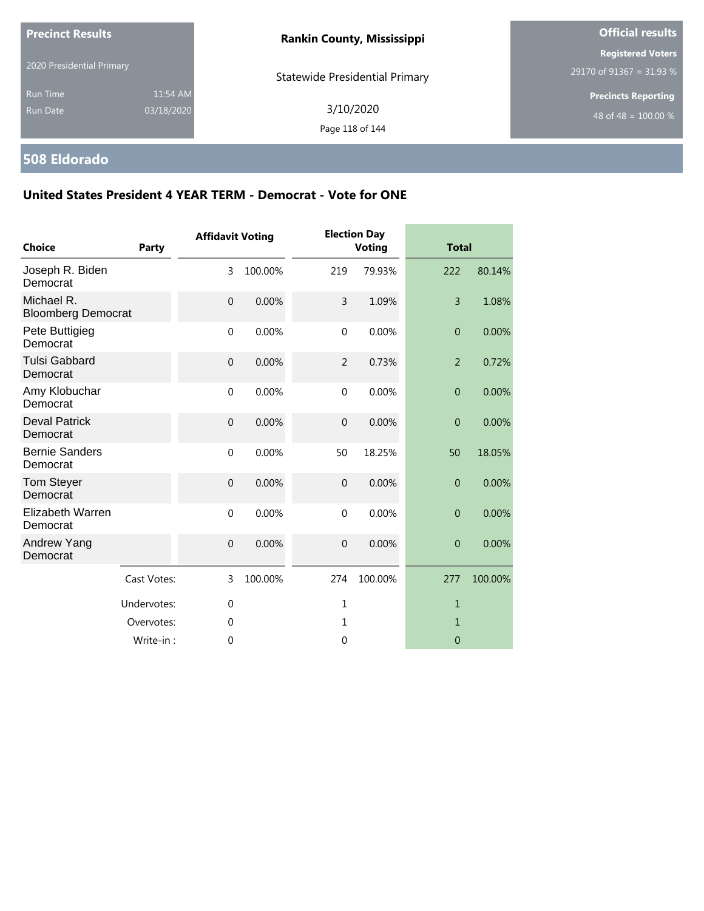| <b>Precinct Results</b><br>2020 Presidential Primary |                        | <b>Rankin County, Mississippi</b>     | <b>Official results</b>                              |  |  |
|------------------------------------------------------|------------------------|---------------------------------------|------------------------------------------------------|--|--|
|                                                      |                        | <b>Statewide Presidential Primary</b> | <b>Registered Voters</b><br>29170 of 91367 = 31.93 % |  |  |
| <b>Run Time</b><br><b>Run Date</b>                   | 11:54 AM<br>03/18/2020 | 3/10/2020<br>Page 118 of 144          | <b>Precincts Reporting</b><br>48 of 48 = $100.00\%$  |  |  |

# **508 Eldorado**

| <b>Choice</b>                           | <b>Party</b> | <b>Affidavit Voting</b> |         |                  | <b>Election Day</b><br><b>Voting</b> |                | <b>Total</b> |  |
|-----------------------------------------|--------------|-------------------------|---------|------------------|--------------------------------------|----------------|--------------|--|
| Joseph R. Biden<br>Democrat             |              | 3                       | 100.00% | 219              | 79.93%                               | 222            | 80.14%       |  |
| Michael R.<br><b>Bloomberg Democrat</b> |              | $\overline{0}$          | 0.00%   | 3                | 1.09%                                | $\overline{3}$ | 1.08%        |  |
| Pete Buttigieg<br>Democrat              |              | $\mathbf 0$             | 0.00%   | $\boldsymbol{0}$ | 0.00%                                | $\theta$       | 0.00%        |  |
| <b>Tulsi Gabbard</b><br>Democrat        |              | $\mathbf{0}$            | 0.00%   | $\overline{2}$   | 0.73%                                | $\overline{2}$ | 0.72%        |  |
| Amy Klobuchar<br>Democrat               |              | $\mathbf{0}$            | 0.00%   | $\mathbf 0$      | 0.00%                                | $\theta$       | 0.00%        |  |
| <b>Deval Patrick</b><br>Democrat        |              | $\mathbf{0}$            | 0.00%   | $\mathbf 0$      | 0.00%                                | $\mathbf{0}$   | 0.00%        |  |
| <b>Bernie Sanders</b><br>Democrat       |              | $\mathbf 0$             | 0.00%   | 50               | 18.25%                               | 50             | 18.05%       |  |
| Tom Steyer<br>Democrat                  |              | $\overline{0}$          | 0.00%   | $\overline{0}$   | 0.00%                                | $\overline{0}$ | 0.00%        |  |
| Elizabeth Warren<br>Democrat            |              | $\mathbf 0$             | 0.00%   | $\Omega$         | 0.00%                                | $\overline{0}$ | 0.00%        |  |
| Andrew Yang<br>Democrat                 |              | $\mathbf{0}$            | 0.00%   | $\overline{0}$   | 0.00%                                | $\theta$       | 0.00%        |  |
|                                         | Cast Votes:  | 3                       | 100.00% | 274              | 100.00%                              | 277            | 100.00%      |  |
|                                         | Undervotes:  | $\mathbf{0}$            |         | $\mathbf{1}$     |                                      | 1              |              |  |
|                                         | Overvotes:   | $\Omega$                |         | 1                |                                      | 1              |              |  |
|                                         | Write-in:    | 0                       |         | 0                |                                      | $\mathbf 0$    |              |  |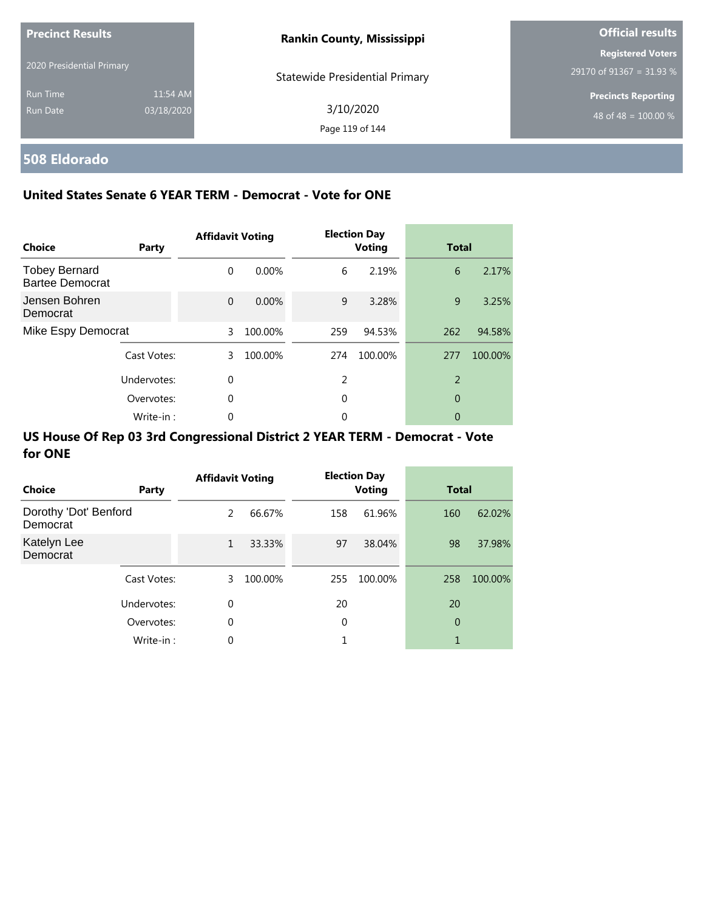| <b>Precinct Results</b>   |            | <b>Rankin County, Mississippi</b>     | <b>Official results</b>          |  |  |
|---------------------------|------------|---------------------------------------|----------------------------------|--|--|
|                           |            |                                       | <b>Registered Voters</b>         |  |  |
| 2020 Presidential Primary |            | <b>Statewide Presidential Primary</b> | 29170 of 91367 = 31.93 %         |  |  |
| <b>Run Time</b>           | 11:54 AM   |                                       | <b>Precincts Reporting</b>       |  |  |
| Run Date                  | 03/18/2020 | 3/10/2020                             | 48 of 48 = $\overline{100.00\%}$ |  |  |
|                           |            | Page 119 of 144                       |                                  |  |  |

# **508 Eldorado**

### **United States Senate 6 YEAR TERM - Democrat - Vote for ONE**

| <b>Choice</b>                                  | Party       | <b>Affidavit Voting</b> |          |     | <b>Election Day</b><br><b>Voting</b> |                | <b>Total</b> |  |
|------------------------------------------------|-------------|-------------------------|----------|-----|--------------------------------------|----------------|--------------|--|
| <b>Tobey Bernard</b><br><b>Bartee Democrat</b> |             | $\Omega$                | $0.00\%$ | 6   | 2.19%                                | 6              | 2.17%        |  |
| Jensen Bohren<br>Democrat                      |             | $\Omega$                | $0.00\%$ | 9   | 3.28%                                | 9              | 3.25%        |  |
| Mike Espy Democrat                             |             | 3                       | 100.00%  | 259 | 94.53%                               | 262            | 94.58%       |  |
|                                                | Cast Votes: | 3                       | 100.00%  | 274 | 100.00%                              | 277            | 100.00%      |  |
|                                                | Undervotes: | $\Omega$                |          | 2   |                                      | $\overline{2}$ |              |  |
| Overvotes:                                     |             | $\Omega$                |          | 0   |                                      | 0              |              |  |
|                                                | Write-in:   | 0                       |          | 0   |                                      | 0              |              |  |

| Choice                            | Party       | <b>Affidavit Voting</b> |         |     | <b>Election Day</b><br><b>Voting</b> |     | <b>Total</b> |  |
|-----------------------------------|-------------|-------------------------|---------|-----|--------------------------------------|-----|--------------|--|
| Dorothy 'Dot' Benford<br>Democrat |             | 2                       | 66.67%  | 158 | 61.96%                               | 160 | 62.02%       |  |
| Katelyn Lee<br>Democrat           |             | $\mathbf{1}$            | 33.33%  | 97  | 38.04%                               | 98  | 37.98%       |  |
|                                   | Cast Votes: | 3.                      | 100.00% | 255 | 100.00%                              | 258 | 100.00%      |  |
|                                   | Undervotes: | $\mathbf 0$             |         | 20  |                                      | 20  |              |  |
|                                   | Overvotes:  | $\mathbf 0$             |         | 0   |                                      | 0   |              |  |
|                                   | Write-in:   | 0                       |         |     |                                      | 1   |              |  |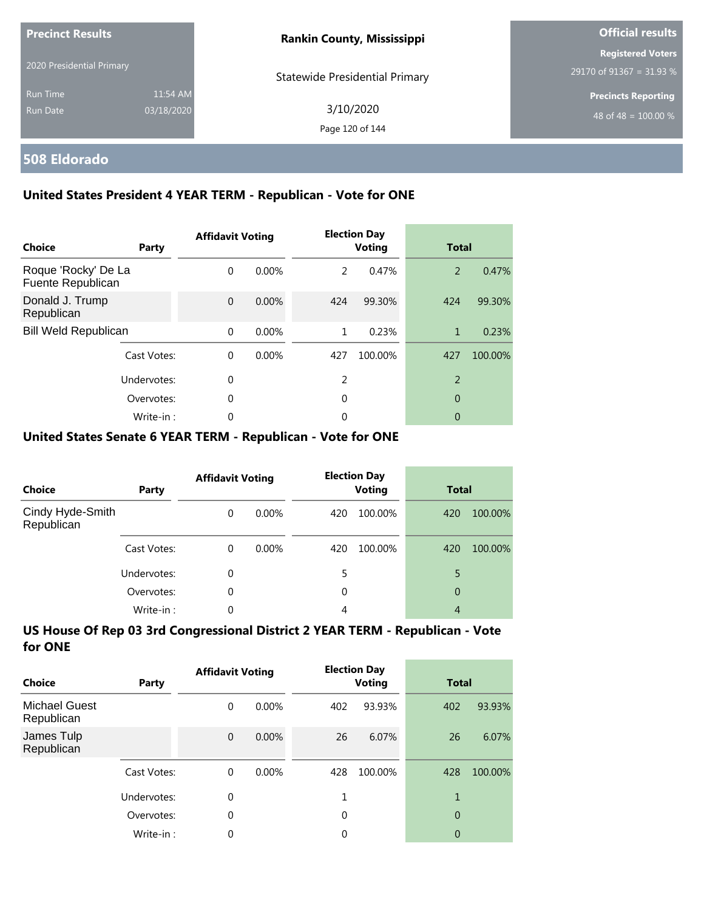| <b>Precinct Results</b><br>2020 Presidential Primary |                        | <b>Rankin County, Mississippi</b>     | <b>Official results</b>                              |  |  |
|------------------------------------------------------|------------------------|---------------------------------------|------------------------------------------------------|--|--|
|                                                      |                        | <b>Statewide Presidential Primary</b> | <b>Registered Voters</b><br>29170 of 91367 = 31.93 % |  |  |
| <b>Run Time</b><br>Run Date                          | 11:54 AM<br>03/18/2020 | 3/10/2020<br>Page 120 of 144          | <b>Precincts Reporting</b><br>48 of 48 = $100.00\%$  |  |  |

### **508 Eldorado**

### **United States President 4 YEAR TERM - Republican - Vote for ONE**

| <b>Choice</b>                            | Party       | <b>Affidavit Voting</b> |          |               | <b>Election Day</b><br><b>Voting</b> |                | <b>Total</b> |  |
|------------------------------------------|-------------|-------------------------|----------|---------------|--------------------------------------|----------------|--------------|--|
| Roque 'Rocky' De La<br>Fuente Republican |             | $\Omega$                | $0.00\%$ | $\mathcal{P}$ | 0.47%                                | 2              | 0.47%        |  |
| Donald J. Trump<br>Republican            |             | $\Omega$                | $0.00\%$ | 424           | 99.30%                               | 424            | 99.30%       |  |
| <b>Bill Weld Republican</b>              |             | $\Omega$                | $0.00\%$ | 1             | 0.23%                                | 1              | 0.23%        |  |
|                                          | Cast Votes: | $\Omega$                | $0.00\%$ | 427           | 100.00%                              | 427            | 100.00%      |  |
| Undervotes:                              |             | $\Omega$                |          | 2             |                                      | $\overline{2}$ |              |  |
|                                          | Overvotes:  | $\Omega$                |          | 0             |                                      | 0              |              |  |
|                                          | Write-in:   | 0                       |          | 0             |                                      | 0              |              |  |

#### **United States Senate 6 YEAR TERM - Republican - Vote for ONE**

| <b>Choice</b>                  | Party       | <b>Affidavit Voting</b> |          | <b>Election Day</b><br><b>Voting</b> |         | <b>Total</b> |         |
|--------------------------------|-------------|-------------------------|----------|--------------------------------------|---------|--------------|---------|
| Cindy Hyde-Smith<br>Republican |             | $\Omega$                | $0.00\%$ | 420                                  | 100.00% | 420          | 100.00% |
|                                | Cast Votes: | $\Omega$                | $0.00\%$ | 420                                  | 100.00% | 420          | 100.00% |
|                                | Undervotes: | 0                       |          |                                      |         | 5            |         |
|                                | Overvotes:  | $\Omega$                |          | 0                                    |         | 0            |         |
|                                | Write-in:   | 0                       |          | 4                                    |         | 4            |         |

| Choice                             | Party       | <b>Affidavit Voting</b> |          |             | <b>Election Day</b><br><b>Voting</b> |                | <b>Total</b> |  |
|------------------------------------|-------------|-------------------------|----------|-------------|--------------------------------------|----------------|--------------|--|
| <b>Michael Guest</b><br>Republican |             | 0                       | $0.00\%$ | 402         | 93.93%                               | 402            | 93.93%       |  |
| James Tulp<br>Republican           |             | $\overline{0}$          | $0.00\%$ | 26          | 6.07%                                | 26             | 6.07%        |  |
|                                    | Cast Votes: | $\Omega$                | $0.00\%$ | 428         | 100.00%                              | 428            | 100.00%      |  |
|                                    | Undervotes: | 0                       |          |             |                                      | 1              |              |  |
|                                    | Overvotes:  | 0                       |          | $\mathbf 0$ |                                      | $\overline{0}$ |              |  |
|                                    | Write-in:   | 0                       |          | 0           |                                      | 0              |              |  |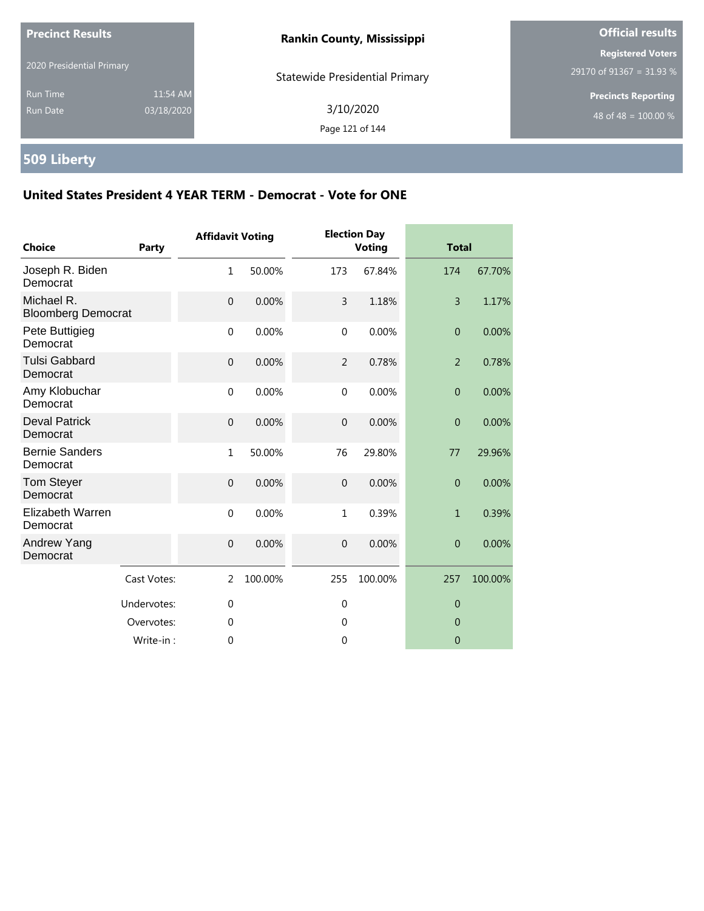| <b>Precinct Results</b>            |                        | <b>Rankin County, Mississippi</b>     | <b>Official results</b>                              |  |
|------------------------------------|------------------------|---------------------------------------|------------------------------------------------------|--|
| 2020 Presidential Primary          |                        | <b>Statewide Presidential Primary</b> | <b>Registered Voters</b><br>29170 of 91367 = 31.93 % |  |
| <b>Run Time</b><br><b>Run Date</b> | 11:54 AM<br>03/18/2020 | 3/10/2020<br>Page 121 of 144          | <b>Precincts Reporting</b><br>48 of 48 = $100.00\%$  |  |

# **509 Liberty**

| <b>Choice</b>                           | <b>Party</b> | <b>Affidavit Voting</b> |         |                | <b>Election Day</b><br><b>Voting</b> | <b>Total</b>   |         |
|-----------------------------------------|--------------|-------------------------|---------|----------------|--------------------------------------|----------------|---------|
| Joseph R. Biden<br>Democrat             |              | $\mathbf{1}$            | 50.00%  | 173            | 67.84%                               | 174            | 67.70%  |
| Michael R.<br><b>Bloomberg Democrat</b> |              | $\overline{0}$          | 0.00%   | 3              | 1.18%                                | $\overline{3}$ | 1.17%   |
| Pete Buttigieg<br>Democrat              |              | $\mathbf 0$             | 0.00%   | $\pmb{0}$      | 0.00%                                | $\theta$       | 0.00%   |
| <b>Tulsi Gabbard</b><br>Democrat        |              | $\mathbf{0}$            | 0.00%   | $\overline{2}$ | 0.78%                                | $\overline{2}$ | 0.78%   |
| Amy Klobuchar<br>Democrat               |              | $\mathbf{0}$            | 0.00%   | $\mathbf 0$    | 0.00%                                | $\theta$       | 0.00%   |
| <b>Deval Patrick</b><br>Democrat        |              | $\mathbf{0}$            | 0.00%   | $\mathbf 0$    | 0.00%                                | $\overline{0}$ | 0.00%   |
| <b>Bernie Sanders</b><br>Democrat       |              | $\mathbf{1}$            | 50.00%  | 76             | 29.80%                               | 77             | 29.96%  |
| Tom Steyer<br>Democrat                  |              | $\overline{0}$          | 0.00%   | $\overline{0}$ | 0.00%                                | $\overline{0}$ | 0.00%   |
| Elizabeth Warren<br>Democrat            |              | $\Omega$                | 0.00%   | $\mathbf{1}$   | 0.39%                                | $\mathbf{1}$   | 0.39%   |
| Andrew Yang<br>Democrat                 |              | $\mathbf{0}$            | 0.00%   | $\overline{0}$ | 0.00%                                | $\theta$       | 0.00%   |
|                                         | Cast Votes:  | 2                       | 100.00% | 255            | 100.00%                              | 257            | 100.00% |
|                                         | Undervotes:  | $\mathbf{0}$            |         | $\mathbf 0$    |                                      | $\theta$       |         |
|                                         | Overvotes:   | $\Omega$                |         | $\theta$       |                                      | $\overline{0}$ |         |
|                                         | Write-in:    | 0                       |         | 0              |                                      | $\mathbf 0$    |         |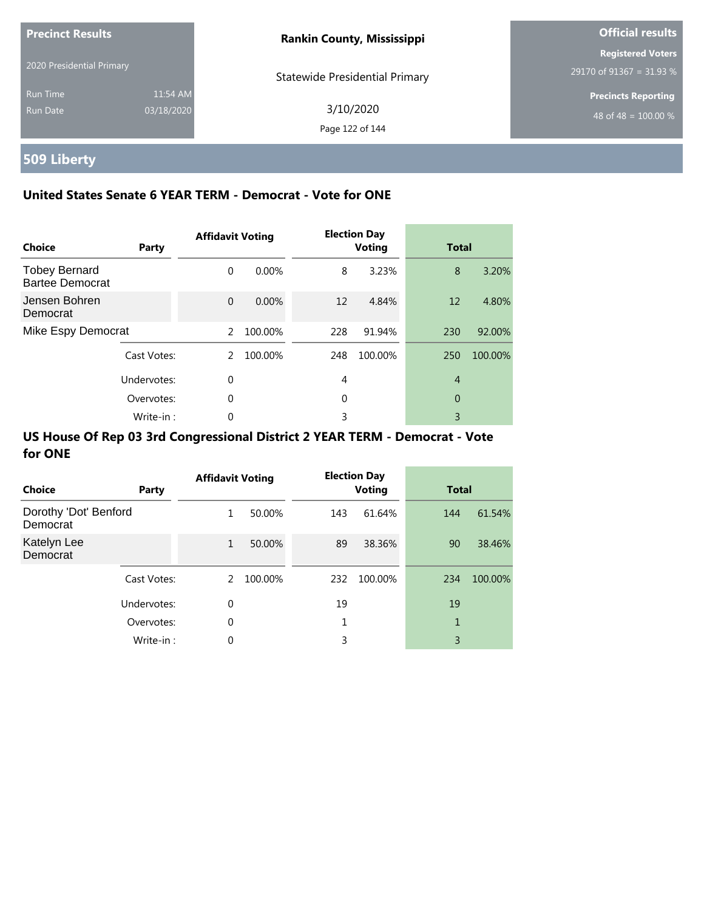| <b>Precinct Results</b>   |            | <b>Rankin County, Mississippi</b>     | <b>Official results</b>          |  |
|---------------------------|------------|---------------------------------------|----------------------------------|--|
|                           |            |                                       | <b>Registered Voters</b>         |  |
| 2020 Presidential Primary |            | <b>Statewide Presidential Primary</b> | 29170 of 91367 = 31.93 %         |  |
| <b>Run Time</b>           | 11:54 AM   |                                       | <b>Precincts Reporting</b>       |  |
| Run Date                  | 03/18/2020 | 3/10/2020                             | 48 of 48 = $\overline{100.00\%}$ |  |
|                           |            | Page 122 of 144                       |                                  |  |

# **509 Liberty**

### **United States Senate 6 YEAR TERM - Democrat - Vote for ONE**

| <b>Choice</b>                           | Party       | <b>Affidavit Voting</b> |          |     | <b>Election Day</b><br><b>Voting</b> | <b>Total</b>   |         |
|-----------------------------------------|-------------|-------------------------|----------|-----|--------------------------------------|----------------|---------|
| <b>Tobey Bernard</b><br>Bartee Democrat |             | $\Omega$                | $0.00\%$ | 8   | 3.23%                                | 8              | 3.20%   |
| Jensen Bohren<br>Democrat               |             | $\Omega$                | $0.00\%$ | 12  | 4.84%                                | 12             | 4.80%   |
| Mike Espy Democrat                      |             | $\mathcal{P}$           | 100.00%  | 228 | 91.94%                               | 230            | 92.00%  |
|                                         | Cast Votes: | 2                       | 100.00%  | 248 | 100.00%                              | 250            | 100.00% |
|                                         | Undervotes: | $\Omega$                |          | 4   |                                      | $\overline{4}$ |         |
|                                         | Overvotes:  | $\Omega$                |          | 0   |                                      | 0              |         |
|                                         | Write-in:   | 0                       |          | 3   |                                      | 3              |         |

| Choice                            | Party       | <b>Affidavit Voting</b> |         |     | <b>Election Day</b><br><b>Voting</b> | <b>Total</b> |         |
|-----------------------------------|-------------|-------------------------|---------|-----|--------------------------------------|--------------|---------|
| Dorothy 'Dot' Benford<br>Democrat |             | 1                       | 50.00%  | 143 | 61.64%                               | 144          | 61.54%  |
| Katelyn Lee<br>Democrat           |             | $\mathbf{1}$            | 50.00%  | 89  | 38.36%                               | 90           | 38.46%  |
|                                   | Cast Votes: | 2                       | 100.00% | 232 | 100.00%                              | 234          | 100.00% |
|                                   | Undervotes: | $\mathbf 0$             |         | 19  |                                      | 19           |         |
|                                   | Overvotes:  | $\mathbf 0$             |         | 1   |                                      | 1            |         |
|                                   | Write-in:   | $\Omega$                |         | 3   |                                      | 3            |         |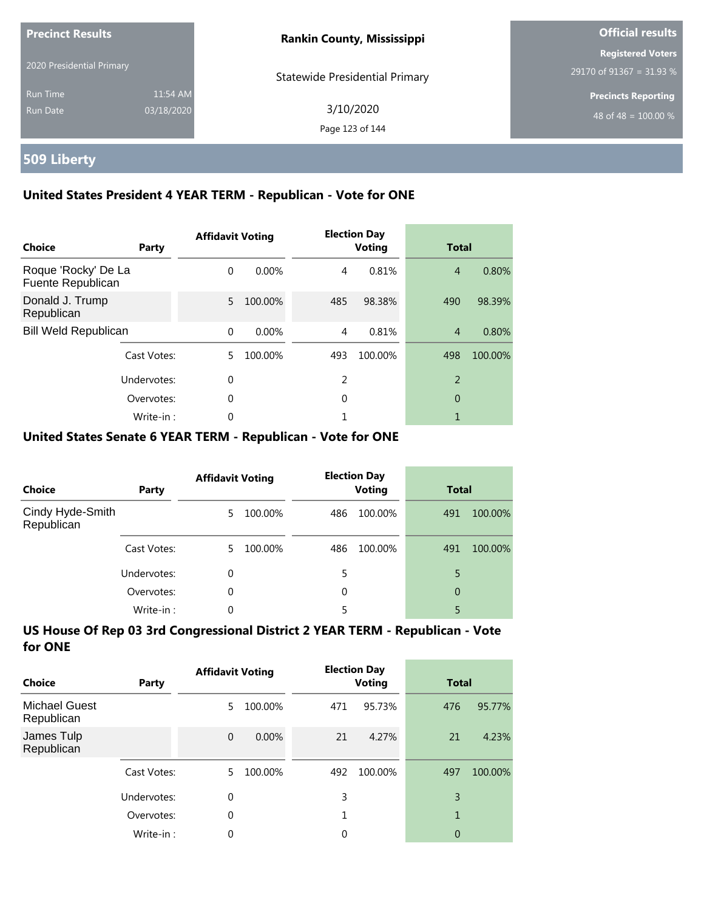| <b>Precinct Results</b>     |                        | <b>Rankin County, Mississippi</b>     | Official results                                               |  |  |
|-----------------------------|------------------------|---------------------------------------|----------------------------------------------------------------|--|--|
| 2020 Presidential Primary   |                        | <b>Statewide Presidential Primary</b> | <b>Registered Voters</b><br>29170 of 91367 = 31.93 %           |  |  |
| <b>Run Time</b><br>Run Date | 11:54 AM<br>03/18/2020 | 3/10/2020<br>Page 123 of 144          | <b>Precincts Reporting</b><br>48 of 48 = $\overline{100.00\%}$ |  |  |

### **509 Liberty**

### **United States President 4 YEAR TERM - Republican - Vote for ONE**

| Choice                                   | Party       | <b>Affidavit Voting</b> |          |     | <b>Election Day</b><br><b>Voting</b> | <b>Total</b>   |         |
|------------------------------------------|-------------|-------------------------|----------|-----|--------------------------------------|----------------|---------|
| Roque 'Rocky' De La<br>Fuente Republican |             | $\Omega$                | $0.00\%$ | 4   | 0.81%                                | $\overline{4}$ | 0.80%   |
| Donald J. Trump<br>Republican            |             | 5.                      | 100.00%  | 485 | 98.38%                               | 490            | 98.39%  |
| <b>Bill Weld Republican</b>              |             | $\Omega$                | 0.00%    | 4   | 0.81%                                | $\overline{4}$ | 0.80%   |
|                                          | Cast Votes: | 5.                      | 100.00%  | 493 | 100.00%                              | 498            | 100.00% |
|                                          | Undervotes: | $\Omega$                |          | 2   |                                      | $\overline{2}$ |         |
|                                          | Overvotes:  | $\Omega$                |          | 0   |                                      | 0              |         |
|                                          | Write-in:   | 0                       |          |     |                                      |                |         |

#### **United States Senate 6 YEAR TERM - Republican - Vote for ONE**

| Choice                         | Party       | <b>Affidavit Voting</b> |         |     | <b>Election Day</b><br><b>Voting</b> | <b>Total</b> |         |
|--------------------------------|-------------|-------------------------|---------|-----|--------------------------------------|--------------|---------|
| Cindy Hyde-Smith<br>Republican |             | 5.                      | 100.00% | 486 | 100.00%                              | 491          | 100.00% |
|                                | Cast Votes: | 5.                      | 100.00% | 486 | 100.00%                              | 491          | 100.00% |
|                                | Undervotes: | 0                       |         | 5   |                                      | 5            |         |
|                                | Overvotes:  | 0                       |         | 0   |                                      | 0            |         |
|                                | Write-in:   | 0                       |         |     |                                      | 5            |         |

| Choice                             | <b>Party</b> | <b>Affidavit Voting</b> |          |     | <b>Election Day</b><br><b>Voting</b> | <b>Total</b> |         |
|------------------------------------|--------------|-------------------------|----------|-----|--------------------------------------|--------------|---------|
| <b>Michael Guest</b><br>Republican |              | 5                       | 100.00%  | 471 | 95.73%                               | 476          | 95.77%  |
| James Tulp<br>Republican           |              | $\overline{0}$          | $0.00\%$ | 21  | 4.27%                                | 21           | 4.23%   |
|                                    | Cast Votes:  | 5                       | 100.00%  | 492 | 100.00%                              | 497          | 100.00% |
|                                    | Undervotes:  | 0                       |          | 3   |                                      | 3            |         |
|                                    | Overvotes:   | 0                       |          |     |                                      | 1            |         |
|                                    | Write-in:    | 0                       |          | 0   |                                      | 0            |         |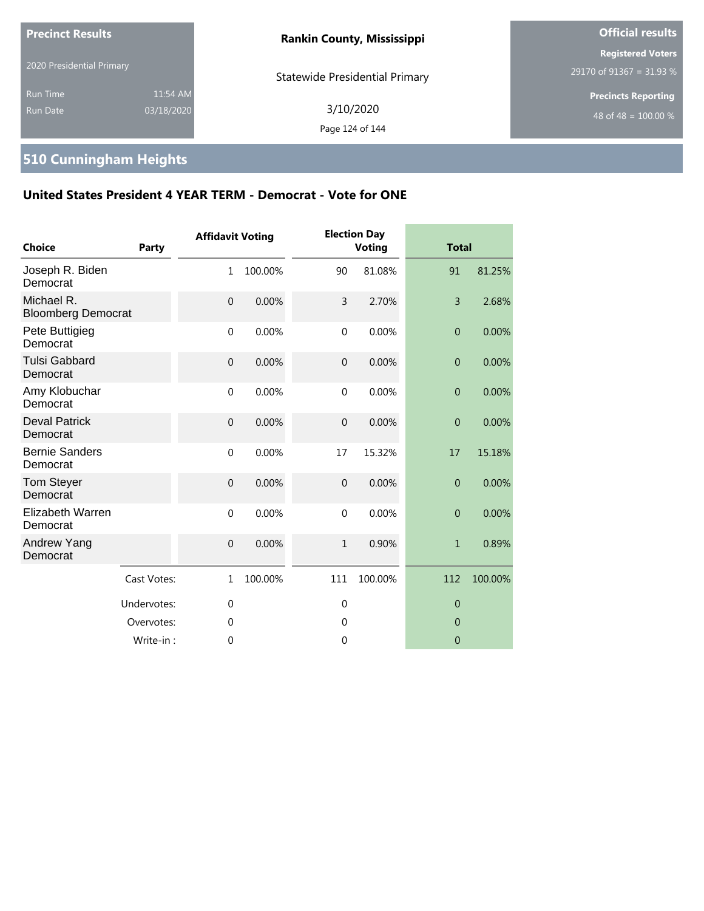| <b>Precinct Results</b>            |                        | <b>Rankin County, Mississippi</b>     | <b>Official results</b>                              |  |
|------------------------------------|------------------------|---------------------------------------|------------------------------------------------------|--|
| 2020 Presidential Primary          |                        | <b>Statewide Presidential Primary</b> | <b>Registered Voters</b><br>29170 of 91367 = 31.93 % |  |
| <b>Run Time</b><br><b>Run Date</b> | 11:54 AM<br>03/18/2020 | 3/10/2020<br>Page 124 of 144          | <b>Precincts Reporting</b><br>48 of 48 = $100.00\%$  |  |

# **510 Cunningham Heights**

| Choice                                  | Party       | <b>Affidavit Voting</b> |         |                | <b>Election Day</b><br><b>Voting</b> | <b>Total</b>     |         |
|-----------------------------------------|-------------|-------------------------|---------|----------------|--------------------------------------|------------------|---------|
| Joseph R. Biden<br>Democrat             |             | $\mathbf{1}$            | 100.00% | 90             | 81.08%                               | 91               | 81.25%  |
| Michael R.<br><b>Bloomberg Democrat</b> |             | $\mathbf 0$             | 0.00%   | 3              | 2.70%                                | 3                | 2.68%   |
| Pete Buttigieg<br>Democrat              |             | $\mathbf 0$             | 0.00%   | $\mathbf 0$    | 0.00%                                | $\overline{0}$   | 0.00%   |
| <b>Tulsi Gabbard</b><br>Democrat        |             | $\mathbf 0$             | 0.00%   | $\overline{0}$ | 0.00%                                | $\overline{0}$   | 0.00%   |
| Amy Klobuchar<br>Democrat               |             | $\mathbf 0$             | 0.00%   | $\mathbf{0}$   | 0.00%                                | $\boldsymbol{0}$ | 0.00%   |
| <b>Deval Patrick</b><br>Democrat        |             | $\mathbf 0$             | 0.00%   | $\mathbf{0}$   | 0.00%                                | $\overline{0}$   | 0.00%   |
| <b>Bernie Sanders</b><br>Democrat       |             | $\mathbf 0$             | 0.00%   | 17             | 15.32%                               | 17               | 15.18%  |
| <b>Tom Steyer</b><br>Democrat           |             | $\overline{0}$          | 0.00%   | $\theta$       | 0.00%                                | $\overline{0}$   | 0.00%   |
| <b>Elizabeth Warren</b><br>Democrat     |             | $\mathbf 0$             | 0.00%   | $\mathbf 0$    | 0.00%                                | $\overline{0}$   | 0.00%   |
| Andrew Yang<br>Democrat                 |             | $\boldsymbol{0}$        | 0.00%   | $\mathbf{1}$   | 0.90%                                | $\mathbf{1}$     | 0.89%   |
|                                         | Cast Votes: | $\mathbf{1}$            | 100.00% | 111            | 100.00%                              | 112              | 100.00% |
|                                         | Undervotes: | $\mathbf 0$             |         | 0              |                                      | $\theta$         |         |
|                                         | Overvotes:  | $\mathbf 0$             |         | 0              |                                      | $\theta$         |         |
|                                         | Write-in:   | $\mathbf{0}$            |         | 0              |                                      | $\overline{0}$   |         |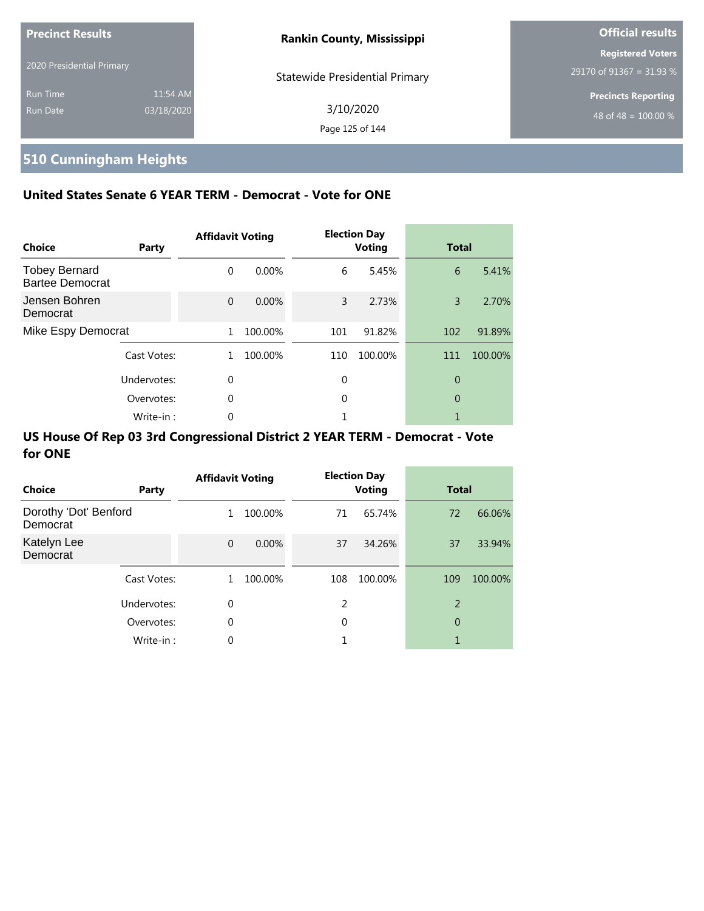| <b>Precinct Results</b>     |                        | <b>Rankin County, Mississippi</b>     | <b>Official results</b>                              |  |
|-----------------------------|------------------------|---------------------------------------|------------------------------------------------------|--|
| 2020 Presidential Primary   |                        | <b>Statewide Presidential Primary</b> | <b>Registered Voters</b><br>29170 of 91367 = 31.93 % |  |
| <b>Run Time</b><br>Run Date | 11:54 AM<br>03/18/2020 | 3/10/2020<br>Page 125 of 144          | <b>Precincts Reporting</b><br>48 of 48 = $100.00\%$  |  |

# **510 Cunningham Heights**

### **United States Senate 6 YEAR TERM - Democrat - Vote for ONE**

| <b>Choice</b>                                  | Party       | <b>Affidavit Voting</b> |          |     | <b>Election Day</b><br><b>Voting</b> | <b>Total</b> |         |
|------------------------------------------------|-------------|-------------------------|----------|-----|--------------------------------------|--------------|---------|
| <b>Tobey Bernard</b><br><b>Bartee Democrat</b> |             | 0                       | $0.00\%$ | 6   | 5.45%                                | 6            | 5.41%   |
| Jensen Bohren<br>Democrat                      |             | $\Omega$                | $0.00\%$ | 3   | 2.73%                                | 3            | 2.70%   |
| Mike Espy Democrat                             |             | 1                       | 100.00%  | 101 | 91.82%                               | 102          | 91.89%  |
|                                                | Cast Votes: | 1                       | 100.00%  | 110 | 100.00%                              | 111          | 100.00% |
|                                                | Undervotes: | $\Omega$                |          | 0   |                                      | 0            |         |
|                                                | Overvotes:  | $\Omega$                |          | 0   |                                      | 0            |         |
|                                                | Write-in:   | 0                       |          |     |                                      |              |         |

| Choice                            | Party       | <b>Affidavit Voting</b> |         |     | <b>Election Day</b><br><b>Voting</b> | <b>Total</b> |         |
|-----------------------------------|-------------|-------------------------|---------|-----|--------------------------------------|--------------|---------|
| Dorothy 'Dot' Benford<br>Democrat |             | 1                       | 100.00% | 71  | 65.74%                               | 72           | 66.06%  |
| Katelyn Lee<br>Democrat           |             | $\Omega$                | 0.00%   | 37  | 34.26%                               | 37           | 33.94%  |
|                                   | Cast Votes: | 1                       | 100.00% | 108 | 100.00%                              | 109          | 100.00% |
|                                   | Undervotes: | 0                       |         | 2   |                                      | 2            |         |
|                                   | Overvotes:  | 0                       |         | 0   |                                      | 0            |         |
|                                   | Write-in:   | 0                       |         |     |                                      | 1            |         |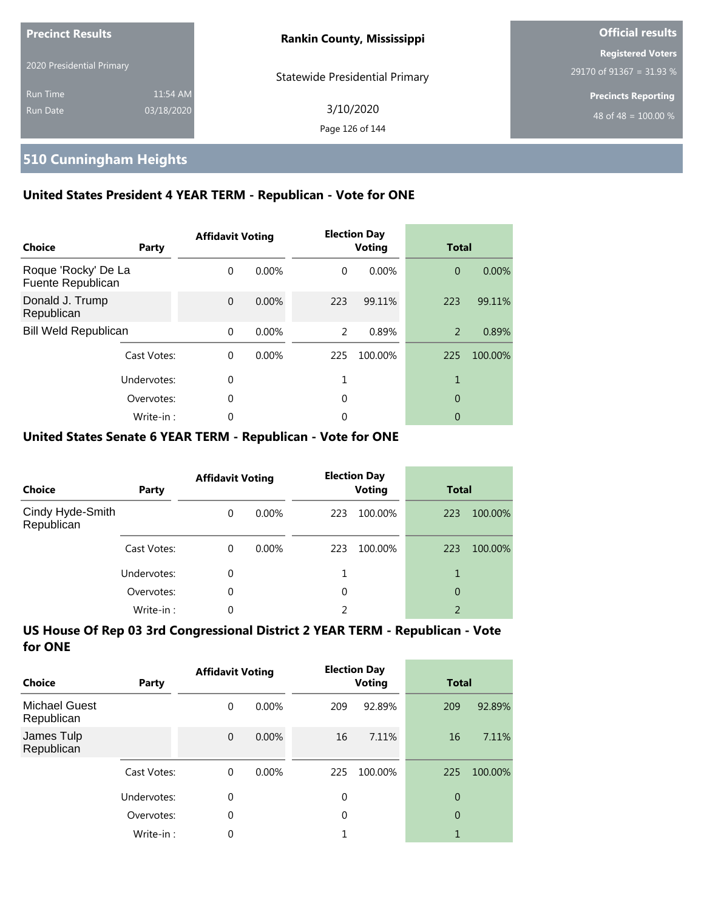| <b>Precinct Results</b><br>2020 Presidential Primary |                        | <b>Rankin County, Mississippi</b>     | <b>Official results</b>                                        |
|------------------------------------------------------|------------------------|---------------------------------------|----------------------------------------------------------------|
|                                                      |                        | <b>Statewide Presidential Primary</b> | Registered Voters<br>29170 of 91367 = 31.93 %                  |
| <b>Run Time</b><br>Run Date                          | 11:54 AM<br>03/18/2020 | 3/10/2020<br>Page 126 of 144          | <b>Precincts Reporting</b><br>48 of 48 = $\overline{100.00\%}$ |

### **510 Cunningham Heights**

### **United States President 4 YEAR TERM - Republican - Vote for ONE**

| Choice                                   | Party       | <b>Affidavit Voting</b> |          |          | <b>Election Day</b><br><b>Voting</b> | <b>Total</b>   |         |
|------------------------------------------|-------------|-------------------------|----------|----------|--------------------------------------|----------------|---------|
| Roque 'Rocky' De La<br>Fuente Republican |             | $\Omega$                | $0.00\%$ | $\Omega$ | 0.00%                                | $\overline{0}$ | 0.00%   |
| Donald J. Trump<br>Republican            |             | $\Omega$                | $0.00\%$ | 223      | 99.11%                               | 223            | 99.11%  |
| <b>Bill Weld Republican</b>              |             | $\Omega$                | $0.00\%$ | 2        | 0.89%                                | 2              | 0.89%   |
|                                          | Cast Votes: | $\Omega$                | $0.00\%$ | 225      | 100.00%                              | 225            | 100.00% |
|                                          | Undervotes: | $\Omega$                |          |          |                                      | 1              |         |
|                                          | Overvotes:  | $\Omega$                |          | 0        |                                      | 0              |         |
|                                          | Write-in:   | 0                       |          | 0        |                                      | 0              |         |

#### **United States Senate 6 YEAR TERM - Republican - Vote for ONE**

| <b>Choice</b>                  | Party       | <b>Affidavit Voting</b> |          |     | <b>Election Day</b><br><b>Voting</b> | <b>Total</b>   |         |
|--------------------------------|-------------|-------------------------|----------|-----|--------------------------------------|----------------|---------|
| Cindy Hyde-Smith<br>Republican |             | $\Omega$                | $0.00\%$ | 223 | 100.00%                              | 223            | 100.00% |
|                                | Cast Votes: | $\Omega$                | $0.00\%$ | 223 | 100.00%                              | 223            | 100.00% |
|                                | Undervotes: | 0                       |          |     |                                      |                |         |
|                                | Overvotes:  | $\Omega$                |          | 0   |                                      | 0              |         |
|                                | Write-in:   | 0                       |          | 2   |                                      | $\overline{2}$ |         |

| Choice                             | Party       | <b>Affidavit Voting</b> |          |             | <b>Election Day</b><br><b>Voting</b> | <b>Total</b>   |         |
|------------------------------------|-------------|-------------------------|----------|-------------|--------------------------------------|----------------|---------|
| <b>Michael Guest</b><br>Republican |             | 0                       | $0.00\%$ | 209         | 92.89%                               | 209            | 92.89%  |
| James Tulp<br>Republican           |             | $\mathbf{0}$            | $0.00\%$ | 16          | 7.11%                                | 16             | 7.11%   |
|                                    | Cast Votes: | $\Omega$                | $0.00\%$ | 225         | 100.00%                              | 225            | 100.00% |
|                                    | Undervotes: | 0                       |          | $\mathbf 0$ |                                      | 0              |         |
|                                    | Overvotes:  | $\theta$                |          | 0           |                                      | $\overline{0}$ |         |
|                                    | Write-in:   | 0                       |          |             |                                      |                |         |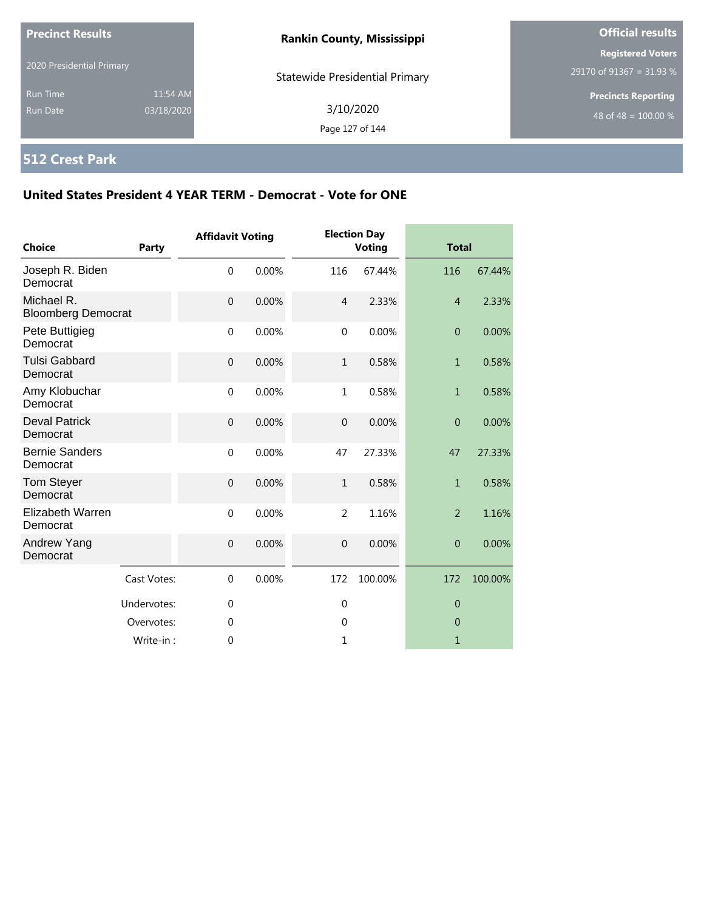| <b>Precinct Results</b>            |                        | <b>Rankin County, Mississippi</b>     | <b>Official results</b>                              |
|------------------------------------|------------------------|---------------------------------------|------------------------------------------------------|
| 2020 Presidential Primary          |                        | <b>Statewide Presidential Primary</b> | <b>Registered Voters</b><br>29170 of 91367 = 31.93 % |
| <b>Run Time</b><br><b>Run Date</b> | 11:54 AM<br>03/18/2020 | 3/10/2020<br>Page 127 of 144          | <b>Precincts Reporting</b><br>48 of 48 = $100.00\%$  |

# **512 Crest Park**

| <b>Choice</b>                           | Party       | <b>Affidavit Voting</b> |       |                | <b>Election Day</b><br><b>Voting</b> | <b>Total</b>   |         |
|-----------------------------------------|-------------|-------------------------|-------|----------------|--------------------------------------|----------------|---------|
| Joseph R. Biden<br>Democrat             |             | $\mathbf 0$             | 0.00% | 116            | 67.44%                               | 116            | 67.44%  |
| Michael R.<br><b>Bloomberg Democrat</b> |             | $\mathbf{0}$            | 0.00% | $\overline{4}$ | 2.33%                                | $\overline{4}$ | 2.33%   |
| Pete Buttigieg<br>Democrat              |             | $\mathbf 0$             | 0.00% | $\mathbf 0$    | 0.00%                                | $\overline{0}$ | 0.00%   |
| <b>Tulsi Gabbard</b><br>Democrat        |             | $\mathbf{0}$            | 0.00% | $\mathbf{1}$   | 0.58%                                | $\mathbf{1}$   | 0.58%   |
| Amy Klobuchar<br>Democrat               |             | $\mathbf{0}$            | 0.00% | $\mathbf{1}$   | 0.58%                                | $\mathbf{1}$   | 0.58%   |
| <b>Deval Patrick</b><br>Democrat        |             | $\mathbf{0}$            | 0.00% | $\mathbf 0$    | 0.00%                                | $\overline{0}$ | 0.00%   |
| <b>Bernie Sanders</b><br>Democrat       |             | $\mathbf 0$             | 0.00% | 47             | 27.33%                               | 47             | 27.33%  |
| <b>Tom Steyer</b><br>Democrat           |             | $\overline{0}$          | 0.00% | $\mathbf{1}$   | 0.58%                                | $\mathbf{1}$   | 0.58%   |
| Elizabeth Warren<br>Democrat            |             | $\mathbf 0$             | 0.00% | $\overline{2}$ | 1.16%                                | $\overline{2}$ | 1.16%   |
| Andrew Yang<br>Democrat                 |             | $\boldsymbol{0}$        | 0.00% | $\mathbf 0$    | 0.00%                                | $\theta$       | 0.00%   |
|                                         | Cast Votes: | $\mathbf 0$             | 0.00% | 172            | 100.00%                              | 172            | 100.00% |
|                                         | Undervotes: | $\mathbf 0$             |       | $\mathbf 0$    |                                      | $\theta$       |         |
|                                         | Overvotes:  | 0                       |       | 0              |                                      | $\theta$       |         |
|                                         | Write-in:   | $\mathbf 0$             |       | 1              |                                      | $\mathbf{1}$   |         |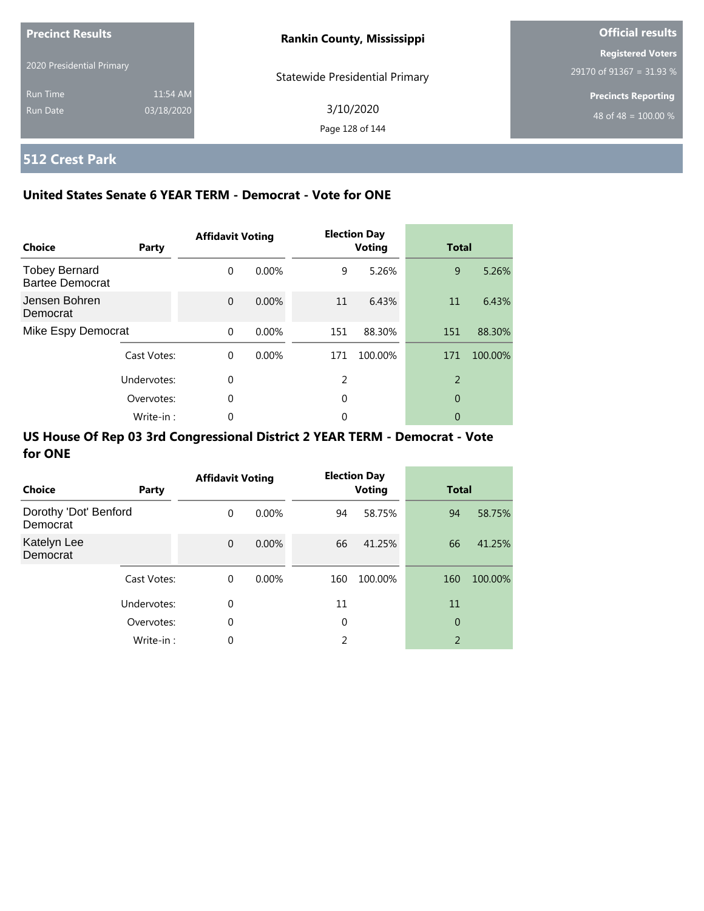| <b>Precinct Results</b>   |            | <b>Rankin County, Mississippi</b>     | <b>Official results</b>    |
|---------------------------|------------|---------------------------------------|----------------------------|
|                           |            |                                       | <b>Registered Voters</b>   |
| 2020 Presidential Primary |            | <b>Statewide Presidential Primary</b> | 29170 of 91367 = 31.93 %   |
| <b>Run Time</b>           | 11:54 AM   |                                       | <b>Precincts Reporting</b> |
| Run Date                  | 03/18/2020 | 3/10/2020                             | 48 of 48 = $100.00\%$      |
|                           |            | Page 128 of 144                       |                            |

# **512 Crest Park**

### **United States Senate 6 YEAR TERM - Democrat - Vote for ONE**

| Choice                                         | Party       | <b>Affidavit Voting</b> |          |     | <b>Election Day</b><br><b>Voting</b> | <b>Total</b>   |         |
|------------------------------------------------|-------------|-------------------------|----------|-----|--------------------------------------|----------------|---------|
| <b>Tobey Bernard</b><br><b>Bartee Democrat</b> |             | $\Omega$                | $0.00\%$ | 9   | 5.26%                                | 9              | 5.26%   |
| Jensen Bohren<br>Democrat                      |             | $\Omega$                | $0.00\%$ | 11  | 6.43%                                | 11             | 6.43%   |
| Mike Espy Democrat                             |             | $\Omega$                | 0.00%    | 151 | 88.30%                               | 151            | 88.30%  |
|                                                | Cast Votes: | $\Omega$                | $0.00\%$ | 171 | 100.00%                              | 171            | 100.00% |
|                                                | Undervotes: | $\Omega$                |          | 2   |                                      | $\overline{2}$ |         |
|                                                | Overvotes:  | $\Omega$                |          | 0   |                                      | 0              |         |
|                                                | Write-in:   | 0                       |          | 0   |                                      | 0              |         |

| Choice                            | Party       | <b>Affidavit Voting</b> |          |     | <b>Election Day</b><br><b>Voting</b> | <b>Total</b>   |         |
|-----------------------------------|-------------|-------------------------|----------|-----|--------------------------------------|----------------|---------|
| Dorothy 'Dot' Benford<br>Democrat |             | $\Omega$                | $0.00\%$ | 94  | 58.75%                               | 94             | 58.75%  |
| Katelyn Lee<br>Democrat           |             | $\Omega$                | $0.00\%$ | 66  | 41.25%                               | 66             | 41.25%  |
|                                   | Cast Votes: | $\mathbf 0$             | $0.00\%$ | 160 | 100.00%                              | 160            | 100.00% |
|                                   | Undervotes: | 0                       |          | 11  |                                      | 11             |         |
|                                   | Overvotes:  | 0                       |          | 0   |                                      | $\overline{0}$ |         |
|                                   | Write-in:   | 0                       |          | C.  |                                      | $\overline{2}$ |         |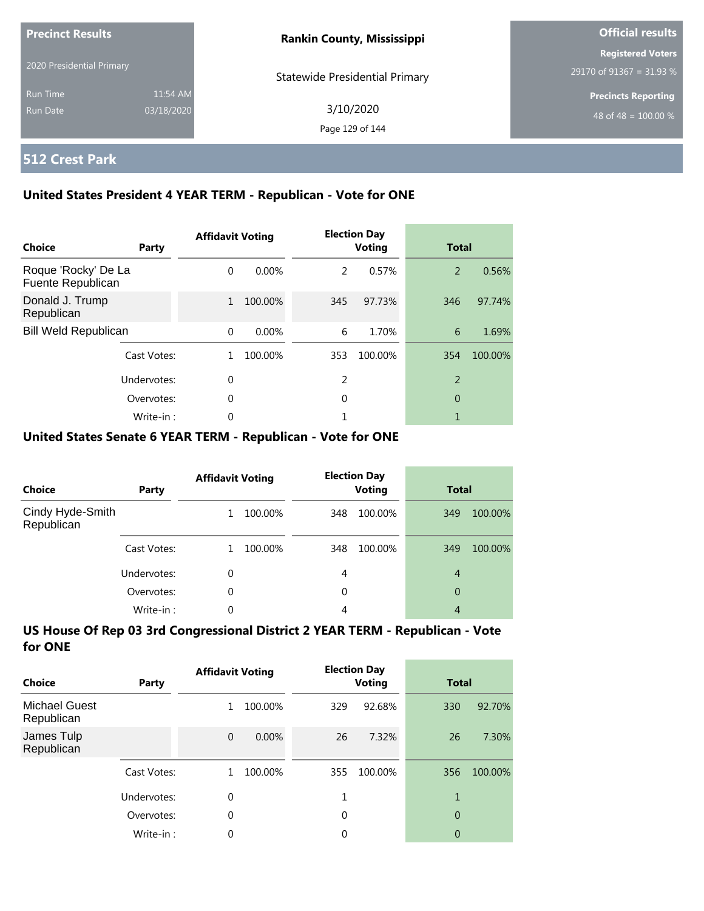| <b>Precinct Results</b><br>2020 Presidential Primary |                        | <b>Rankin County, Mississippi</b>     | <b>Official results</b>                              |
|------------------------------------------------------|------------------------|---------------------------------------|------------------------------------------------------|
|                                                      |                        | <b>Statewide Presidential Primary</b> | <b>Registered Voters</b><br>29170 of 91367 = 31.93 % |
| <b>Run Time</b><br>Run Date                          | 11:54 AM<br>03/18/2020 | 3/10/2020<br>Page 129 of 144          | <b>Precincts Reporting</b><br>48 of 48 = $100.00\%$  |

### **512 Crest Park**

### **United States President 4 YEAR TERM - Republican - Vote for ONE**

| Choice                                   | Party       | <b>Affidavit Voting</b> |          |     | <b>Election Day</b><br><b>Voting</b> |                | <b>Total</b> |  |
|------------------------------------------|-------------|-------------------------|----------|-----|--------------------------------------|----------------|--------------|--|
| Roque 'Rocky' De La<br>Fuente Republican |             | $\Omega$                | $0.00\%$ | 2   | 0.57%                                | 2              | 0.56%        |  |
| Donald J. Trump<br>Republican            |             | $\mathbf{1}$            | 100.00%  | 345 | 97.73%                               | 346            | 97.74%       |  |
| <b>Bill Weld Republican</b>              |             | $\Omega$                | 0.00%    | 6   | 1.70%                                | 6              | 1.69%        |  |
|                                          | Cast Votes: |                         | 100.00%  | 353 | 100.00%                              | 354            | 100.00%      |  |
|                                          | Undervotes: | $\Omega$                |          | 2   |                                      | $\overline{2}$ |              |  |
|                                          | Overvotes:  | $\Omega$                |          | 0   |                                      | 0              |              |  |
|                                          | Write-in:   |                         |          |     |                                      |                |              |  |

### **United States Senate 6 YEAR TERM - Republican - Vote for ONE**

| Choice                         | Party       | <b>Affidavit Voting</b> |         | <b>Election Day</b><br><b>Voting</b> |         | <b>Total</b> |         |
|--------------------------------|-------------|-------------------------|---------|--------------------------------------|---------|--------------|---------|
| Cindy Hyde-Smith<br>Republican |             |                         | 100.00% | 348                                  | 100.00% | 349          | 100.00% |
|                                | Cast Votes: |                         | 100.00% | 348                                  | 100.00% | 349          | 100.00% |
|                                | Undervotes: | 0                       |         | 4                                    |         | 4            |         |
|                                | Overvotes:  | 0                       |         | 0                                    |         | 0            |         |
|                                | Write-in:   | 0                       |         | 4                                    |         | 4            |         |

| Choice                             | Party       | <b>Affidavit Voting</b> |         |             | <b>Election Day</b><br>Voting |                | <b>Total</b> |  |
|------------------------------------|-------------|-------------------------|---------|-------------|-------------------------------|----------------|--------------|--|
| <b>Michael Guest</b><br>Republican |             | 1                       | 100.00% | 329         | 92.68%                        | 330            | 92.70%       |  |
| James Tulp<br>Republican           |             | $\mathbf{0}$            | 0.00%   | 26          | 7.32%                         | 26             | 7.30%        |  |
|                                    | Cast Votes: | 1                       | 100.00% | 355         | 100.00%                       | 356            | 100.00%      |  |
|                                    | Undervotes: | 0                       |         | 1           |                               | 1              |              |  |
|                                    | Overvotes:  | $\theta$                |         | $\mathbf 0$ |                               | $\overline{0}$ |              |  |
|                                    | Write-in:   | 0                       |         | 0           |                               | 0              |              |  |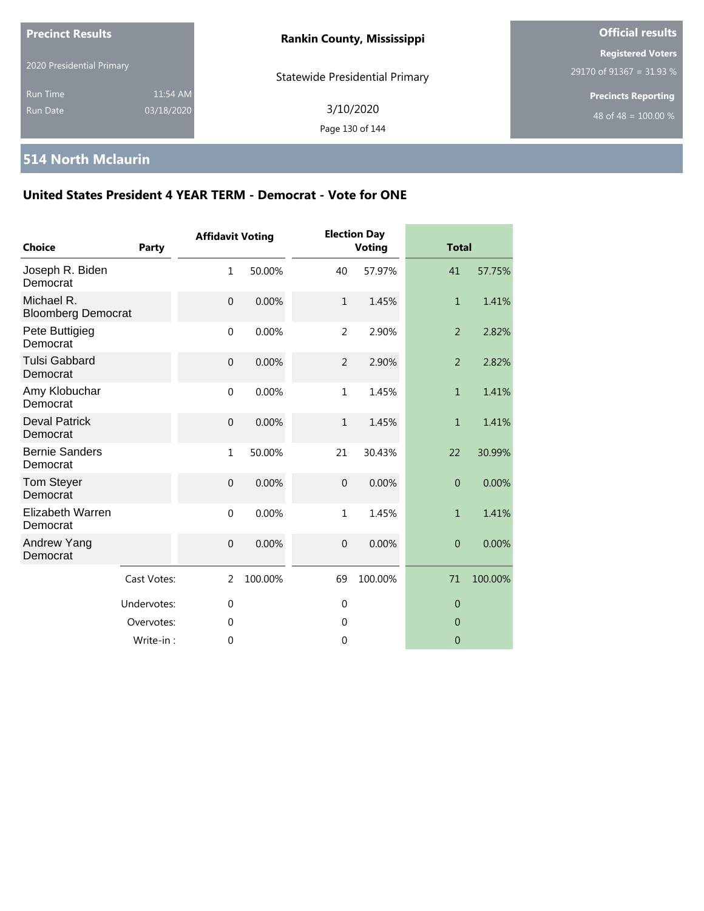| <b>Precinct Results</b>            |                        | <b>Rankin County, Mississippi</b>     | <b>Official results</b>                              |  |
|------------------------------------|------------------------|---------------------------------------|------------------------------------------------------|--|
| 2020 Presidential Primary          |                        | <b>Statewide Presidential Primary</b> | <b>Registered Voters</b><br>29170 of 91367 = 31.93 % |  |
| <b>Run Time</b><br><b>Run Date</b> | 11:54 AM<br>03/18/2020 | 3/10/2020<br>Page 130 of 144          | <b>Precincts Reporting</b><br>48 of 48 = $100.00\%$  |  |

### **514 North Mclaurin**

| Choice                                  | Party       | <b>Affidavit Voting</b> |         |                | <b>Election Day</b><br><b>Voting</b> |                | <b>Total</b> |  |
|-----------------------------------------|-------------|-------------------------|---------|----------------|--------------------------------------|----------------|--------------|--|
| Joseph R. Biden<br>Democrat             |             | $\mathbf{1}$            | 50.00%  | 40             | 57.97%                               | 41             | 57.75%       |  |
| Michael R.<br><b>Bloomberg Democrat</b> |             | $\mathbf 0$             | 0.00%   | $\mathbf{1}$   | 1.45%                                | $\mathbf{1}$   | 1.41%        |  |
| Pete Buttigieg<br>Democrat              |             | $\mathbf 0$             | 0.00%   | 2              | 2.90%                                | $\overline{2}$ | 2.82%        |  |
| <b>Tulsi Gabbard</b><br>Democrat        |             | $\mathbf 0$             | 0.00%   | $\overline{2}$ | 2.90%                                | $\overline{2}$ | 2.82%        |  |
| Amy Klobuchar<br>Democrat               |             | $\mathbf{0}$            | 0.00%   | $\mathbf{1}$   | 1.45%                                | 1              | 1.41%        |  |
| <b>Deval Patrick</b><br>Democrat        |             | $\mathbf 0$             | 0.00%   | $\mathbf{1}$   | 1.45%                                | $\mathbf{1}$   | 1.41%        |  |
| <b>Bernie Sanders</b><br>Democrat       |             | $\mathbf{1}$            | 50.00%  | 21             | 30.43%                               | 22             | 30.99%       |  |
| Tom Steyer<br>Democrat                  |             | $\mathbf 0$             | 0.00%   | $\mathbf{0}$   | 0.00%                                | $\overline{0}$ | 0.00%        |  |
| <b>Elizabeth Warren</b><br>Democrat     |             | $\mathbf 0$             | 0.00%   | $\mathbf{1}$   | 1.45%                                | $\mathbf{1}$   | 1.41%        |  |
| Andrew Yang<br>Democrat                 |             | $\mathbf 0$             | 0.00%   | $\overline{0}$ | 0.00%                                | $\overline{0}$ | 0.00%        |  |
|                                         | Cast Votes: | $\overline{2}$          | 100.00% | 69             | 100.00%                              | 71             | 100.00%      |  |
|                                         | Undervotes: | $\mathbf 0$             |         | 0              |                                      | $\overline{0}$ |              |  |
|                                         | Overvotes:  | $\mathbf 0$             |         | $\mathbf{0}$   |                                      | $\overline{0}$ |              |  |
|                                         | Write-in:   | $\Omega$                |         | $\mathbf 0$    |                                      | $\overline{0}$ |              |  |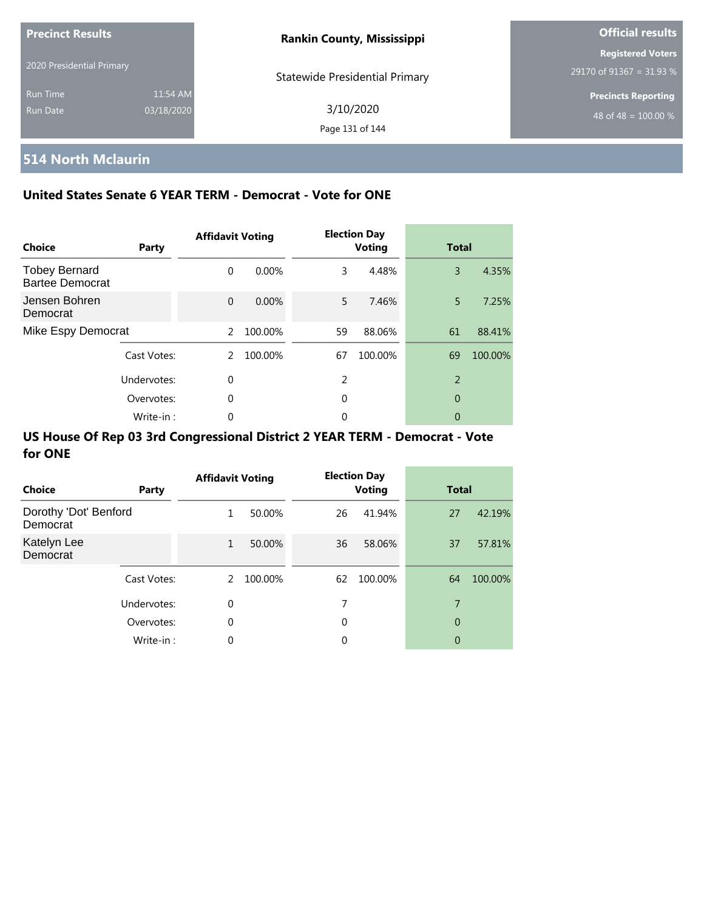| <b>Precinct Results</b><br>2020 Presidential Primary |                        | <b>Rankin County, Mississippi</b>     | <b>Official results</b>                              |  |  |
|------------------------------------------------------|------------------------|---------------------------------------|------------------------------------------------------|--|--|
|                                                      |                        | <b>Statewide Presidential Primary</b> | <b>Registered Voters</b><br>29170 of 91367 = 31.93 % |  |  |
| <b>Run Time</b><br>Run Date                          | 11:54 AM<br>03/18/2020 | 3/10/2020<br>Page 131 of 144          | <b>Precincts Reporting</b><br>48 of 48 = $100.00\%$  |  |  |

# **514 North Mclaurin**

### **United States Senate 6 YEAR TERM - Democrat - Vote for ONE**

| Choice                                         | Party       | <b>Affidavit Voting</b> |         |    | <b>Election Day</b><br><b>Voting</b> |                | <b>Total</b> |  |
|------------------------------------------------|-------------|-------------------------|---------|----|--------------------------------------|----------------|--------------|--|
| <b>Tobey Bernard</b><br><b>Bartee Democrat</b> |             | $\Omega$                | 0.00%   | 3  | 4.48%                                | 3              | 4.35%        |  |
| Jensen Bohren<br>Democrat                      |             | $\Omega$                | 0.00%   | 5. | 7.46%                                | 5              | 7.25%        |  |
| Mike Espy Democrat                             |             | $\mathcal{P}$           | 100.00% | 59 | 88.06%                               | 61             | 88.41%       |  |
|                                                | Cast Votes: | 2                       | 100.00% | 67 | 100.00%                              | 69             | 100.00%      |  |
|                                                | Undervotes: | $\Omega$                |         | 2  |                                      | $\overline{2}$ |              |  |
| Overvotes:                                     |             | 0                       |         | 0  |                                      | 0              |              |  |
|                                                | Write-in:   | 0                       |         | 0  |                                      | 0              |              |  |

| Choice                            | Party       | <b>Affidavit Voting</b> |         |    | <b>Election Day</b><br><b>Voting</b> | <b>Total</b> |         |
|-----------------------------------|-------------|-------------------------|---------|----|--------------------------------------|--------------|---------|
| Dorothy 'Dot' Benford<br>Democrat |             | 1                       | 50.00%  | 26 | 41.94%                               | 27           | 42.19%  |
| Katelyn Lee<br>Democrat           |             | $\mathbf{1}$            | 50.00%  | 36 | 58.06%                               | 37           | 57.81%  |
|                                   | Cast Votes: | 2                       | 100.00% | 62 | 100.00%                              | 64           | 100.00% |
|                                   | Undervotes: | $\mathbf 0$             |         | 7  |                                      | 7            |         |
|                                   | Overvotes:  | 0                       |         | 0  |                                      | 0            |         |
|                                   | Write-in:   | $\Omega$                |         | 0  |                                      | 0            |         |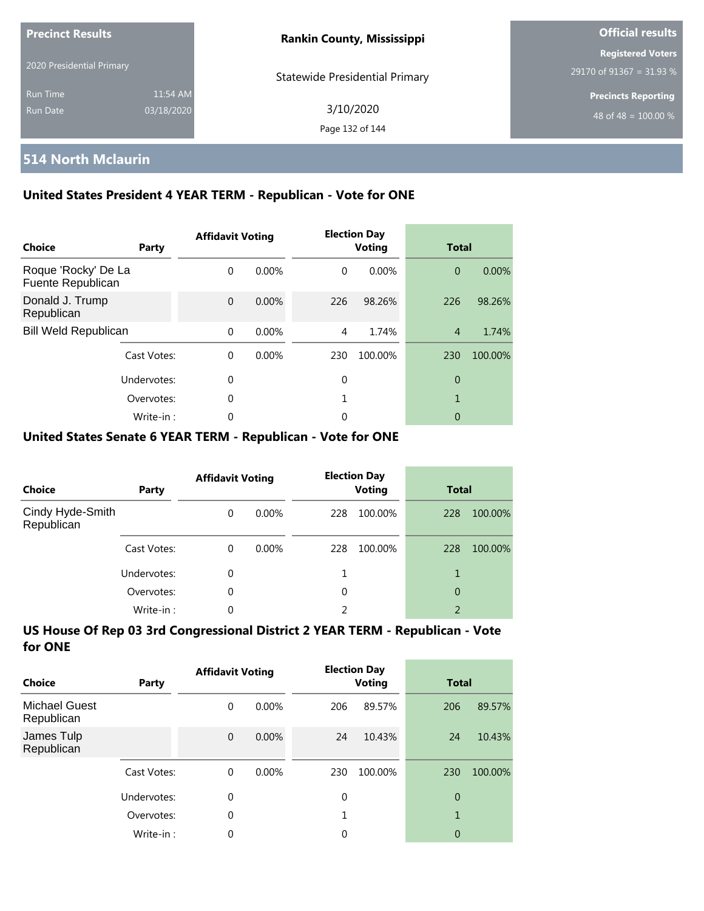| <b>Precinct Results</b><br>2020 Presidential Primary |                        | <b>Rankin County, Mississippi</b>     | <b>Official results</b>                              |  |  |
|------------------------------------------------------|------------------------|---------------------------------------|------------------------------------------------------|--|--|
|                                                      |                        | <b>Statewide Presidential Primary</b> | <b>Registered Voters</b><br>29170 of 91367 = 31.93 % |  |  |
| <b>Run Time</b><br>Run Date                          | 11:54 AM<br>03/18/2020 | 3/10/2020<br>Page 132 of 144          | <b>Precincts Reporting</b><br>48 of 48 = $100.00\%$  |  |  |

### **514 North Mclaurin**

### **United States President 4 YEAR TERM - Republican - Vote for ONE**

| Choice                                   | Party       | <b>Affidavit Voting</b> |          |          | <b>Election Day</b><br><b>Voting</b> | <b>Total</b>   |         |
|------------------------------------------|-------------|-------------------------|----------|----------|--------------------------------------|----------------|---------|
| Roque 'Rocky' De La<br>Fuente Republican |             | $\Omega$                | 0.00%    | $\Omega$ | $0.00\%$                             | $\overline{0}$ | 0.00%   |
| Donald J. Trump<br>Republican            |             | $\Omega$                | 0.00%    | 226      | 98.26%                               | 226            | 98.26%  |
| <b>Bill Weld Republican</b>              |             | $\Omega$                | 0.00%    | 4        | 1.74%                                | $\overline{4}$ | 1.74%   |
|                                          | Cast Votes: | $\Omega$                | $0.00\%$ | 230      | 100.00%                              | 230            | 100.00% |
|                                          | Undervotes: | 0                       |          | 0        |                                      | 0              |         |
|                                          | Overvotes:  | $\mathbf 0$             |          |          |                                      | 1              |         |
|                                          | Write-in:   | 0                       |          | 0        |                                      | 0              |         |

### **United States Senate 6 YEAR TERM - Republican - Vote for ONE**

| <b>Choice</b>                  | Party       | <b>Affidavit Voting</b> |          | <b>Election Day</b><br><b>Voting</b> |         | <b>Total</b>   |         |
|--------------------------------|-------------|-------------------------|----------|--------------------------------------|---------|----------------|---------|
| Cindy Hyde-Smith<br>Republican |             | $\Omega$                | $0.00\%$ | 228                                  | 100.00% | 228            | 100.00% |
|                                | Cast Votes: | $\Omega$                | $0.00\%$ | 228                                  | 100.00% | 228            | 100.00% |
|                                | Undervotes: | 0                       |          |                                      |         |                |         |
|                                | Overvotes:  | $\Omega$                |          | 0                                    |         | 0              |         |
|                                | Write-in:   | 0                       |          | 2                                    |         | $\overline{2}$ |         |

| Choice                             | Party       | <b>Affidavit Voting</b> |          |             | <b>Election Day</b><br>Voting |                | <b>Total</b> |  |
|------------------------------------|-------------|-------------------------|----------|-------------|-------------------------------|----------------|--------------|--|
| <b>Michael Guest</b><br>Republican |             | 0                       | $0.00\%$ | 206         | 89.57%                        | 206            | 89.57%       |  |
| James Tulp<br>Republican           |             | $\mathbf 0$             | 0.00%    | 24          | 10.43%                        | 24             | 10.43%       |  |
|                                    | Cast Votes: | $\Omega$                | $0.00\%$ | 230         | 100.00%                       | 230            | 100.00%      |  |
|                                    | Undervotes: | $\mathbf 0$             |          | $\mathbf 0$ |                               | $\overline{0}$ |              |  |
|                                    | Overvotes:  | $\mathbf 0$             |          | 1           |                               | 1              |              |  |
|                                    | Write-in:   | 0                       |          | 0           |                               | 0              |              |  |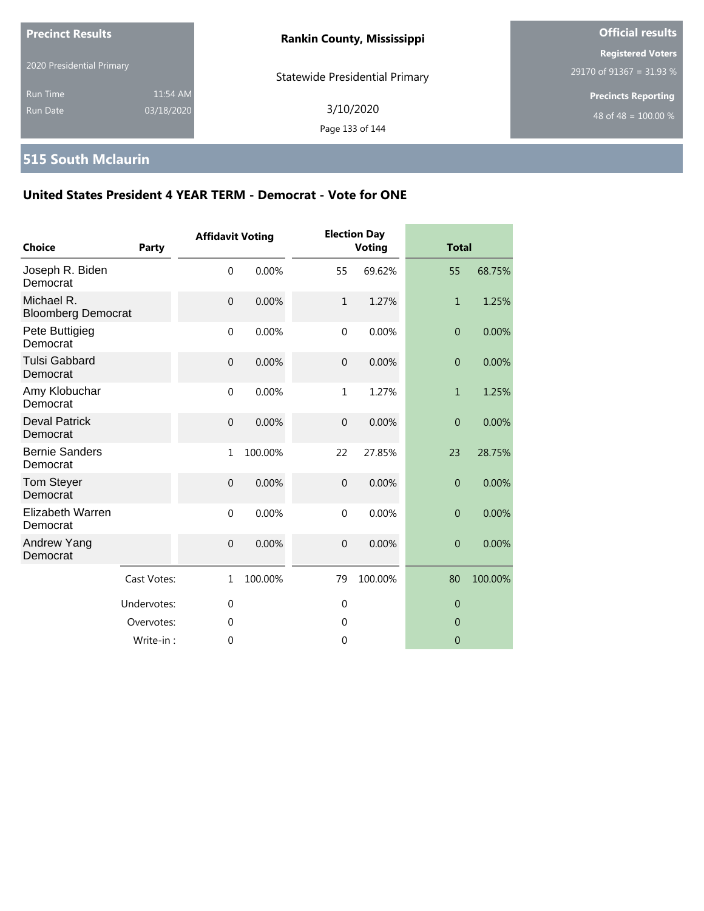| <b>Precinct Results</b>     |                        | <b>Rankin County, Mississippi</b>     | <b>Official results</b>                                        |  |
|-----------------------------|------------------------|---------------------------------------|----------------------------------------------------------------|--|
| 2020 Presidential Primary   |                        | <b>Statewide Presidential Primary</b> | <b>Registered Voters</b><br>29170 of 91367 = 31.93 %           |  |
| <b>Run Time</b><br>Run Date | 11:54 AM<br>03/18/2020 | 3/10/2020<br>Page 133 of 144          | <b>Precincts Reporting</b><br>48 of 48 = $\overline{100.00\%}$ |  |

# **515 South Mclaurin**

| <b>Choice</b>                           | <b>Party</b> | <b>Affidavit Voting</b> |         |                  | <b>Election Day</b><br>Voting | <b>Total</b>   |         |
|-----------------------------------------|--------------|-------------------------|---------|------------------|-------------------------------|----------------|---------|
| Joseph R. Biden<br>Democrat             |              | $\mathbf 0$             | 0.00%   | 55               | 69.62%                        | 55             | 68.75%  |
| Michael R.<br><b>Bloomberg Democrat</b> |              | $\overline{0}$          | 0.00%   | $\mathbf{1}$     | 1.27%                         | $\mathbf{1}$   | 1.25%   |
| Pete Buttigieg<br>Democrat              |              | $\mathbf 0$             | 0.00%   | $\mathbf 0$      | 0.00%                         | $\overline{0}$ | 0.00%   |
| <b>Tulsi Gabbard</b><br>Democrat        |              | $\mathbf{0}$            | 0.00%   | $\overline{0}$   | 0.00%                         | $\overline{0}$ | 0.00%   |
| Amy Klobuchar<br>Democrat               |              | $\mathbf{0}$            | 0.00%   | 1                | 1.27%                         | $\mathbf{1}$   | 1.25%   |
| <b>Deval Patrick</b><br>Democrat        |              | $\mathbf 0$             | 0.00%   | $\mathbf 0$      | 0.00%                         | $\overline{0}$ | 0.00%   |
| <b>Bernie Sanders</b><br>Democrat       |              | 1                       | 100.00% | 22               | 27.85%                        | 23             | 28.75%  |
| <b>Tom Steyer</b><br>Democrat           |              | $\overline{0}$          | 0.00%   | $\boldsymbol{0}$ | 0.00%                         | $\overline{0}$ | 0.00%   |
| Elizabeth Warren<br>Democrat            |              | $\mathbf 0$             | 0.00%   | $\mathbf 0$      | 0.00%                         | $\overline{0}$ | 0.00%   |
| Andrew Yang<br>Democrat                 |              | $\mathbf{0}$            | 0.00%   | $\overline{0}$   | 0.00%                         | $\overline{0}$ | 0.00%   |
|                                         | Cast Votes:  | $\mathbf{1}$            | 100.00% | 79               | 100.00%                       | 80             | 100.00% |
|                                         | Undervotes:  | $\mathbf 0$             |         | $\mathbf 0$      |                               | $\overline{0}$ |         |
|                                         | Overvotes:   | $\Omega$                |         | $\Omega$         |                               | $\overline{0}$ |         |
|                                         | Write-in:    | 0                       |         | $\mathbf 0$      |                               | $\overline{0}$ |         |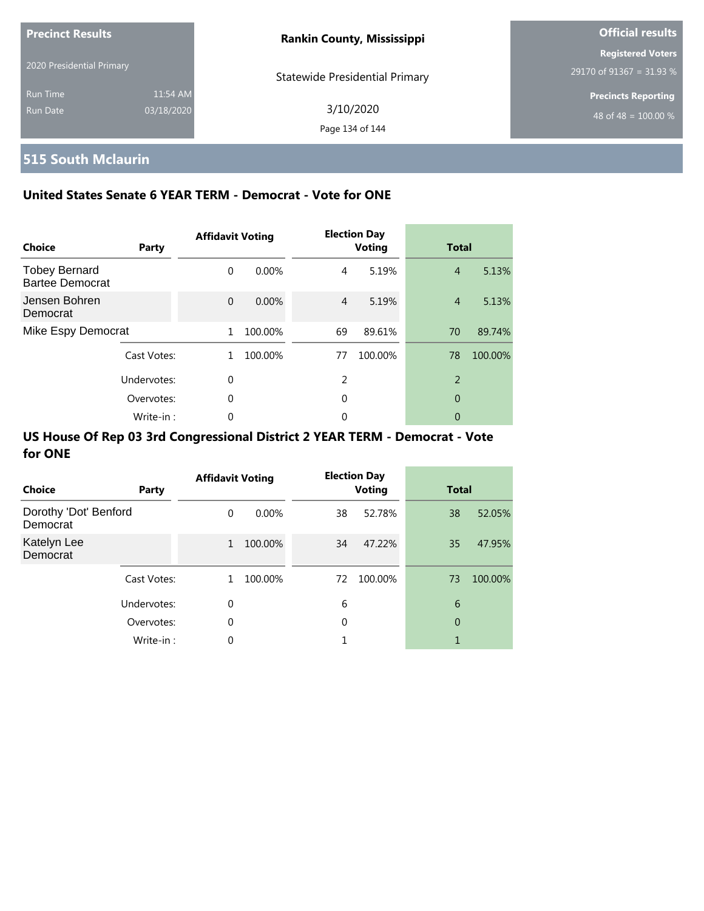| <b>Precinct Results</b>     |                        | <b>Rankin County, Mississippi</b>     | <b>Official results</b>                                |
|-----------------------------|------------------------|---------------------------------------|--------------------------------------------------------|
| 2020 Presidential Primary   |                        | <b>Statewide Presidential Primary</b> | <b>Registered Voters</b><br>29170 of 91367 = 31.93 $%$ |
| <b>Run Time</b><br>Run Date | 11:54 AM<br>03/18/2020 | 3/10/2020<br>Page 134 of 144          | <b>Precincts Reporting</b><br>48 of 48 = $100.00\%$    |

# **515 South Mclaurin**

### **United States Senate 6 YEAR TERM - Democrat - Vote for ONE**

| Choice                                         | Party       | <b>Affidavit Voting</b> |         |    | <b>Election Day</b><br><b>Voting</b> | <b>Total</b>   |         |
|------------------------------------------------|-------------|-------------------------|---------|----|--------------------------------------|----------------|---------|
| <b>Tobey Bernard</b><br><b>Bartee Democrat</b> |             | $\Omega$                | 0.00%   | 4  | 5.19%                                | $\overline{4}$ | 5.13%   |
| Jensen Bohren<br>Democrat                      |             | $\Omega$                | 0.00%   | 4  | 5.19%                                | $\overline{4}$ | 5.13%   |
| Mike Espy Democrat                             |             | 1                       | 100.00% | 69 | 89.61%                               | 70             | 89.74%  |
|                                                | Cast Votes: | 1.                      | 100.00% | 77 | 100.00%                              | 78             | 100.00% |
|                                                | Undervotes: | $\Omega$                |         | 2  |                                      | $\overline{2}$ |         |
|                                                | Overvotes:  | 0                       |         | 0  |                                      | 0              |         |
|                                                | Write-in:   | 0                       |         | 0  |                                      | 0              |         |

| Choice                            | Party       | <b>Affidavit Voting</b> |          |    | <b>Election Day</b><br><b>Voting</b> | <b>Total</b>   |         |
|-----------------------------------|-------------|-------------------------|----------|----|--------------------------------------|----------------|---------|
| Dorothy 'Dot' Benford<br>Democrat |             | $\Omega$                | $0.00\%$ | 38 | 52.78%                               | 38             | 52.05%  |
| Katelyn Lee<br>Democrat           |             | $\mathbf{1}$            | 100.00%  | 34 | 47.22%                               | 35             | 47.95%  |
|                                   | Cast Votes: | 1.                      | 100.00%  | 72 | 100.00%                              | 73             | 100.00% |
|                                   | Undervotes: | $\mathbf 0$             |          | 6  |                                      | 6              |         |
|                                   | Overvotes:  | 0                       |          | 0  |                                      | $\overline{0}$ |         |
|                                   | Write-in:   | $\Omega$                |          |    |                                      |                |         |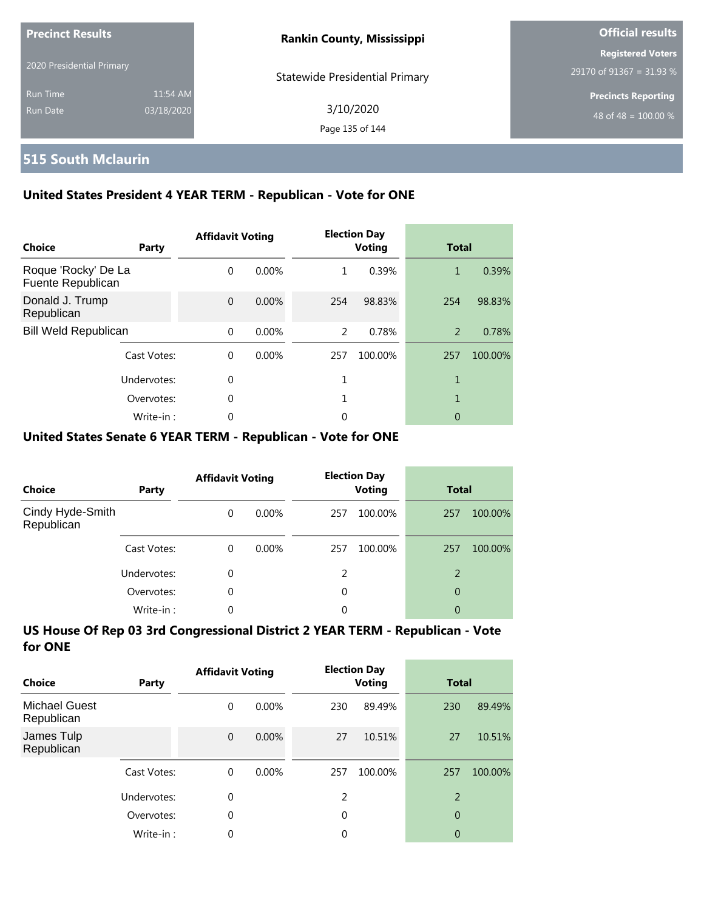| <b>Precinct Results</b>   |            | <b>Rankin County, Mississippi</b>     | <b>Official results</b>    |  |
|---------------------------|------------|---------------------------------------|----------------------------|--|
| 2020 Presidential Primary |            |                                       | <b>Registered Voters</b>   |  |
|                           |            | <b>Statewide Presidential Primary</b> | 29170 of 91367 = 31.93 %   |  |
| <b>Run Time</b>           | 11:54 AM   |                                       | <b>Precincts Reporting</b> |  |
| Run Date                  | 03/18/2020 | 3/10/2020                             | 48 of 48 = $100.00\%$      |  |
|                           |            | Page 135 of 144                       |                            |  |

### **515 South Mclaurin**

### **United States President 4 YEAR TERM - Republican - Vote for ONE**

| Choice                                   | Party       | <b>Affidavit Voting</b> |          |     | <b>Election Day</b><br><b>Voting</b> | <b>Total</b> |         |
|------------------------------------------|-------------|-------------------------|----------|-----|--------------------------------------|--------------|---------|
| Roque 'Rocky' De La<br>Fuente Republican |             | $\Omega$                | 0.00%    | 1   | 0.39%                                | 1            | 0.39%   |
| Donald J. Trump<br>Republican            |             | $\Omega$                | 0.00%    | 254 | 98.83%                               | 254          | 98.83%  |
| <b>Bill Weld Republican</b>              |             | $\Omega$                | 0.00%    | 2   | 0.78%                                | 2            | 0.78%   |
|                                          | Cast Votes: | $\Omega$                | $0.00\%$ | 257 | 100.00%                              | 257          | 100.00% |
|                                          | Undervotes: | 0                       |          |     |                                      | 1            |         |
|                                          | Overvotes:  | 0                       |          |     |                                      | 1            |         |
|                                          | Write-in:   | 0                       |          | 0   |                                      | 0            |         |

### **United States Senate 6 YEAR TERM - Republican - Vote for ONE**

| <b>Choice</b>                  | Party       | <b>Affidavit Voting</b> |          |     | <b>Election Day</b><br><b>Voting</b> |     | <b>Total</b> |
|--------------------------------|-------------|-------------------------|----------|-----|--------------------------------------|-----|--------------|
| Cindy Hyde-Smith<br>Republican |             | $\Omega$                | $0.00\%$ | 257 | 100.00%                              | 257 | 100.00%      |
|                                | Cast Votes: | $\Omega$                | $0.00\%$ | 257 | 100.00%                              | 257 | 100.00%      |
|                                | Undervotes: | 0                       |          | 2   |                                      | 2   |              |
|                                | Overvotes:  | $\Omega$                |          | 0   |                                      | 0   |              |
|                                | Write-in:   | 0                       |          | 0   |                                      | 0   |              |

| Choice                             | Party       | <b>Affidavit Voting</b> |          |     | <b>Election Day</b><br><b>Voting</b> | <b>Total</b>   |         |
|------------------------------------|-------------|-------------------------|----------|-----|--------------------------------------|----------------|---------|
| <b>Michael Guest</b><br>Republican |             | 0                       | $0.00\%$ | 230 | 89.49%                               | 230            | 89.49%  |
| James Tulp<br>Republican           |             | $\mathbf{0}$            | $0.00\%$ | 27  | 10.51%                               | 27             | 10.51%  |
|                                    | Cast Votes: | $\Omega$                | $0.00\%$ | 257 | 100.00%                              | 257            | 100.00% |
|                                    | Undervotes: | 0                       |          | 2   |                                      | $\overline{2}$ |         |
|                                    | Overvotes:  | 0                       |          | 0   |                                      | 0              |         |
|                                    | Write-in:   | 0                       |          | 0   |                                      | 0              |         |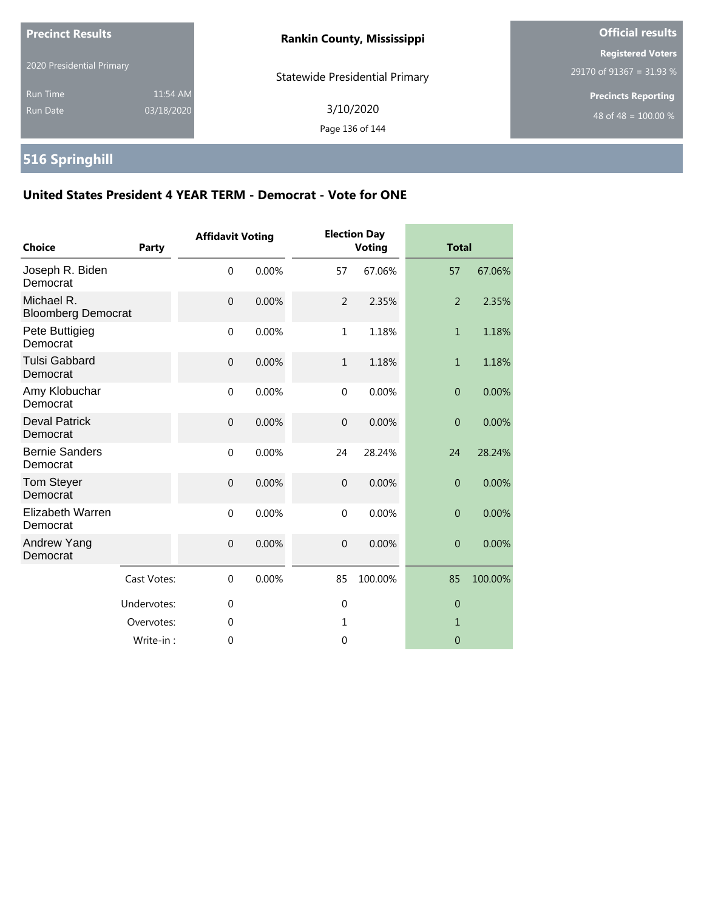| <b>Precinct Results</b>     |                        | <b>Rankin County, Mississippi</b>     | <b>Official results</b>                              |  |
|-----------------------------|------------------------|---------------------------------------|------------------------------------------------------|--|
| 2020 Presidential Primary   |                        | <b>Statewide Presidential Primary</b> | <b>Registered Voters</b><br>29170 of 91367 = 31.93 % |  |
| <b>Run Time</b><br>Run Date | 11:54 AM<br>03/18/2020 | 3/10/2020<br>Page 136 of 144          | <b>Precincts Reporting</b><br>48 of 48 = $100.00\%$  |  |

# **516 Springhill**

| <b>Choice</b>                           | <b>Party</b> | <b>Affidavit Voting</b> |       |                | <b>Election Day</b><br><b>Voting</b> | <b>Total</b>     |         |
|-----------------------------------------|--------------|-------------------------|-------|----------------|--------------------------------------|------------------|---------|
| Joseph R. Biden<br>Democrat             |              | $\mathbf 0$             | 0.00% | 57             | 67.06%                               | 57               | 67.06%  |
| Michael R.<br><b>Bloomberg Democrat</b> |              | $\mathbf{0}$            | 0.00% | $\overline{2}$ | 2.35%                                | $\overline{2}$   | 2.35%   |
| Pete Buttigieg<br>Democrat              |              | $\mathbf 0$             | 0.00% | $\mathbf{1}$   | 1.18%                                | $\mathbf{1}$     | 1.18%   |
| <b>Tulsi Gabbard</b><br>Democrat        |              | $\mathbf{0}$            | 0.00% | $\mathbf{1}$   | 1.18%                                | $\mathbf{1}$     | 1.18%   |
| Amy Klobuchar<br>Democrat               |              | $\mathbf 0$             | 0.00% | $\mathbf{0}$   | 0.00%                                | $\boldsymbol{0}$ | 0.00%   |
| <b>Deval Patrick</b><br>Democrat        |              | $\mathbf 0$             | 0.00% | $\mathbf 0$    | 0.00%                                | $\mathbf{0}$     | 0.00%   |
| <b>Bernie Sanders</b><br>Democrat       |              | $\mathbf 0$             | 0.00% | 24             | 28.24%                               | 24               | 28.24%  |
| <b>Tom Steyer</b><br>Democrat           |              | $\mathbf 0$             | 0.00% | $\overline{0}$ | 0.00%                                | $\overline{0}$   | 0.00%   |
| Elizabeth Warren<br>Democrat            |              | $\mathbf 0$             | 0.00% | $\Omega$       | 0.00%                                | $\overline{0}$   | 0.00%   |
| Andrew Yang<br>Democrat                 |              | $\mathbf 0$             | 0.00% | $\overline{0}$ | 0.00%                                | $\boldsymbol{0}$ | 0.00%   |
|                                         | Cast Votes:  | $\mathbf 0$             | 0.00% | 85             | 100.00%                              | 85               | 100.00% |
|                                         | Undervotes:  | $\mathbf 0$             |       | $\mathbf{0}$   |                                      | $\theta$         |         |
|                                         | Overvotes:   | $\theta$                |       | $\mathbf{1}$   |                                      | $\mathbf{1}$     |         |
|                                         | Write-in:    | 0                       |       | 0              |                                      | $\mathbf 0$      |         |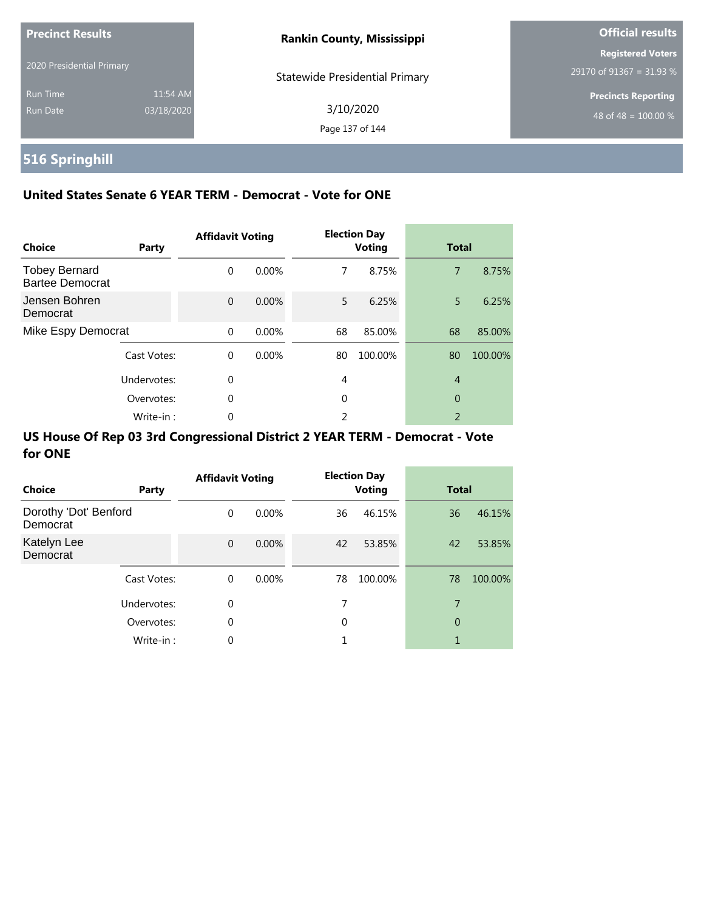| <b>Precinct Results</b>     |                        | <b>Rankin County, Mississippi</b>     | <b>Official results</b>                              |
|-----------------------------|------------------------|---------------------------------------|------------------------------------------------------|
| 2020 Presidential Primary   |                        | <b>Statewide Presidential Primary</b> | <b>Registered Voters</b><br>29170 of 91367 = 31.93 % |
| <b>Run Time</b><br>Run Date | 11:54 AM<br>03/18/2020 | 3/10/2020<br>Page 137 of 144          | <b>Precincts Reporting</b><br>48 of 48 = $100.00\%$  |

# **516 Springhill**

### **United States Senate 6 YEAR TERM - Democrat - Vote for ONE**

| <b>Choice</b>                                  | Party       | <b>Affidavit Voting</b> |          |    | <b>Election Day</b><br><b>Voting</b> | <b>Total</b>   |         |
|------------------------------------------------|-------------|-------------------------|----------|----|--------------------------------------|----------------|---------|
| <b>Tobey Bernard</b><br><b>Bartee Democrat</b> |             | $\Omega$                | $0.00\%$ | 7  | 8.75%                                | $\overline{7}$ | 8.75%   |
| Jensen Bohren<br>Democrat                      |             | $\Omega$                | 0.00%    | 5  | 6.25%                                | 5              | 6.25%   |
| Mike Espy Democrat                             |             | $\Omega$                | 0.00%    | 68 | 85.00%                               | 68             | 85.00%  |
|                                                | Cast Votes: | $\Omega$                | 0.00%    | 80 | 100.00%                              | 80             | 100.00% |
|                                                | Undervotes: | $\Omega$                |          | 4  |                                      | $\overline{4}$ |         |
|                                                | Overvotes:  | $\Omega$                |          | 0  |                                      | $\overline{0}$ |         |
|                                                | Write-in:   | 0                       |          | ว  |                                      | 2              |         |

| Choice                            | Party       | <b>Affidavit Voting</b> |          |    | <b>Election Day</b><br><b>Voting</b> | <b>Total</b> |         |
|-----------------------------------|-------------|-------------------------|----------|----|--------------------------------------|--------------|---------|
| Dorothy 'Dot' Benford<br>Democrat |             | $\Omega$                | $0.00\%$ | 36 | 46.15%                               | 36           | 46.15%  |
| Katelyn Lee<br>Democrat           |             | $\mathbf{0}$            | $0.00\%$ | 42 | 53.85%                               | 42           | 53.85%  |
|                                   | Cast Votes: | 0                       | $0.00\%$ | 78 | 100.00%                              | 78           | 100.00% |
|                                   | Undervotes: | 0                       |          | 7  |                                      | 7            |         |
|                                   | Overvotes:  | $\mathbf 0$             |          | 0  |                                      | 0            |         |
|                                   | Write-in:   | $\Omega$                |          |    |                                      | 1            |         |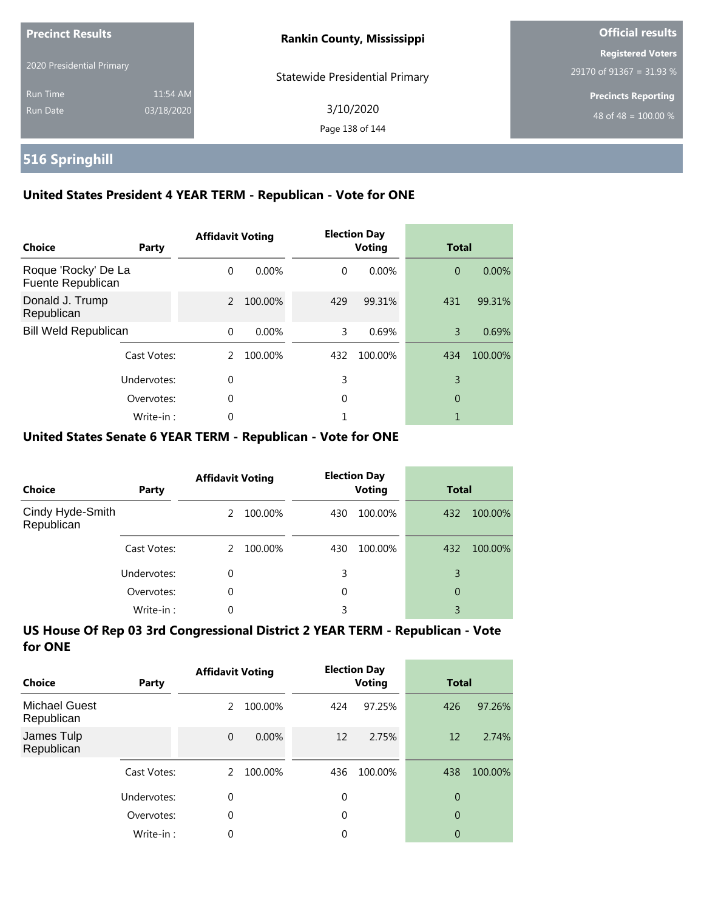| <b>Precinct Results</b>     |                        | <b>Rankin County, Mississippi</b>     | <b>Official results</b>                                |  |
|-----------------------------|------------------------|---------------------------------------|--------------------------------------------------------|--|
| 2020 Presidential Primary   |                        | <b>Statewide Presidential Primary</b> | <b>Registered Voters</b><br>29170 of 91367 = 31.93 $%$ |  |
| <b>Run Time</b><br>Run Date | 11:54 AM<br>03/18/2020 | 3/10/2020<br>Page 138 of 144          | <b>Precincts Reporting</b><br>48 of 48 = $100.00\%$    |  |

# **516 Springhill**

### **United States President 4 YEAR TERM - Republican - Vote for ONE**

| Choice                                   | Party       | <b>Affidavit Voting</b> |          |          | <b>Election Day</b><br><b>Voting</b> | <b>Total</b>   |         |
|------------------------------------------|-------------|-------------------------|----------|----------|--------------------------------------|----------------|---------|
| Roque 'Rocky' De La<br>Fuente Republican |             | $\Omega$                | $0.00\%$ | $\Omega$ | $0.00\%$                             | $\overline{0}$ | 0.00%   |
| Donald J. Trump<br>Republican            |             | $\mathcal{P}$           | 100.00%  | 429      | 99.31%                               | 431            | 99.31%  |
| <b>Bill Weld Republican</b>              |             | $\Omega$                | 0.00%    | 3        | 0.69%                                | 3              | 0.69%   |
|                                          | Cast Votes: | $\mathcal{P}$           | 100.00%  | 432      | 100.00%                              | 434            | 100.00% |
|                                          | Undervotes: | $\Omega$                |          | 3        |                                      | 3              |         |
|                                          | Overvotes:  | $\Omega$                |          | 0        |                                      | 0              |         |
|                                          | Write-in:   | 0                       |          |          |                                      |                |         |

### **United States Senate 6 YEAR TERM - Republican - Vote for ONE**

| Choice                         | Party       | <b>Affidavit Voting</b> |         | <b>Election Day</b><br><b>Voting</b> |         | <b>Total</b> |         |
|--------------------------------|-------------|-------------------------|---------|--------------------------------------|---------|--------------|---------|
| Cindy Hyde-Smith<br>Republican |             | 2                       | 100.00% | 430                                  | 100.00% | 432          | 100.00% |
|                                | Cast Votes: | $\mathcal{P}$           | 100.00% | 430                                  | 100.00% | 432          | 100.00% |
|                                | Undervotes: | 0                       |         | 3                                    |         | 3            |         |
|                                | Overvotes:  | $\Omega$                |         | 0                                    |         | 0            |         |
|                                | Write-in:   | 0                       |         | 3                                    |         | 3            |         |

| Choice                             | Party       | <b>Affidavit Voting</b> |          |             | <b>Election Day</b><br><b>Voting</b> | <b>Total</b>   |         |
|------------------------------------|-------------|-------------------------|----------|-------------|--------------------------------------|----------------|---------|
| <b>Michael Guest</b><br>Republican |             | 2                       | 100.00%  | 424         | 97.25%                               | 426            | 97.26%  |
| James Tulp<br>Republican           |             | $\overline{0}$          | $0.00\%$ | 12          | 2.75%                                | 12             | 2.74%   |
|                                    | Cast Votes: | $\mathcal{P}$           | 100.00%  | 436         | 100.00%                              | 438            | 100.00% |
|                                    | Undervotes: | 0                       |          | $\mathbf 0$ |                                      | $\overline{0}$ |         |
|                                    | Overvotes:  | 0                       |          | 0           |                                      | $\overline{0}$ |         |
|                                    | Write-in:   | 0                       |          | 0           |                                      | 0              |         |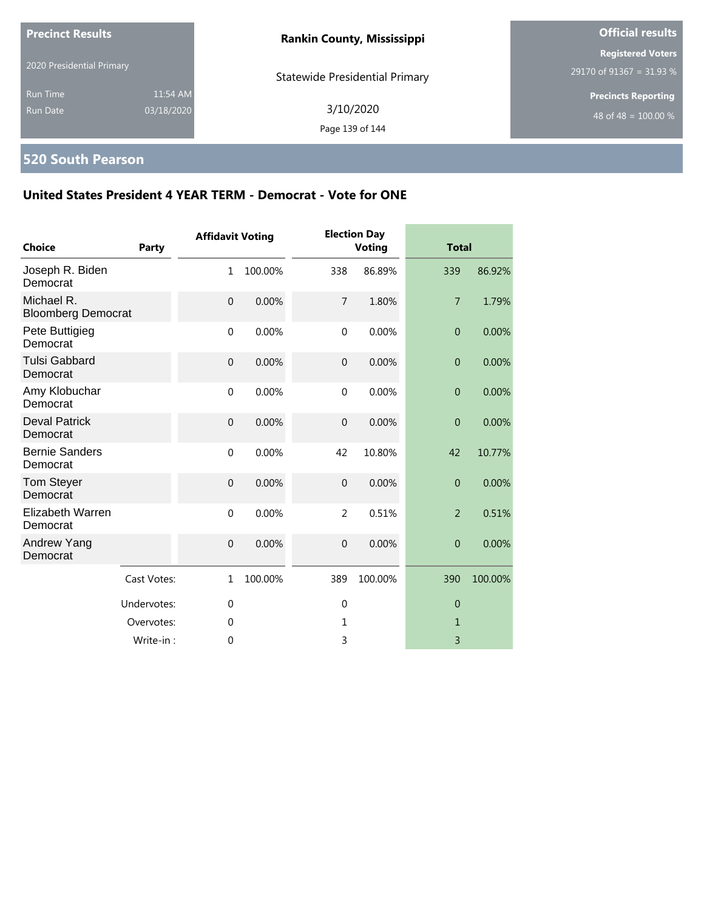| <b>Precinct Results</b>                                      | <b>Rankin County, Mississippi</b>     | <b>Official results</b>                              |  |
|--------------------------------------------------------------|---------------------------------------|------------------------------------------------------|--|
| 2020 Presidential Primary                                    | <b>Statewide Presidential Primary</b> | <b>Registered Voters</b><br>29170 of 91367 = 31.93 % |  |
| 11:54 AM<br><b>Run Time</b><br>03/18/2020<br><b>Run Date</b> | 3/10/2020<br>Page 139 of 144          | <b>Precincts Reporting</b><br>48 of 48 = $100.00\%$  |  |

# **520 South Pearson**

| <b>Choice</b>                           | <b>Party</b> | <b>Affidavit Voting</b> |         |                  | <b>Election Day</b><br><b>Voting</b> | <b>Total</b>   |         |
|-----------------------------------------|--------------|-------------------------|---------|------------------|--------------------------------------|----------------|---------|
| Joseph R. Biden<br>Democrat             |              | 1                       | 100.00% | 338              | 86.89%                               | 339            | 86.92%  |
| Michael R.<br><b>Bloomberg Democrat</b> |              | $\mathbf 0$             | 0.00%   | $\overline{7}$   | 1.80%                                | $\overline{7}$ | 1.79%   |
| Pete Buttigieg<br>Democrat              |              | $\mathbf 0$             | 0.00%   | $\mathbf 0$      | 0.00%                                | $\overline{0}$ | 0.00%   |
| <b>Tulsi Gabbard</b><br>Democrat        |              | $\mathbf 0$             | 0.00%   | $\boldsymbol{0}$ | 0.00%                                | $\overline{0}$ | 0.00%   |
| Amy Klobuchar<br>Democrat               |              | $\mathbf{0}$            | 0.00%   | $\mathbf{0}$     | 0.00%                                | $\overline{0}$ | 0.00%   |
| <b>Deval Patrick</b><br>Democrat        |              | $\mathbf{0}$            | 0.00%   | $\mathbf 0$      | 0.00%                                | $\overline{0}$ | 0.00%   |
| <b>Bernie Sanders</b><br>Democrat       |              | $\mathbf 0$             | 0.00%   | 42               | 10.80%                               | 42             | 10.77%  |
| Tom Steyer<br>Democrat                  |              | $\mathbf{0}$            | 0.00%   | $\mathbf 0$      | 0.00%                                | $\overline{0}$ | 0.00%   |
| <b>Elizabeth Warren</b><br>Democrat     |              | $\mathbf 0$             | 0.00%   | $\overline{2}$   | 0.51%                                | $\overline{2}$ | 0.51%   |
| Andrew Yang<br>Democrat                 |              | $\mathbf{0}$            | 0.00%   | $\mathbf{0}$     | 0.00%                                | $\overline{0}$ | 0.00%   |
|                                         | Cast Votes:  | $\mathbf{1}$            | 100.00% | 389              | 100.00%                              | 390            | 100.00% |
|                                         | Undervotes:  | $\mathbf{0}$            |         | $\mathbf 0$      |                                      | $\theta$       |         |
|                                         | Overvotes:   | 0                       |         | 1                |                                      | 1              |         |
|                                         | Write-in:    | 0                       |         | 3                |                                      | 3              |         |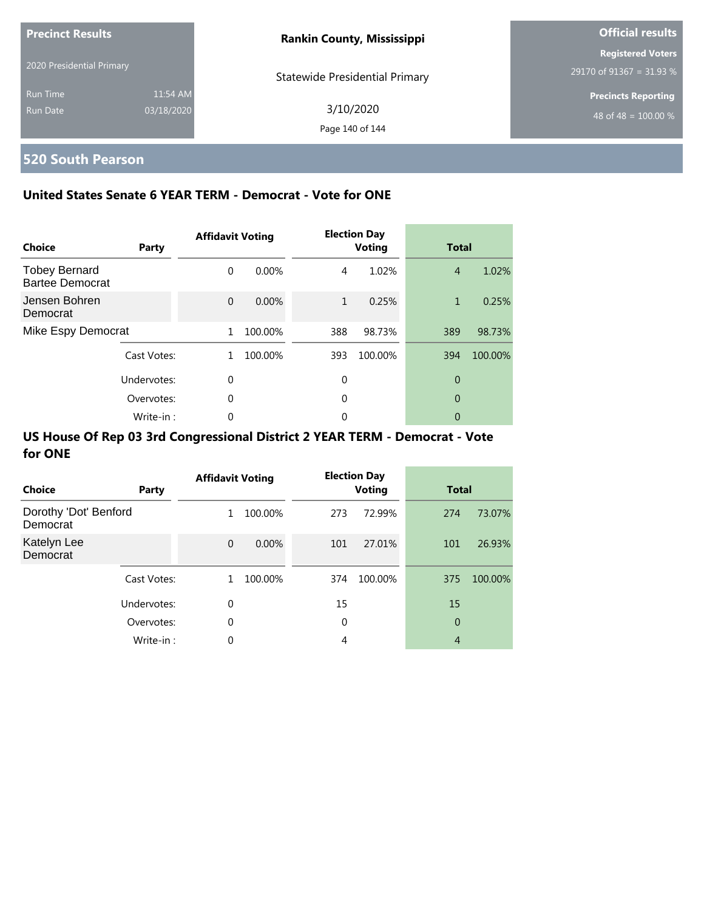| <b>Precinct Results</b>   |            | <b>Rankin County, Mississippi</b>     | <b>Official results</b>    |  |  |
|---------------------------|------------|---------------------------------------|----------------------------|--|--|
|                           |            |                                       | <b>Registered Voters</b>   |  |  |
| 2020 Presidential Primary |            | <b>Statewide Presidential Primary</b> | 29170 of 91367 = 31.93 %   |  |  |
| <b>Run Time</b>           | 11:54 AM   |                                       | <b>Precincts Reporting</b> |  |  |
| Run Date                  | 03/18/2020 | 3/10/2020                             | 48 of 48 = $100.00\%$      |  |  |
|                           |            | Page 140 of 144                       |                            |  |  |

# **520 South Pearson**

### **United States Senate 6 YEAR TERM - Democrat - Vote for ONE**

| Choice                                         | Party       | <b>Affidavit Voting</b> |         |     | <b>Election Day</b><br><b>Voting</b> | <b>Total</b>   |         |
|------------------------------------------------|-------------|-------------------------|---------|-----|--------------------------------------|----------------|---------|
| <b>Tobey Bernard</b><br><b>Bartee Democrat</b> |             | $\Omega$                | 0.00%   | 4   | 1.02%                                | $\overline{4}$ | 1.02%   |
| Jensen Bohren<br>Democrat                      |             | $\Omega$                | 0.00%   | 1   | 0.25%                                | 1              | 0.25%   |
| Mike Espy Democrat                             |             | 1                       | 100.00% | 388 | 98.73%                               | 389            | 98.73%  |
|                                                | Cast Votes: | 1.                      | 100.00% | 393 | 100.00%                              | 394            | 100.00% |
|                                                | Undervotes: | $\Omega$                |         | 0   |                                      | 0              |         |
|                                                | Overvotes:  | 0                       |         | 0   |                                      | 0              |         |
|                                                | Write-in:   | 0                       |         | 0   |                                      | 0              |         |

| <b>Choice</b>                     | Party       | <b>Affidavit Voting</b> |          |     | <b>Election Day</b><br><b>Voting</b> | <b>Total</b>   |         |
|-----------------------------------|-------------|-------------------------|----------|-----|--------------------------------------|----------------|---------|
| Dorothy 'Dot' Benford<br>Democrat |             | $\mathbf{1}$            | 100.00%  | 273 | 72.99%                               | 274            | 73.07%  |
| Katelyn Lee<br>Democrat           |             | $\mathbf{0}$            | $0.00\%$ | 101 | 27.01%                               | 101            | 26.93%  |
|                                   | Cast Votes: | 1                       | 100.00%  | 374 | 100.00%                              | 375            | 100.00% |
|                                   | Undervotes: | $\Omega$                |          | 15  |                                      | 15             |         |
|                                   | Overvotes:  | $\mathbf 0$             |          | 0   |                                      | 0              |         |
|                                   | Write-in:   | 0                       |          | 4   |                                      | $\overline{4}$ |         |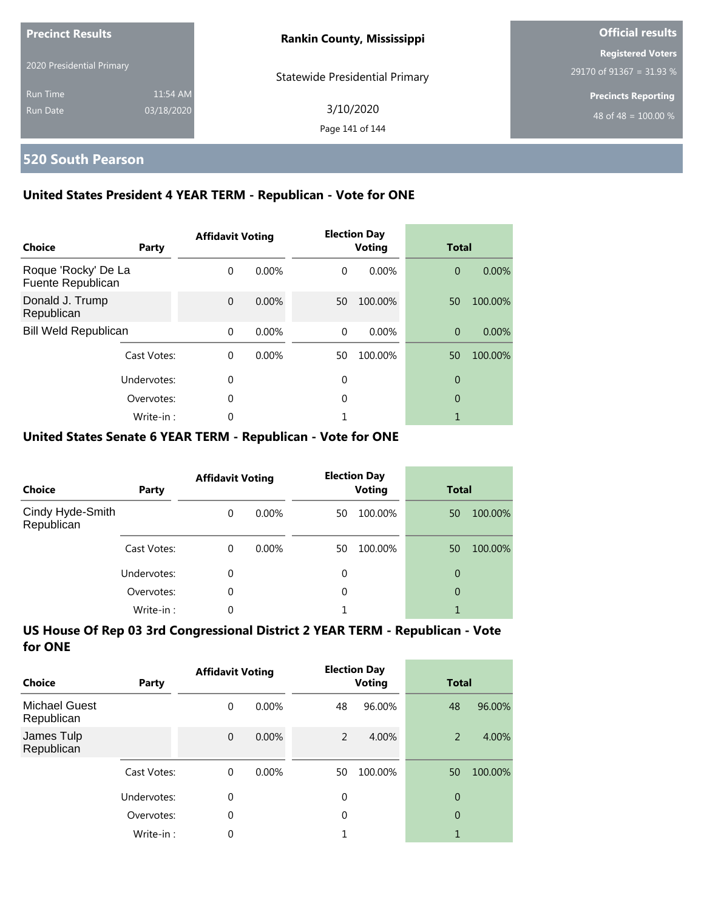| <b>Precinct Results</b>   |            | <b>Rankin County, Mississippi</b>     | <b>Official results</b>                              |  |
|---------------------------|------------|---------------------------------------|------------------------------------------------------|--|
| 2020 Presidential Primary |            | <b>Statewide Presidential Primary</b> | <b>Registered Voters</b><br>29170 of 91367 = 31.93 % |  |
| <b>Run Time</b>           | 11:54 AM   |                                       | <b>Precincts Reporting</b>                           |  |
| Run Date                  | 03/18/2020 | 3/10/2020<br>Page 141 of 144          | 48 of 48 = $100.00\%$                                |  |

### **520 South Pearson**

### **United States President 4 YEAR TERM - Republican - Vote for ONE**

| Choice                                   | Party       | <b>Affidavit Voting</b> |       |          | <b>Election Day</b><br><b>Voting</b> | <b>Total</b>   |          |
|------------------------------------------|-------------|-------------------------|-------|----------|--------------------------------------|----------------|----------|
| Roque 'Rocky' De La<br>Fuente Republican |             | $\Omega$                | 0.00% | $\Omega$ | $0.00\%$                             | $\overline{0}$ | 0.00%    |
| Donald J. Trump<br>Republican            |             | $\Omega$                | 0.00% | 50       | 100.00%                              | 50             | 100.00%  |
| <b>Bill Weld Republican</b>              |             | $\Omega$                | 0.00% | $\Omega$ | $0.00\%$                             | $\overline{0}$ | $0.00\%$ |
|                                          | Cast Votes: | $\Omega$                | 0.00% | 50       | 100.00%                              | 50             | 100.00%  |
|                                          | Undervotes: | 0                       |       | 0        |                                      | 0              |          |
|                                          | Overvotes:  | $\Omega$                |       | 0        |                                      | 0              |          |
|                                          | Write-in:   | 0                       |       |          |                                      |                |          |

#### **United States Senate 6 YEAR TERM - Republican - Vote for ONE**

| <b>Choice</b>                  | Party       | <b>Affidavit Voting</b> |          | <b>Election Day</b><br><b>Voting</b> |         | <b>Total</b> |         |
|--------------------------------|-------------|-------------------------|----------|--------------------------------------|---------|--------------|---------|
| Cindy Hyde-Smith<br>Republican |             | $\Omega$                | $0.00\%$ | 50                                   | 100.00% | 50           | 100.00% |
|                                | Cast Votes: | $\Omega$                | $0.00\%$ | 50                                   | 100.00% | 50           | 100.00% |
|                                | Undervotes: | $\Omega$                |          | 0                                    |         | 0            |         |
|                                | Overvotes:  | $\Omega$                |          | 0                                    |         | 0            |         |
|                                | Write-in:   | 0                       |          |                                      |         |              |         |

| Choice                             | Party       | <b>Affidavit Voting</b> |          | <b>Election Day</b><br><b>Voting</b> |         | <b>Total</b>   |         |
|------------------------------------|-------------|-------------------------|----------|--------------------------------------|---------|----------------|---------|
| <b>Michael Guest</b><br>Republican |             | 0                       | $0.00\%$ | 48                                   | 96.00%  | 48             | 96.00%  |
| James Tulp<br>Republican           |             | $\mathbf{0}$            | 0.00%    | 2                                    | 4.00%   | 2              | 4.00%   |
|                                    | Cast Votes: | $\Omega$                | $0.00\%$ | 50                                   | 100.00% | 50             | 100.00% |
|                                    | Undervotes: | 0                       |          | $\mathbf 0$                          |         | $\overline{0}$ |         |
|                                    | Overvotes:  | $\theta$                |          | 0                                    |         | $\overline{0}$ |         |
|                                    | Write-in:   | 0                       |          |                                      |         | 1              |         |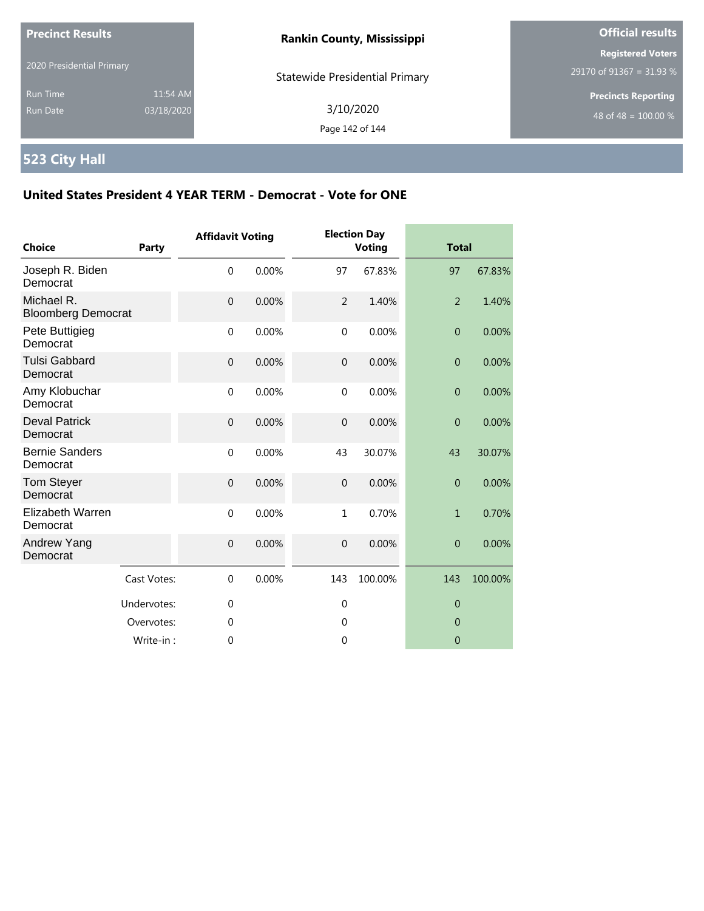| <b>Precinct Results</b><br>2020 Presidential Primary |                        | <b>Rankin County, Mississippi</b>     | <b>Official results</b>                                        |  |
|------------------------------------------------------|------------------------|---------------------------------------|----------------------------------------------------------------|--|
|                                                      |                        | <b>Statewide Presidential Primary</b> | <b>Registered Voters</b><br>29170 of 91367 = 31.93 %           |  |
| <b>Run Time</b><br>Run Date                          | 11:54 AM<br>03/18/2020 | 3/10/2020<br>Page 142 of 144          | <b>Precincts Reporting</b><br>48 of 48 = $\overline{100.00\%}$ |  |

# **523 City Hall**

| <b>Choice</b>                           | <b>Party</b> | <b>Affidavit Voting</b> |       |                | <b>Election Day</b><br><b>Voting</b> |                | <b>Total</b> |  |
|-----------------------------------------|--------------|-------------------------|-------|----------------|--------------------------------------|----------------|--------------|--|
| Joseph R. Biden<br>Democrat             |              | $\mathbf 0$             | 0.00% | 97             | 67.83%                               | 97             | 67.83%       |  |
| Michael R.<br><b>Bloomberg Democrat</b> |              | $\overline{0}$          | 0.00% | $\overline{2}$ | 1.40%                                | $\overline{2}$ | 1.40%        |  |
| Pete Buttigieg<br>Democrat              |              | $\mathbf 0$             | 0.00% | $\mathbf 0$    | 0.00%                                | $\overline{0}$ | 0.00%        |  |
| <b>Tulsi Gabbard</b><br>Democrat        |              | $\mathbf{0}$            | 0.00% | $\overline{0}$ | 0.00%                                | $\overline{0}$ | 0.00%        |  |
| Amy Klobuchar<br>Democrat               |              | $\mathbf{0}$            | 0.00% | $\mathbf{0}$   | 0.00%                                | $\overline{0}$ | 0.00%        |  |
| <b>Deval Patrick</b><br>Democrat        |              | $\mathbf{0}$            | 0.00% | $\overline{0}$ | 0.00%                                | $\overline{0}$ | 0.00%        |  |
| <b>Bernie Sanders</b><br>Democrat       |              | $\boldsymbol{0}$        | 0.00% | 43             | 30.07%                               | 43             | 30.07%       |  |
| Tom Steyer<br>Democrat                  |              | $\overline{0}$          | 0.00% | $\overline{0}$ | 0.00%                                | $\overline{0}$ | 0.00%        |  |
| Elizabeth Warren<br>Democrat            |              | $\mathbf 0$             | 0.00% | $\mathbf{1}$   | 0.70%                                | $\mathbf{1}$   | 0.70%        |  |
| Andrew Yang<br>Democrat                 |              | $\mathbf{0}$            | 0.00% | $\mathbf 0$    | 0.00%                                | $\overline{0}$ | 0.00%        |  |
|                                         | Cast Votes:  | $\mathbf 0$             | 0.00% | 143            | 100.00%                              | 143            | 100.00%      |  |
|                                         | Undervotes:  | $\mathbf 0$             |       | $\mathbf 0$    |                                      | $\theta$       |              |  |
|                                         | Overvotes:   | 0                       |       | 0              |                                      | $\mathbf 0$    |              |  |
|                                         | Write-in:    | 0                       |       | 0              |                                      | $\overline{0}$ |              |  |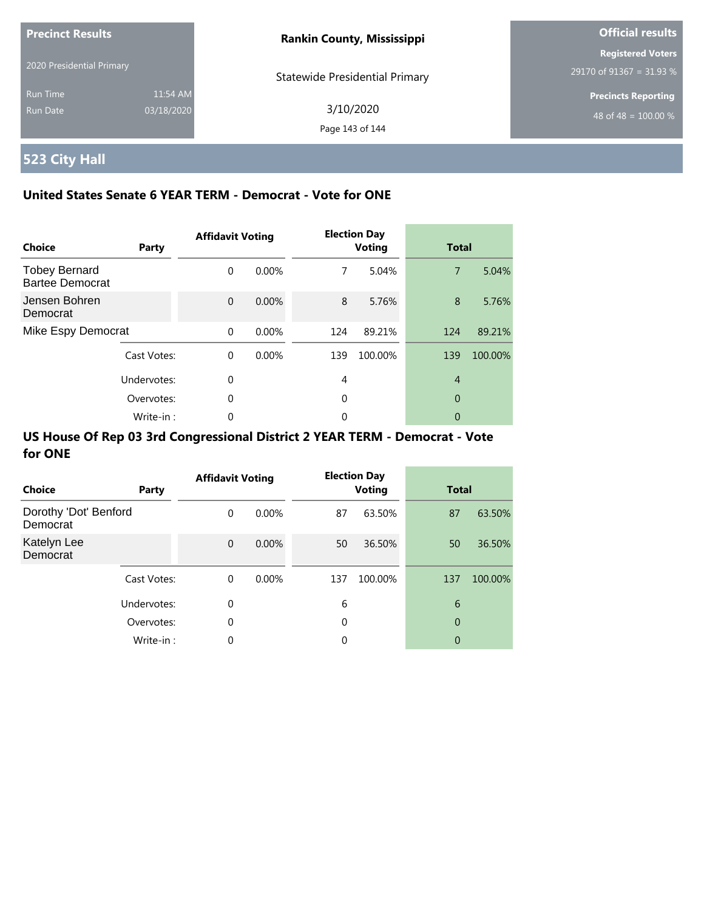| <b>Precinct Results</b>     |                        | <b>Rankin County, Mississippi</b>     | <b>Official results</b>                              |  |
|-----------------------------|------------------------|---------------------------------------|------------------------------------------------------|--|
| 2020 Presidential Primary   |                        | <b>Statewide Presidential Primary</b> | <b>Registered Voters</b><br>29170 of 91367 = 31.93 % |  |
| <b>Run Time</b><br>Run Date | 11:54 AM<br>03/18/2020 | 3/10/2020<br>Page 143 of 144          | <b>Precincts Reporting</b><br>48 of 48 = $100.00\%$  |  |

# **523 City Hall**

### **United States Senate 6 YEAR TERM - Democrat - Vote for ONE**

| Choice                                         | Party       | <b>Affidavit Voting</b> |          |     | <b>Election Day</b><br><b>Voting</b> | <b>Total</b>   |         |
|------------------------------------------------|-------------|-------------------------|----------|-----|--------------------------------------|----------------|---------|
| <b>Tobey Bernard</b><br><b>Bartee Democrat</b> |             | $\Omega$                | $0.00\%$ | 7   | 5.04%                                | $\overline{7}$ | 5.04%   |
| Jensen Bohren<br>Democrat                      |             | $\Omega$                | 0.00%    | 8   | 5.76%                                | 8              | 5.76%   |
| Mike Espy Democrat                             |             | $\Omega$                | 0.00%    | 124 | 89.21%                               | 124            | 89.21%  |
|                                                | Cast Votes: | $\Omega$                | $0.00\%$ | 139 | 100.00%                              | 139            | 100.00% |
|                                                | Undervotes: | $\Omega$                |          | 4   |                                      | $\overline{4}$ |         |
|                                                | Overvotes:  | $\Omega$                |          | 0   |                                      | 0              |         |
|                                                | Write-in:   | 0                       |          | 0   |                                      | 0              |         |

| Choice                            | Party       | <b>Affidavit Voting</b> |          |     | <b>Election Day</b><br><b>Voting</b> |     | <b>Total</b> |  |
|-----------------------------------|-------------|-------------------------|----------|-----|--------------------------------------|-----|--------------|--|
| Dorothy 'Dot' Benford<br>Democrat |             | $\Omega$                | $0.00\%$ | 87  | 63.50%                               | 87  | 63.50%       |  |
| Katelyn Lee<br>Democrat           |             | $\Omega$                | $0.00\%$ | 50  | 36.50%                               | 50  | 36.50%       |  |
|                                   | Cast Votes: | $\mathbf 0$             | $0.00\%$ | 137 | 100.00%                              | 137 | 100.00%      |  |
|                                   | Undervotes: | 0                       |          | 6   |                                      | 6   |              |  |
|                                   | Overvotes:  | 0                       |          | 0   |                                      | 0   |              |  |
|                                   | Write-in:   | 0                       |          | 0   |                                      | 0   |              |  |